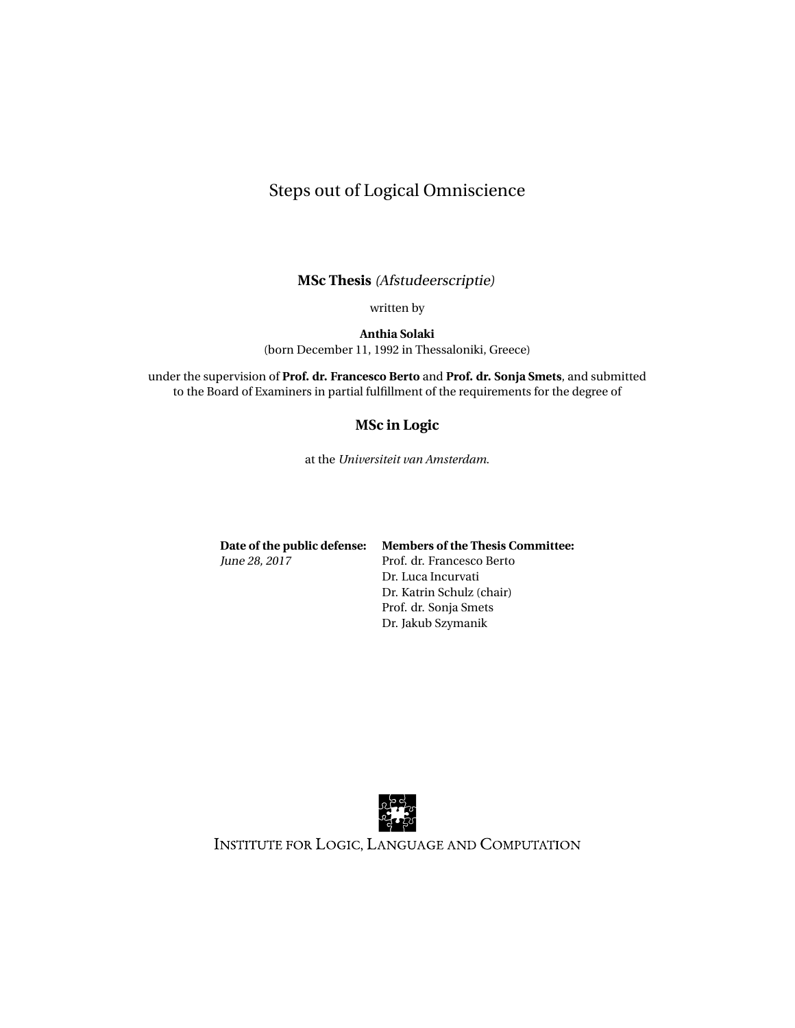# <span id="page-0-1"></span><span id="page-0-0"></span>Steps out of Logical Omniscience

**MSc Thesis** (Afstudeerscriptie)

written by

**Anthia Solaki** (born December 11, 1992 in Thessaloniki, Greece)

under the supervision of **Prof. dr. Francesco Berto** and **Prof. dr. Sonja Smets**, and submitted to the Board of Examiners in partial fulfillment of the requirements for the degree of

#### **MSc in Logic**

at the *Universiteit van Amsterdam*.

**Date of the public defense: Members of the Thesis Committee:** June 28, 2017 Prof. dr. Francesco Berto

Dr. Luca Incurvati Dr. Katrin Schulz (chair) Prof. dr. Sonja Smets Dr. Jakub Szymanik



INSTITUTE FOR LOGIC, LANGUAGE AND COMPUTATION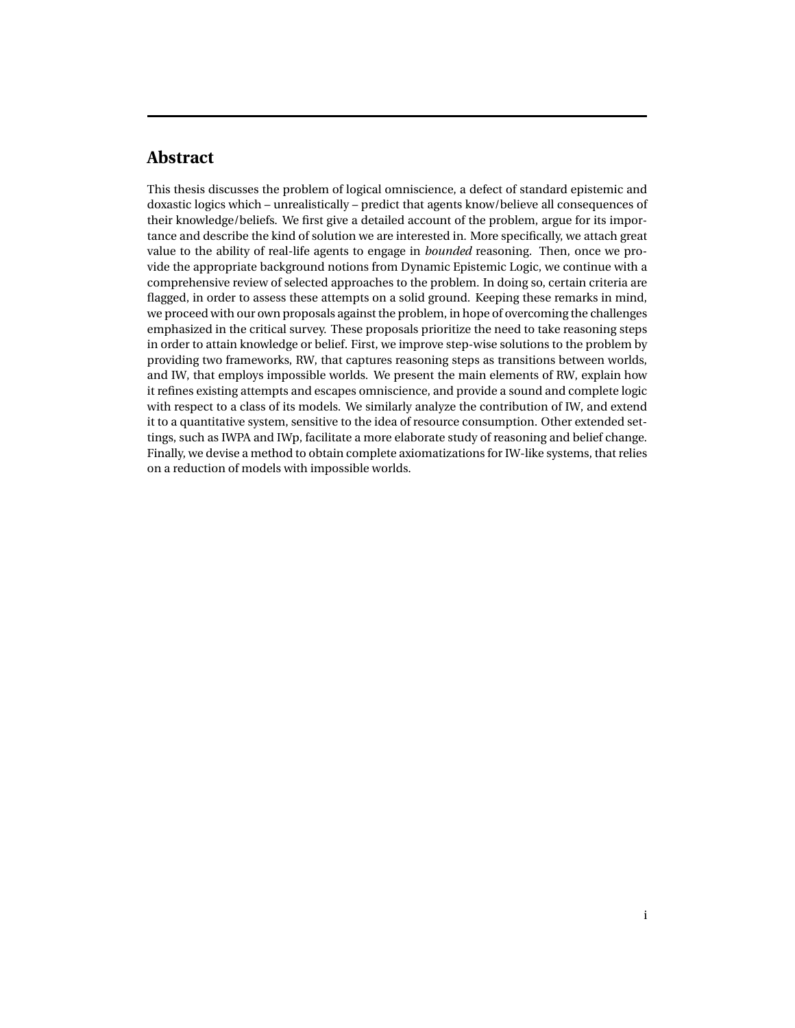# **Abstract**

This thesis discusses the problem of logical omniscience, a defect of standard epistemic and doxastic logics which – unrealistically – predict that agents know/believe all consequences of their knowledge/beliefs. We first give a detailed account of the problem, argue for its importance and describe the kind of solution we are interested in. More specifically, we attach great value to the ability of real-life agents to engage in *bounded* reasoning. Then, once we provide the appropriate background notions from Dynamic Epistemic Logic, we continue with a comprehensive review of selected approaches to the problem. In doing so, certain criteria are flagged, in order to assess these attempts on a solid ground. Keeping these remarks in mind, we proceed with our own proposals against the problem, in hope of overcoming the challenges emphasized in the critical survey. These proposals prioritize the need to take reasoning steps in order to attain knowledge or belief. First, we improve step-wise solutions to the problem by providing two frameworks, RW, that captures reasoning steps as transitions between worlds, and IW, that employs impossible worlds. We present the main elements of RW, explain how it refines existing attempts and escapes omniscience, and provide a sound and complete logic with respect to a class of its models. We similarly analyze the contribution of IW, and extend it to a quantitative system, sensitive to the idea of resource consumption. Other extended settings, such as IWPA and IWp, facilitate a more elaborate study of reasoning and belief change. Finally, we devise a method to obtain complete axiomatizations for IW-like systems, that relies on a reduction of models with impossible worlds.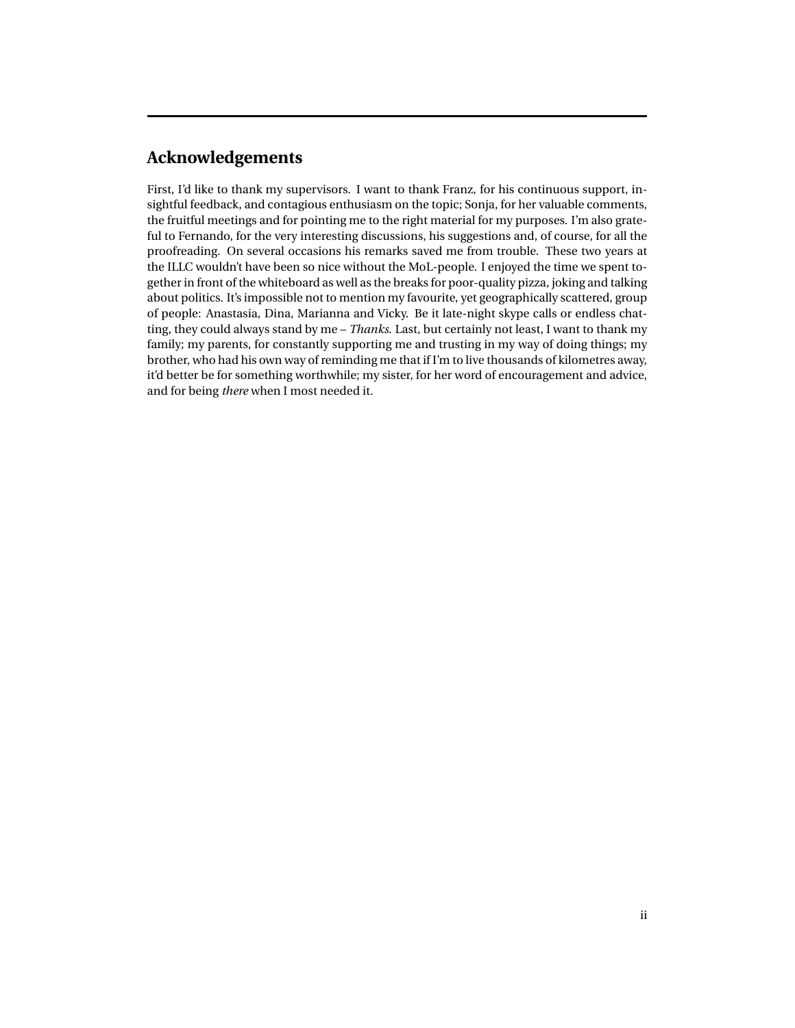# **Acknowledgements**

First, I'd like to thank my supervisors. I want to thank Franz, for his continuous support, insightful feedback, and contagious enthusiasm on the topic; Sonja, for her valuable comments, the fruitful meetings and for pointing me to the right material for my purposes. I'm also grateful to Fernando, for the very interesting discussions, his suggestions and, of course, for all the proofreading. On several occasions his remarks saved me from trouble. These two years at the ILLC wouldn't have been so nice without the MoL-people. I enjoyed the time we spent together in front of the whiteboard as well as the breaks for poor-quality pizza, joking and talking about politics. It's impossible not to mention my favourite, yet geographically scattered, group of people: Anastasia, Dina, Marianna and Vicky. Be it late-night skype calls or endless chatting, they could always stand by me – *Thanks*. Last, but certainly not least, I want to thank my family; my parents, for constantly supporting me and trusting in my way of doing things; my brother, who had his own way of reminding me that if I'm to live thousands of kilometres away, it'd better be for something worthwhile; my sister, for her word of encouragement and advice, and for being *there* when I most needed it.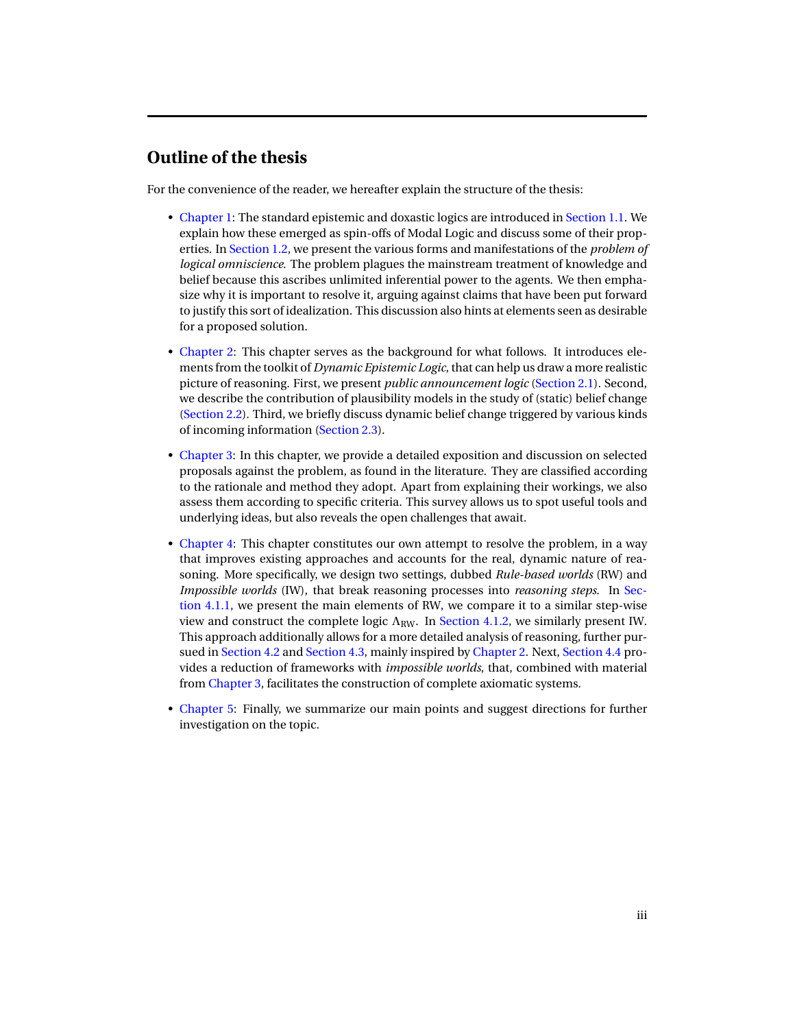# **Outline of the thesis**

For the convenience of the reader, we hereafter explain the structure of the thesis:

- [Chapter 1:](#page-5-0) The standard epistemic and doxastic logics are introduced in [Section 1.1.](#page-5-1) We explain how these emerged as spin-offs of Modal Logic and discuss some of their properties. In [Section 1.2,](#page-9-0) we present the various forms and manifestations of the *problem of logical omniscience*. The problem plagues the mainstream treatment of knowledge and belief because this ascribes unlimited inferential power to the agents. We then emphasize why it is important to resolve it, arguing against claims that have been put forward to justify this sort of idealization. This discussion also hints at elements seen as desirable for a proposed solution.
- [Chapter 2:](#page-14-0) This chapter serves as the background for what follows. It introduces elements from the toolkit of *Dynamic Epistemic Logic*, that can help us draw a more realistic picture of reasoning. First, we present *public announcement logic* [\(Section 2.1\)](#page-14-1). Second, we describe the contribution of plausibility models in the study of (static) belief change [\(Section 2.2\)](#page-15-0). Third, we briefly discuss dynamic belief change triggered by various kinds of incoming information [\(Section 2.3\)](#page-17-0).
- [Chapter 3:](#page-20-0) In this chapter, we provide a detailed exposition and discussion on selected proposals against the problem, as found in the literature. They are classified according to the rationale and method they adopt. Apart from explaining their workings, we also assess them according to specific criteria. This survey allows us to spot useful tools and underlying ideas, but also reveals the open challenges that await.
- [Chapter 4:](#page-53-0) This chapter constitutes our own attempt to resolve the problem, in a way that improves existing approaches and accounts for the real, dynamic nature of reasoning. More specifically, we design two settings, dubbed *Rule-based worlds* (RW) and *Impossible worlds* (IW), that break reasoning processes into *reasoning steps*. In [Sec](#page-54-0)[tion 4.1.1,](#page-54-0) we present the main elements of RW, we compare it to a similar step-wise view and construct the complete logic  $\Lambda_{\text{RW}}$ . In [Section 4.1.2,](#page-65-0) we similarly present IW. This approach additionally allows for a more detailed analysis of reasoning, further pursued in [Section 4.2](#page-75-0) and [Section 4.3,](#page-77-0) mainly inspired by [Chapter 2.](#page-14-0) Next, [Section 4.4](#page-82-0) provides a reduction of frameworks with *impossible worlds*, that, combined with material from [Chapter 3,](#page-20-0) facilitates the construction of complete axiomatic systems.
- [Chapter 5:](#page-89-0) Finally, we summarize our main points and suggest directions for further investigation on the topic.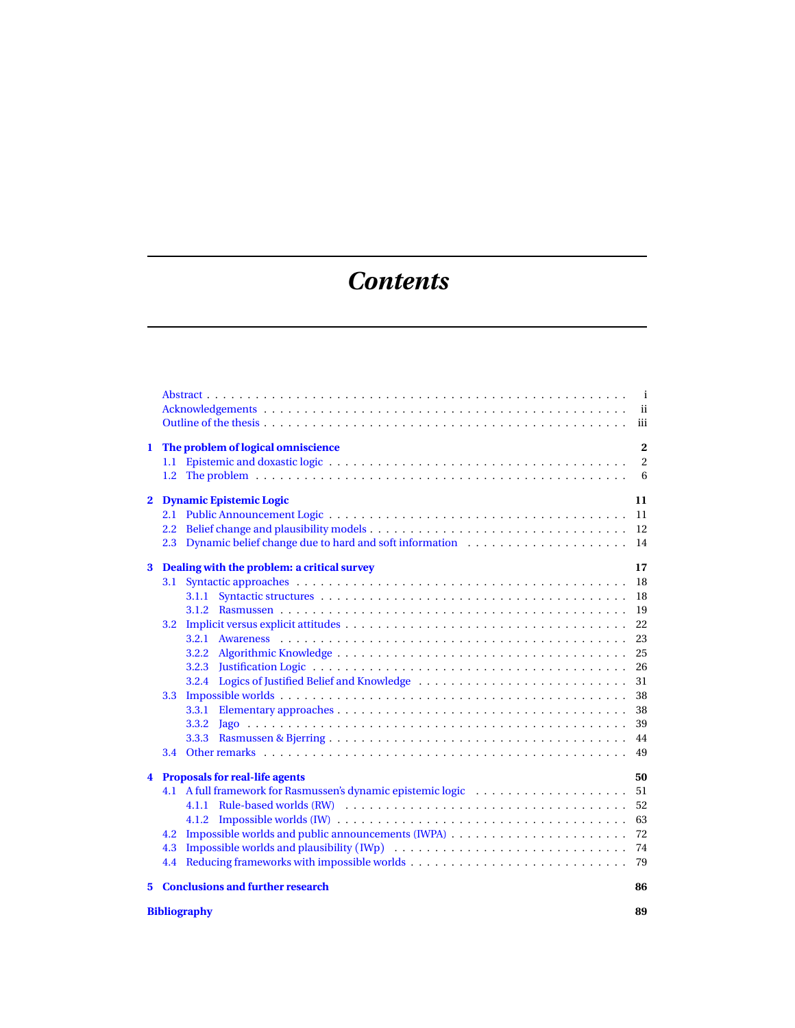# *Contents*

|              | $\mathbf{i}$<br>iii                                                                                                                                                                                                                                        |                                                                            |  |  |
|--------------|------------------------------------------------------------------------------------------------------------------------------------------------------------------------------------------------------------------------------------------------------------|----------------------------------------------------------------------------|--|--|
| 1            | The problem of logical omniscience<br>$\overline{2}$<br>$\overline{c}$                                                                                                                                                                                     |                                                                            |  |  |
| $\mathbf{2}$ | <b>Dynamic Epistemic Logic</b><br>11<br>2.3 Dynamic belief change due to hard and soft information  14                                                                                                                                                     |                                                                            |  |  |
| 3            | Dealing with the problem: a critical survey<br>3.1<br>3.1.1<br>3.2<br>3.2.1<br>3.2.2<br>3.2.3<br>Logics of Justified Belief and Knowledge<br>3.2.4<br>3.3<br>3.3.1<br>3.3.2<br>3.3.3<br>3.4                                                                | 17<br>-18<br>18<br>- 19<br>-23<br>- 25<br>26<br>31<br>38<br>38<br>39<br>49 |  |  |
| 4            | <b>Proposals for real-life agents</b><br>4.1 A full framework for Rasmussen's dynamic epistemic logic<br>4.1.2<br>4.2<br>Impossible worlds and plausibility (IWp) $\ldots \ldots \ldots \ldots \ldots \ldots \ldots \ldots \ldots \ldots$ 74<br>4.3<br>4.4 | 50<br>51<br>52<br>63<br>-72                                                |  |  |
|              | 5 Conclusions and further research                                                                                                                                                                                                                         | 86                                                                         |  |  |

## **[Bibliography](#page-89-0) 89**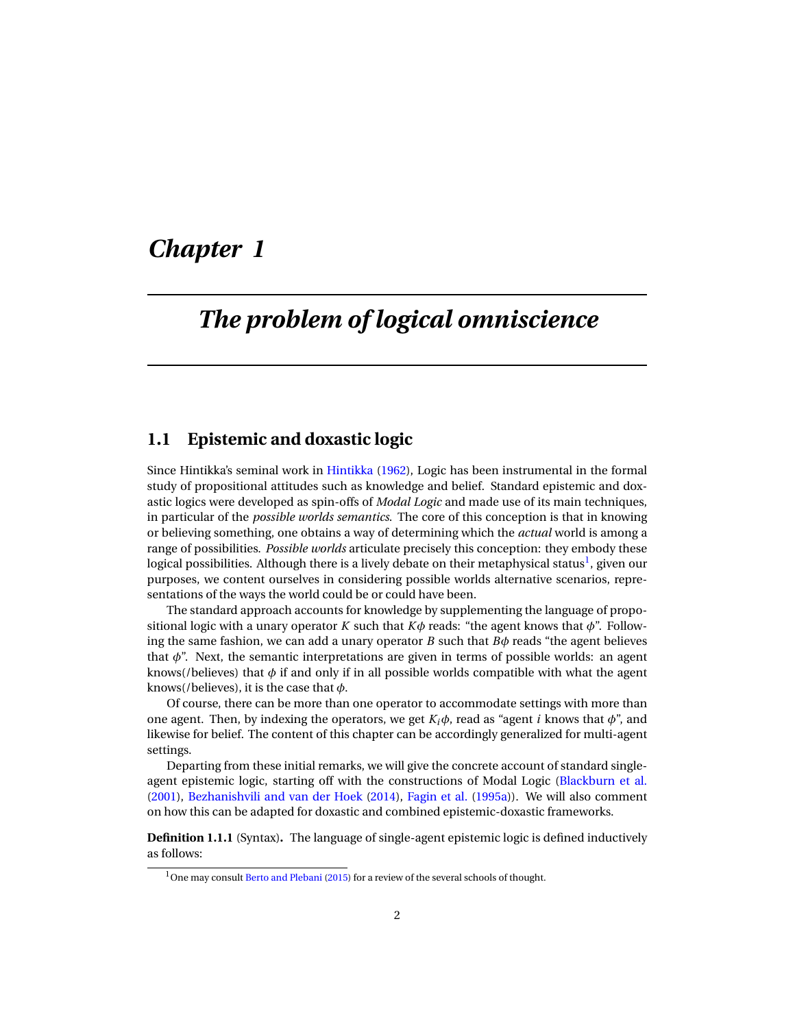# <span id="page-5-0"></span>*Chapter 1*

# *The problem of logical omniscience*

## <span id="page-5-1"></span>**1.1 Epistemic and doxastic logic**

Since Hintikka's seminal work in [Hintikka](#page-94-0) [\(1962\)](#page-94-0), Logic has been instrumental in the formal study of propositional attitudes such as knowledge and belief. Standard epistemic and doxastic logics were developed as spin-offs of *Modal Logic* and made use of its main techniques, in particular of the *possible worlds semantics*. The core of this conception is that in knowing or believing something, one obtains a way of determining which the *actual* world is among a range of possibilities. *Possible worlds* articulate precisely this conception: they embody these logical possibilities. Although there is a lively debate on their metaphysical status<sup>[1](#page-0-1)</sup>, given our purposes, we content ourselves in considering possible worlds alternative scenarios, representations of the ways the world could be or could have been.

The standard approach accounts for knowledge by supplementing the language of propositional logic with a unary operator *K* such that  $K\phi$  reads: "the agent knows that  $\phi$ ". Following the same fashion, we can add a unary operator *B* such that  $B\phi$  reads "the agent believes that  $\phi$ ". Next, the semantic interpretations are given in terms of possible worlds: an agent knows(/believes) that  $\phi$  if and only if in all possible worlds compatible with what the agent knows(/believes), it is the case that *φ*.

Of course, there can be more than one operator to accommodate settings with more than one agent. Then, by indexing the operators, we get  $K_i\phi$ , read as "agent *i* knows that  $\phi$ ", and likewise for belief. The content of this chapter can be accordingly generalized for multi-agent settings.

Departing from these initial remarks, we will give the concrete account of standard singleagent epistemic logic, starting off with the constructions of Modal Logic [\(Blackburn et al.](#page-93-0) [\(2001\)](#page-93-0), [Bezhanishvili and van der Hoek](#page-93-1) [\(2014\)](#page-93-1), [Fagin et al.](#page-93-2) [\(1995a\)](#page-93-2)). We will also comment on how this can be adapted for doxastic and combined epistemic-doxastic frameworks.

**Definition 1.1.1** (Syntax)**.** The language of single-agent epistemic logic is defined inductively as follows:

 $1$ One may consult [Berto and Plebani](#page-93-3) [\(2015\)](#page-93-3) for a review of the several schools of thought.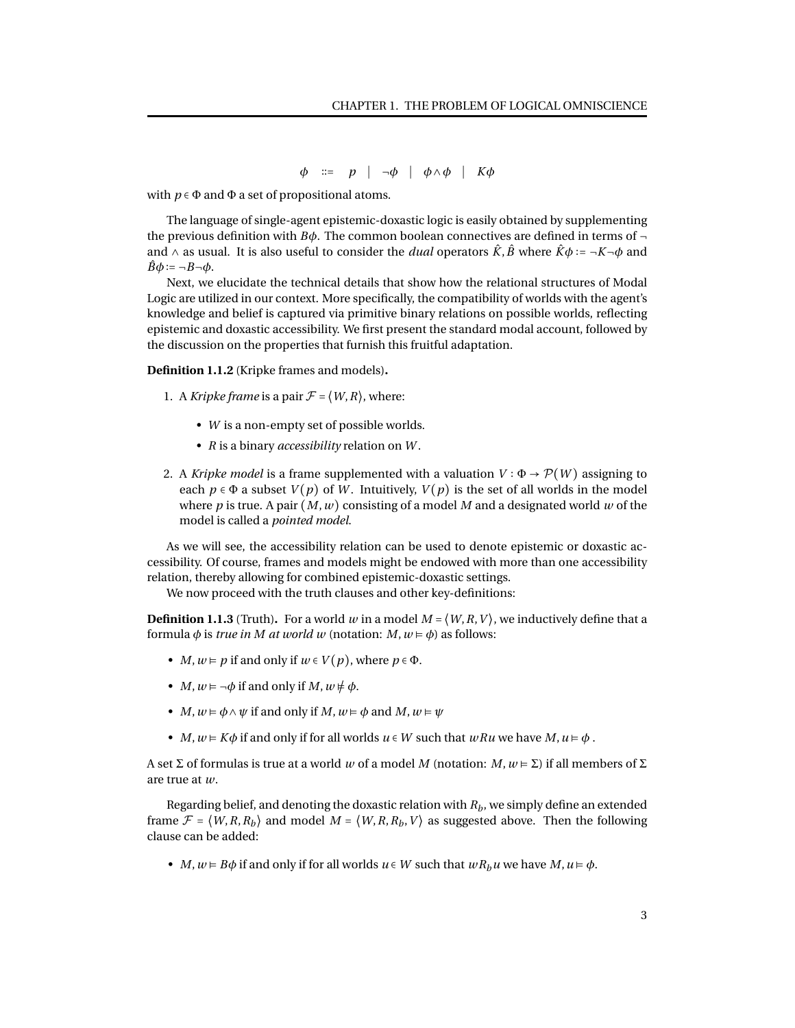*φ* ∶∶= *p* ∣ ¬*φ* ∣ *φ*∧*φ* ∣ *Kφ*

with  $p \in \Phi$  and  $\Phi$  a set of propositional atoms.

The language of single-agent epistemic-doxastic logic is easily obtained by supplementing the previous definition with *Bφ*. The common boolean connectives are defined in terms of and  $\wedge$  as usual. It is also useful to consider the *dual* operators  $\hat{K}$ ,  $\hat{B}$  where  $\hat{K}\phi := -K - \phi$  and  $\ddot{B}\phi := \neg B \neg \phi$ .

Next, we elucidate the technical details that show how the relational structures of Modal Logic are utilized in our context. More specifically, the compatibility of worlds with the agent's knowledge and belief is captured via primitive binary relations on possible worlds, reflecting epistemic and doxastic accessibility. We first present the standard modal account, followed by the discussion on the properties that furnish this fruitful adaptation.

**Definition 1.1.2** (Kripke frames and models)**.**

- 1. A *Kripke frame* is a pair  $\mathcal{F} = \langle W, R \rangle$ , where:
	- *W* is a non-empty set of possible worlds.
	- *R* is a binary *accessibility* relation on *W* .
- 2. A *Kripke model* is a frame supplemented with a valuation  $V : \Phi \to \mathcal{P}(W)$  assigning to each  $p \in \Phi$  a subset  $V(p)$  of W. Intuitively,  $V(p)$  is the set of all worlds in the model where *p* is true. A pair (*M*,*w*) consisting of a model *M* and a designated world *w* of the model is called a *pointed model*.

As we will see, the accessibility relation can be used to denote epistemic or doxastic accessibility. Of course, frames and models might be endowed with more than one accessibility relation, thereby allowing for combined epistemic-doxastic settings.

We now proceed with the truth clauses and other key-definitions:

<span id="page-6-0"></span>**Definition 1.1.3** (Truth). For a world *w* in a model  $M = \langle W, R, V \rangle$ , we inductively define that a formula  $\phi$  is *true in M* at *world w* (notation: *M*,  $w \models \phi$ ) as follows:

- *M*,  $w \models p$  if and only if  $w \in V(p)$ , where  $p \in \Phi$ .
- *M*,  $w \models \neg \phi$  if and only if *M*,  $w \not\models \phi$ .
- *M*,  $w \models \phi \land \psi$  if and only if *M*,  $w \models \phi$  and *M*,  $w \models \psi$
- *M*,  $w \in K\phi$  if and only if for all worlds  $u \in W$  such that  $wRu$  we have  $M, u \in \phi$ .

A set  $\Sigma$  of formulas is true at a world *w* of a model *M* (notation:  $M, w \models \Sigma$ ) if all members of  $\Sigma$ are true at *w*.

Regarding belief, and denoting the doxastic relation with *Rb*, we simply define an extended frame  $\mathcal{F} = \langle W, R, R_b \rangle$  and model  $M = \langle W, R, R_b, V \rangle$  as suggested above. Then the following clause can be added:

• *M*,  $w \models B\phi$  if and only if for all worlds  $u \in W$  such that  $wR_hu$  we have  $M, u \models \phi$ .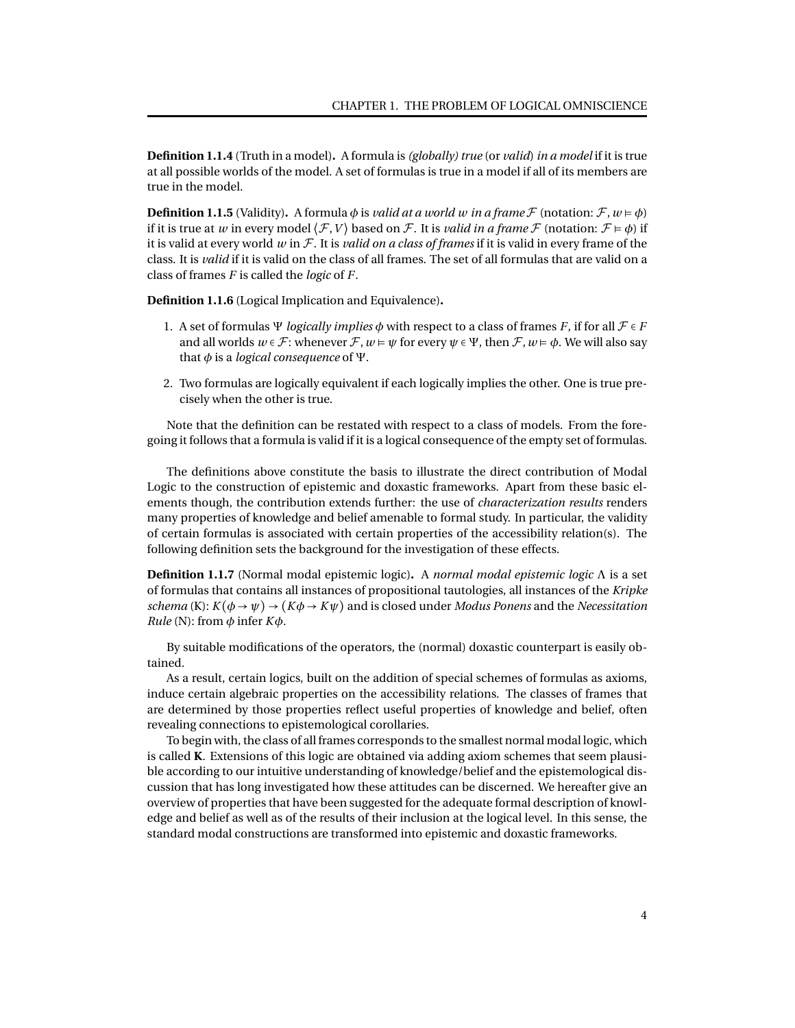**Definition 1.1.4** (Truth in a model)**.** A formula is *(globally) true* (or *valid*) *in a model* if it is true at all possible worlds of the model. A set of formulas is true in a model if all of its members are true in the model.

**Definition 1.1.5** (Validity). A formula  $\phi$  is *valid at a world w in a frame* F (notation:  $\mathcal{F}, w \models \phi$ ) if it is true at *w* in every model  $\langle \mathcal{F}, V \rangle$  based on  $\mathcal{F}$ . It is *valid in a frame*  $\mathcal{F}$  (notation:  $\mathcal{F} \models \phi$ ) if it is valid at every world *w* in F. It is *valid on a class of frames* if it is valid in every frame of the class. It is *valid* if it is valid on the class of all frames. The set of all formulas that are valid on a class of frames *F* is called the *logic* of *F*.

**Definition 1.1.6** (Logical Implication and Equivalence)**.**

- 1. A set of formulas  $\Psi$  *logically implies*  $\phi$  with respect to a class of frames *F*, if for all  $\mathcal{F} \in F$ and all worlds  $w \in \mathcal{F}$ : whenever  $\mathcal{F}, w \models \psi$  for every  $\psi \in \Psi$ , then  $\mathcal{F}, w \models \phi$ . We will also say that *φ* is a *logical consequence* of Ψ.
- 2. Two formulas are logically equivalent if each logically implies the other. One is true precisely when the other is true.

Note that the definition can be restated with respect to a class of models. From the foregoing it follows that a formula is valid if it is a logical consequence of the empty set of formulas.

The definitions above constitute the basis to illustrate the direct contribution of Modal Logic to the construction of epistemic and doxastic frameworks. Apart from these basic elements though, the contribution extends further: the use of *characterization results* renders many properties of knowledge and belief amenable to formal study. In particular, the validity of certain formulas is associated with certain properties of the accessibility relation(s). The following definition sets the background for the investigation of these effects.

**Definition 1.1.7** (Normal modal epistemic logic)**.** A *normal modal epistemic logic* Λ is a set of formulas that contains all instances of propositional tautologies, all instances of the *Kripke schema* (K):  $K(\phi \rightarrow \psi) \rightarrow (K\phi \rightarrow K\psi)$  and is closed under *Modus Ponens* and the *Necessitation Rule* (N): from  $\phi$  infer  $K\phi$ .

By suitable modifications of the operators, the (normal) doxastic counterpart is easily obtained.

As a result, certain logics, built on the addition of special schemes of formulas as axioms, induce certain algebraic properties on the accessibility relations. The classes of frames that are determined by those properties reflect useful properties of knowledge and belief, often revealing connections to epistemological corollaries.

To begin with, the class of all frames corresponds to the smallest normal modal logic, which is called **K**. Extensions of this logic are obtained via adding axiom schemes that seem plausible according to our intuitive understanding of knowledge/belief and the epistemological discussion that has long investigated how these attitudes can be discerned. We hereafter give an overview of properties that have been suggested for the adequate formal description of knowledge and belief as well as of the results of their inclusion at the logical level. In this sense, the standard modal constructions are transformed into epistemic and doxastic frameworks.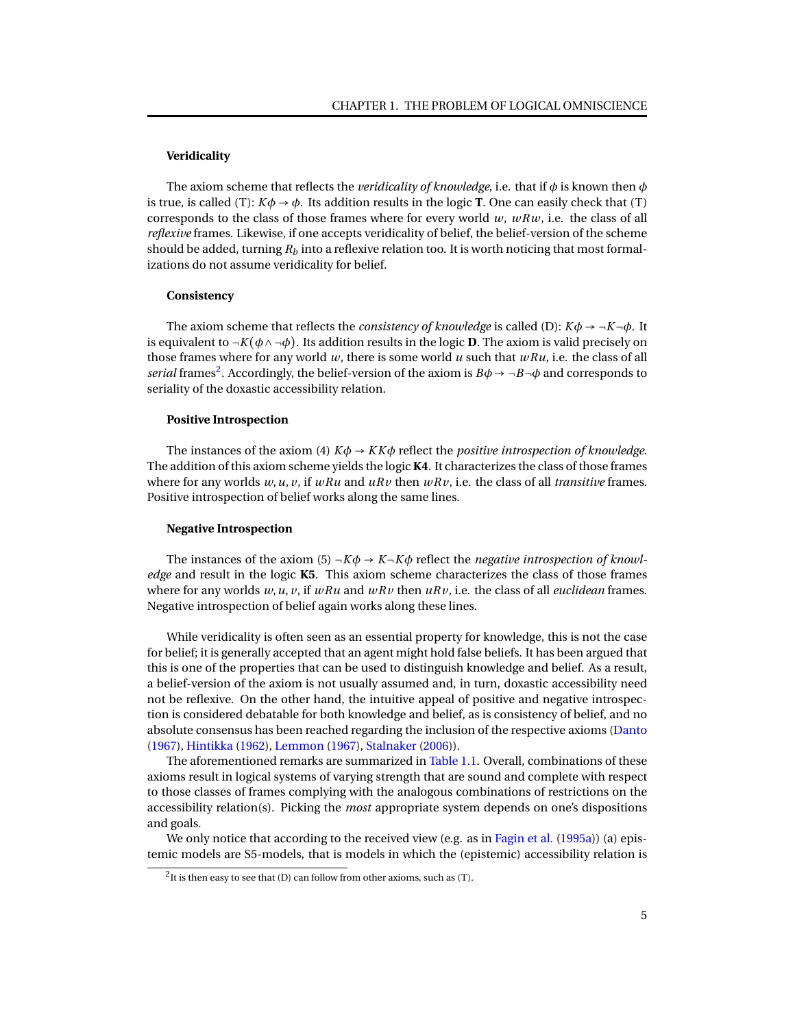#### **Veridicality**

The axiom scheme that reflects the *veridicality of knowledge*, i.e. that if  $\phi$  is known then  $\phi$ is true, is called (T):  $K\phi \rightarrow \phi$ . Its addition results in the logic **T**. One can easily check that (T) corresponds to the class of those frames where for every world  $w$ ,  $w R w$ , i.e. the class of all *reflexive* frames. Likewise, if one accepts veridicality of belief, the belief-version of the scheme should be added, turning  $R_b$  into a reflexive relation too. It is worth noticing that most formalizations do not assume veridicality for belief.

#### **Consistency**

The axiom scheme that reflects the *consistency of knowledge* is called (D):  $K\phi \rightarrow \neg K \neg \phi$ . It is equivalent to  $\neg K(\phi \land \neg \phi)$ . Its addition results in the logic **D**. The axiom is valid precisely on those frames where for any world *w*, there is some world *u* such that *wRu*, i.e. the class of all *serial* frames<sup>[2](#page-0-1)</sup>. Accordingly, the belief-version of the axiom is  $B\phi \to \neg B \neg \phi$  and corresponds to seriality of the doxastic accessibility relation.

#### **Positive Introspection**

The instances of the axiom (4)  $K\phi \rightarrow K K\phi$  reflect the *positive introspection of knowledge*. The addition of this axiom scheme yields the logic **K4**. It characterizes the class of those frames where for any worlds  $w, u, v$ , if  $wRu$  and  $uRv$  then  $wRv$ , i.e. the class of all *transitive* frames. Positive introspection of belief works along the same lines.

#### **Negative Introspection**

The instances of the axiom (5)  $\neg K\phi \rightarrow K\neg K\phi$  reflect the *negative introspection of knowledge* and result in the logic **K5**. This axiom scheme characterizes the class of those frames where for any worlds *w*,*u*, *v*, if *wRu* and *wRv* then *uRv*, i.e. the class of all *euclidean* frames. Negative introspection of belief again works along these lines.

While veridicality is often seen as an essential property for knowledge, this is not the case for belief; it is generally accepted that an agent might hold false beliefs. It has been argued that this is one of the properties that can be used to distinguish knowledge and belief. As a result, a belief-version of the axiom is not usually assumed and, in turn, doxastic accessibility need not be reflexive. On the other hand, the intuitive appeal of positive and negative introspection is considered debatable for both knowledge and belief, as is consistency of belief, and no absolute consensus has been reached regarding the inclusion of the respective axioms [\(Danto](#page-93-4) [\(1967\)](#page-93-4), [Hintikka](#page-94-0) [\(1962\)](#page-94-0), [Lemmon](#page-94-1) [\(1967\)](#page-94-1), [Stalnaker](#page-95-0) [\(2006\)](#page-95-0)).

The aforementioned remarks are summarized in [Table 1.1.](#page-9-1) Overall, combinations of these axioms result in logical systems of varying strength that are sound and complete with respect to those classes of frames complying with the analogous combinations of restrictions on the accessibility relation(s). Picking the *most* appropriate system depends on one's dispositions and goals.

We only notice that according to the received view (e.g. as in [Fagin et al.](#page-93-2) [\(1995a\)](#page-93-2)) (a) epistemic models are S5-models, that is models in which the (epistemic) accessibility relation is

 $^2$ It is then easy to see that (D) can follow from other axioms, such as (T).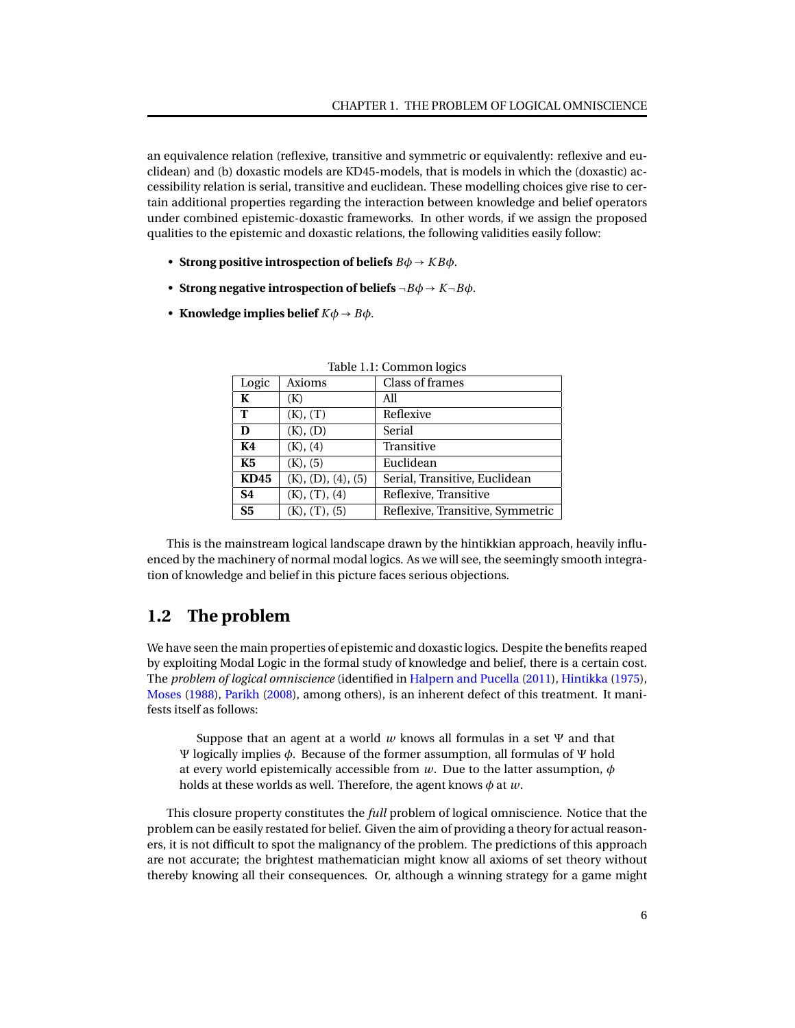an equivalence relation (reflexive, transitive and symmetric or equivalently: reflexive and euclidean) and (b) doxastic models are KD45-models, that is models in which the (doxastic) accessibility relation is serial, transitive and euclidean. These modelling choices give rise to certain additional properties regarding the interaction between knowledge and belief operators under combined epistemic-doxastic frameworks. In other words, if we assign the proposed qualities to the epistemic and doxastic relations, the following validities easily follow:

- **Strong positive introspection of beliefs**  $B\phi \rightarrow KB\phi$ .
- **Strong negative introspection of beliefs**  $\neg B\phi \rightarrow K\neg B\phi$ .
- **Knowledge implies belief**  $K\phi \rightarrow B\phi$ .

| Logic          | Axioms             | Class of frames                  |  |
|----------------|--------------------|----------------------------------|--|
| K              | (K)                | All                              |  |
| T              | $(K)$ , $(T)$      | Reflexive                        |  |
| D              | (K), (D)           | Serial                           |  |
| K4             | (K), (4)           | Transitive                       |  |
| K5             | (K), (5)           | Euclidean                        |  |
| <b>KD45</b>    | (K), (D), (4), (5) | Serial, Transitive, Euclidean    |  |
| <b>S4</b>      | (K), (T), (4)      | Reflexive, Transitive            |  |
| S <sub>5</sub> | (K), (T), (5)      | Reflexive, Transitive, Symmetric |  |

<span id="page-9-1"></span>Table 1.1: Common logics

This is the mainstream logical landscape drawn by the hintikkian approach, heavily influenced by the machinery of normal modal logics. As we will see, the seemingly smooth integration of knowledge and belief in this picture faces serious objections.

## <span id="page-9-0"></span>**1.2 The problem**

We have seen the main properties of epistemic and doxastic logics. Despite the benefits reaped by exploiting Modal Logic in the formal study of knowledge and belief, there is a certain cost. The *problem of logical omniscience* (identified in [Halpern and Pucella](#page-94-2) [\(2011\)](#page-94-2), [Hintikka](#page-94-3) [\(1975\)](#page-94-3), [Moses](#page-94-4) [\(1988\)](#page-94-4), [Parikh](#page-94-5) [\(2008\)](#page-94-5), among others), is an inherent defect of this treatment. It manifests itself as follows:

Suppose that an agent at a world *w* knows all formulas in a set Ψ and that Ψ logically implies *φ*. Because of the former assumption, all formulas of Ψ hold at every world epistemically accessible from *w*. Due to the latter assumption, *φ* holds at these worlds as well. Therefore, the agent knows *φ* at *w*.

This closure property constitutes the *full* problem of logical omniscience. Notice that the problem can be easily restated for belief. Given the aim of providing a theory for actual reasoners, it is not difficult to spot the malignancy of the problem. The predictions of this approach are not accurate; the brightest mathematician might know all axioms of set theory without thereby knowing all their consequences. Or, although a winning strategy for a game might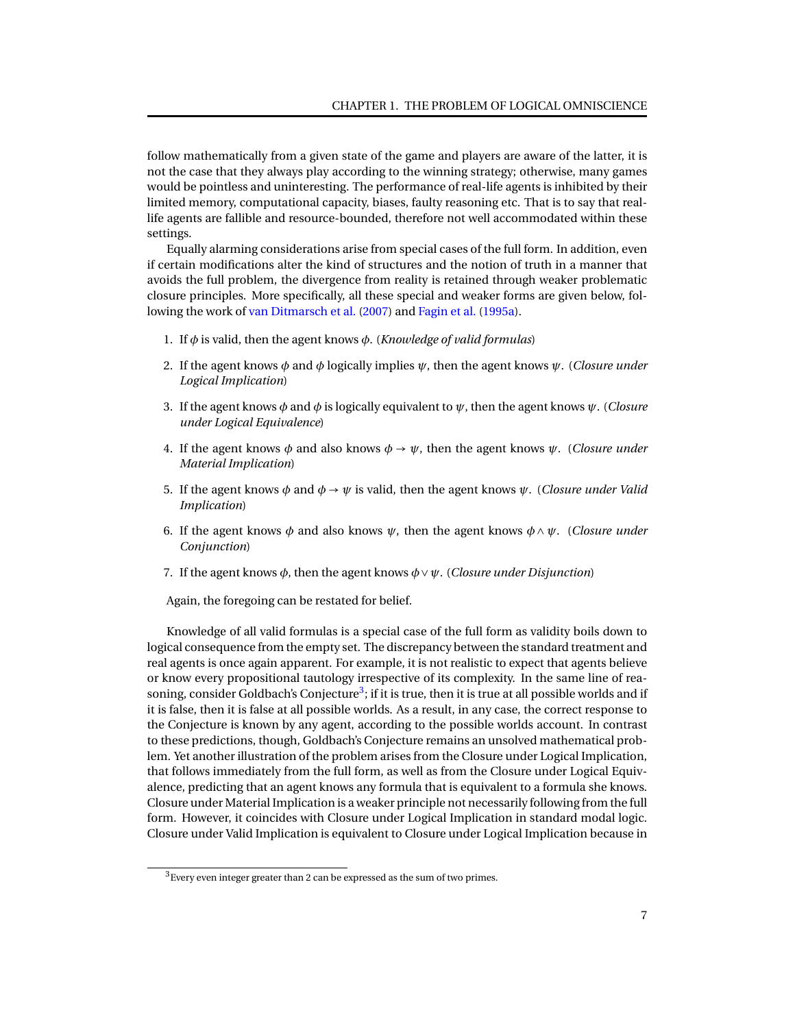follow mathematically from a given state of the game and players are aware of the latter, it is not the case that they always play according to the winning strategy; otherwise, many games would be pointless and uninteresting. The performance of real-life agents is inhibited by their limited memory, computational capacity, biases, faulty reasoning etc. That is to say that reallife agents are fallible and resource-bounded, therefore not well accommodated within these settings.

Equally alarming considerations arise from special cases of the full form. In addition, even if certain modifications alter the kind of structures and the notion of truth in a manner that avoids the full problem, the divergence from reality is retained through weaker problematic closure principles. More specifically, all these special and weaker forms are given below, following the work of [van Ditmarsch et al.](#page-95-1) [\(2007\)](#page-95-1) and [Fagin et al.](#page-93-2) [\(1995a\)](#page-93-2).

- 1. If *φ* is valid, then the agent knows *φ*. (*Knowledge of valid formulas*)
- 2. If the agent knows *φ* and *φ* logically implies *ψ*, then the agent knows *ψ*. (*Closure under Logical Implication*)
- 3. If the agent knows *φ* and *φ* is logically equivalent to *ψ*, then the agent knows *ψ*. (*Closure under Logical Equivalence*)
- 4. If the agent knows  $\phi$  and also knows  $\phi \rightarrow \psi$ , then the agent knows  $\psi$ . (*Closure under Material Implication*)
- 5. If the agent knows  $\phi$  and  $\phi \rightarrow \psi$  is valid, then the agent knows  $\psi$ . (*Closure under Valid Implication*)
- 6. If the agent knows  $\phi$  and also knows  $\psi$ , then the agent knows  $\phi \wedge \psi$ . (*Closure under Conjunction*)
- 7. If the agent knows *φ*, then the agent knows *φ*∨*ψ*. (*Closure under Disjunction*)

Again, the foregoing can be restated for belief.

Knowledge of all valid formulas is a special case of the full form as validity boils down to logical consequence from the empty set. The discrepancy between the standard treatment and real agents is once again apparent. For example, it is not realistic to expect that agents believe or know every propositional tautology irrespective of its complexity. In the same line of rea-soning, consider Goldbach's Conjecture<sup>[3](#page-0-1)</sup>; if it is true, then it is true at all possible worlds and if it is false, then it is false at all possible worlds. As a result, in any case, the correct response to the Conjecture is known by any agent, according to the possible worlds account. In contrast to these predictions, though, Goldbach's Conjecture remains an unsolved mathematical problem. Yet another illustration of the problem arises from the Closure under Logical Implication, that follows immediately from the full form, as well as from the Closure under Logical Equivalence, predicting that an agent knows any formula that is equivalent to a formula she knows. Closure under Material Implication is a weaker principle not necessarily following from the full form. However, it coincides with Closure under Logical Implication in standard modal logic. Closure under Valid Implication is equivalent to Closure under Logical Implication because in

<sup>3</sup>Every even integer greater than 2 can be expressed as the sum of two primes.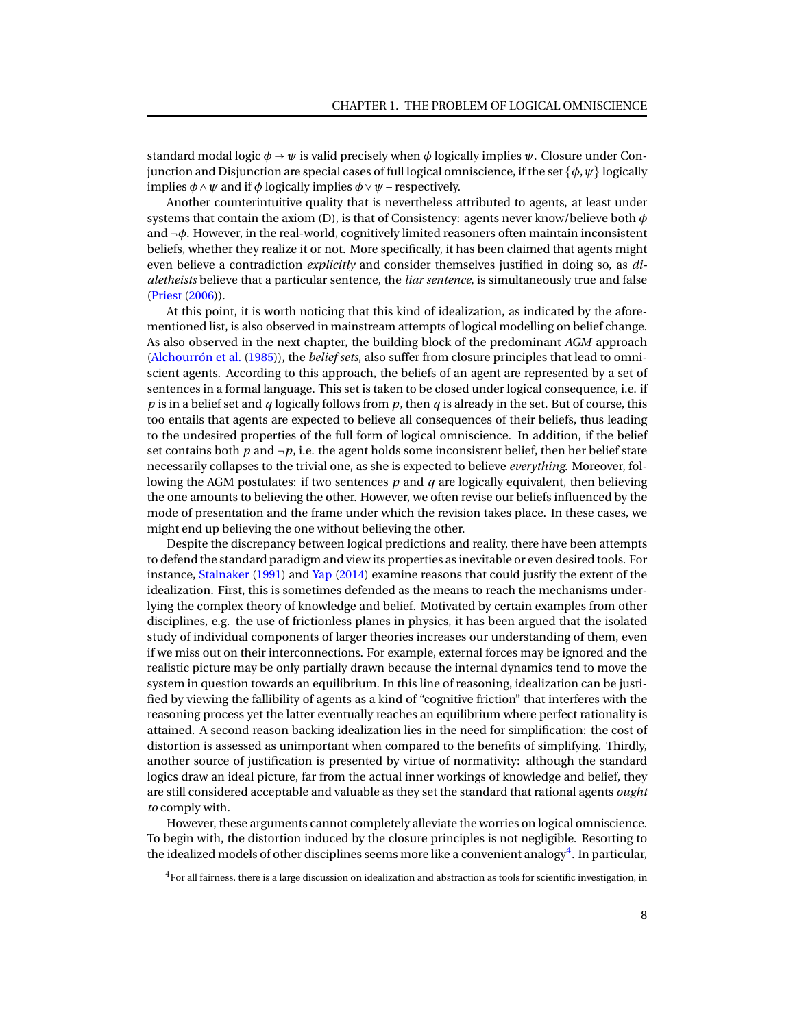standard modal logic  $\phi \rightarrow \psi$  is valid precisely when  $\phi$  logically implies  $\psi$ . Closure under Conjunction and Disjunction are special cases of full logical omniscience, if the set  $\{\phi, \psi\}$  logically implies  $\phi \land \psi$  and if  $\phi$  logically implies  $\phi \lor \psi$  – respectively.

Another counterintuitive quality that is nevertheless attributed to agents, at least under systems that contain the axiom (D), is that of Consistency: agents never know/believe both *φ* and ¬*φ*. However, in the real-world, cognitively limited reasoners often maintain inconsistent beliefs, whether they realize it or not. More specifically, it has been claimed that agents might even believe a contradiction *explicitly* and consider themselves justified in doing so, as *dialetheists* believe that a particular sentence, the *liar sentence*, is simultaneously true and false [\(Priest](#page-94-6) [\(2006\)](#page-94-6)).

At this point, it is worth noticing that this kind of idealization, as indicated by the aforementioned list, is also observed in mainstream attempts of logical modelling on belief change. As also observed in the next chapter, the building block of the predominant *AGM* approach [\(Alchourrón et al.](#page-92-0) [\(1985\)](#page-92-0)), the *belief sets*, also suffer from closure principles that lead to omniscient agents. According to this approach, the beliefs of an agent are represented by a set of sentences in a formal language. This set is taken to be closed under logical consequence, i.e. if *p* is in a belief set and *q* logically follows from *p*, then *q* is already in the set. But of course, this too entails that agents are expected to believe all consequences of their beliefs, thus leading to the undesired properties of the full form of logical omniscience. In addition, if the belief set contains both  $p$  and  $\neg p$ , i.e. the agent holds some inconsistent belief, then her belief state necessarily collapses to the trivial one, as she is expected to believe *everything*. Moreover, following the AGM postulates: if two sentences *p* and *q* are logically equivalent, then believing the one amounts to believing the other. However, we often revise our beliefs influenced by the mode of presentation and the frame under which the revision takes place. In these cases, we might end up believing the one without believing the other.

Despite the discrepancy between logical predictions and reality, there have been attempts to defend the standard paradigm and view its properties as inevitable or even desired tools. For instance, [Stalnaker](#page-95-2) [\(1991\)](#page-95-2) and [Yap](#page-96-0) [\(2014\)](#page-96-0) examine reasons that could justify the extent of the idealization. First, this is sometimes defended as the means to reach the mechanisms underlying the complex theory of knowledge and belief. Motivated by certain examples from other disciplines, e.g. the use of frictionless planes in physics, it has been argued that the isolated study of individual components of larger theories increases our understanding of them, even if we miss out on their interconnections. For example, external forces may be ignored and the realistic picture may be only partially drawn because the internal dynamics tend to move the system in question towards an equilibrium. In this line of reasoning, idealization can be justified by viewing the fallibility of agents as a kind of "cognitive friction" that interferes with the reasoning process yet the latter eventually reaches an equilibrium where perfect rationality is attained. A second reason backing idealization lies in the need for simplification: the cost of distortion is assessed as unimportant when compared to the benefits of simplifying. Thirdly, another source of justification is presented by virtue of normativity: although the standard logics draw an ideal picture, far from the actual inner workings of knowledge and belief, they are still considered acceptable and valuable as they set the standard that rational agents *ought to* comply with.

However, these arguments cannot completely alleviate the worries on logical omniscience. To begin with, the distortion induced by the closure principles is not negligible. Resorting to the idealized models of other disciplines seems more like a convenient analogy $\sp{4}$  $\sp{4}$  $\sp{4}$ . In particular,

 $<sup>4</sup>$  For all fairness, there is a large discussion on idealization and abstraction as tools for scientific investigation, in</sup>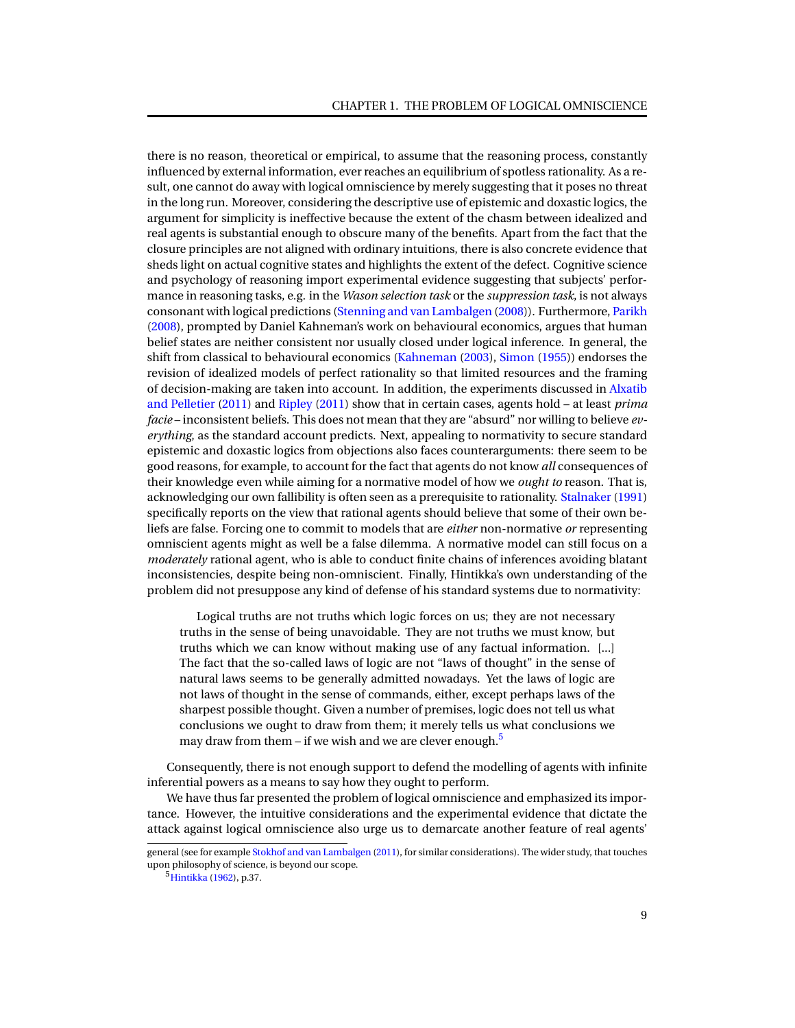there is no reason, theoretical or empirical, to assume that the reasoning process, constantly influenced by external information, ever reaches an equilibrium of spotless rationality. As a result, one cannot do away with logical omniscience by merely suggesting that it poses no threat in the long run. Moreover, considering the descriptive use of epistemic and doxastic logics, the argument for simplicity is ineffective because the extent of the chasm between idealized and real agents is substantial enough to obscure many of the benefits. Apart from the fact that the closure principles are not aligned with ordinary intuitions, there is also concrete evidence that sheds light on actual cognitive states and highlights the extent of the defect. Cognitive science and psychology of reasoning import experimental evidence suggesting that subjects' performance in reasoning tasks, e.g. in the *Wason selection task* or the *suppression task*, is not always consonant with logical predictions [\(Stenning and van Lambalgen](#page-95-3) [\(2008\)](#page-95-3)). Furthermore, [Parikh](#page-94-5) [\(2008\)](#page-94-5), prompted by Daniel Kahneman's work on behavioural economics, argues that human belief states are neither consistent nor usually closed under logical inference. In general, the shift from classical to behavioural economics [\(Kahneman](#page-94-7) [\(2003\)](#page-94-7), [Simon](#page-95-4) [\(1955\)](#page-95-4)) endorses the revision of idealized models of perfect rationality so that limited resources and the framing of decision-making are taken into account. In addition, the experiments discussed in [Alxatib](#page-92-1) [and Pelletier](#page-92-1) [\(2011\)](#page-92-1) and [Ripley](#page-95-5) [\(2011\)](#page-95-5) show that in certain cases, agents hold – at least *prima facie* – inconsistent beliefs. This does not mean that they are "absurd" nor willing to believe *everything*, as the standard account predicts. Next, appealing to normativity to secure standard epistemic and doxastic logics from objections also faces counterarguments: there seem to be good reasons, for example, to account for the fact that agents do not know *all* consequences of their knowledge even while aiming for a normative model of how we *ought to* reason. That is, acknowledging our own fallibility is often seen as a prerequisite to rationality. [Stalnaker](#page-95-2) [\(1991\)](#page-95-2) specifically reports on the view that rational agents should believe that some of their own beliefs are false. Forcing one to commit to models that are *either* non-normative *or* representing omniscient agents might as well be a false dilemma. A normative model can still focus on a *moderately* rational agent, who is able to conduct finite chains of inferences avoiding blatant inconsistencies, despite being non-omniscient. Finally, Hintikka's own understanding of the problem did not presuppose any kind of defense of his standard systems due to normativity:

Logical truths are not truths which logic forces on us; they are not necessary truths in the sense of being unavoidable. They are not truths we must know, but truths which we can know without making use of any factual information. [...] The fact that the so-called laws of logic are not "laws of thought" in the sense of natural laws seems to be generally admitted nowadays. Yet the laws of logic are not laws of thought in the sense of commands, either, except perhaps laws of the sharpest possible thought. Given a number of premises, logic does not tell us what conclusions we ought to draw from them; it merely tells us what conclusions we may draw from them – if we wish and we are clever enough.<sup>[5](#page-0-1)</sup>

Consequently, there is not enough support to defend the modelling of agents with infinite inferential powers as a means to say how they ought to perform.

We have thus far presented the problem of logical omniscience and emphasized its importance. However, the intuitive considerations and the experimental evidence that dictate the attack against logical omniscience also urge us to demarcate another feature of real agents'

general (see for example [Stokhof and van Lambalgen](#page-95-6) [\(2011\)](#page-95-6), for similar considerations). The wider study, that touches upon philosophy of science, is beyond our scope.

<sup>5</sup>[Hintikka](#page-94-0) [\(1962\)](#page-94-0), p.37.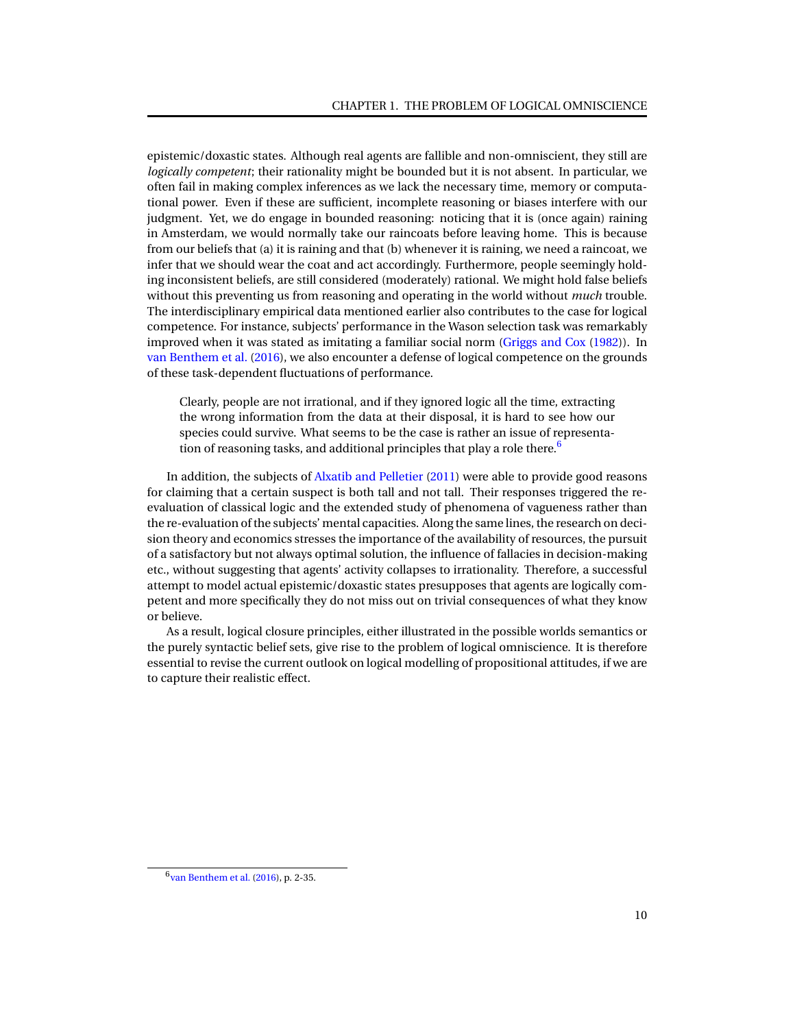epistemic/doxastic states. Although real agents are fallible and non-omniscient, they still are *logically competent*; their rationality might be bounded but it is not absent. In particular, we often fail in making complex inferences as we lack the necessary time, memory or computational power. Even if these are sufficient, incomplete reasoning or biases interfere with our judgment. Yet, we do engage in bounded reasoning: noticing that it is (once again) raining in Amsterdam, we would normally take our raincoats before leaving home. This is because from our beliefs that (a) it is raining and that (b) whenever it is raining, we need a raincoat, we infer that we should wear the coat and act accordingly. Furthermore, people seemingly holding inconsistent beliefs, are still considered (moderately) rational. We might hold false beliefs without this preventing us from reasoning and operating in the world without *much* trouble. The interdisciplinary empirical data mentioned earlier also contributes to the case for logical competence. For instance, subjects' performance in the Wason selection task was remarkably improved when it was stated as imitating a familiar social norm [\(Griggs and Cox](#page-93-5) [\(1982\)](#page-93-5)). In [van Benthem et al.](#page-95-7) [\(2016\)](#page-95-7), we also encounter a defense of logical competence on the grounds of these task-dependent fluctuations of performance.

Clearly, people are not irrational, and if they ignored logic all the time, extracting the wrong information from the data at their disposal, it is hard to see how our species could survive. What seems to be the case is rather an issue of representa-tion of reasoning tasks, and additional principles that play a role there.<sup>[6](#page-0-1)</sup>

In addition, the subjects of [Alxatib and Pelletier](#page-92-1) [\(2011\)](#page-92-1) were able to provide good reasons for claiming that a certain suspect is both tall and not tall. Their responses triggered the reevaluation of classical logic and the extended study of phenomena of vagueness rather than the re-evaluation of the subjects' mental capacities. Along the same lines, the research on decision theory and economics stresses the importance of the availability of resources, the pursuit of a satisfactory but not always optimal solution, the influence of fallacies in decision-making etc., without suggesting that agents' activity collapses to irrationality. Therefore, a successful attempt to model actual epistemic/doxastic states presupposes that agents are logically competent and more specifically they do not miss out on trivial consequences of what they know or believe.

As a result, logical closure principles, either illustrated in the possible worlds semantics or the purely syntactic belief sets, give rise to the problem of logical omniscience. It is therefore essential to revise the current outlook on logical modelling of propositional attitudes, if we are to capture their realistic effect.

<sup>6</sup> [van Benthem et al.](#page-95-7) [\(2016\)](#page-95-7), p. 2-35.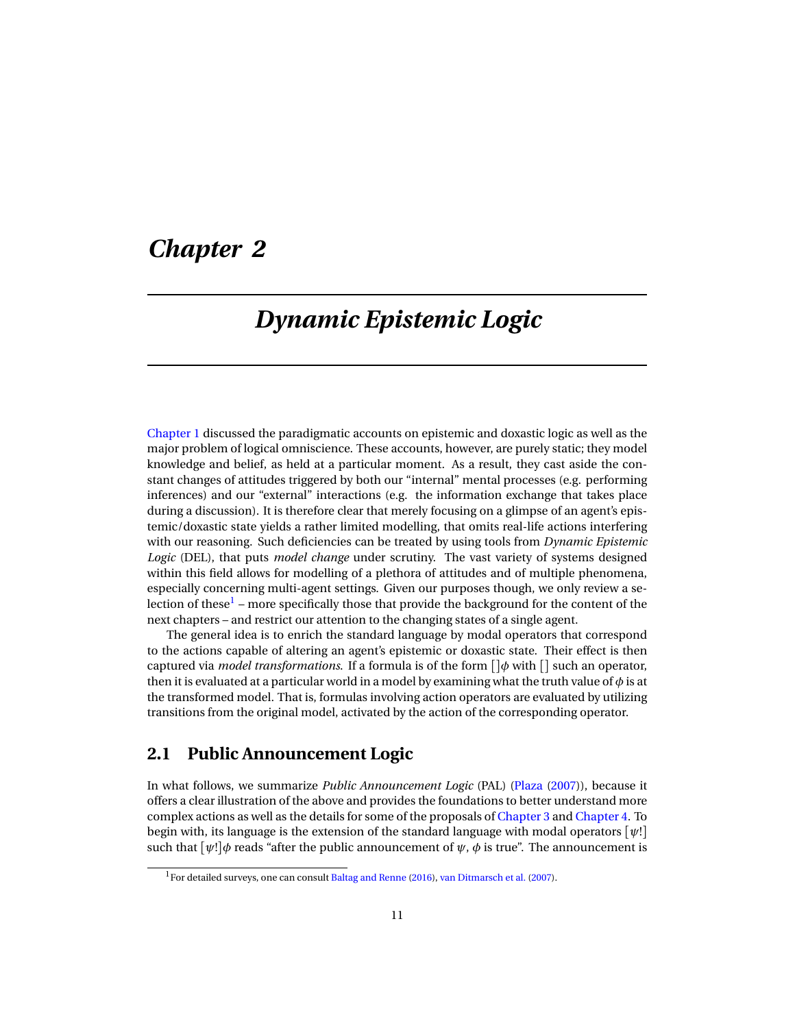# <span id="page-14-0"></span>*Chapter 2*

# *Dynamic Epistemic Logic*

[Chapter 1](#page-5-0) discussed the paradigmatic accounts on epistemic and doxastic logic as well as the major problem of logical omniscience. These accounts, however, are purely static; they model knowledge and belief, as held at a particular moment. As a result, they cast aside the constant changes of attitudes triggered by both our "internal" mental processes (e.g. performing inferences) and our "external" interactions (e.g. the information exchange that takes place during a discussion). It is therefore clear that merely focusing on a glimpse of an agent's epistemic/doxastic state yields a rather limited modelling, that omits real-life actions interfering with our reasoning. Such deficiencies can be treated by using tools from *Dynamic Epistemic Logic* (DEL), that puts *model change* under scrutiny. The vast variety of systems designed within this field allows for modelling of a plethora of attitudes and of multiple phenomena, especially concerning multi-agent settings. Given our purposes though, we only review a se-lection of these<sup>[1](#page-0-1)</sup> – more specifically those that provide the background for the content of the next chapters – and restrict our attention to the changing states of a single agent.

The general idea is to enrich the standard language by modal operators that correspond to the actions capable of altering an agent's epistemic or doxastic state. Their effect is then captured via *model transformations*. If a formula is of the form []*φ* with [] such an operator, then it is evaluated at a particular world in a model by examining what the truth value of *φ* is at the transformed model. That is, formulas involving action operators are evaluated by utilizing transitions from the original model, activated by the action of the corresponding operator.

### <span id="page-14-1"></span>**2.1 Public Announcement Logic**

In what follows, we summarize *Public Announcement Logic* (PAL) [\(Plaza](#page-94-8) [\(2007\)](#page-94-8)), because it offers a clear illustration of the above and provides the foundations to better understand more complex actions as well as the details for some of the proposals of [Chapter 3](#page-20-0) and [Chapter 4.](#page-53-0) To begin with, its language is the extension of the standard language with modal operators [*ψ*!] such that  $[\psi!] \phi$  reads "after the public announcement of  $\psi$ ,  $\phi$  is true". The announcement is

 $1$ For detailed surveys, one can consult [Baltag and Renne](#page-92-2) [\(2016\)](#page-92-2), [van Ditmarsch et al.](#page-95-1) [\(2007\)](#page-95-1).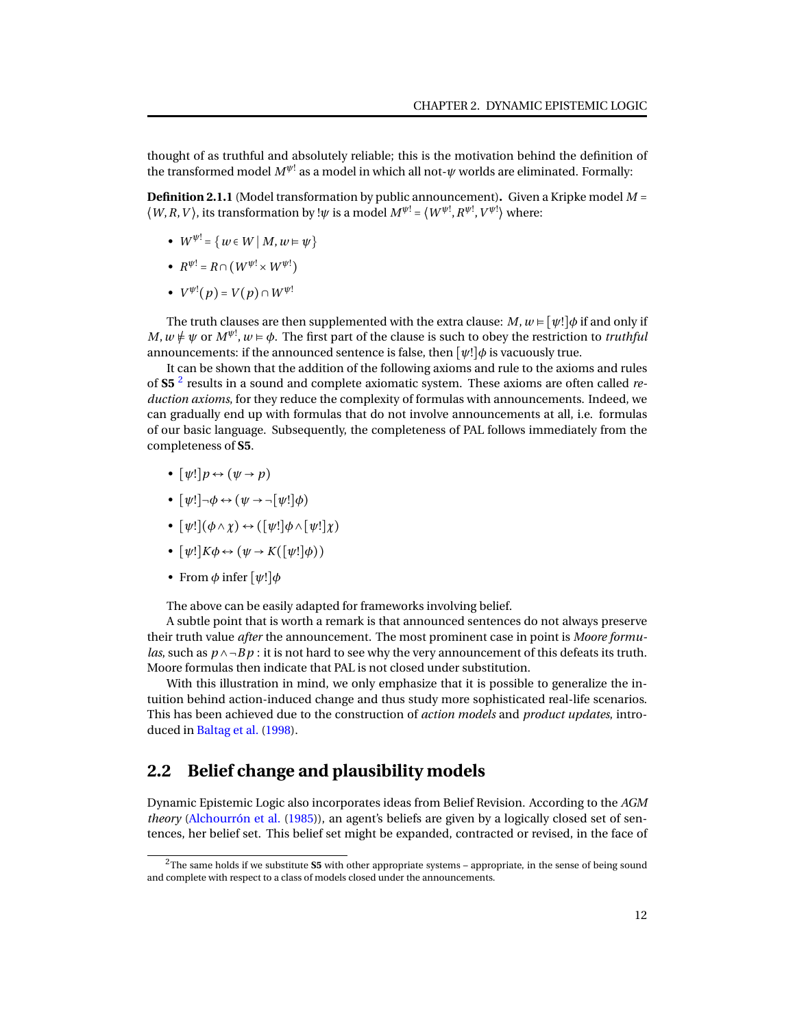thought of as truthful and absolutely reliable; this is the motivation behind the definition of the transformed model  $M^{\psi!}$  as a model in which all not- $\psi$  worlds are eliminated. Formally:

**Definition 2.1.1** (Model transformation by public announcement)**.** Given a Kripke model *M* =  $\langle W, R, V \rangle$ , its transformation by ! $\psi$  is a model  $M^{\psi} = \langle W^{\psi}, R^{\psi}, V^{\psi} \rangle$  where:

- $W^{\psi} = \{ w \in W \mid M, w \models \psi \}$
- $R^{\psi!} = R \cap (W^{\psi!} \times W^{\psi!})$
- $V^{\psi !}(p) = V(p) \cap W^{\psi !}$

The truth clauses are then supplemented with the extra clause:  $M$ ,  $w \models [\psi!] \phi$  if and only if  $M,w\neq\psi$  or  $M^{\psi!},w\vDash\phi.$  The first part of the clause is such to obey the restriction to *truthful* announcements: if the announced sentence is false, then [*ψ*!]*φ* is vacuously true.

It can be shown that the addition of the following axioms and rule to the axioms and rules of **S5** [2](#page-0-1) results in a sound and complete axiomatic system. These axioms are often called *reduction axioms*, for they reduce the complexity of formulas with announcements. Indeed, we can gradually end up with formulas that do not involve announcements at all, i.e. formulas of our basic language. Subsequently, the completeness of PAL follows immediately from the completeness of **S5**.

- $[\psi!] p \leftrightarrow (\psi \rightarrow p)$
- $[\psi!] \neg \phi \leftrightarrow (\psi \rightarrow \neg[\psi!] \phi)$
- $[\psi!] (\phi \land \chi) \leftrightarrow ([\psi!] \phi \land [\psi!] \chi)$
- $[\psi!]K\phi \leftrightarrow (\psi \rightarrow K([\psi!] \phi))$
- From *φ* infer [*ψ*!]*φ*

The above can be easily adapted for frameworks involving belief.

A subtle point that is worth a remark is that announced sentences do not always preserve their truth value *after* the announcement. The most prominent case in point is *Moore formulas*, such as *p* ∧ ¬*B p* : it is not hard to see why the very announcement of this defeats its truth. Moore formulas then indicate that PAL is not closed under substitution.

With this illustration in mind, we only emphasize that it is possible to generalize the intuition behind action-induced change and thus study more sophisticated real-life scenarios. This has been achieved due to the construction of *action models* and *product updates*, introduced in [Baltag et al.](#page-92-3) [\(1998\)](#page-92-3).

## <span id="page-15-0"></span>**2.2 Belief change and plausibility models**

Dynamic Epistemic Logic also incorporates ideas from Belief Revision. According to the *AGM theory* [\(Alchourrón et al.](#page-92-0) [\(1985\)](#page-92-0)), an agent's beliefs are given by a logically closed set of sentences, her belief set. This belief set might be expanded, contracted or revised, in the face of

<sup>&</sup>lt;sup>2</sup>The same holds if we substitute S5 with other appropriate systems - appropriate, in the sense of being sound and complete with respect to a class of models closed under the announcements.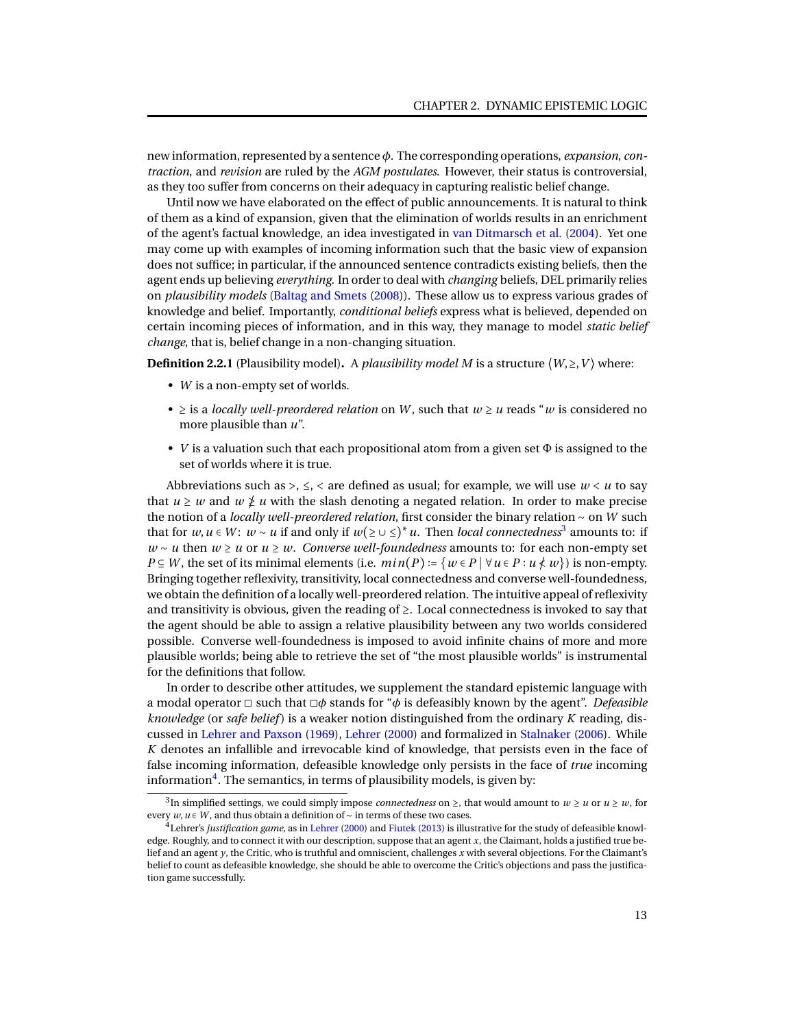new information, represented by a sentence *φ*. The corresponding operations, *expansion*, *contraction*, and *revision* are ruled by the *AGM postulates*. However, their status is controversial, as they too suffer from concerns on their adequacy in capturing realistic belief change.

Until now we have elaborated on the effect of public announcements. It is natural to think of them as a kind of expansion, given that the elimination of worlds results in an enrichment of the agent's factual knowledge, an idea investigated in [van Ditmarsch et al.](#page-95-8) [\(2004\)](#page-95-8). Yet one may come up with examples of incoming information such that the basic view of expansion does not suffice; in particular, if the announced sentence contradicts existing beliefs, then the agent ends up believing *everything*. In order to deal with *changing* beliefs, DEL primarily relies on *plausibility models* [\(Baltag and Smets](#page-93-6) [\(2008\)](#page-93-6)). These allow us to express various grades of knowledge and belief. Importantly, *conditional beliefs* express what is believed, depended on certain incoming pieces of information, and in this way, they manage to model *static belief change*, that is, belief change in a non-changing situation.

**Definition 2.2.1** (Plausibility model). A *plausibility model M* is a structure  $\langle W, \rangle$ , *V*) where:

- *W* is a non-empty set of worlds.
- ≥ is a *locally well-preordered relation* on *W* , such that *w* ≥ *u* reads "*w* is considered no more plausible than *u*".
- *V* is a valuation such that each propositional atom from a given set Φ is assigned to the set of worlds where it is true.

Abbreviations such as  $>$ ,  $\leq$ ,  $\lt$  are defined as usual; for example, we will use  $w \lt u$  to say that  $u \geq w$  and  $w \not\geq u$  with the slash denoting a negated relation. In order to make precise the notion of a *locally well-preordered relation*, first consider the binary relation ∼ on *W* such that for *w*, *u* ∈ *W*: *w* ∼ *u* if and only if  $w(≥ ∪ ≤)^* u$ . Then *local connectedness*<sup>[3](#page-0-1)</sup> amounts to: if *w* ∼ *u* then *w* ≥ *u* or *u* ≥ *w*. *Converse well-foundedness* amounts to: for each non-empty set *P* ⊆ *W*, the set of its minimal elements (i.e. *min*(*P*) := {*w* ∈ *P* | ∀*u* ∈ *P* : *u*  $\star$  *w*}) is non-empty. Bringing together reflexivity, transitivity, local connectedness and converse well-foundedness, we obtain the definition of a locally well-preordered relation. The intuitive appeal of reflexivity and transitivity is obvious, given the reading of  $\geq$ . Local connectedness is invoked to say that the agent should be able to assign a relative plausibility between any two worlds considered possible. Converse well-foundedness is imposed to avoid infinite chains of more and more plausible worlds; being able to retrieve the set of "the most plausible worlds" is instrumental for the definitions that follow.

In order to describe other attitudes, we supplement the standard epistemic language with a modal operator ◻ such that ◻*φ* stands for "*φ* is defeasibly known by the agent". *Defeasible knowledge* (or *safe belief* ) is a weaker notion distinguished from the ordinary *K* reading, discussed in [Lehrer and Paxson](#page-94-9) [\(1969\)](#page-94-9), [Lehrer](#page-94-10) [\(2000\)](#page-94-10) and formalized in [Stalnaker](#page-95-0) [\(2006\)](#page-95-0). While *K* denotes an infallible and irrevocable kind of knowledge, that persists even in the face of false incoming information, defeasible knowledge only persists in the face of *true* incoming information $^4$  $^4$ . The semantics, in terms of plausibility models, is given by:

 $3$ In simplified settings, we could simply impose *connectedness* on  $\ge$ , that would amount to  $w \ge u$  or  $u \ge w$ , for every *w*,*u* ∈ *W* , and thus obtain a definition of ∼ in terms of these two cases.

<sup>4</sup>Lehrer's *justification game*, as in [Lehrer](#page-94-10) [\(2000\)](#page-94-10) and [Fiutek](#page-93-7) [\(2013\)](#page-93-7) is illustrative for the study of defeasible knowledge. Roughly, and to connect it with our description, suppose that an agent *x*, the Claimant, holds a justified true belief and an agent *y*, the Critic, who is truthful and omniscient, challenges *x* with several objections. For the Claimant's belief to count as defeasible knowledge, she should be able to overcome the Critic's objections and pass the justification game successfully.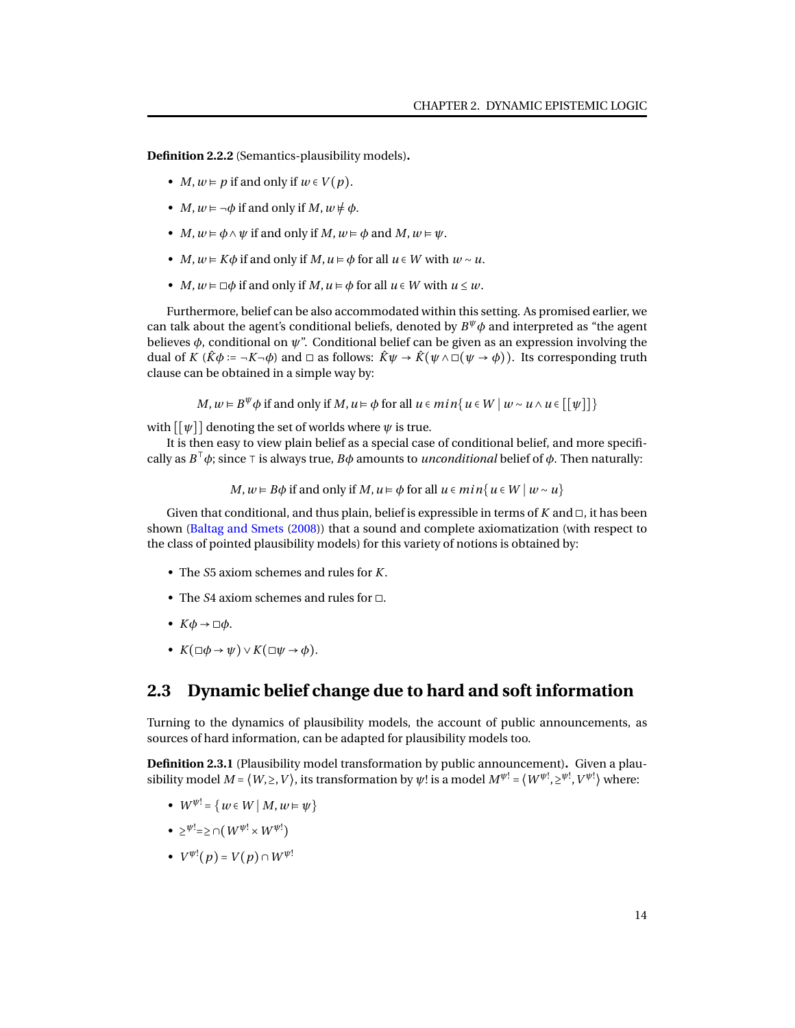**Definition 2.2.2** (Semantics-plausibility models)**.**

- *M*,  $w \in p$  if and only if  $w \in V(p)$ .
- *M*,  $w \models \neg \phi$  if and only if *M*,  $w \not\models \phi$ .
- *M*,  $w \models \phi \land \psi$  if and only if *M*,  $w \models \phi$  and *M*,  $w \models \psi$ .
- *M*,  $w \in K\phi$  if and only if *M*,  $u \in \phi$  for all  $u \in W$  with  $w \sim u$ .
- *M*,  $w \models \Box \phi$  if and only if *M*,  $u \models \phi$  for all  $u \in W$  with  $u \leq w$ .

Furthermore, belief can be also accommodated within this setting. As promised earlier, we can talk about the agent's conditional beliefs, denoted by  $B^{\psi} \phi$  and interpreted as "the agent believes  $\phi$ , conditional on  $\psi$ ". Conditional belief can be given as an expression involving the dual of *K* ( $\hat{K}\phi := \neg K \neg \phi$ ) and  $\Box$  as follows:  $\hat{K}\psi \rightarrow \hat{K}(\psi \land \Box(\psi \rightarrow \phi))$ . Its corresponding truth clause can be obtained in a simple way by:

*M*,  $w \in B^{\psi} \phi$  if and only if *M*,  $u \in \phi$  for all  $u \in min\{u \in W \mid w \sim u \wedge u \in [[\psi]]\}$ 

with  $[[\psi]]$  denoting the set of worlds where  $\psi$  is true.

It is then easy to view plain belief as a special case of conditional belief, and more specifically as *B* <sup>⊺</sup>*φ*; since ⊺ is always true, *<sup>B</sup><sup>φ</sup>* amounts to *unconditional* belief of *<sup>φ</sup>*. Then naturally:

*M*,  $w \in B\phi$  if and only if *M*,  $u \in \phi$  for all  $u \in min\{u \in W \mid w \sim u\}$ 

Given that conditional, and thus plain, belief is expressible in terms of  $K$  and  $\Box$ , it has been shown [\(Baltag and Smets](#page-93-6) [\(2008\)](#page-93-6)) that a sound and complete axiomatization (with respect to the class of pointed plausibility models) for this variety of notions is obtained by:

- The *S*5 axiom schemes and rules for *K*.
- The *S*4 axiom schemes and rules for ◻.
- $K\phi \rightarrow \Box \phi$ .
- $K(\Box \phi \rightarrow \psi) \vee K(\Box \psi \rightarrow \phi).$

### <span id="page-17-0"></span>**2.3 Dynamic belief change due to hard and soft information**

Turning to the dynamics of plausibility models, the account of public announcements, as sources of hard information, can be adapted for plausibility models too.

**Definition 2.3.1** (Plausibility model transformation by public announcement)**.** Given a plausibility model  $M$  =  $\langle W, \geq, V\rangle$ , its transformation by  $\psi!$  is a model  $M^{\psi!}$  =  $\langle W^{\psi!}, \geq^{\psi!}, V^{\psi!}\rangle$  where:

- $W^{\psi} = \{ w \in W \mid M, w \models \psi \}$
- $\bullet \geq^{\psi !} \Rightarrow \cap (W^{\psi !} \times W^{\psi !})$
- $V^{\psi!}(p) = V(p) \cap W^{\psi!}$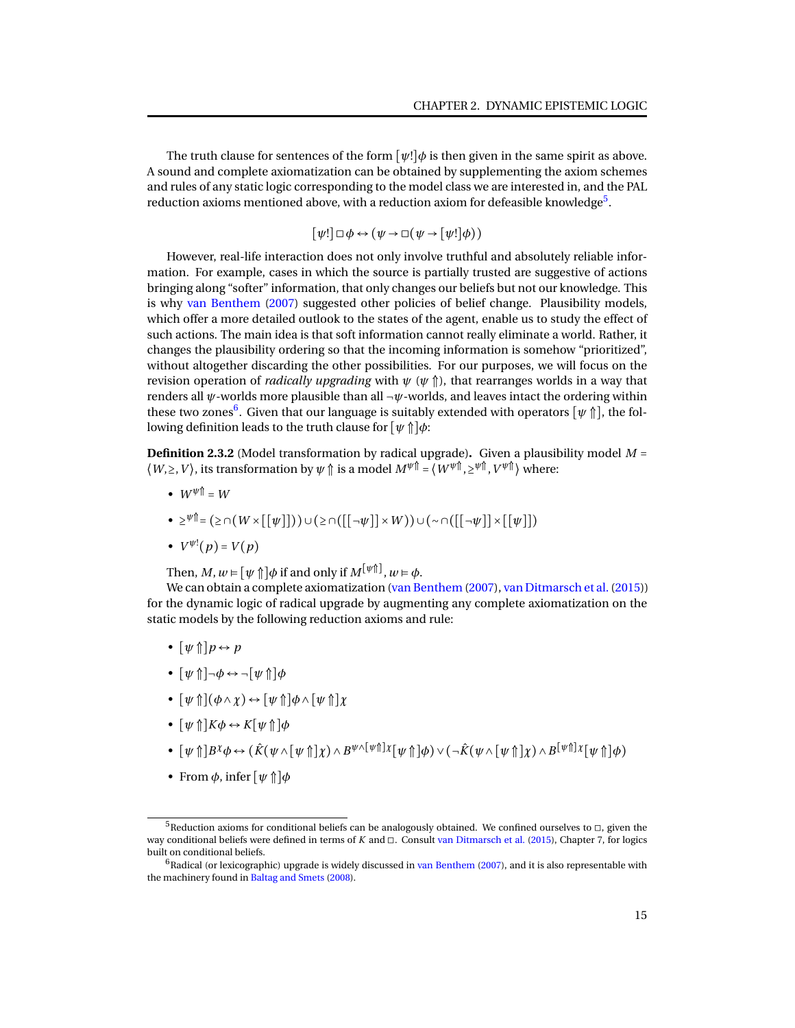The truth clause for sentences of the form  $[\psi!] \phi$  is then given in the same spirit as above. A sound and complete axiomatization can be obtained by supplementing the axiom schemes and rules of any static logic corresponding to the model class we are interested in, and the PAL reduction axioms mentioned above, with a reduction axiom for defeasible knowledge $^5\!$  $^5\!$  $^5\!$ .

$$
[\psi!] \sqcup \phi \leftrightarrow (\psi \rightarrow \sqcup (\psi \rightarrow [\psi!] \phi))
$$

However, real-life interaction does not only involve truthful and absolutely reliable information. For example, cases in which the source is partially trusted are suggestive of actions bringing along "softer" information, that only changes our beliefs but not our knowledge. This is why [van Benthem](#page-95-9) [\(2007\)](#page-95-9) suggested other policies of belief change. Plausibility models, which offer a more detailed outlook to the states of the agent, enable us to study the effect of such actions. The main idea is that soft information cannot really eliminate a world. Rather, it changes the plausibility ordering so that the incoming information is somehow "prioritized", without altogether discarding the other possibilities. For our purposes, we will focus on the revision operation of *radically upgrading* with  $\psi$  ( $\psi$   $\hat{p}$ ), that rearranges worlds in a way that renders all *ψ*-worlds more plausible than all ¬*ψ*-worlds, and leaves intact the ordering within these two zones<sup>[6](#page-0-1)</sup>. Given that our language is suitably extended with operators  $[\psi\Uparrow]$ , the following definition leads to the truth clause for [*ψ* ⇑]*φ*:

**Definition 2.3.2** (Model transformation by radical upgrade)**.** Given a plausibility model *M* =  $\langle W, \geq, V \rangle$ , its transformation by  $\psi \Uparrow$  is a model  $M^{\psi \Uparrow} = \langle W^{\psi \Uparrow}, \geq^{\psi \Uparrow}, V^{\psi \Uparrow} \rangle$  where:

- $W^{\psi}$ <sup> $\uparrow$ </sup> =  $W$
- ≥ *<sup>ψ</sup>*⇑= (≥ ∩(*W* ×[[*ψ*]]))∪(≥ ∩([[¬*ψ*]]×*W* ))∪(∼ ∩([[¬*ψ*]]×[[*ψ*]])
- $V^{\psi!}(p) = V(p)$

Then,  $M, w \models [\psi \uparrow] \phi$  if and only if  $M^{[\psi \uparrow]}$ ,  $w \models \phi$ .

We can obtain a complete axiomatization [\(van Benthem](#page-95-9) [\(2007\)](#page-95-9), van Ditmarsch et al. (2015)) for the dynamic logic of radical upgrade by augmenting any complete axiomatization on the static models by the following reduction axioms and rule:

- $\lceil \psi \uparrow \rceil p \leftrightarrow p$
- [*ψ* ⇑]¬*φ* ↔ ¬[*ψ* ⇑]*φ*
- $[\psi \uparrow](\phi \land \chi) \leftrightarrow [\psi \uparrow] \phi \land [\psi \uparrow] \chi$
- $[\psi \uparrow] K \phi \leftrightarrow K[\psi \uparrow] \phi$
- $\bullet~~[\psi\Uparrow] B^{\chi}\phi \leftrightarrow (\hat{K}(\psi\wedge\lbrack\psi\Uparrow]\chi)\wedge B^{\psi\wedge\lbrack\psi\Uparrow]\chi[\psi\Uparrow]\phi)\vee(\neg\hat{K}(\psi\wedge\lbrack\psi\Uparrow]\chi)\wedge B^{\lbrack\psi\Uparrow]\chi[\psi\Uparrow]\phi)$
- From  $\phi$ , infer  $[\psi \uparrow] \phi$

 $^5$ Reduction axioms for conditional beliefs can be analogously obtained. We confined ourselves to  $\Box$ , given the way conditional beliefs were defined in terms of *K* and ◻. Consult [van Ditmarsch et al.](#page-95-10) [\(2015\)](#page-95-10), Chapter 7, for logics built on conditional beliefs.

 $6R$ adical (or lexicographic) upgrade is widely discussed in [van Benthem](#page-95-9) [\(2007\)](#page-95-9), and it is also representable with the machinery found in [Baltag and Smets](#page-93-6) [\(2008\)](#page-93-6).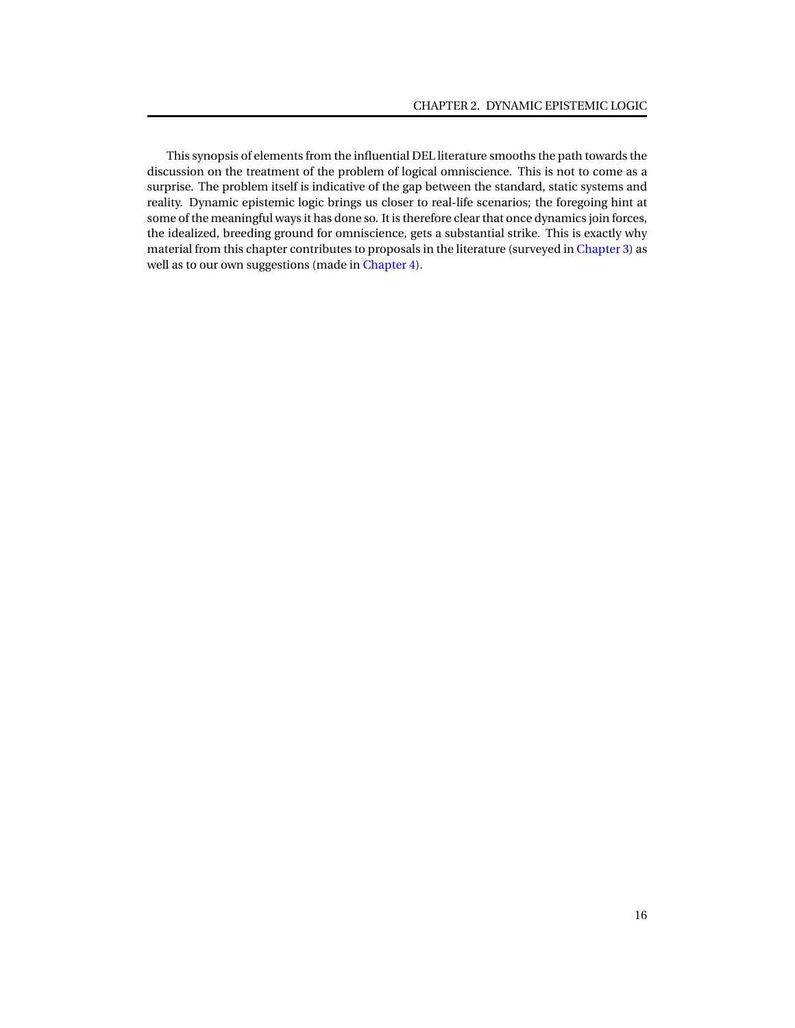This synopsis of elements from the influential DEL literature smooths the path towards the discussion on the treatment of the problem of logical omniscience. This is not to come as a surprise. The problem itself is indicative of the gap between the standard, static systems and reality. Dynamic epistemic logic brings us closer to real-life scenarios; the foregoing hint at some of the meaningful ways it has done so. It is therefore clear that once dynamics join forces, the idealized, breeding ground for omniscience, gets a substantial strike. This is exactly why material from this chapter contributes to proposals in the literature (surveyed in [Chapter 3\)](#page-20-0) as well as to our own suggestions (made in [Chapter 4\)](#page-53-0).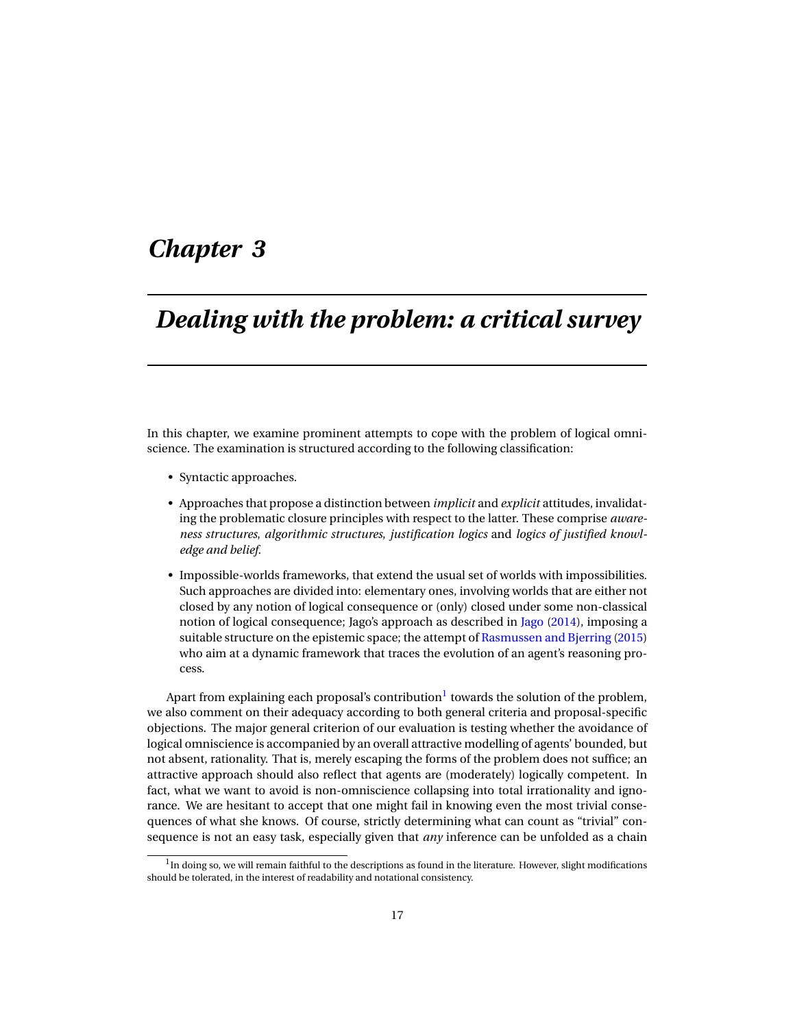# <span id="page-20-0"></span>*Chapter 3*

# *Dealing with the problem: a critical survey*

In this chapter, we examine prominent attempts to cope with the problem of logical omniscience. The examination is structured according to the following classification:

- Syntactic approaches.
- Approaches that propose a distinction between *implicit* and *explicit* attitudes, invalidating the problematic closure principles with respect to the latter. These comprise *awareness structures*, *algorithmic structures*, *justification logics* and *logics of justified knowledge and belief*.
- Impossible-worlds frameworks, that extend the usual set of worlds with impossibilities. Such approaches are divided into: elementary ones, involving worlds that are either not closed by any notion of logical consequence or (only) closed under some non-classical notion of logical consequence; [Jago](#page-94-11)'s approach as described in Jago [\(2014\)](#page-94-11), imposing a suitable structure on the epistemic space; the attempt of [Rasmussen and Bjerring](#page-95-11) [\(2015\)](#page-95-11) who aim at a dynamic framework that traces the evolution of an agent's reasoning process.

Apart from explaining each proposal's contribution<sup>[1](#page-0-1)</sup> towards the solution of the problem, we also comment on their adequacy according to both general criteria and proposal-specific objections. The major general criterion of our evaluation is testing whether the avoidance of logical omniscience is accompanied by an overall attractive modelling of agents' bounded, but not absent, rationality. That is, merely escaping the forms of the problem does not suffice; an attractive approach should also reflect that agents are (moderately) logically competent. In fact, what we want to avoid is non-omniscience collapsing into total irrationality and ignorance. We are hesitant to accept that one might fail in knowing even the most trivial consequences of what she knows. Of course, strictly determining what can count as "trivial" consequence is not an easy task, especially given that *any* inference can be unfolded as a chain

 $^1$ In doing so, we will remain faithful to the descriptions as found in the literature. However, slight modifications should be tolerated, in the interest of readability and notational consistency.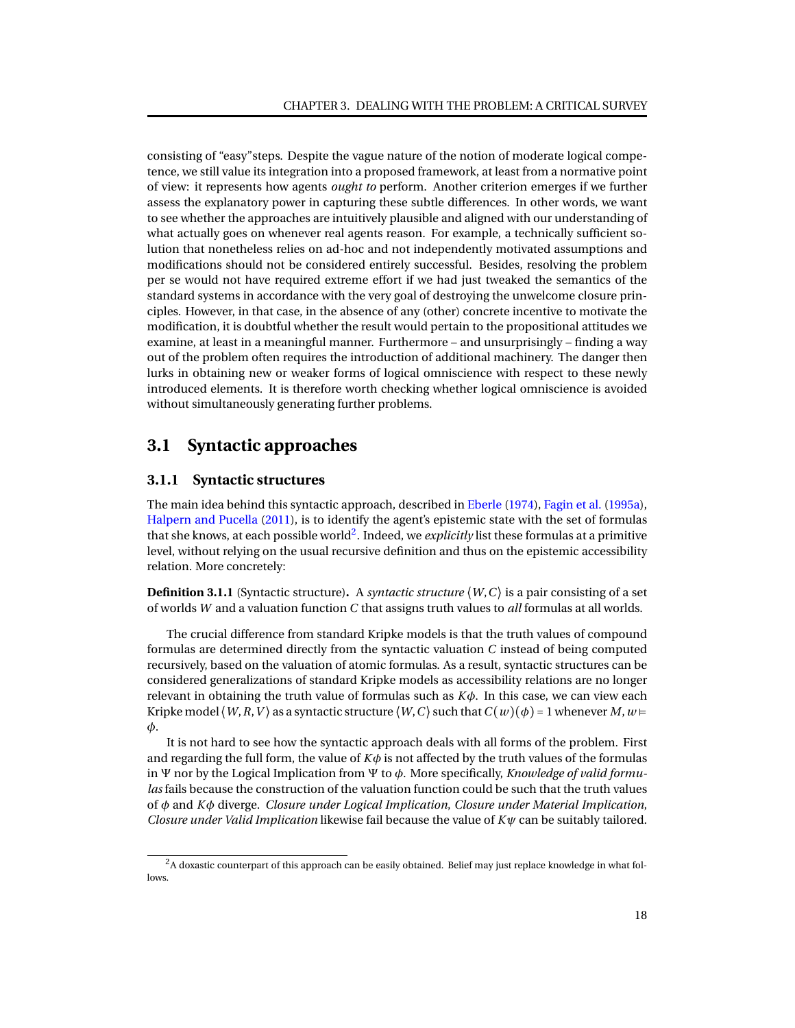consisting of "easy"steps. Despite the vague nature of the notion of moderate logical competence, we still value its integration into a proposed framework, at least from a normative point of view: it represents how agents *ought to* perform. Another criterion emerges if we further assess the explanatory power in capturing these subtle differences. In other words, we want to see whether the approaches are intuitively plausible and aligned with our understanding of what actually goes on whenever real agents reason. For example, a technically sufficient solution that nonetheless relies on ad-hoc and not independently motivated assumptions and modifications should not be considered entirely successful. Besides, resolving the problem per se would not have required extreme effort if we had just tweaked the semantics of the standard systems in accordance with the very goal of destroying the unwelcome closure principles. However, in that case, in the absence of any (other) concrete incentive to motivate the modification, it is doubtful whether the result would pertain to the propositional attitudes we examine, at least in a meaningful manner. Furthermore – and unsurprisingly – finding a way out of the problem often requires the introduction of additional machinery. The danger then lurks in obtaining new or weaker forms of logical omniscience with respect to these newly introduced elements. It is therefore worth checking whether logical omniscience is avoided without simultaneously generating further problems.

## <span id="page-21-0"></span>**3.1 Syntactic approaches**

#### <span id="page-21-1"></span>**3.1.1 Syntactic structures**

The main idea behind this syntactic approach, described in [Eberle](#page-93-8) [\(1974\)](#page-93-8), [Fagin et al.](#page-93-2) [\(1995a\)](#page-93-2), [Halpern and Pucella](#page-94-2) [\(2011\)](#page-94-2), is to identify the agent's epistemic state with the set of formulas that she knows, at each possible world<sup>[2](#page-0-1)</sup>. Indeed, we *explicitly* list these formulas at a primitive level, without relying on the usual recursive definition and thus on the epistemic accessibility relation. More concretely:

**Definition 3.1.1** (Syntactic structure). A *syntactic structure*  $\langle W, C \rangle$  is a pair consisting of a set of worlds *W* and a valuation function *C* that assigns truth values to *all* formulas at all worlds.

The crucial difference from standard Kripke models is that the truth values of compound formulas are determined directly from the syntactic valuation *C* instead of being computed recursively, based on the valuation of atomic formulas. As a result, syntactic structures can be considered generalizations of standard Kripke models as accessibility relations are no longer relevant in obtaining the truth value of formulas such as *Kφ*. In this case, we can view each Kripke model  $\langle W, R, V \rangle$  as a syntactic structure  $\langle W, C \rangle$  such that  $C(w)(\phi) = 1$  whenever *M*,  $w \models$ *φ*.

It is not hard to see how the syntactic approach deals with all forms of the problem. First and regarding the full form, the value of  $K\phi$  is not affected by the truth values of the formulas in Ψ nor by the Logical Implication from Ψ to *φ*. More specifically, *Knowledge of valid formulas* fails because the construction of the valuation function could be such that the truth values of *φ* and *Kφ* diverge. *Closure under Logical Implication*, *Closure under Material Implication*, *Closure under Valid Implication* likewise fail because the value of *Kψ* can be suitably tailored.

<sup>&</sup>lt;sup>2</sup>A doxastic counterpart of this approach can be easily obtained. Belief may just replace knowledge in what follows.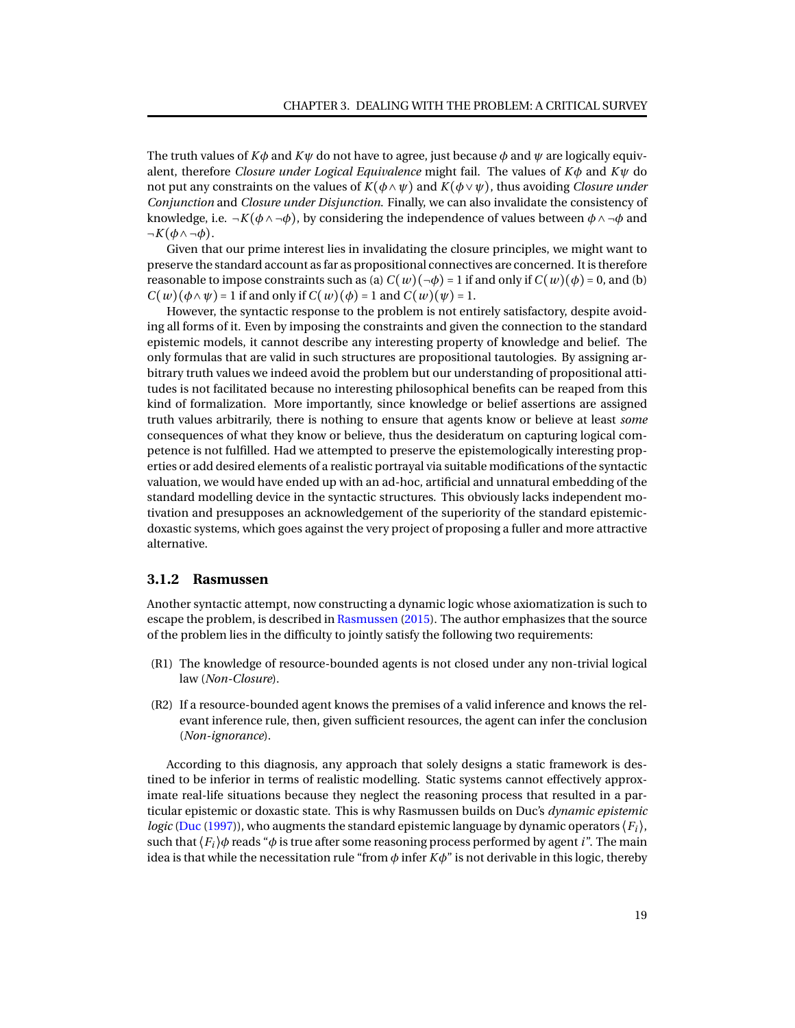The truth values of  $K\phi$  and  $K\psi$  do not have to agree, just because  $\phi$  and  $\psi$  are logically equivalent, therefore *Closure under Logical Equivalence* might fail. The values of *Kφ* and *Kψ* do not put any constraints on the values of  $K(\phi \land \psi)$  and  $K(\phi \lor \psi)$ , thus avoiding *Closure under Conjunction* and *Closure under Disjunction*. Finally, we can also invalidate the consistency of knowledge, i.e.  $\neg K(\phi \land \neg \phi)$ , by considering the independence of values between  $\phi \land \neg \phi$  and  $-K(\phi \wedge \neg \phi)$ .

Given that our prime interest lies in invalidating the closure principles, we might want to preserve the standard account as far as propositional connectives are concerned. It is therefore reasonable to impose constraints such as (a)  $C(w)(\neg \phi) = 1$  if and only if  $C(w)(\phi) = 0$ , and (b)  $C(w)(\phi \land \psi) = 1$  if and only if  $C(w)(\phi) = 1$  and  $C(w)(\psi) = 1$ .

However, the syntactic response to the problem is not entirely satisfactory, despite avoiding all forms of it. Even by imposing the constraints and given the connection to the standard epistemic models, it cannot describe any interesting property of knowledge and belief. The only formulas that are valid in such structures are propositional tautologies. By assigning arbitrary truth values we indeed avoid the problem but our understanding of propositional attitudes is not facilitated because no interesting philosophical benefits can be reaped from this kind of formalization. More importantly, since knowledge or belief assertions are assigned truth values arbitrarily, there is nothing to ensure that agents know or believe at least *some* consequences of what they know or believe, thus the desideratum on capturing logical competence is not fulfilled. Had we attempted to preserve the epistemologically interesting properties or add desired elements of a realistic portrayal via suitable modifications of the syntactic valuation, we would have ended up with an ad-hoc, artificial and unnatural embedding of the standard modelling device in the syntactic structures. This obviously lacks independent motivation and presupposes an acknowledgement of the superiority of the standard epistemicdoxastic systems, which goes against the very project of proposing a fuller and more attractive alternative.

#### <span id="page-22-0"></span>**3.1.2 Rasmussen**

Another syntactic attempt, now constructing a dynamic logic whose axiomatization is such to escape the problem, is described in [Rasmussen](#page-95-12) [\(2015\)](#page-95-12). The author emphasizes that the source of the problem lies in the difficulty to jointly satisfy the following two requirements:

- (R1) The knowledge of resource-bounded agents is not closed under any non-trivial logical law (*Non-Closure*).
- (R2) If a resource-bounded agent knows the premises of a valid inference and knows the relevant inference rule, then, given sufficient resources, the agent can infer the conclusion (*Non-ignorance*).

According to this diagnosis, any approach that solely designs a static framework is destined to be inferior in terms of realistic modelling. Static systems cannot effectively approximate real-life situations because they neglect the reasoning process that resulted in a particular epistemic or doxastic state. This is why Rasmussen builds on Duc's *dynamic epistemic logic* [\(Duc](#page-93-9) [\(1997\)](#page-93-9)), who augments the standard epistemic language by dynamic operators  $\langle F_i \rangle$ , such that  $\langle F_i \rangle \phi$  reads " $\phi$  is true after some reasoning process performed by agent *i*". The main idea is that while the necessitation rule "from  $\phi$  infer  $K\phi$ " is not derivable in this logic, thereby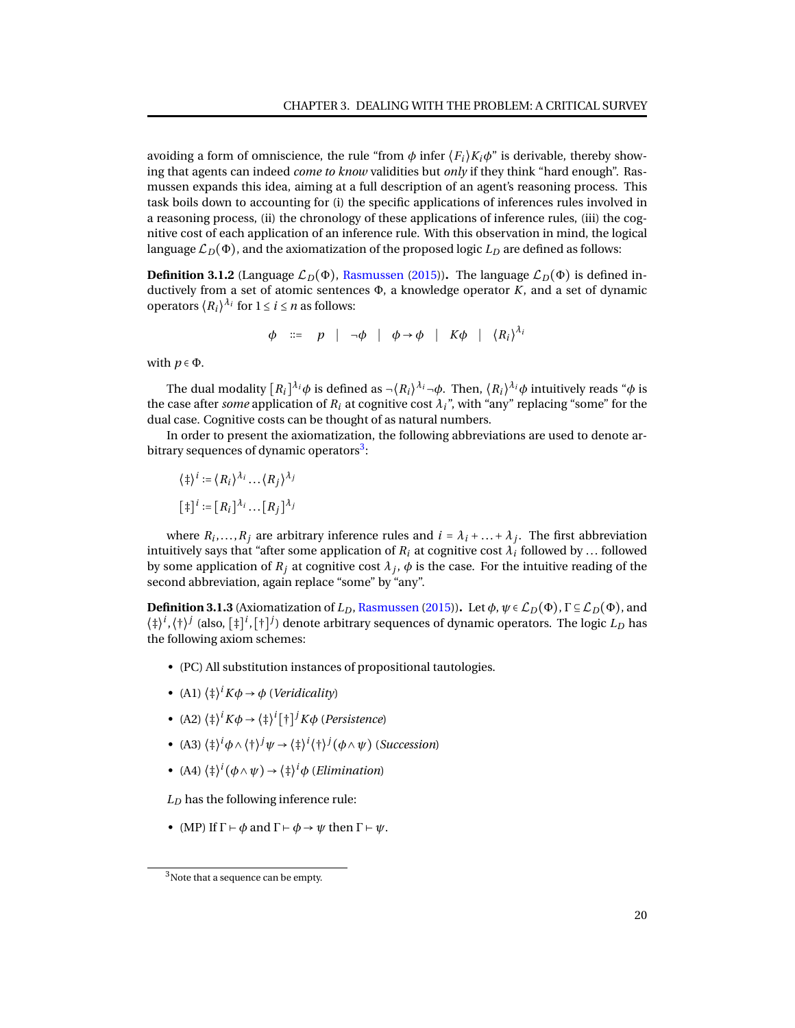avoiding a form of omniscience, the rule "from  $\phi$  infer  $\langle F_i \rangle K_i \phi$ " is derivable, thereby showing that agents can indeed *come to know* validities but *only* if they think "hard enough". Rasmussen expands this idea, aiming at a full description of an agent's reasoning process. This task boils down to accounting for (i) the specific applications of inferences rules involved in a reasoning process, (ii) the chronology of these applications of inference rules, (iii) the cognitive cost of each application of an inference rule. With this observation in mind, the logical language  $\mathcal{L}_D(\Phi)$ , and the axiomatization of the proposed logic  $L_D$  are defined as follows:

**Definition 3.1.2** (Language  $\mathcal{L}_D(\Phi)$ , [Rasmussen](#page-95-12) [\(2015\)](#page-95-12)). The language  $\mathcal{L}_D(\Phi)$  is defined inductively from a set of atomic sentences Φ, a knowledge operator *K*, and a set of dynamic operators  $\langle R_i \rangle^{\lambda_i}$  for  $1 \le i \le n$  as follows:

$$
\phi \quad ::= \quad p \quad | \quad \neg \phi \quad | \quad \phi \rightarrow \phi \quad | \quad K\phi \quad | \quad \langle R_i \rangle^{\lambda_i}
$$

with  $p \in \Phi$ .

The dual modality  $[R_i]^{\lambda_i}\phi$  is defined as  $\neg \langle R_i\rangle^{\lambda_i}\neg\phi.$  Then,  $\langle R_i\rangle^{\lambda_i}\phi$  intuitively reads " $\phi$  is the case after *some* application of  $R_i$  at cognitive cost  $\lambda_i$ <sup>"</sup>, with "any" replacing "some" for the dual case. Cognitive costs can be thought of as natural numbers.

In order to present the axiomatization, the following abbreviations are used to denote ar-bitrary sequences of dynamic operators<sup>[3](#page-0-1)</sup>:

$$
\langle \ddagger \rangle^i := \langle R_i \rangle^{\lambda_i} \dots \langle R_j \rangle^{\lambda_j}
$$

$$
[\ddagger]^i := [R_i]^{\lambda_i} \dots [R_j]^{\lambda_j}
$$

where  $R_i, \ldots, R_j$  are arbitrary inference rules and  $i = \lambda_i + \ldots + \lambda_j$ . The first abbreviation intuitively says that "after some application of  $R_i$  at cognitive cost  $\lambda_i$  followed by  $\ldots$  followed by some application of  $R_j$  at cognitive cost  $\lambda_j$ ,  $\phi$  is the case. For the intuitive reading of the second abbreviation, again replace "some" by "any".

**Definition 3.1.3** (Axiomatization of  $L_D$ , [Rasmussen](#page-95-12) [\(2015\)](#page-95-12)). Let  $\phi$ ,  $\psi \in \mathcal{L}_D(\Phi)$ ,  $\Gamma \subseteq \mathcal{L}_D(\Phi)$ , and  $\langle \ddagger \rangle^i$ , $\langle \dag \rangle^j$  (also,  $[\ddagger]^j$ , $[\dag]^j$ ) denote arbitrary sequences of dynamic operators. The logic  $L_D$  has the following axiom schemes:

- (PC) All substitution instances of propositional tautologies.
- (A1)  $\langle \ddagger \rangle^i K \phi \rightarrow \phi$  (*Veridicality*)
- (A2)  $\langle \ddagger \rangle^{i} K \phi \rightarrow \langle \ddagger \rangle^{i} [\dagger]^{j} K \phi$  (*Persistence*)
- (A3)  $\langle \dagger \rangle^i \phi \wedge \langle \dagger \rangle^j \psi \rightarrow \langle \dagger \rangle^i (\dagger \rangle^j (\phi \wedge \psi)$  (*Succession*)
- (A4) ⟨‡⟩ *i* (*φ*∧*ψ*) → ⟨‡⟩ *<sup>i</sup>φ* (*Elimination*)

*L<sup>D</sup>* has the following inference rule:

• (MP) If  $\Gamma \vdash \phi$  and  $\Gamma \vdash \phi \rightarrow \psi$  then  $\Gamma \vdash \psi$ .

<sup>&</sup>lt;sup>3</sup>Note that a sequence can be empty.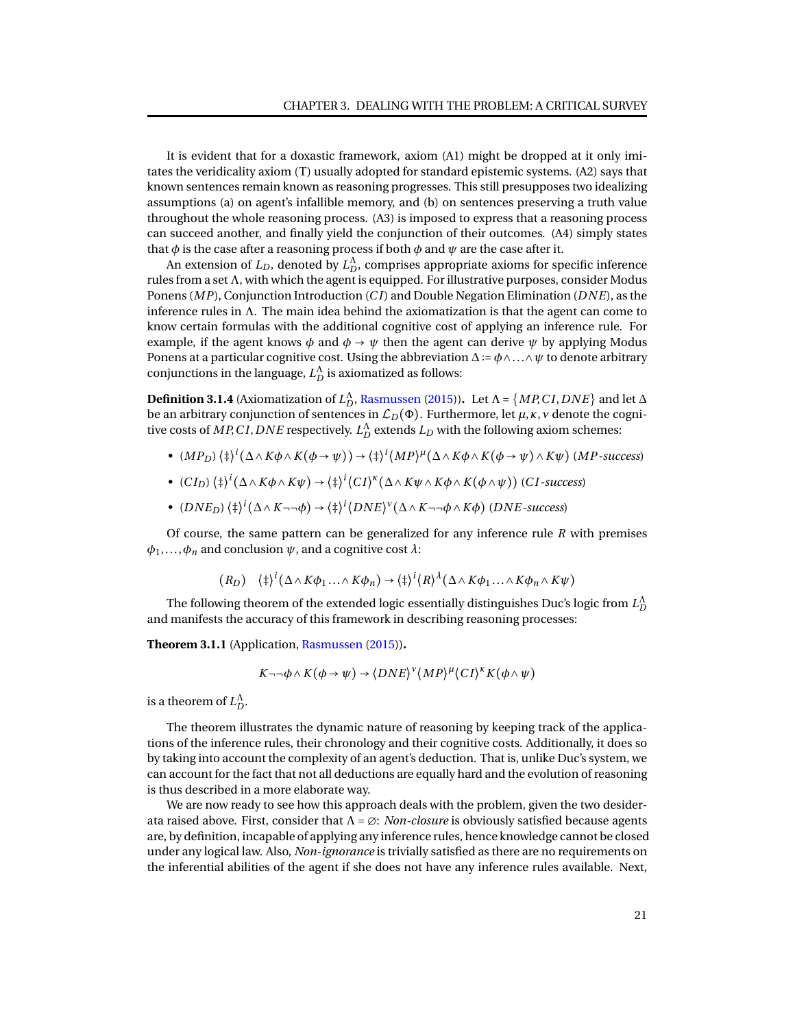It is evident that for a doxastic framework, axiom (A1) might be dropped at it only imitates the veridicality axiom (T) usually adopted for standard epistemic systems. (A2) says that known sentences remain known as reasoning progresses. This still presupposes two idealizing assumptions (a) on agent's infallible memory, and (b) on sentences preserving a truth value throughout the whole reasoning process. (A3) is imposed to express that a reasoning process can succeed another, and finally yield the conjunction of their outcomes. (A4) simply states that  $\phi$  is the case after a reasoning process if both  $\phi$  and  $\psi$  are the case after it.

An extension of  $L_D$ , denoted by  $L_D^{\Lambda}$ , comprises appropriate axioms for specific inference rules from a set Λ, with which the agent is equipped. For illustrative purposes, consider Modus Ponens (*MP*), Conjunction Introduction (*C I*) and Double Negation Elimination (*DNE*), as the inference rules in  $\Lambda$ . The main idea behind the axiomatization is that the agent can come to know certain formulas with the additional cognitive cost of applying an inference rule. For example, if the agent knows  $\phi$  and  $\phi \rightarrow \psi$  then the agent can derive  $\psi$  by applying Modus Ponens at a particular cognitive cost. Using the abbreviation ∆ ∶= *φ*∧...∧*ψ* to denote arbitrary conjunctions in the language,  $L_D^{\Lambda}$  is axiomatized as follows:

**Definition 3.1.4** (Axiomatization of  $L_D^{\Lambda}$ , [Rasmussen](#page-95-12) [\(2015\)](#page-95-12)). Let  $\Lambda$  = { $MP,CI, DNE$ } and let  $\Delta$ be an arbitrary conjunction of sentences in  $\mathcal{L}_D(\Phi)$ . Furthermore, let  $\mu$ ,  $\kappa$ ,  $\nu$  denote the cognitive costs of  $MP$ ,  $C$ *I*,  $DNE$  respectively.  $L_D^{\Lambda}$  extends  $L_D$  with the following axiom schemes:

- (*MPD*) ⟨‡⟩ *i* (∆∧*Kφ*∧*K*(*φ* → *ψ*)) → ⟨‡⟩ *i* ⟨*MP*⟩ *µ* (∆∧*Kφ*∧*K*(*φ* → *ψ*)∧*Kψ*) (*MP -success*)
- (*C ID*) ⟨‡⟩ *i* (∆∧*Kφ*∧*Kψ*) → ⟨‡⟩ *i* ⟨*C I*⟩ *κ* (∆∧*Kψ*∧*Kφ*∧*K*(*φ*∧*ψ*)) (*C I -success*)
- (*DNED*) ⟨‡⟩ *i* (∆∧*K*¬¬*φ*) → ⟨‡⟩ *i* ⟨*DNE*⟩ *ν* (∆∧*K*¬¬*φ*∧*Kφ*) (*DNE -success*)

Of course, the same pattern can be generalized for any inference rule *R* with premises  $\phi_1, \ldots, \phi_n$  and conclusion  $\psi$ , and a cognitive cost  $\lambda$ :

$$
(R_D) \quad \langle \ddagger \rangle^i (\Delta \wedge K\phi_1 ... \wedge K\phi_n) \to \langle \ddagger \rangle^i \langle R \rangle^{\lambda} (\Delta \wedge K\phi_1 ... \wedge K\phi_n \wedge K\psi)
$$

The following theorem of the extended logic essentially distinguishes Duc's logic from  $L_D^\Lambda$ and manifests the accuracy of this framework in describing reasoning processes:

**Theorem 3.1.1** (Application, [Rasmussen](#page-95-12) [\(2015\)](#page-95-12))**.**

$$
K \neg \neg \phi \land K(\phi \to \psi) \to \langle DNE \rangle^{\nu} \langle MP \rangle^{\mu} \langle CI \rangle^{\kappa} K(\phi \land \psi)
$$

is a theorem of  $L_D^{\Lambda}$ .

The theorem illustrates the dynamic nature of reasoning by keeping track of the applications of the inference rules, their chronology and their cognitive costs. Additionally, it does so by taking into account the complexity of an agent's deduction. That is, unlike Duc's system, we can account for the fact that not all deductions are equally hard and the evolution of reasoning is thus described in a more elaborate way.

We are now ready to see how this approach deals with the problem, given the two desiderata raised above. First, consider that Λ = ∅: *Non-closure* is obviously satisfied because agents are, by definition, incapable of applying any inference rules, hence knowledge cannot be closed under any logical law. Also, *Non-ignorance* is trivially satisfied as there are no requirements on the inferential abilities of the agent if she does not have any inference rules available. Next,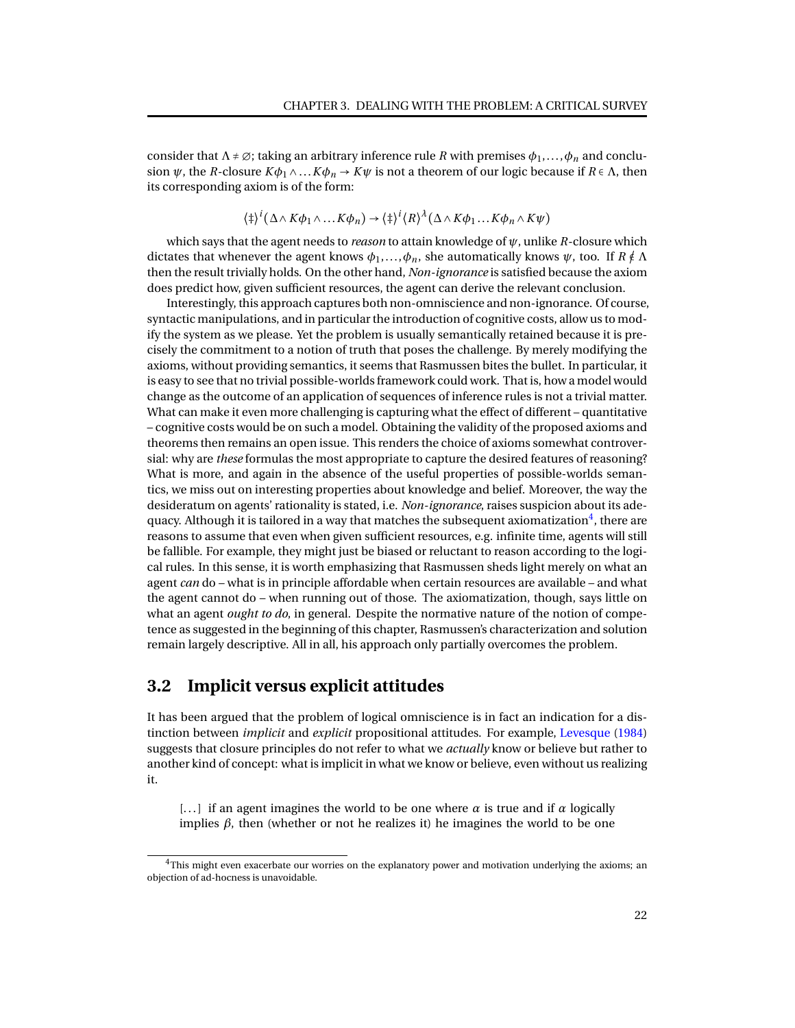consider that  $\Lambda \neq \emptyset$ ; taking an arbitrary inference rule *R* with premises  $\phi_1, \ldots, \phi_n$  and conclusion  $\psi$ , the *R*-closure  $K\phi_1 \wedge ... K\phi_n \rightarrow K\psi$  is not a theorem of our logic because if  $R \in \Lambda$ , then its corresponding axiom is of the form:

$$
\langle \ddagger \rangle^i (\Delta \wedge K\phi_1 \wedge \ldots K\phi_n) \rightarrow \langle \ddagger \rangle^i \langle R \rangle^{\lambda} (\Delta \wedge K\phi_1 \ldots K\phi_n \wedge K\psi)
$$

which says that the agent needs to *reason* to attain knowledge of *ψ*, unlike *R*-closure which dictates that whenever the agent knows  $\phi_1, \ldots, \phi_n$ , she automatically knows  $\psi$ , too. If  $R \notin \Lambda$ then the result trivially holds. On the other hand, *Non-ignorance* is satisfied because the axiom does predict how, given sufficient resources, the agent can derive the relevant conclusion.

Interestingly, this approach captures both non-omniscience and non-ignorance. Of course, syntactic manipulations, and in particular the introduction of cognitive costs, allow us to modify the system as we please. Yet the problem is usually semantically retained because it is precisely the commitment to a notion of truth that poses the challenge. By merely modifying the axioms, without providing semantics, it seems that Rasmussen bites the bullet. In particular, it is easy to see that no trivial possible-worlds framework could work. That is, how a model would change as the outcome of an application of sequences of inference rules is not a trivial matter. What can make it even more challenging is capturing what the effect of different – quantitative – cognitive costs would be on such a model. Obtaining the validity of the proposed axioms and theorems then remains an open issue. This renders the choice of axioms somewhat controversial: why are *these* formulas the most appropriate to capture the desired features of reasoning? What is more, and again in the absence of the useful properties of possible-worlds semantics, we miss out on interesting properties about knowledge and belief. Moreover, the way the desideratum on agents' rationality is stated, i.e. *Non-ignorance*, raises suspicion about its adequacy. Although it is tailored in a way that matches the subsequent axiomatization $^4$  $^4$ , there are reasons to assume that even when given sufficient resources, e.g. infinite time, agents will still be fallible. For example, they might just be biased or reluctant to reason according to the logical rules. In this sense, it is worth emphasizing that Rasmussen sheds light merely on what an agent *can* do – what is in principle affordable when certain resources are available – and what the agent cannot do – when running out of those. The axiomatization, though, says little on what an agent *ought to do*, in general. Despite the normative nature of the notion of competence as suggested in the beginning of this chapter, Rasmussen's characterization and solution remain largely descriptive. All in all, his approach only partially overcomes the problem.

## <span id="page-25-0"></span>**3.2 Implicit versus explicit attitudes**

It has been argued that the problem of logical omniscience is in fact an indication for a distinction between *implicit* and *explicit* propositional attitudes. For example, [Levesque](#page-94-12) [\(1984\)](#page-94-12) suggests that closure principles do not refer to what we *actually* know or believe but rather to another kind of concept: what is implicit in what we know or believe, even without us realizing it.

[...] if an agent imagines the world to be one where  $\alpha$  is true and if  $\alpha$  logically implies  $β$ , then (whether or not he realizes it) he imagines the world to be one

 ${}^{4}$ This might even exacerbate our worries on the explanatory power and motivation underlying the axioms; an objection of ad-hocness is unavoidable.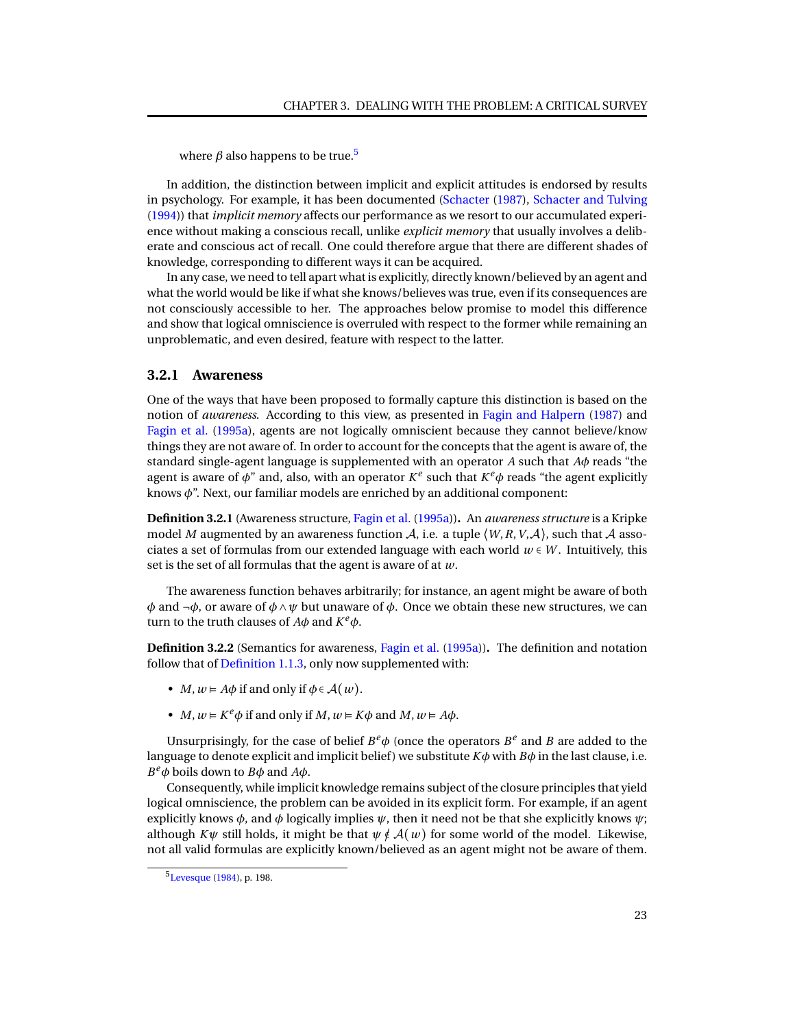where  $\beta$  also happens to be true.<sup>[5](#page-0-1)</sup>

In addition, the distinction between implicit and explicit attitudes is endorsed by results in psychology. For example, it has been documented [\(Schacter](#page-95-13) [\(1987\)](#page-95-13), [Schacter and Tulving](#page-95-14) [\(1994\)](#page-95-14)) that *implicit memory* affects our performance as we resort to our accumulated experience without making a conscious recall, unlike *explicit memory* that usually involves a deliberate and conscious act of recall. One could therefore argue that there are different shades of knowledge, corresponding to different ways it can be acquired.

In any case, we need to tell apart what is explicitly, directly known/believed by an agent and what the world would be like if what she knows/believes was true, even if its consequences are not consciously accessible to her. The approaches below promise to model this difference and show that logical omniscience is overruled with respect to the former while remaining an unproblematic, and even desired, feature with respect to the latter.

#### <span id="page-26-0"></span>**3.2.1 Awareness**

One of the ways that have been proposed to formally capture this distinction is based on the notion of *awareness*. According to this view, as presented in [Fagin and Halpern](#page-93-10) [\(1987\)](#page-93-10) and [Fagin et al.](#page-93-2) [\(1995a\)](#page-93-2), agents are not logically omniscient because they cannot believe/know things they are not aware of. In order to account for the concepts that the agent is aware of, the standard single-agent language is supplemented with an operator *A* such that *Aφ* reads "the agent is aware of *φ*" and, also, with an operator *K e* such that *K <sup>e</sup>φ* reads "the agent explicitly knows *φ*". Next, our familiar models are enriched by an additional component:

**Definition 3.2.1** (Awareness structure, [Fagin et al.](#page-93-2) [\(1995a\)](#page-93-2))**.** An *awareness structure* is a Kripke model *M* augmented by an awareness function  $A$ , i.e. a tuple  $\langle W, R, V, A \rangle$ , such that A associates a set of formulas from our extended language with each world  $w \in W$ . Intuitively, this set is the set of all formulas that the agent is aware of at *w*.

The awareness function behaves arbitrarily; for instance, an agent might be aware of both *φ* and  $\neg$ *φ*, or aware of *φ* ∧ *ψ* but unaware of *φ*. Once we obtain these new structures, we can turn to the truth clauses of  $A\phi$  and  $K^e\phi$ .

**Definition 3.2.2** (Semantics for awareness, [Fagin et al.](#page-93-2) [\(1995a\)](#page-93-2))**.** The definition and notation follow that of [Definition 1.1.3,](#page-6-0) only now supplemented with:

- *M*,  $w \in A\phi$  if and only if  $\phi \in A(w)$ .
- *M*,  $w \in K^e \phi$  if and only if *M*,  $w \in K \phi$  and *M*,  $w \in A \phi$ .

Unsurprisingly, for the case of belief  $B^e\phi$  (once the operators  $B^e$  and *B* are added to the language to denote explicit and implicit belief) we substitute  $K\phi$  with  $B\phi$  in the last clause, i.e. *B*<sup>*e*</sup> $\phi$ </sub> boils down to *B* $\phi$  and *A* $\phi$ .

Consequently, while implicit knowledge remains subject of the closure principles that yield logical omniscience, the problem can be avoided in its explicit form. For example, if an agent explicitly knows  $\phi$ , and  $\phi$  logically implies  $\psi$ , then it need not be that she explicitly knows  $\psi$ ; although  $K\psi$  still holds, it might be that  $\psi \notin \mathcal{A}(w)$  for some world of the model. Likewise, not all valid formulas are explicitly known/believed as an agent might not be aware of them.

<sup>5</sup>[Levesque](#page-94-12) [\(1984\)](#page-94-12), p. 198.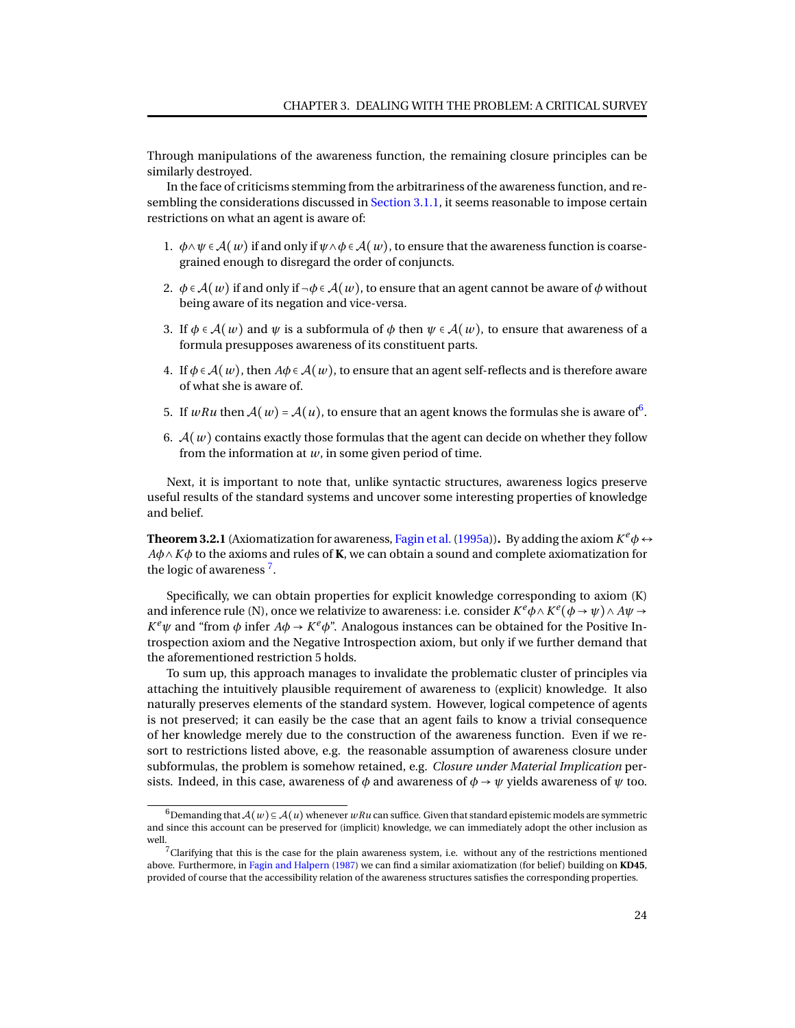Through manipulations of the awareness function, the remaining closure principles can be similarly destroyed.

In the face of criticisms stemming from the arbitrariness of the awareness function, and re-sembling the considerations discussed in [Section 3.1.1,](#page-21-1) it seems reasonable to impose certain restrictions on what an agent is aware of:

- 1.  $\phi \land \psi \in \mathcal{A}(w)$  if and only if  $\psi \land \phi \in \mathcal{A}(w)$ , to ensure that the awareness function is coarsegrained enough to disregard the order of conjuncts.
- 2.  $\phi \in \mathcal{A}(w)$  if and only if  $\neg \phi \in \mathcal{A}(w)$ , to ensure that an agent cannot be aware of  $\phi$  without being aware of its negation and vice-versa.
- 3. If  $\phi \in \mathcal{A}(w)$  and  $\psi$  is a subformula of  $\phi$  then  $\psi \in \mathcal{A}(w)$ , to ensure that awareness of a formula presupposes awareness of its constituent parts.
- 4. If  $\phi \in \mathcal{A}(w)$ , then  $A\phi \in \mathcal{A}(w)$ , to ensure that an agent self-reflects and is therefore aware of what she is aware of.
- 5. If  $wRu$  then  $\mathcal{A}(w)$  =  $\mathcal{A}(u)$ , to ensure that an agent knows the formulas she is aware of  $^6$  $^6$ .
- 6.  $A(w)$  contains exactly those formulas that the agent can decide on whether they follow from the information at *w*, in some given period of time.

Next, it is important to note that, unlike syntactic structures, awareness logics preserve useful results of the standard systems and uncover some interesting properties of knowledge and belief.

**Theorem 3.2.1** (Axiomatization for awareness, Fagin et al. (1995a)). By adding the axiom  $K^e\phi \leftrightarrow$ *Aφ*∧*Kφ* to the axioms and rules of **K**, we can obtain a sound and complete axiomatization for the logic of awareness<sup>[7](#page-0-1)</sup>.

Specifically, we can obtain properties for explicit knowledge corresponding to axiom (K) and inference rule (N), once we relativize to awareness: i.e. consider  $K^e\phi\wedge K^e(\phi\to\psi)\wedge A\psi\to\phi$ *K*<sup>*e*</sup> $\psi$  and "from  $\phi$  infer *A* $\phi$  → *K*<sup>*e*</sup> $\phi$ ". Analogous instances can be obtained for the Positive Introspection axiom and the Negative Introspection axiom, but only if we further demand that the aforementioned restriction 5 holds.

To sum up, this approach manages to invalidate the problematic cluster of principles via attaching the intuitively plausible requirement of awareness to (explicit) knowledge. It also naturally preserves elements of the standard system. However, logical competence of agents is not preserved; it can easily be the case that an agent fails to know a trivial consequence of her knowledge merely due to the construction of the awareness function. Even if we resort to restrictions listed above, e.g. the reasonable assumption of awareness closure under subformulas, the problem is somehow retained, e.g. *Closure under Material Implication* persists. Indeed, in this case, awareness of  $\phi$  and awareness of  $\phi \rightarrow \psi$  yields awareness of  $\psi$  too.

<sup>6</sup>Demanding that A(*w*) ⊆ A(*u*) whenever *wRu* can suffice. Given that standard epistemic models are symmetric and since this account can be preserved for (implicit) knowledge, we can immediately adopt the other inclusion as well.

 $7$ Clarifying that this is the case for the plain awareness system, i.e. without any of the restrictions mentioned above. Furthermore, in [Fagin and Halpern](#page-93-10) [\(1987\)](#page-93-10) we can find a similar axiomatization (for belief) building on **KD45**, provided of course that the accessibility relation of the awareness structures satisfies the corresponding properties.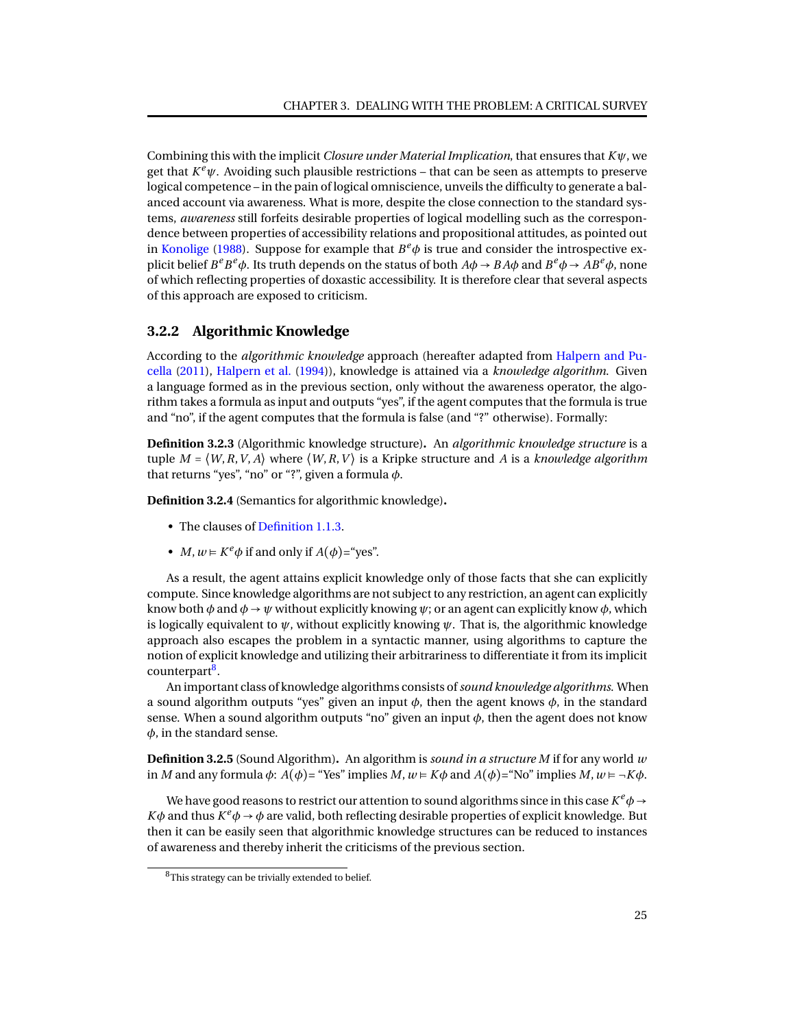Combining this with the implicit *Closure under Material Implication*, that ensures that *Kψ*, we get that  $K^e\psi$ . Avoiding such plausible restrictions – that can be seen as attempts to preserve logical competence – in the pain of logical omniscience, unveils the difficulty to generate a balanced account via awareness. What is more, despite the close connection to the standard systems, *awareness* still forfeits desirable properties of logical modelling such as the correspondence between properties of accessibility relations and propositional attitudes, as pointed out in [Konolige](#page-94-13) [\(1988\)](#page-94-13). Suppose for example that  $B^e\phi$  is true and consider the introspective explicit belief  $B^e B^e \phi$ . Its truth depends on the status of both  $A\phi \to BA\phi$  and  $B^e \phi \to AB^e \phi$ , none of which reflecting properties of doxastic accessibility. It is therefore clear that several aspects of this approach are exposed to criticism.

#### <span id="page-28-0"></span>**3.2.2 Algorithmic Knowledge**

According to the *algorithmic knowledge* approach (hereafter adapted from [Halpern and Pu](#page-94-2)[cella](#page-94-2) [\(2011\)](#page-94-2), [Halpern et al.](#page-94-14) [\(1994\)](#page-94-14)), knowledge is attained via a *knowledge algorithm*. Given a language formed as in the previous section, only without the awareness operator, the algorithm takes a formula as input and outputs "yes", if the agent computes that the formula is true and "no", if the agent computes that the formula is false (and "?" otherwise). Formally:

**Definition 3.2.3** (Algorithmic knowledge structure)**.** An *algorithmic knowledge structure* is a tuple  $M = \langle W, R, V, A \rangle$  where  $\langle W, R, V \rangle$  is a Kripke structure and A is a *knowledge algorithm* that returns "yes", "no" or "?", given a formula *φ*.

**Definition 3.2.4** (Semantics for algorithmic knowledge)**.**

- The clauses of [Definition 1.1.3.](#page-6-0)
- *M*,  $w \in K^e \phi$  if and only if  $A(\phi) = \text{``yes''}.$

As a result, the agent attains explicit knowledge only of those facts that she can explicitly compute. Since knowledge algorithms are not subject to any restriction, an agent can explicitly know both  $\phi$  and  $\phi \rightarrow \psi$  without explicitly knowing  $\psi$ ; or an agent can explicitly know  $\phi$ , which is logically equivalent to  $\psi$ , without explicitly knowing  $\psi$ . That is, the algorithmic knowledge approach also escapes the problem in a syntactic manner, using algorithms to capture the notion of explicit knowledge and utilizing their arbitrariness to differentiate it from its implicit counterpart<sup>[8](#page-0-1)</sup>.

An important class of knowledge algorithms consists of*sound knowledge algorithms*. When a sound algorithm outputs "yes" given an input *φ*, then the agent knows *φ*, in the standard sense. When a sound algorithm outputs "no" given an input  $\phi$ , then the agent does not know *φ*, in the standard sense.

**Definition 3.2.5** (Sound Algorithm)**.** An algorithm is *sound in a structure M* if for any world *w* in *M* and any formula  $\phi$ :  $A(\phi)$ = "Yes" implies  $M, w \models K\phi$  and  $A(\phi)$ = "No" implies  $M, w \models \neg K\phi$ .

We have good reasons to restrict our attention to sound algorithms since in this case  $K^e\phi \rightarrow 0$  $K\phi$  and thus  $K^e\phi \rightarrow \phi$  are valid, both reflecting desirable properties of explicit knowledge. But then it can be easily seen that algorithmic knowledge structures can be reduced to instances of awareness and thereby inherit the criticisms of the previous section.

<span id="page-28-1"></span><sup>&</sup>lt;sup>8</sup>This strategy can be trivially extended to belief.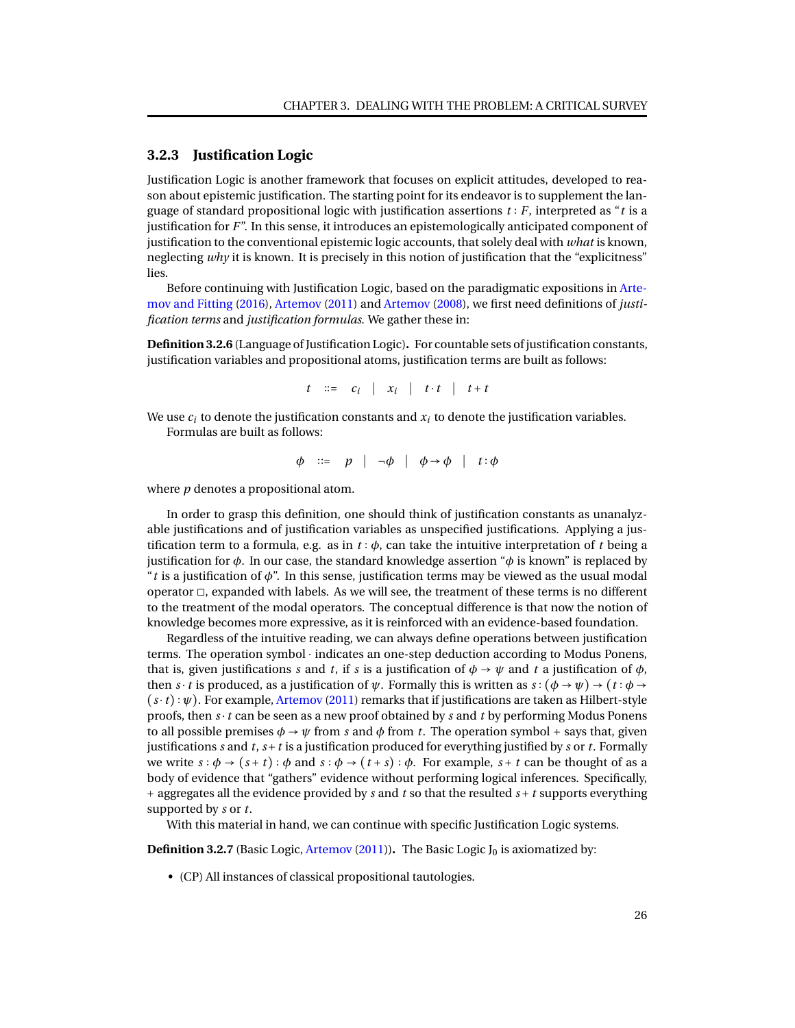#### **3.2.3 Justification Logic**

Justification Logic is another framework that focuses on explicit attitudes, developed to reason about epistemic justification. The starting point for its endeavor is to supplement the language of standard propositional logic with justification assertions *t* ∶ *F*, interpreted as "*t* is a justification for *F*". In this sense, it introduces an epistemologically anticipated component of justification to the conventional epistemic logic accounts, that solely deal with *what* is known, neglecting *why* it is known. It is precisely in this notion of justification that the "explicitness" lies.

Before continuing with Justification Logic, based on the paradigmatic expositions in [Arte](#page-92-4)[mov and Fitting](#page-92-4) [\(2016\)](#page-92-4), [Artemov](#page-92-5) [\(2011\)](#page-92-5) and [Artemov](#page-92-6) [\(2008\)](#page-92-6), we first need definitions of *justification terms* and *justification formulas*. We gather these in:

**Definition 3.2.6** (Language of Justification Logic)**.** For countable sets of justification constants, justification variables and propositional atoms, justification terms are built as follows:

$$
t \quad ::= \quad c_i \quad | \quad x_i \quad | \quad t \cdot t \quad | \quad t + t
$$

We use  $c_i$  to denote the justification constants and  $x_i$  to denote the justification variables. Formulas are built as follows:

$$
\phi \quad ::= \quad p \quad | \quad \neg \phi \quad | \quad \phi \rightarrow \phi \quad | \quad t : \phi
$$

where *p* denotes a propositional atom.

In order to grasp this definition, one should think of justification constants as unanalyzable justifications and of justification variables as unspecified justifications. Applying a justification term to a formula, e.g. as in *t* ∶ *φ*, can take the intuitive interpretation of *t* being a justification for *φ*. In our case, the standard knowledge assertion "*φ* is known" is replaced by "*t* is a justification of *φ*". In this sense, justification terms may be viewed as the usual modal operator ◻, expanded with labels. As we will see, the treatment of these terms is no different to the treatment of the modal operators. The conceptual difference is that now the notion of knowledge becomes more expressive, as it is reinforced with an evidence-based foundation.

Regardless of the intuitive reading, we can always define operations between justification terms. The operation symbol ⋅ indicates an one-step deduction according to Modus Ponens, that is, given justifications *s* and *t*, if *s* is a justification of  $\phi \rightarrow \psi$  and *t* a justification of  $\phi$ , then *s* ⋅ *t* is produced, as a justification of  $\psi$ . Formally this is written as  $s : (\phi \rightarrow \psi) \rightarrow (t : \phi \rightarrow$ (*s*⋅*t*) ∶ *ψ*). For example, [Artemov](#page-92-5) [\(2011\)](#page-92-5) remarks that if justifications are taken as Hilbert-style proofs, then *s* ⋅*t* can be seen as a new proof obtained by *s* and *t* by performing Modus Ponens to all possible premises  $\phi \rightarrow \psi$  from *s* and  $\phi$  from *t*. The operation symbol + says that, given justifications *s* and *t*, *s*+*t* is a justification produced for everything justified by *s* or *t*. Formally we write  $s : \phi \to (s + t) : \phi$  and  $s : \phi \to (t + s) : \phi$ . For example,  $s + t$  can be thought of as a body of evidence that "gathers" evidence without performing logical inferences. Specifically, + aggregates all the evidence provided by *s* and *t* so that the resulted *s* +*t* supports everything supported by *s* or *t*.

With this material in hand, we can continue with specific Justification Logic systems.

**Definition 3.2.7** (Basic Logic, [Artemov](#page-92-5) [\(2011\)](#page-92-5)). The Basic Logic  $J_0$  is axiomatized by:

• (CP) All instances of classical propositional tautologies.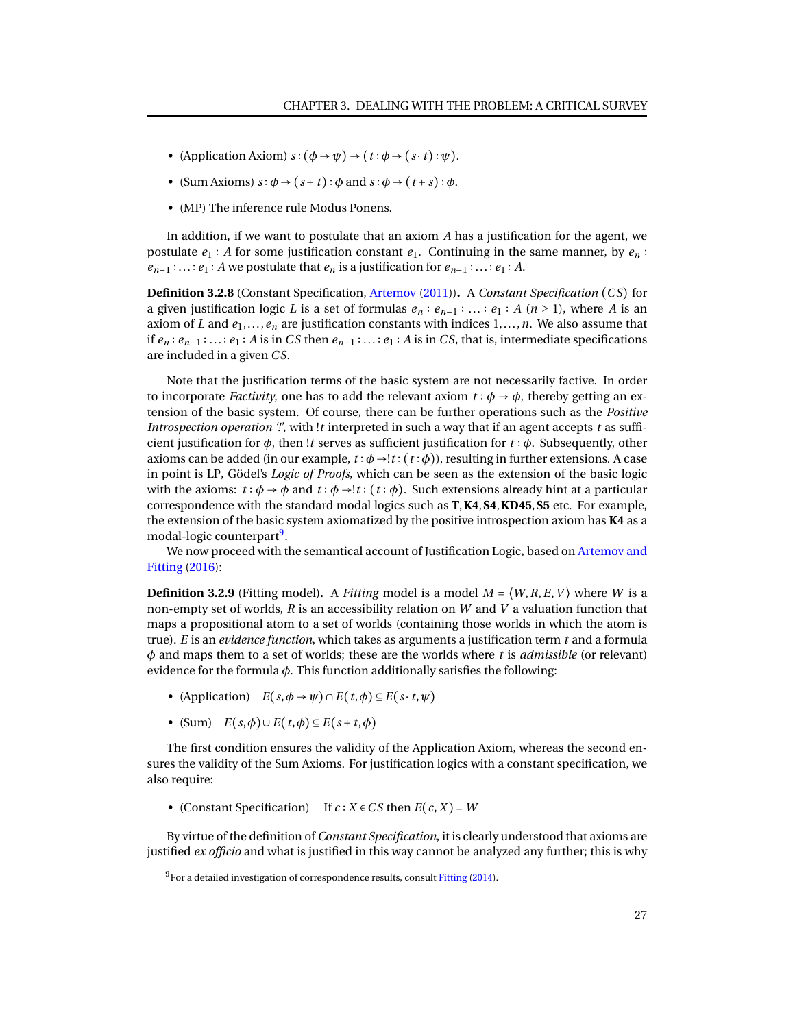- (Application Axiom)  $s : (\phi \rightarrow \psi) \rightarrow (t : \phi \rightarrow (s \cdot t) : \psi)$ .
- (Sum Axioms)  $s : \phi \rightarrow (s + t) : \phi$  and  $s : \phi \rightarrow (t + s) : \phi$ .
- (MP) The inference rule Modus Ponens.

In addition, if we want to postulate that an axiom *A* has a justification for the agent, we postulate  $e_1 : A$  for some justification constant  $e_1$ . Continuing in the same manner, by  $e_n : A$  $e_{n-1}$  : ... ∶  $e_1$  : *A* we postulate that  $e_n$  is a justification for  $e_{n-1}$  : ... ∶  $e_1$  : *A*.

**Definition 3.2.8** (Constant Specification, [Artemov](#page-92-5) [\(2011\)](#page-92-5))**.** A *Constant Specification* (*C S*) for a given justification logic *L* is a set of formulas  $e_n : e_{n-1} : ... : e_1 : A \ (n \ge 1)$ , where *A* is an axiom of *L* and  $e_1, \ldots, e_n$  are justification constants with indices  $1, \ldots, n$ . We also assume that if  $e_n : e_{n-1} : \ldots : e_1 : A$  is in *CS* then  $e_{n-1} : \ldots : e_1 : A$  is in *CS*, that is, intermediate specifications are included in a given *C S*.

Note that the justification terms of the basic system are not necessarily factive. In order to incorporate *Factivity*, one has to add the relevant axiom  $t : \phi \rightarrow \phi$ , thereby getting an extension of the basic system. Of course, there can be further operations such as the *Positive Introspection operation '!'*, with !*t* interpreted in such a way that if an agent accepts *t* as sufficient justification for *φ*, then !*t* serves as sufficient justification for *t* ∶ *φ*. Subsequently, other axioms can be added (in our example,  $t : \phi \rightarrow !t : (t : \phi)$ ), resulting in further extensions. A case in point is LP, Gödel's *Logic of Proofs*, which can be seen as the extension of the basic logic with the axioms:  $t : \phi \to \phi$  and  $t : \phi \to !t : (t : \phi)$ . Such extensions already hint at a particular correspondence with the standard modal logics such as **T**,**K4**,**S4**,**KD45**,**S5** etc. For example, the extension of the basic system axiomatized by the positive introspection axiom has **K4** as a modal-logic counterpart<sup>[9](#page-0-1)</sup>.

We now proceed with the semantical account of Justification Logic, based on [Artemov and](#page-92-4) [Fitting](#page-92-4) [\(2016\)](#page-92-4):

**Definition 3.2.9** (Fitting model). A *Fitting* model is a model  $M = \langle W, R, E, V \rangle$  where *W* is a non-empty set of worlds, *R* is an accessibility relation on *W* and *V* a valuation function that maps a propositional atom to a set of worlds (containing those worlds in which the atom is true). *E* is an *evidence function*, which takes as arguments a justification term *t* and a formula *φ* and maps them to a set of worlds; these are the worlds where *t* is *admissible* (or relevant) evidence for the formula *φ*. This function additionally satisfies the following:

- (Application)  $E(s, \phi \rightarrow \psi) \cap E(t, \phi) \subseteq E(s \cdot t, \psi)$
- (Sum) *E*(*s*,*φ*)∪*E*(*t*,*φ*) ⊆ *E*(*s* +*t*,*φ*)

The first condition ensures the validity of the Application Axiom, whereas the second ensures the validity of the Sum Axioms. For justification logics with a constant specification, we also require:

• (Constant Specification) If  $c : X \in \mathbb{C}$  *S* then  $E(c, X) = W$ 

By virtue of the definition of *Constant Specification*, it is clearly understood that axioms are justified *ex officio* and what is justified in this way cannot be analyzed any further; this is why

 $^{9}$ For a detailed investigation of correspondence results, consult [Fitting](#page-93-11) [\(2014\)](#page-93-11).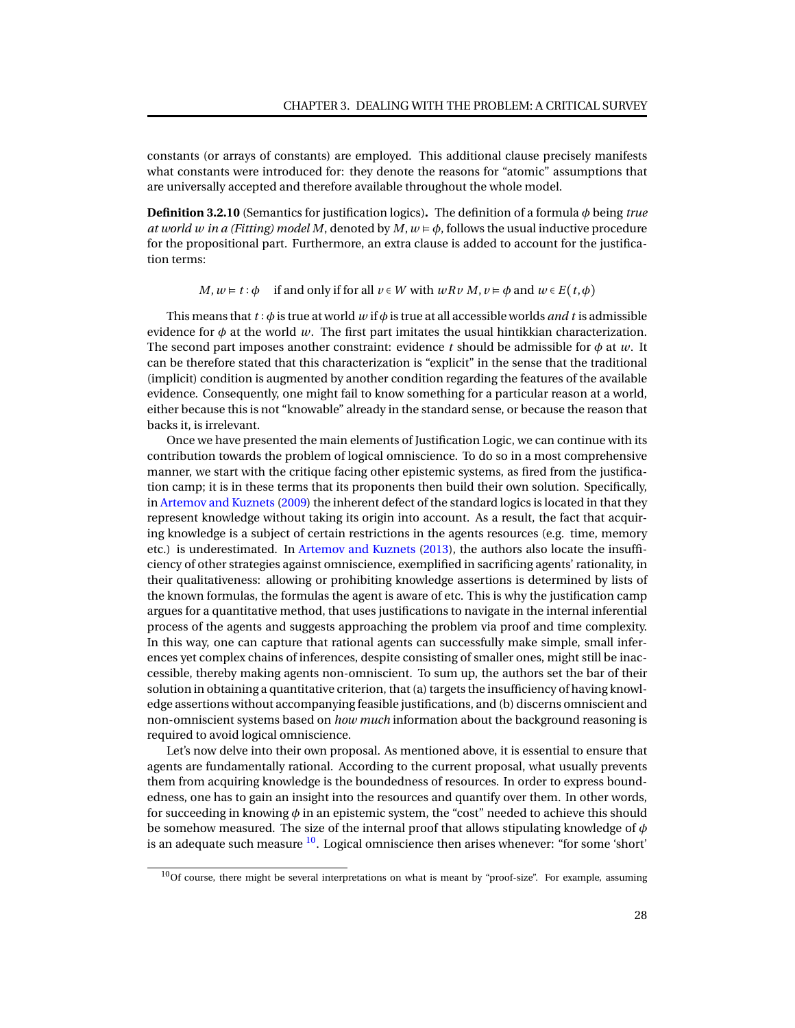constants (or arrays of constants) are employed. This additional clause precisely manifests what constants were introduced for: they denote the reasons for "atomic" assumptions that are universally accepted and therefore available throughout the whole model.

**Definition 3.2.10** (Semantics for justification logics)**.** The definition of a formula *φ* being *true at world w in a (Fitting) model M*, denoted by  $M$ ,  $w \neq \phi$ , follows the usual inductive procedure for the propositional part. Furthermore, an extra clause is added to account for the justification terms:

*M*,  $w \models t : \phi$  if and only if for all  $v \in W$  with  $w R v M$ ,  $v \models \phi$  and  $w \in E(t, \phi)$ 

This means that *t* ∶ *φ* is true at world *w* if *φ* is true at all accessible worlds *and t* is admissible evidence for  $\phi$  at the world *w*. The first part imitates the usual hintikkian characterization. The second part imposes another constraint: evidence *t* should be admissible for  $\phi$  at *w*. It can be therefore stated that this characterization is "explicit" in the sense that the traditional (implicit) condition is augmented by another condition regarding the features of the available evidence. Consequently, one might fail to know something for a particular reason at a world, either because this is not "knowable" already in the standard sense, or because the reason that backs it, is irrelevant.

Once we have presented the main elements of Justification Logic, we can continue with its contribution towards the problem of logical omniscience. To do so in a most comprehensive manner, we start with the critique facing other epistemic systems, as fired from the justification camp; it is in these terms that its proponents then build their own solution. Specifically, in [Artemov and Kuznets](#page-92-7) [\(2009\)](#page-92-7) the inherent defect of the standard logics is located in that they represent knowledge without taking its origin into account. As a result, the fact that acquiring knowledge is a subject of certain restrictions in the agents resources (e.g. time, memory etc.) is underestimated. In [Artemov and Kuznets](#page-92-8) [\(2013\)](#page-92-8), the authors also locate the insufficiency of other strategies against omniscience, exemplified in sacrificing agents' rationality, in their qualitativeness: allowing or prohibiting knowledge assertions is determined by lists of the known formulas, the formulas the agent is aware of etc. This is why the justification camp argues for a quantitative method, that uses justifications to navigate in the internal inferential process of the agents and suggests approaching the problem via proof and time complexity. In this way, one can capture that rational agents can successfully make simple, small inferences yet complex chains of inferences, despite consisting of smaller ones, might still be inaccessible, thereby making agents non-omniscient. To sum up, the authors set the bar of their solution in obtaining a quantitative criterion, that (a) targets the insufficiency of having knowledge assertions without accompanying feasible justifications, and (b) discerns omniscient and non-omniscient systems based on *how much* information about the background reasoning is required to avoid logical omniscience.

Let's now delve into their own proposal. As mentioned above, it is essential to ensure that agents are fundamentally rational. According to the current proposal, what usually prevents them from acquiring knowledge is the boundedness of resources. In order to express boundedness, one has to gain an insight into the resources and quantify over them. In other words, for succeeding in knowing *φ* in an epistemic system, the "cost" needed to achieve this should be somehow measured. The size of the internal proof that allows stipulating knowledge of *φ* is an adequate such measure  $^{10}$  $^{10}$  $^{10}$ . Logical omniscience then arises whenever: "for some 'short'

 $10$ Of course, there might be several interpretations on what is meant by "proof-size". For example, assuming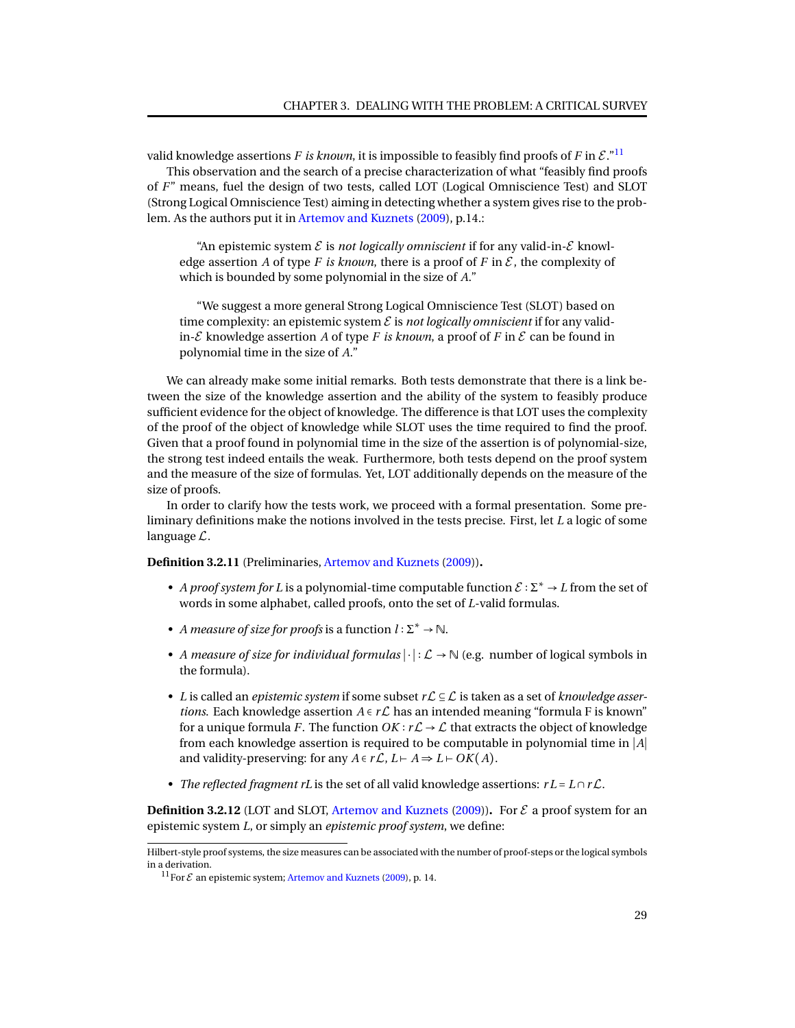valid knowledge assertions *F* is known, it is impossible to feasibly find proofs of *F* in  $\mathcal{E}$ ."<sup>[11](#page-0-1)</sup>

This observation and the search of a precise characterization of what "feasibly find proofs of *F*" means, fuel the design of two tests, called LOT (Logical Omniscience Test) and SLOT (Strong Logical Omniscience Test) aiming in detecting whether a system gives rise to the problem. As the authors put it in [Artemov and Kuznets](#page-92-7) [\(2009\)](#page-92-7), p.14.:

"An epistemic system  $\mathcal E$  is *not logically omniscient* if for any valid-in- $\mathcal E$  knowledge assertion *A* of type *F* is known, there is a proof of *F* in  $\mathcal{E}$ , the complexity of which is bounded by some polynomial in the size of *A*."

"We suggest a more general Strong Logical Omniscience Test (SLOT) based on time complexity: an epistemic system  $\mathcal E$  is *not logically omniscient* if for any validin- $\mathcal E$  knowledge assertion A of type F is known, a proof of F in  $\mathcal E$  can be found in polynomial time in the size of *A*."

We can already make some initial remarks. Both tests demonstrate that there is a link between the size of the knowledge assertion and the ability of the system to feasibly produce sufficient evidence for the object of knowledge. The difference is that LOT uses the complexity of the proof of the object of knowledge while SLOT uses the time required to find the proof. Given that a proof found in polynomial time in the size of the assertion is of polynomial-size, the strong test indeed entails the weak. Furthermore, both tests depend on the proof system and the measure of the size of formulas. Yet, LOT additionally depends on the measure of the size of proofs.

In order to clarify how the tests work, we proceed with a formal presentation. Some preliminary definitions make the notions involved in the tests precise. First, let *L* a logic of some language L.

**Definition 3.2.11** (Preliminaries, [Artemov and Kuznets](#page-92-7) [\(2009\)](#page-92-7))**.**

- A proof system for L is a polynomial-time computable function  $\mathcal{E} : \Sigma^* \to L$  from the set of words in some alphabet, called proofs, onto the set of *L*-valid formulas.
- *A measure of size for proofs* is a function  $l : \Sigma^* \to \mathbb{N}$ .
- *A measure of size for individual formulas*  $|\cdot| : \mathcal{L} \to \mathbb{N}$  (e.g. number of logical symbols in the formula).
- *L* is called an *epistemic system* if some subset *r*L ⊆ L is taken as a set of *knowledge assertions*. Each knowledge assertion  $A \in r\mathcal{L}$  has an intended meaning "formula F is known" for a unique formula *F*. The function  $OK : r \mathcal{L} \to \mathcal{L}$  that extracts the object of knowledge from each knowledge assertion is required to be computable in polynomial time in ∣*A*∣ and validity-preserving: for any  $A \in r\mathcal{L}$ ,  $L \vdash A \Rightarrow L \vdash OK(A)$ .
- *The reflected fragment rL* is the set of all valid knowledge assertions: *r L* = *L* ∩*r*L.

**Definition 3.2.12** (LOT and SLOT, [Artemov and Kuznets](#page-92-7) [\(2009\)](#page-92-7)). For  $\mathcal{E}$  a proof system for an epistemic system *L*, or simply an *epistemic proof system*, we define:

Hilbert-style proof systems, the size measures can be associated with the number of proof-steps or the logical symbols in a derivation.

<sup>&</sup>lt;sup>11</sup>For  $\mathcal E$  an epistemic system; [Artemov and Kuznets](#page-92-7) [\(2009\)](#page-92-7), p. 14.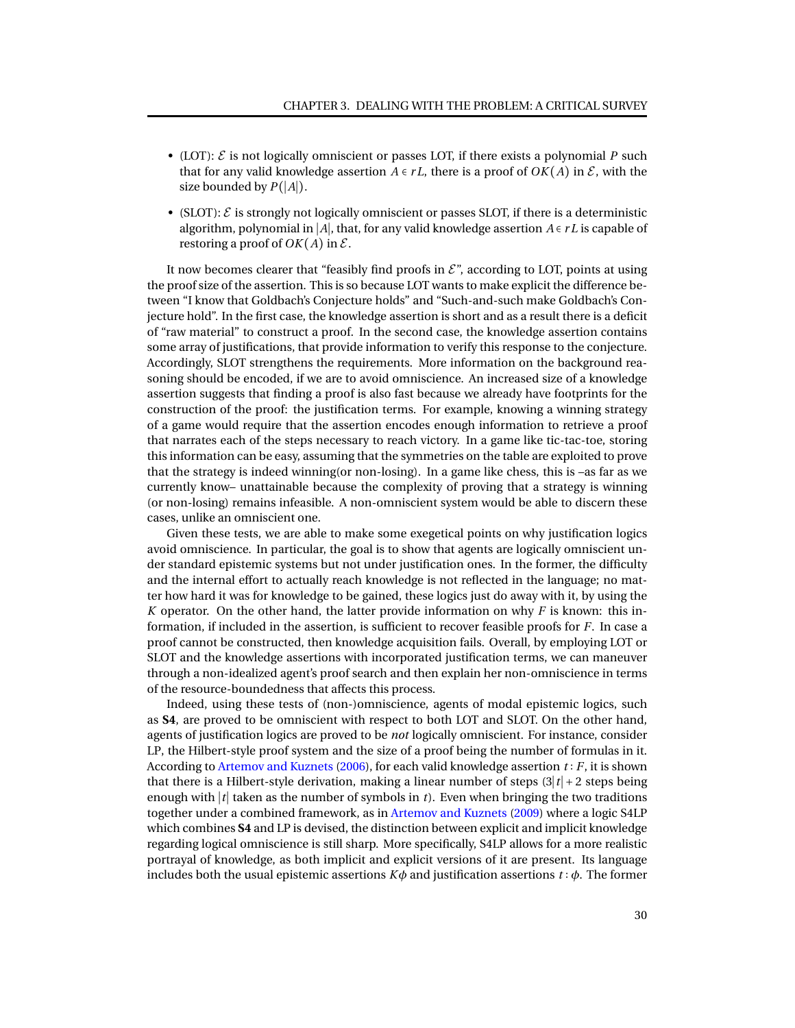- (LOT):  $\mathcal E$  is not logically omniscient or passes LOT, if there exists a polynomial  $P$  such that for any valid knowledge assertion  $A \in rL$ , there is a proof of  $OK(A)$  in  $\mathcal{E}$ , with the size bounded by *P*(∣*A*∣).
- (SLOT):  $\mathcal{E}$  is strongly not logically omniscient or passes SLOT, if there is a deterministic algorithm, polynomial in ∣*A*∣, that, for any valid knowledge assertion *A* ∈ *r L* is capable of restoring a proof of  $OK(A)$  in  $\mathcal{E}$ .

It now becomes clearer that "feasibly find proofs in  $\mathcal{E}$ ", according to LOT, points at using the proof size of the assertion. This is so because LOT wants to make explicit the difference between "I know that Goldbach's Conjecture holds" and "Such-and-such make Goldbach's Conjecture hold". In the first case, the knowledge assertion is short and as a result there is a deficit of "raw material" to construct a proof. In the second case, the knowledge assertion contains some array of justifications, that provide information to verify this response to the conjecture. Accordingly, SLOT strengthens the requirements. More information on the background reasoning should be encoded, if we are to avoid omniscience. An increased size of a knowledge assertion suggests that finding a proof is also fast because we already have footprints for the construction of the proof: the justification terms. For example, knowing a winning strategy of a game would require that the assertion encodes enough information to retrieve a proof that narrates each of the steps necessary to reach victory. In a game like tic-tac-toe, storing this information can be easy, assuming that the symmetries on the table are exploited to prove that the strategy is indeed winning(or non-losing). In a game like chess, this is –as far as we currently know– unattainable because the complexity of proving that a strategy is winning (or non-losing) remains infeasible. A non-omniscient system would be able to discern these cases, unlike an omniscient one.

Given these tests, we are able to make some exegetical points on why justification logics avoid omniscience. In particular, the goal is to show that agents are logically omniscient under standard epistemic systems but not under justification ones. In the former, the difficulty and the internal effort to actually reach knowledge is not reflected in the language; no matter how hard it was for knowledge to be gained, these logics just do away with it, by using the *K* operator. On the other hand, the latter provide information on why *F* is known: this information, if included in the assertion, is sufficient to recover feasible proofs for *F*. In case a proof cannot be constructed, then knowledge acquisition fails. Overall, by employing LOT or SLOT and the knowledge assertions with incorporated justification terms, we can maneuver through a non-idealized agent's proof search and then explain her non-omniscience in terms of the resource-boundedness that affects this process.

Indeed, using these tests of (non-)omniscience, agents of modal epistemic logics, such as **S4**, are proved to be omniscient with respect to both LOT and SLOT. On the other hand, agents of justification logics are proved to be *not* logically omniscient. For instance, consider LP, the Hilbert-style proof system and the size of a proof being the number of formulas in it. According to [Artemov and Kuznets](#page-92-9) [\(2006\)](#page-92-9), for each valid knowledge assertion *t* ∶ *F*, it is shown that there is a Hilbert-style derivation, making a linear number of steps (3∣*t*∣ + 2 steps being enough with ∣*t*∣ taken as the number of symbols in *t*). Even when bringing the two traditions together under a combined framework, as in [Artemov and Kuznets](#page-92-7) [\(2009\)](#page-92-7) where a logic S4LP which combines **S4** and LP is devised, the distinction between explicit and implicit knowledge regarding logical omniscience is still sharp. More specifically, S4LP allows for a more realistic portrayal of knowledge, as both implicit and explicit versions of it are present. Its language includes both the usual epistemic assertions  $K\phi$  and justification assertions  $t : \phi$ . The former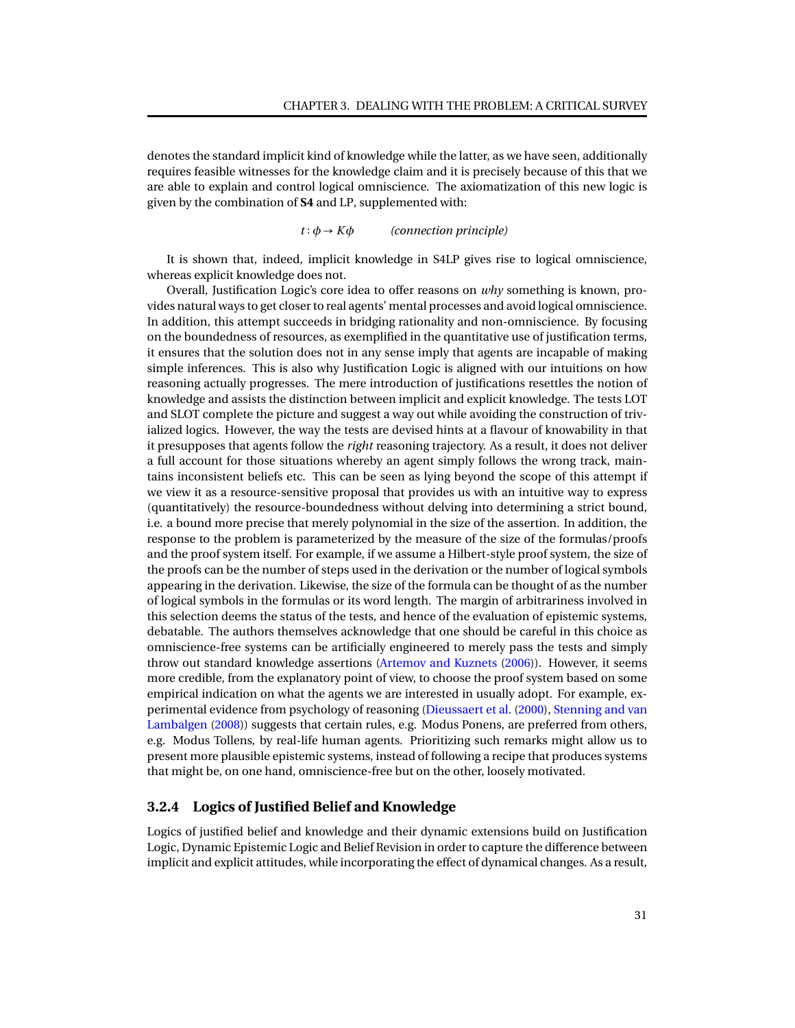denotes the standard implicit kind of knowledge while the latter, as we have seen, additionally requires feasible witnesses for the knowledge claim and it is precisely because of this that we are able to explain and control logical omniscience. The axiomatization of this new logic is given by the combination of **S4** and LP, supplemented with:

#### $t : \phi \rightarrow K\phi$  *(connection principle)*

It is shown that, indeed, implicit knowledge in S4LP gives rise to logical omniscience, whereas explicit knowledge does not.

Overall, Justification Logic's core idea to offer reasons on *why* something is known, provides natural ways to get closer to real agents' mental processes and avoid logical omniscience. In addition, this attempt succeeds in bridging rationality and non-omniscience. By focusing on the boundedness of resources, as exemplified in the quantitative use of justification terms, it ensures that the solution does not in any sense imply that agents are incapable of making simple inferences. This is also why Justification Logic is aligned with our intuitions on how reasoning actually progresses. The mere introduction of justifications resettles the notion of knowledge and assists the distinction between implicit and explicit knowledge. The tests LOT and SLOT complete the picture and suggest a way out while avoiding the construction of trivialized logics. However, the way the tests are devised hints at a flavour of knowability in that it presupposes that agents follow the *right* reasoning trajectory. As a result, it does not deliver a full account for those situations whereby an agent simply follows the wrong track, maintains inconsistent beliefs etc. This can be seen as lying beyond the scope of this attempt if we view it as a resource-sensitive proposal that provides us with an intuitive way to express (quantitatively) the resource-boundedness without delving into determining a strict bound, i.e. a bound more precise that merely polynomial in the size of the assertion. In addition, the response to the problem is parameterized by the measure of the size of the formulas/proofs and the proof system itself. For example, if we assume a Hilbert-style proof system, the size of the proofs can be the number of steps used in the derivation or the number of logical symbols appearing in the derivation. Likewise, the size of the formula can be thought of as the number of logical symbols in the formulas or its word length. The margin of arbitrariness involved in this selection deems the status of the tests, and hence of the evaluation of epistemic systems, debatable. The authors themselves acknowledge that one should be careful in this choice as omniscience-free systems can be artificially engineered to merely pass the tests and simply throw out standard knowledge assertions [\(Artemov and Kuznets](#page-92-9) [\(2006\)](#page-92-9)). However, it seems more credible, from the explanatory point of view, to choose the proof system based on some empirical indication on what the agents we are interested in usually adopt. For example, experimental evidence from psychology of reasoning [\(Dieussaert et al.](#page-93-12) [\(2000\)](#page-93-12), [Stenning and van](#page-95-3) [Lambalgen](#page-95-3) [\(2008\)](#page-95-3)) suggests that certain rules, e.g. Modus Ponens, are preferred from others, e.g. Modus Tollens, by real-life human agents. Prioritizing such remarks might allow us to present more plausible epistemic systems, instead of following a recipe that produces systems that might be, on one hand, omniscience-free but on the other, loosely motivated.

#### <span id="page-34-0"></span>**3.2.4 Logics of Justified Belief and Knowledge**

Logics of justified belief and knowledge and their dynamic extensions build on Justification Logic, Dynamic Epistemic Logic and Belief Revision in order to capture the difference between implicit and explicit attitudes, while incorporating the effect of dynamical changes. As a result,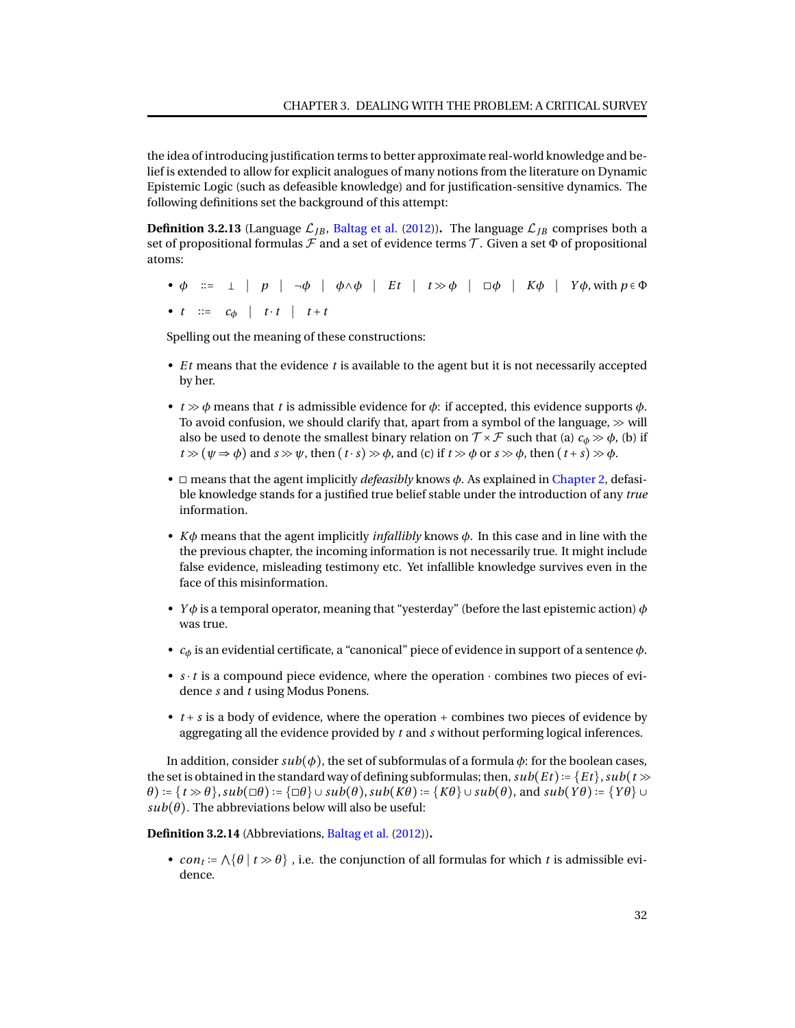the idea of introducing justification terms to better approximate real-world knowledge and belief is extended to allow for explicit analogues of many notions from the literature on Dynamic Epistemic Logic (such as defeasible knowledge) and for justification-sensitive dynamics. The following definitions set the background of this attempt:

**Definition 3.2.13** (Language  $\mathcal{L}_{JB}$ , [Baltag et al.](#page-92-10) [\(2012\)](#page-92-10)). The language  $\mathcal{L}_{JB}$  comprises both a set of propositional formulas  $\mathcal F$  and a set of evidence terms  $\mathcal T$ . Given a set  $\Phi$  of propositional atoms:

• *φ* ∶∶= ∣ *p* ∣ ¬*φ* ∣ *φ*∧*φ* ∣ *E t* ∣ *t* ≫ *φ* ∣ ◻*φ* ∣ *Kφ* ∣ *Y φ*, with *p* ∈ Φ •  $t \coloneqq c_{\phi} \mid t \cdot t \mid t + t$ 

Spelling out the meaning of these constructions:

- *E t* means that the evidence *t* is available to the agent but it is not necessarily accepted by her.
- $t \gg \phi$  means that *t* is admissible evidence for  $\phi$ : if accepted, this evidence supports  $\phi$ . To avoid confusion, we should clarify that, apart from a symbol of the language,  $\gg$  will also be used to denote the smallest binary relation on  $\mathcal{T} \times \mathcal{F}$  such that (a)  $c_{\phi} \gg \phi$ , (b) if  $t \gg (\psi \Rightarrow \phi)$  and  $s \gg \psi$ , then  $(t \cdot s) \gg \phi$ , and  $(c)$  if  $t \gg \phi$  or  $s \gg \phi$ , then  $(t + s) \gg \phi$ .
- ◻ means that the agent implicitly *defeasibly* knows *φ*. As explained in [Chapter 2,](#page-14-0) defasible knowledge stands for a justified true belief stable under the introduction of any *true* information.
- *Kφ* means that the agent implicitly *infallibly* knows *φ*. In this case and in line with the the previous chapter, the incoming information is not necessarily true. It might include false evidence, misleading testimony etc. Yet infallible knowledge survives even in the face of this misinformation.
- *Y φ* is a temporal operator, meaning that "yesterday" (before the last epistemic action) *φ* was true.
- *c<sup>φ</sup>* is an evidential certificate, a "canonical" piece of evidence in support of a sentence *φ*.
- *s* ⋅ *t* is a compound piece evidence, where the operation ⋅ combines two pieces of evidence *s* and *t* using Modus Ponens.
- *t* + *s* is a body of evidence, where the operation + combines two pieces of evidence by aggregating all the evidence provided by *t* and *s* without performing logical inferences.

In addition, consider  $sub(\phi)$ , the set of subformulas of a formula  $\phi$ : for the boolean cases, the set is obtained in the standard way of defining subformulas; then,  $sub(Et) := \{Et\}$ ,  $sub(t \gg t)$  $\theta$ ) := { $t \gg \theta$ },  $sub(\Box \theta)$  := { $\Box \theta$ }  $\cup$   $sub(\theta)$ ,  $sub(\theta)$  := { $K\theta$ }  $\cup$   $sub(\theta)$ , and  $sub(Y\theta)$  := { $Y\theta$ }  $\cup$  $sub(\theta)$ . The abbreviations below will also be useful:

**Definition 3.2.14** (Abbreviations, [Baltag et al.](#page-92-10) [\(2012\)](#page-92-10))**.**

•  $con_t := \bigwedge \{\theta \mid t \gg \theta\}$ , i.e. the conjunction of all formulas for which *t* is admissible evidence.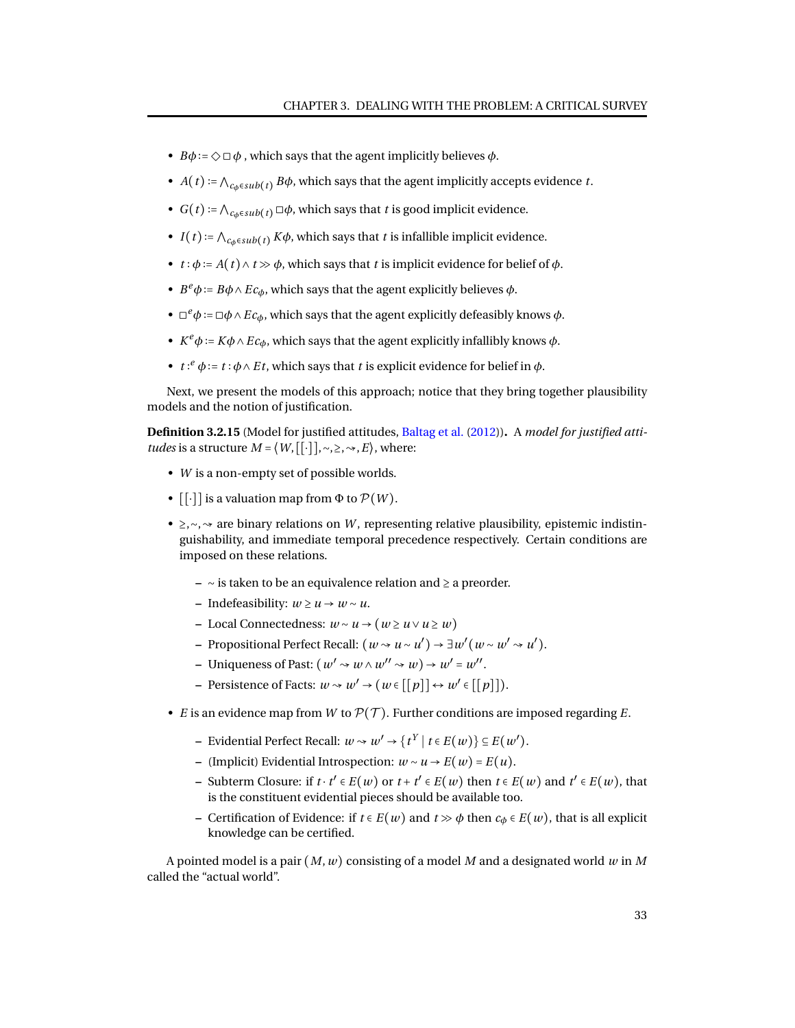- $B\phi := \Diamond \Box \phi$ , which says that the agent implicitly believes  $\phi$ .
- *A*(*t*) :=  $\bigwedge_{c_0 \in sub(t)} B\phi$ , which says that the agent implicitly accepts evidence *t*.
- *G*(*t*) :=  $\bigwedge_{c_n \in sub(t)} \Box \phi$ , which says that *t* is good implicit evidence.
- *I*(*t*) :=  $\bigwedge_{c_n \in sub(t)} K\phi$ , which says that *t* is infallible implicit evidence.
- $t : \phi := A(t) \land t \gg \phi$ , which says that *t* is implicit evidence for belief of  $\phi$ .
- $B^e\phi := B\phi \wedge E c_{\phi}$ , which says that the agent explicitly believes  $\phi$ .
- ◻ *<sup>e</sup>φ* ∶= ◻*φ*∧*Ecφ*, which says that the agent explicitly defeasibly knows *φ*.
- $K^e\phi := K\phi \wedge Ec_{\phi}$ , which says that the agent explicitly infallibly knows  $\phi$ .
- $t: e^e \phi := t : \phi \wedge E t$ , which says that *t* is explicit evidence for belief in  $\phi$ .

Next, we present the models of this approach; notice that they bring together plausibility models and the notion of justification.

**Definition 3.2.15** (Model for justified attitudes, [Baltag et al.](#page-92-0) [\(2012\)](#page-92-0))**.** A *model for justified attitudes* is a structure  $M = \langle W, [\lceil \cdot \rceil], \sim, \geq, \rightsquigarrow, E \rangle$ , where:

- *W* is a non-empty set of possible worlds.
- $[[\cdot]]$  is a valuation map from  $\Phi$  to  $\mathcal{P}(W)$ .
- ≥,∼, → are binary relations on *W*, representing relative plausibility, epistemic indistinguishability, and immediate temporal precedence respectively. Certain conditions are imposed on these relations.
	- **–** ∼ is taken to be an equivalence relation and ≥ a preorder.
	- **–** Indefeasibility: *w* ≥ *u* → *w* ∼ *u*.
	- **–** Local Connectedness: *w* ∼ *u* → (*w* ≥ *u* ∨*u* ≥ *w*)
	- **−** Propositional Perfect Recall:  $(w \rightsquigarrow u \sim u') \rightarrow \exists w' (w \sim w' \rightsquigarrow u').$
	- **–** Uniqueness of Past:  $(w' \rightsquigarrow w \land w'' \rightsquigarrow w) \rightarrow w' = w''$ .
	- $-$  Persistence of Facts:  $w \rightsquigarrow w' \rightarrow (w \in [[p]] \leftrightarrow w' \in [[p]]).$
- *E* is an evidence map from *W* to  $\mathcal{P}(\mathcal{T})$ . Further conditions are imposed regarding *E*.
	- **−** Evidential Perfect Recall:  $w \sim w' \rightarrow \{t^Y | t \in E(w)\} \subseteq E(w').$
	- **–** (Implicit) Evidential Introspection: *w* ∼ *u* → *E*(*w*) = *E*(*u*).
	- − Subterm Closure: if  $t \cdot t' \in E(w)$  or  $t + t' \in E(w)$  then  $t \in E(w)$  and  $t' \in E(w)$ , that is the constituent evidential pieces should be available too.
	- **–** Certification of Evidence: if *t* ∈ *E*(*w*) and *t* ≫ *φ* then *c<sup>φ</sup>* ∈ *E*(*w*), that is all explicit knowledge can be certified.

A pointed model is a pair (*M*,*w*) consisting of a model *M* and a designated world *w* in *M* called the "actual world".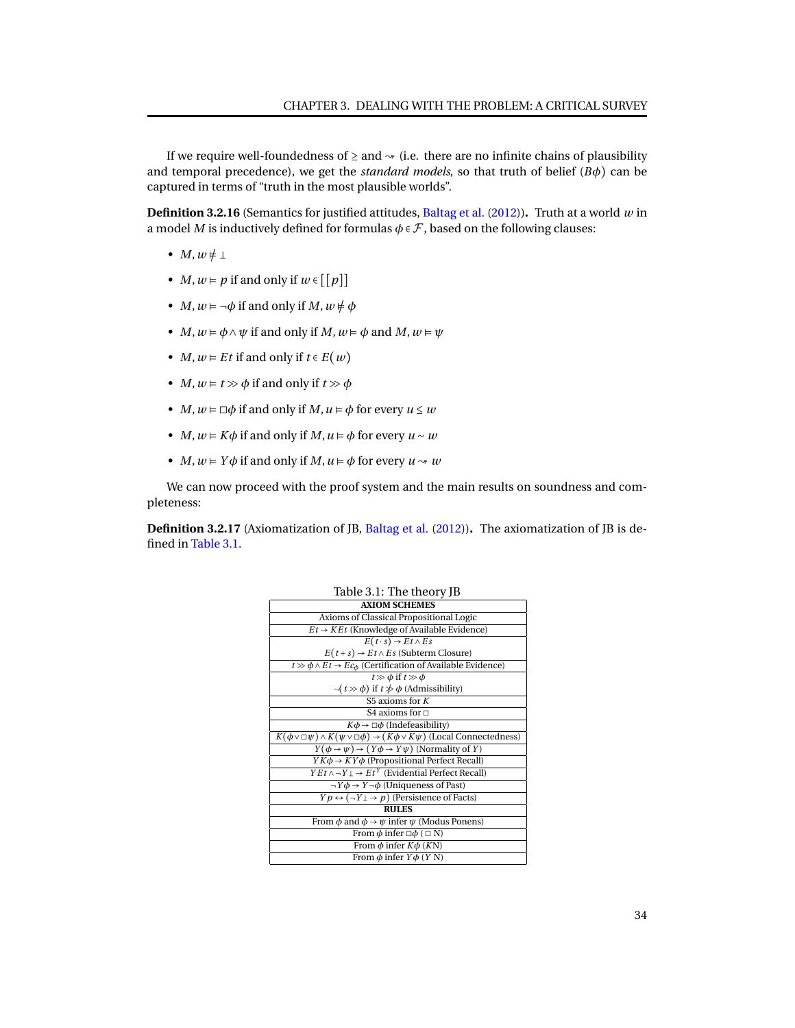If we require well-foundedness of  $\geq$  and  $\sim$  (i.e. there are no infinite chains of plausibility and temporal precedence), we get the *standard models*, so that truth of belief  $(B\phi)$  can be captured in terms of "truth in the most plausible worlds".

**Definition 3.2.16** (Semantics for justified attitudes, [Baltag et al.](#page-92-0) [\(2012\)](#page-92-0))**.** Truth at a world *w* in a model *M* is inductively defined for formulas  $\phi \in \mathcal{F}$ , based on the following clauses:

- $M, w \neq \perp$
- *M*,  $w \in p$  if and only if  $w \in [p]$
- *M*,  $w \models \neg \phi$  if and only if *M*,  $w \notin \phi$
- *M*,  $w \models \phi \land \psi$  if and only if *M*,  $w \models \phi$  and *M*,  $w \models \psi$
- *M*,  $w \in Et$  if and only if  $t \in E(w)$
- *M*,  $w \models t \gg \phi$  if and only if  $t \gg \phi$
- *M*,  $w \models \Box \phi$  if and only if *M*,  $u \models \phi$  for every  $u \leq w$
- *M*,  $w \in K\phi$  if and only if *M*,  $u \in \phi$  for every  $u \sim w$
- *M*,  $w \in Y\phi$  if and only if *M*,  $u \in \phi$  for every  $u \rightsquigarrow w$

We can now proceed with the proof system and the main results on soundness and completeness:

**Definition 3.2.17** (Axiomatization of JB, [Baltag et al.](#page-92-0) [\(2012\)](#page-92-0))**.** The axiomatization of JB is defined in [Table 3.1.](#page-37-0)

| Table 3.1: The theory JB                                                                                    |  |
|-------------------------------------------------------------------------------------------------------------|--|
| <b>AXIOM SCHEMES</b>                                                                                        |  |
| Axioms of Classical Propositional Logic                                                                     |  |
| $Et \rightarrow KEt$ (Knowledge of Available Evidence)                                                      |  |
| $E(t \cdot s) \rightarrow E t \wedge E s$                                                                   |  |
| $E(t+s) \rightarrow E t \land E s$ (Subterm Closure)                                                        |  |
| $t \gg \phi \wedge Et \rightarrow Ec_{\phi}$ (Certification of Available Evidence)                          |  |
| $t \gg \phi$ if $t \gg \phi$                                                                                |  |
| $\neg(t \gg \phi)$ if $t \not\gg \phi$ (Admissibility)                                                      |  |
| S5 axioms for $K$                                                                                           |  |
| S4 axioms for $\Box$                                                                                        |  |
| $K\phi \rightarrow \Box \phi$ (Indefeasibility)                                                             |  |
| $K(\phi \vee \Box \psi) \wedge K(\psi \vee \Box \phi) \rightarrow (K\phi \vee K\psi)$ (Local Connectedness) |  |
| $Y(\phi \to \psi) \to (Y\phi \to Y\psi)$ (Normality of Y)                                                   |  |
| $YK\phi \rightarrow KY\phi$ (Propositional Perfect Recall)                                                  |  |
| $YEt \wedge \neg Y \bot \rightarrow Et^Y$ (Evidential Perfect Recall)                                       |  |
| $\neg Y \phi \rightarrow Y \neg \phi$ (Uniqueness of Past)                                                  |  |
| $Yp \leftrightarrow (\neg Y \bot \rightarrow p)$ (Persistence of Facts)                                     |  |
| <b>RULES</b>                                                                                                |  |
| From $\phi$ and $\phi \rightarrow \psi$ infer $\psi$ (Modus Ponens)                                         |  |
| From $\phi$ infer $\Box \phi$ ( $\Box$ N)                                                                   |  |
| From $\phi$ infer $K\phi$ (KN)                                                                              |  |
| From $\phi$ infer $Y\phi$ (Y N)                                                                             |  |

# <span id="page-37-0"></span> $T_{\rm B}$  1.1:  $\alpha$  1.  $T_{\rm B}$  JB  $\alpha$  defined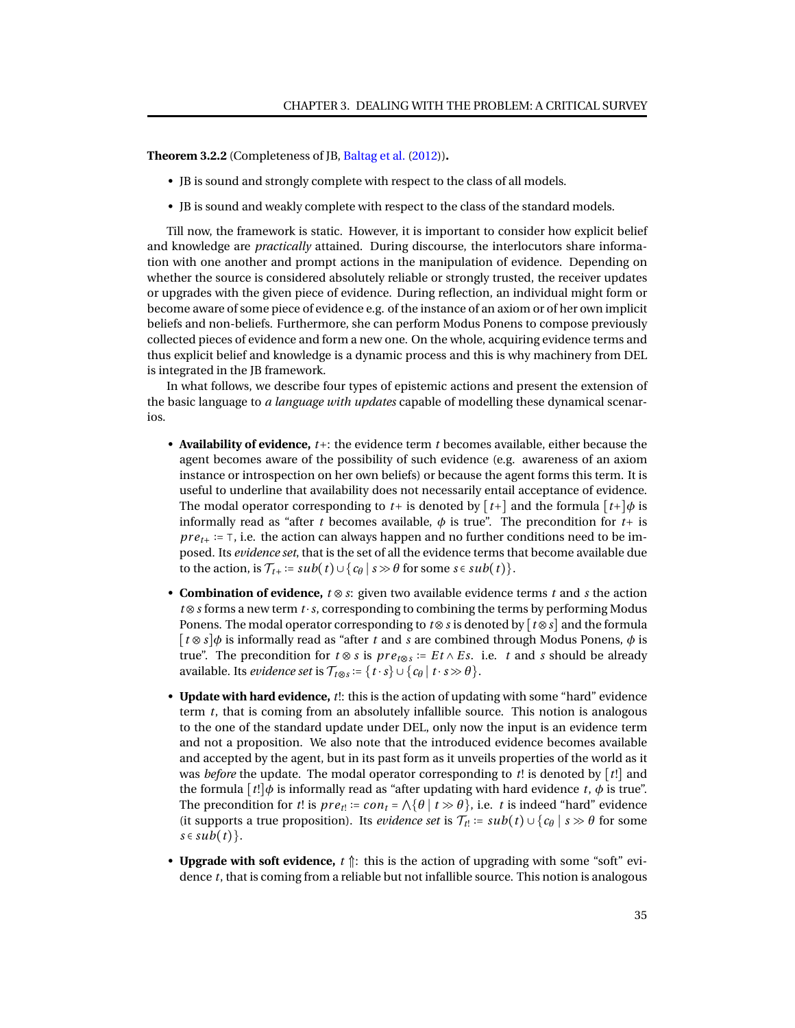**Theorem 3.2.2** (Completeness of JB, [Baltag et al.](#page-92-0) [\(2012\)](#page-92-0))**.**

- JB is sound and strongly complete with respect to the class of all models.
- JB is sound and weakly complete with respect to the class of the standard models.

Till now, the framework is static. However, it is important to consider how explicit belief and knowledge are *practically* attained. During discourse, the interlocutors share information with one another and prompt actions in the manipulation of evidence. Depending on whether the source is considered absolutely reliable or strongly trusted, the receiver updates or upgrades with the given piece of evidence. During reflection, an individual might form or become aware of some piece of evidence e.g. of the instance of an axiom or of her own implicit beliefs and non-beliefs. Furthermore, she can perform Modus Ponens to compose previously collected pieces of evidence and form a new one. On the whole, acquiring evidence terms and thus explicit belief and knowledge is a dynamic process and this is why machinery from DEL is integrated in the JB framework.

In what follows, we describe four types of epistemic actions and present the extension of the basic language to *a language with updates* capable of modelling these dynamical scenarios.

- **Availability of evidence,** *t*+: the evidence term *t* becomes available, either because the agent becomes aware of the possibility of such evidence (e.g. awareness of an axiom instance or introspection on her own beliefs) or because the agent forms this term. It is useful to underline that availability does not necessarily entail acceptance of evidence. The modal operator corresponding to  $t+$  is denoted by  $\lceil t+ \rceil$  and the formula  $\lceil t+ \rceil \phi$  is informally read as "after *t* becomes available,  $\phi$  is true". The precondition for  $t +$  is *pre*<sub>t<sup>+</sup></sub> :=  $\top$ , i.e. the action can always happen and no further conditions need to be imposed. Its *evidence set*, that is the set of all the evidence terms that become available due to the action, is T*t*+ ∶= *sub*(*t*)∪{*c<sup>θ</sup>* ∣ *s* ≫ *θ* for some *s* ∈ *sub*(*t*)}.
- **Combination of evidence,** *t* ⊗*s*: given two available evidence terms *t* and *s* the action *t* ⊗*s* forms a new term *t* ⋅*s*, corresponding to combining the terms by performing Modus Ponens. The modal operator corresponding to *t*⊗*s* is denoted by [*t*⊗*s*] and the formula [*t* ⊗*s*]*φ* is informally read as "after *t* and *s* are combined through Modus Ponens, *φ* is true". The precondition for *t* ⊗ *s* is *pr et*⊗*<sup>s</sup>* ∶= *E t* ∧ *E s*. i.e. *t* and *s* should be already available. Its *evidence set* is  $\mathcal{T}_{t \otimes s} := \{t \cdot s \} \cup \{c_{\theta} \mid t \cdot s \gg \theta\}.$
- **Update with hard evidence,** *t*!: this is the action of updating with some "hard" evidence term *t*, that is coming from an absolutely infallible source. This notion is analogous to the one of the standard update under DEL, only now the input is an evidence term and not a proposition. We also note that the introduced evidence becomes available and accepted by the agent, but in its past form as it unveils properties of the world as it was *before* the update. The modal operator corresponding to *t*! is denoted by [*t*!] and the formula  $[t!]$  $\phi$  is informally read as "after updating with hard evidence *t*,  $\phi$  is true". The precondition for *t*! is  $pre_t$ !  $= con_t = \wedge \{\theta \mid t \gg \theta\}$ , i.e. *t* is indeed "hard" evidence (it supports a true proposition). Its *evidence set* is  $\mathcal{T}_{t}$ : = *sub*(*t*) ∪ { $c_{\theta}$  | *s*  $\gg$   $\theta$  for some  $s \in sub(t)$ .
- **Upgrade with soft evidence,**  $t \uparrow$ : this is the action of upgrading with some "soft" evidence *t*, that is coming from a reliable but not infallible source. This notion is analogous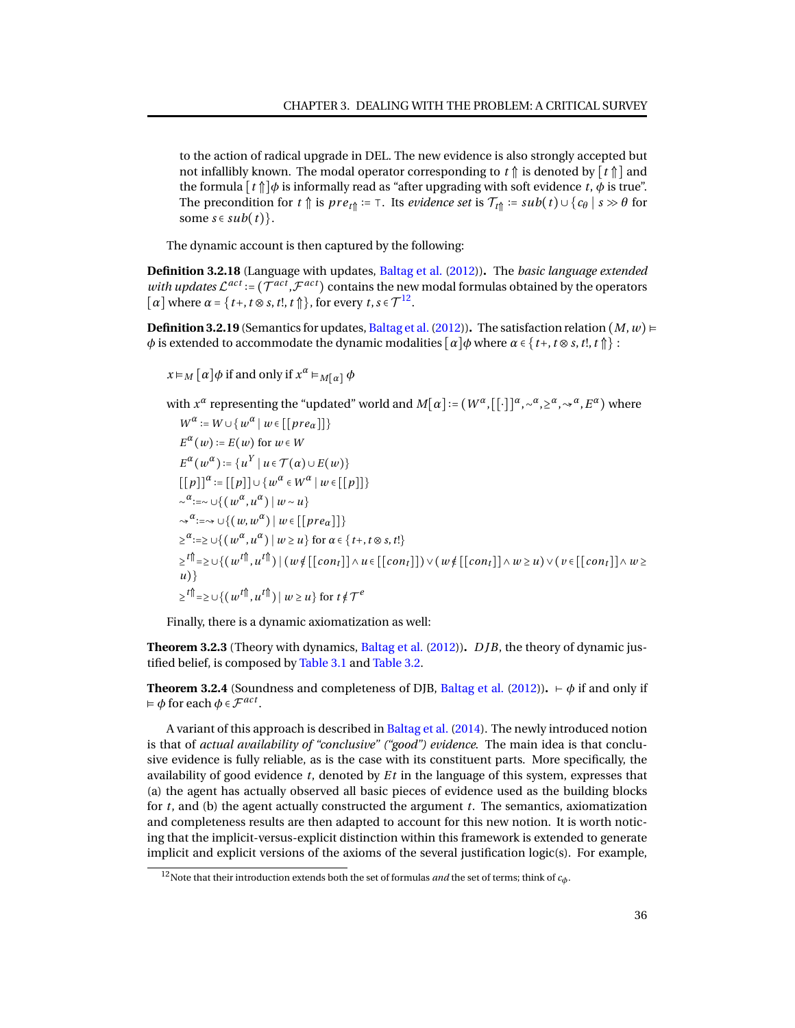to the action of radical upgrade in DEL. The new evidence is also strongly accepted but not infallibly known. The modal operator corresponding to  $t \uparrow$  is denoted by  $\lceil t \uparrow \rceil$  and the formula  $[t \uparrow \uparrow] \phi$  is informally read as "after upgrading with soft evidence *t*,  $\phi$  is true". The precondition for *t*  $\uparrow$  is *pre*<sub>*t* $\uparrow$ </sub> :=  $\top$ . Its *evidence set* is  $\mathcal{T}_{t\uparrow \uparrow}$  :=  $sub(t) \cup \{c_{\theta} \mid s \gg \theta \text{ for } t \in \mathcal{T}_{t\uparrow \uparrow}$ some  $s \in sub(t)$ .

The dynamic account is then captured by the following:

**Definition 3.2.18** (Language with updates, [Baltag et al.](#page-92-0) [\(2012\)](#page-92-0))**.** The *basic language extended with updates*  $\mathcal{L}^{act}$  :=  $(\mathcal{T}^{act}, \mathcal{F}^{act})$  contains the new modal formulas obtained by the operators  $[\alpha]$  where  $\alpha = \{t+, t \otimes s, t\}, t \uparrow$ , for every  $t, s \in \mathcal{T}^{12}$  $t, s \in \mathcal{T}^{12}$  $t, s \in \mathcal{T}^{12}$ .

**Definition 3.2.19** (Semantics for updates, Baltag et al. (2012)). The satisfaction relation  $(M, w)$  ⊨ *φ* is extended to accommodate the dynamic modalities  $\lceil a \rceil \phi$  where  $\alpha \in \{t^+, t \otimes s, t^], t \uparrow \}$ :

 $x \vDash M$   $[\alpha] \phi$  if and only if  $x^{\alpha} \vDash_{M[\alpha]} \phi$ 

with  $x^{\alpha}$  representing the "updated" world and  $M[\alpha]:=(W^{\alpha},[[\cdot]]^{\alpha},\sim^{\alpha},\ge^{\alpha},\rightsquigarrow^{\alpha},E^{\alpha})$  where

 $W^{\alpha}$  :=  $W \cup \{w^{\alpha} \mid w \in [[\mathit{pre}_\alpha]]\}$  $E^{\alpha}(w)$  :=  $E(w)$  for  $w \in W$ *E*<sup> $\alpha$ </sup>(*w*<sup> $\alpha$ </sup>) := {*u*<sup>*Y*</sup> | *u* ∈ *T*( $\alpha$ )∪*E*(*w*)}  $[(p]]^{\alpha} := [(p]] \cup \{w^{\alpha} \in W^{\alpha} \mid w \in [[p]]\}$  $\sim$ <sup>*α*</sup>:=∼ ∪{ $(w^{\alpha}, u^{\alpha}) | w \sim u$ }  $\rightsquigarrow^{\alpha} := \rightsquigarrow \cup \{ (w, w^{\alpha}) \mid w \in [[\mathit{pre}_{\alpha}]] \}$  $\geq$ <sup>*a*</sup>:= $\geq \cup$ { $(w^{\alpha}, u^{\alpha}) | w \geq u$ } for  $\alpha \in$ {*t*+, *t* ⊗ *s*, *t*!}  $\geq^{t}\hat{\mathbb{I}}$  =  $\geq$   $\cup$   $\{(w^{t}\hat{\mathbb{I}}, u^{t}\hat{\mathbb{I}}) \,|\, (w \notin [[con_{t}]] \wedge u \in [[con_{t}]]) \vee (w \notin [[con_{t}]] \wedge w \geq u) \vee (v \in [[con_{t}]] \wedge w \geq u) \}$ *u*)}  $\geq$ <sup>t</sup><sup> $\parallel$ </sup> =  $\geq$  ∪ $\{(w^{t}$ <sup> $\parallel$ </sup>,  $u^{t}$  $\parallel$ <sup> $\parallel$ </sup>)  $|w \geq u\}$  for  $t \notin \mathcal{T}^e$ 

Finally, there is a dynamic axiomatization as well:

**Theorem 3.2.3** (Theory with dynamics, [Baltag et al.](#page-92-0) [\(2012\)](#page-92-0))**.** *D JB*, the theory of dynamic justified belief, is composed by [Table 3.1](#page-37-0) and [Table 3.2.](#page-40-0)

**Theorem 3.2.4** (Soundness and completeness of DJB, [Baltag et al.](#page-92-0) [\(2012\)](#page-92-0)). ⊢  $\phi$  if and only if  $\vDash \phi$  for each  $\phi \in \mathcal{F}^{act}$ .

A variant of this approach is described in [Baltag et al.](#page-93-0) [\(2014\)](#page-93-0). The newly introduced notion is that of *actual availability of "conclusive" ("good") evidence*. The main idea is that conclusive evidence is fully reliable, as is the case with its constituent parts. More specifically, the availability of good evidence *t*, denoted by *E t* in the language of this system, expresses that (a) the agent has actually observed all basic pieces of evidence used as the building blocks for *t*, and (b) the agent actually constructed the argument *t*. The semantics, axiomatization and completeness results are then adapted to account for this new notion. It is worth noticing that the implicit-versus-explicit distinction within this framework is extended to generate implicit and explicit versions of the axioms of the several justification logic(s). For example,

<sup>&</sup>lt;sup>12</sup>Note that their introduction extends both the set of formulas *and* the set of terms; think of  $c<sub>φ</sub>$ .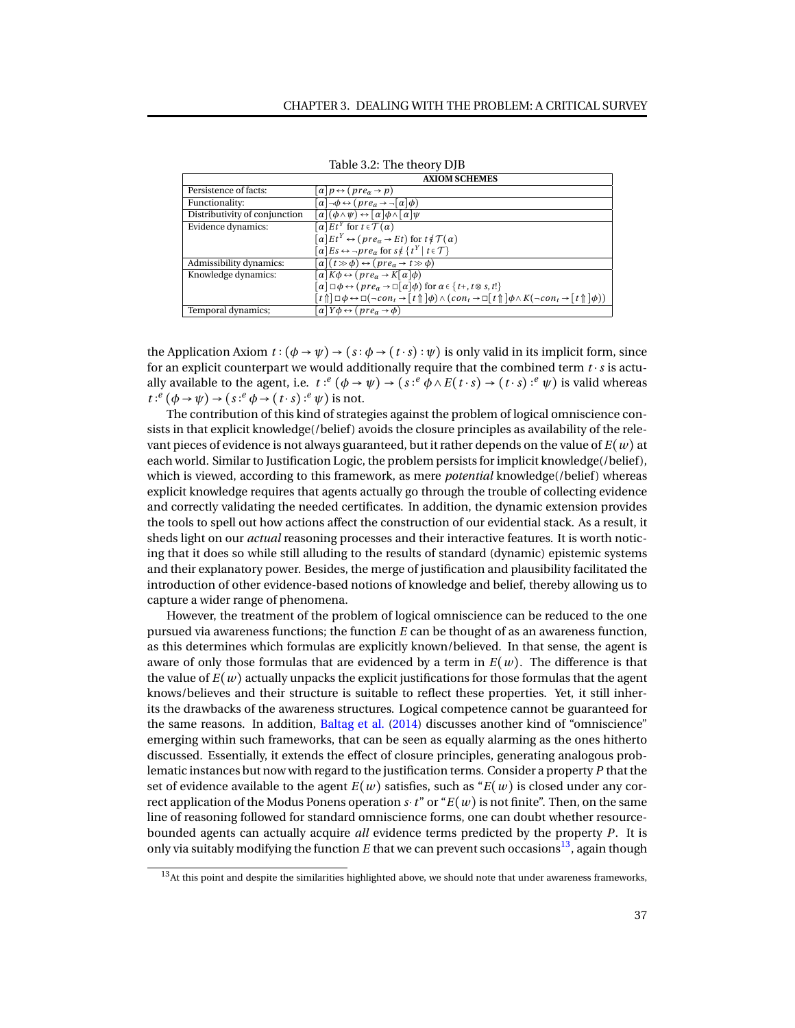|                               | <b>AXIOM SCHEMES</b>                                                                                                                                                                    |
|-------------------------------|-----------------------------------------------------------------------------------------------------------------------------------------------------------------------------------------|
| Persistence of facts:         | $\alpha$ $p \leftrightarrow (pre_{\alpha} \rightarrow p)$                                                                                                                               |
| Functionality:                | $\lbrack \alpha \rbrack \neg \phi \leftrightarrow (pre_a \rightarrow \neg \lbrack \alpha \rbrack \phi)$                                                                                 |
| Distributivity of conjunction | $\alpha$ $(\phi \wedge \psi) \leftrightarrow [\alpha] \phi \wedge [\alpha] \psi$                                                                                                        |
| Evidence dynamics:            | $\overline{a} E t^Y$ for $t \in \mathcal{T}(\alpha)$                                                                                                                                    |
|                               | $\lceil \alpha \rceil E t^Y \leftrightarrow (pre_\alpha \rightarrow Et)$ for $t \notin \mathcal{T}(\alpha)$                                                                             |
|                               | $\lceil \alpha \rceil E_s \leftrightarrow \neg \text{pre}_\alpha \text{ for } s \notin \{ t^Y \mid t \in \mathcal{T} \}$                                                                |
| Admissibility dynamics:       | $\lceil \alpha \rceil(t \gg \phi) \leftrightarrow (pre_\alpha \rightarrow t \gg \phi)$                                                                                                  |
| Knowledge dynamics:           | $\lceil \alpha \rceil K \phi \leftrightarrow (pre_\alpha \rightarrow K \lceil \alpha \rceil \phi)$                                                                                      |
|                               | $\lceil \alpha \rceil \Box \phi \leftrightarrow (pre_\alpha \rightarrow \Box \lceil \alpha \rceil \phi)$ for $\alpha \in \{t_+, t \otimes s, t!\}$                                      |
|                               | $[t\uparrow] \Box \phi \leftrightarrow \Box (\neg con_t \rightarrow [t\uparrow] \phi) \land (con_t \rightarrow \Box [t\uparrow] \phi \land K(\neg con_t \rightarrow [t\uparrow] \phi))$ |
| Temporal dynamics;            | $\lbrack \alpha \rbrack Y \phi \leftrightarrow (pre_{\alpha} \rightarrow \phi)$                                                                                                         |

<span id="page-40-0"></span>Table 3.2: The theory DJB

the Application Axiom  $t : (\phi \rightarrow \psi) \rightarrow (s : \phi \rightarrow (t \cdot s) : \psi)$  is only valid in its implicit form, since for an explicit counterpart we would additionally require that the combined term *t* ⋅*s* is actually available to the agent, i.e.  $t: e'(\phi \to \psi) \to (s: e' \phi \land E(t \cdot s) \to (t \cdot s): e' \psi)$  is valid whereas  $t: \ell^e(\phi \to \psi) \to (s: \ell^e \phi \to (t \cdot s): \ell^e \psi)$  is not.

The contribution of this kind of strategies against the problem of logical omniscience consists in that explicit knowledge(/belief) avoids the closure principles as availability of the relevant pieces of evidence is not always guaranteed, but it rather depends on the value of *E*(*w*) at each world. Similar to Justification Logic, the problem persists for implicit knowledge(/belief), which is viewed, according to this framework, as mere *potential* knowledge(/belief) whereas explicit knowledge requires that agents actually go through the trouble of collecting evidence and correctly validating the needed certificates. In addition, the dynamic extension provides the tools to spell out how actions affect the construction of our evidential stack. As a result, it sheds light on our *actual* reasoning processes and their interactive features. It is worth noticing that it does so while still alluding to the results of standard (dynamic) epistemic systems and their explanatory power. Besides, the merge of justification and plausibility facilitated the introduction of other evidence-based notions of knowledge and belief, thereby allowing us to capture a wider range of phenomena.

However, the treatment of the problem of logical omniscience can be reduced to the one pursued via awareness functions; the function *E* can be thought of as an awareness function, as this determines which formulas are explicitly known/believed. In that sense, the agent is aware of only those formulas that are evidenced by a term in  $E(w)$ . The difference is that the value of  $E(w)$  actually unpacks the explicit justifications for those formulas that the agent knows/believes and their structure is suitable to reflect these properties. Yet, it still inherits the drawbacks of the awareness structures. Logical competence cannot be guaranteed for the same reasons. In addition, [Baltag et al.](#page-93-0) [\(2014\)](#page-93-0) discusses another kind of "omniscience" emerging within such frameworks, that can be seen as equally alarming as the ones hitherto discussed. Essentially, it extends the effect of closure principles, generating analogous problematic instances but now with regard to the justification terms. Consider a property *P* that the set of evidence available to the agent  $E(w)$  satisfies, such as " $E(w)$  is closed under any correct application of the Modus Ponens operation  $s \cdot t$ " or " $E(w)$  is not finite". Then, on the same line of reasoning followed for standard omniscience forms, one can doubt whether resourcebounded agents can actually acquire *all* evidence terms predicted by the property *P*. It is only via suitably modifying the function  $E$  that we can prevent such occasions<sup>[13](#page-0-0)</sup>, again though

 $13$ At this point and despite the similarities highlighted above, we should note that under awareness frameworks,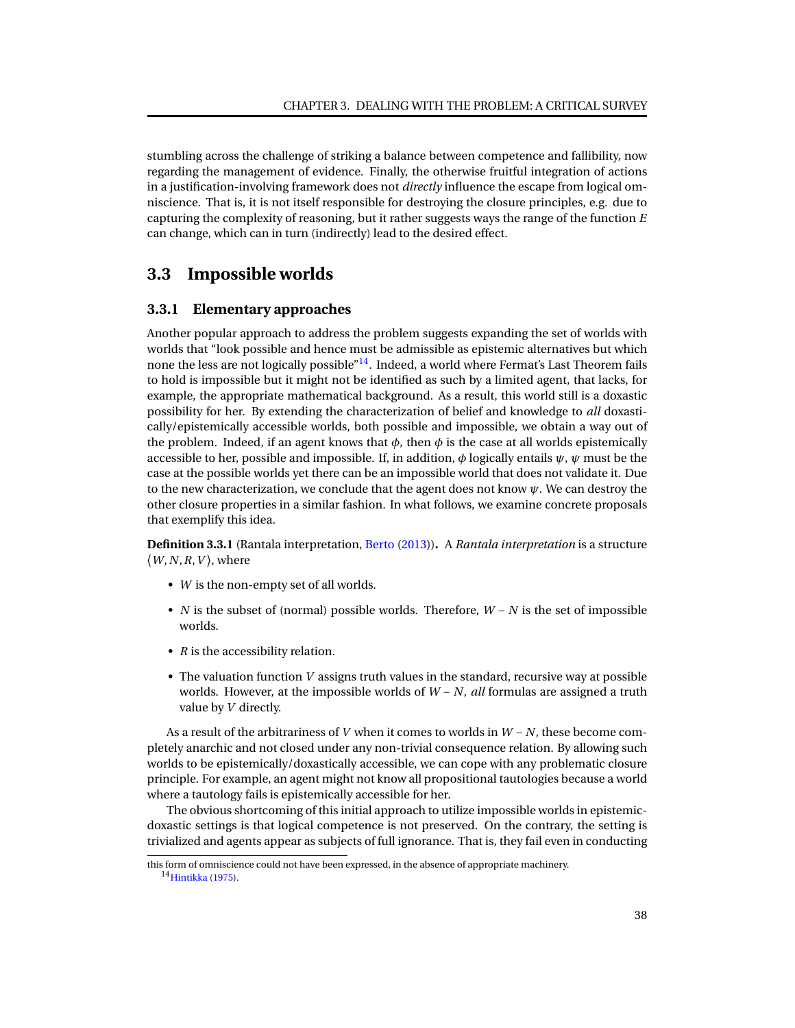stumbling across the challenge of striking a balance between competence and fallibility, now regarding the management of evidence. Finally, the otherwise fruitful integration of actions in a justification-involving framework does not *directly* influence the escape from logical omniscience. That is, it is not itself responsible for destroying the closure principles, e.g. due to capturing the complexity of reasoning, but it rather suggests ways the range of the function *E* can change, which can in turn (indirectly) lead to the desired effect.

# **3.3 Impossible worlds**

# <span id="page-41-0"></span>**3.3.1 Elementary approaches**

Another popular approach to address the problem suggests expanding the set of worlds with worlds that "look possible and hence must be admissible as epistemic alternatives but which none the less are not logically possible"<sup>[14](#page-0-0)</sup>. Indeed, a world where Fermat's Last Theorem fails to hold is impossible but it might not be identified as such by a limited agent, that lacks, for example, the appropriate mathematical background. As a result, this world still is a doxastic possibility for her. By extending the characterization of belief and knowledge to *all* doxastically/epistemically accessible worlds, both possible and impossible, we obtain a way out of the problem. Indeed, if an agent knows that  $\phi$ , then  $\phi$  is the case at all worlds epistemically accessible to her, possible and impossible. If, in addition, *φ* logically entails *ψ*, *ψ* must be the case at the possible worlds yet there can be an impossible world that does not validate it. Due to the new characterization, we conclude that the agent does not know *ψ*. We can destroy the other closure properties in a similar fashion. In what follows, we examine concrete proposals that exemplify this idea.

**Definition 3.3.1** (Rantala interpretation, [Berto](#page-93-1) [\(2013\)](#page-93-1))**.** A *Rantala interpretation* is a structure  $\langle W, N, R, V \rangle$ , where

- *W* is the non-empty set of all worlds.
- *N* is the subset of (normal) possible worlds. Therefore, *W* − *N* is the set of impossible worlds.
- *R* is the accessibility relation.
- The valuation function *V* assigns truth values in the standard, recursive way at possible worlds. However, at the impossible worlds of *W* − *N*, *all* formulas are assigned a truth value by *V* directly.

As a result of the arbitrariness of *V* when it comes to worlds in *W* − *N*, these become completely anarchic and not closed under any non-trivial consequence relation. By allowing such worlds to be epistemically/doxastically accessible, we can cope with any problematic closure principle. For example, an agent might not know all propositional tautologies because a world where a tautology fails is epistemically accessible for her.

The obvious shortcoming of this initial approach to utilize impossible worlds in epistemicdoxastic settings is that logical competence is not preserved. On the contrary, the setting is trivialized and agents appear as subjects of full ignorance. That is, they fail even in conducting

this form of omniscience could not have been expressed, in the absence of appropriate machinery. <sup>14</sup>[Hintikka](#page-94-0) [\(1975\)](#page-94-0).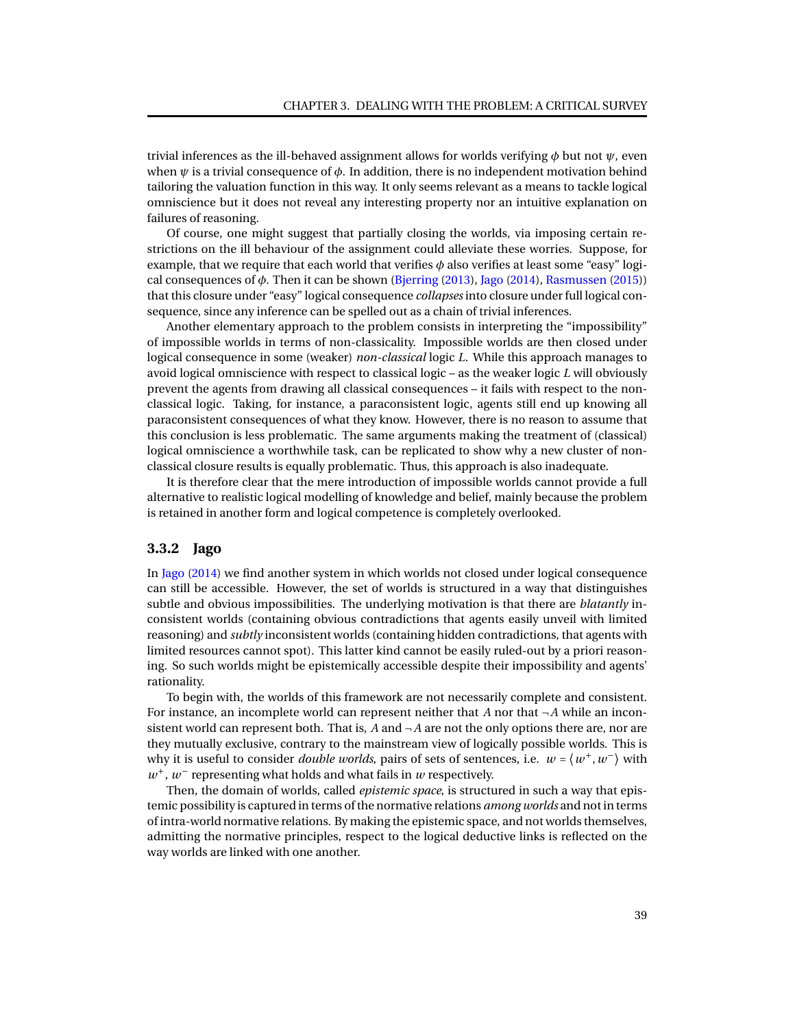trivial inferences as the ill-behaved assignment allows for worlds verifying *φ* but not *ψ*, even when *ψ* is a trivial consequence of *φ*. In addition, there is no independent motivation behind tailoring the valuation function in this way. It only seems relevant as a means to tackle logical omniscience but it does not reveal any interesting property nor an intuitive explanation on failures of reasoning.

Of course, one might suggest that partially closing the worlds, via imposing certain restrictions on the ill behaviour of the assignment could alleviate these worries. Suppose, for example, that we require that each world that verifies *φ* also verifies at least some "easy" logical consequences of *φ*. Then it can be shown [\(Bjerring](#page-93-2) [\(2013\)](#page-93-2), [Jago](#page-94-1) [\(2014\)](#page-94-1), [Rasmussen](#page-95-0) [\(2015\)](#page-95-0)) that this closure under "easy" logical consequence *collapses*into closure under full logical consequence, since any inference can be spelled out as a chain of trivial inferences.

Another elementary approach to the problem consists in interpreting the "impossibility" of impossible worlds in terms of non-classicality. Impossible worlds are then closed under logical consequence in some (weaker) *non-classical* logic *L*. While this approach manages to avoid logical omniscience with respect to classical logic – as the weaker logic *L* will obviously prevent the agents from drawing all classical consequences – it fails with respect to the nonclassical logic. Taking, for instance, a paraconsistent logic, agents still end up knowing all paraconsistent consequences of what they know. However, there is no reason to assume that this conclusion is less problematic. The same arguments making the treatment of (classical) logical omniscience a worthwhile task, can be replicated to show why a new cluster of nonclassical closure results is equally problematic. Thus, this approach is also inadequate.

It is therefore clear that the mere introduction of impossible worlds cannot provide a full alternative to realistic logical modelling of knowledge and belief, mainly because the problem is retained in another form and logical competence is completely overlooked.

# **3.3.2 Jago**

In [Jago](#page-94-1) [\(2014\)](#page-94-1) we find another system in which worlds not closed under logical consequence can still be accessible. However, the set of worlds is structured in a way that distinguishes subtle and obvious impossibilities. The underlying motivation is that there are *blatantly* inconsistent worlds (containing obvious contradictions that agents easily unveil with limited reasoning) and *subtly* inconsistent worlds (containing hidden contradictions, that agents with limited resources cannot spot). This latter kind cannot be easily ruled-out by a priori reasoning. So such worlds might be epistemically accessible despite their impossibility and agents' rationality.

To begin with, the worlds of this framework are not necessarily complete and consistent. For instance, an incomplete world can represent neither that *A* nor that ¬*A* while an inconsistent world can represent both. That is,  $A$  and  $\neg A$  are not the only options there are, nor are they mutually exclusive, contrary to the mainstream view of logically possible worlds. This is why it is useful to consider *double worlds*, pairs of sets of sentences, i.e.  $w = \langle w^+, w^- \rangle$  with  $w^+$ ,  $w^-$  representing what holds and what fails in *w* respectively.

Then, the domain of worlds, called *epistemic space*, is structured in such a way that epistemic possibility is captured in terms of the normative relations *among worlds* and not in terms of intra-world normative relations. By making the epistemic space, and not worlds themselves, admitting the normative principles, respect to the logical deductive links is reflected on the way worlds are linked with one another.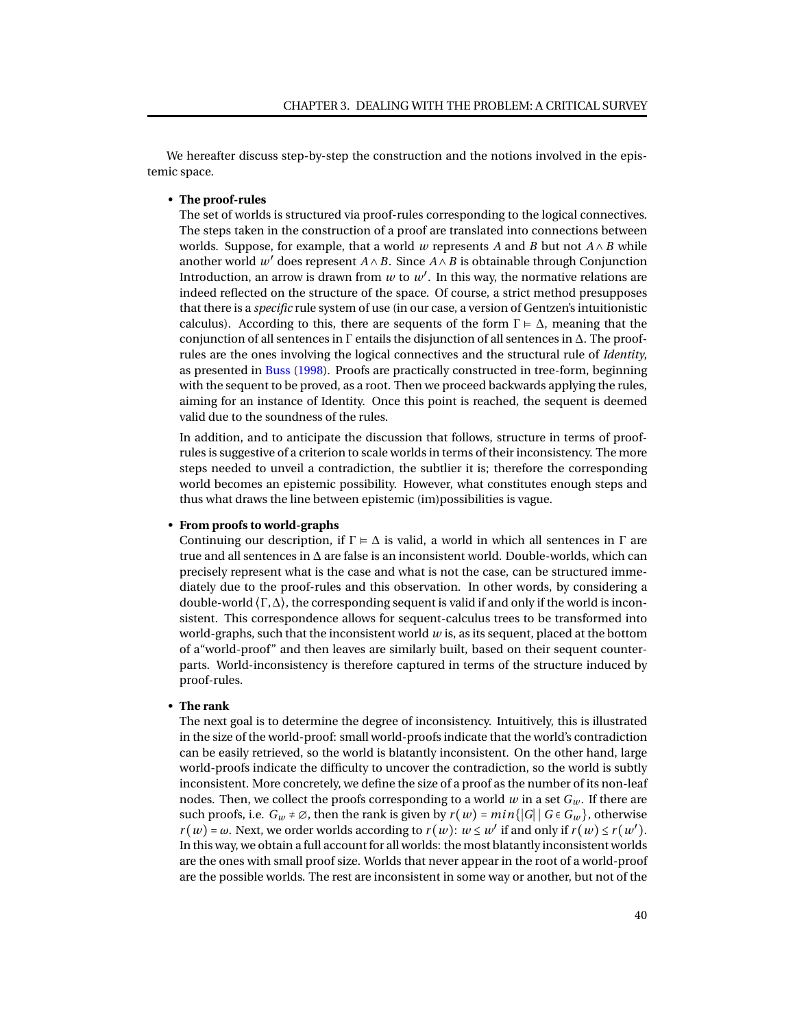We hereafter discuss step-by-step the construction and the notions involved in the epistemic space.

## • **The proof-rules**

The set of worlds is structured via proof-rules corresponding to the logical connectives. The steps taken in the construction of a proof are translated into connections between worlds. Suppose, for example, that a world *w* represents *A* and *B* but not  $A \wedge B$  while another world  $w'$  does represent  $A \wedge B$ . Since  $A \wedge B$  is obtainable through Conjunction Introduction, an arrow is drawn from  $w$  to  $w'$ . In this way, the normative relations are indeed reflected on the structure of the space. Of course, a strict method presupposes that there is a *specific* rule system of use (in our case, a version of Gentzen's intuitionistic calculus). According to this, there are sequents of the form  $\Gamma \models \Delta$ , meaning that the conjunction of all sentences in  $\Gamma$  entails the disjunction of all sentences in  $\Delta$ . The proofrules are the ones involving the logical connectives and the structural rule of *Identity*, as presented in [Buss](#page-93-3) [\(1998\)](#page-93-3). Proofs are practically constructed in tree-form, beginning with the sequent to be proved, as a root. Then we proceed backwards applying the rules, aiming for an instance of Identity. Once this point is reached, the sequent is deemed valid due to the soundness of the rules.

In addition, and to anticipate the discussion that follows, structure in terms of proofrules is suggestive of a criterion to scale worlds in terms of their inconsistency. The more steps needed to unveil a contradiction, the subtlier it is; therefore the corresponding world becomes an epistemic possibility. However, what constitutes enough steps and thus what draws the line between epistemic (im)possibilities is vague.

### • **From proofs to world-graphs**

Continuing our description, if  $\Gamma \models \Delta$  is valid, a world in which all sentences in  $\Gamma$  are true and all sentences in ∆ are false is an inconsistent world. Double-worlds, which can precisely represent what is the case and what is not the case, can be structured immediately due to the proof-rules and this observation. In other words, by considering a double-world  $\langle \Gamma, \Delta \rangle$ , the corresponding sequent is valid if and only if the world is inconsistent. This correspondence allows for sequent-calculus trees to be transformed into world-graphs, such that the inconsistent world *w* is, as its sequent, placed at the bottom of a"world-proof" and then leaves are similarly built, based on their sequent counterparts. World-inconsistency is therefore captured in terms of the structure induced by proof-rules.

## • **The rank**

The next goal is to determine the degree of inconsistency. Intuitively, this is illustrated in the size of the world-proof: small world-proofs indicate that the world's contradiction can be easily retrieved, so the world is blatantly inconsistent. On the other hand, large world-proofs indicate the difficulty to uncover the contradiction, so the world is subtly inconsistent. More concretely, we define the size of a proof as the number of its non-leaf nodes. Then, we collect the proofs corresponding to a world  $w$  in a set  $G_w$ . If there are such proofs, i.e.  $G_w \neq \emptyset$ , then the rank is given by  $r(w) = min\{|G| | G \in G_w\}$ , otherwise  $r(w) = \omega$ . Next, we order worlds according to  $r(w)$ :  $w \leq w'$  if and only if  $r(w) \leq r(w')$ . In this way, we obtain a full account for all worlds: the most blatantly inconsistent worlds are the ones with small proof size. Worlds that never appear in the root of a world-proof are the possible worlds. The rest are inconsistent in some way or another, but not of the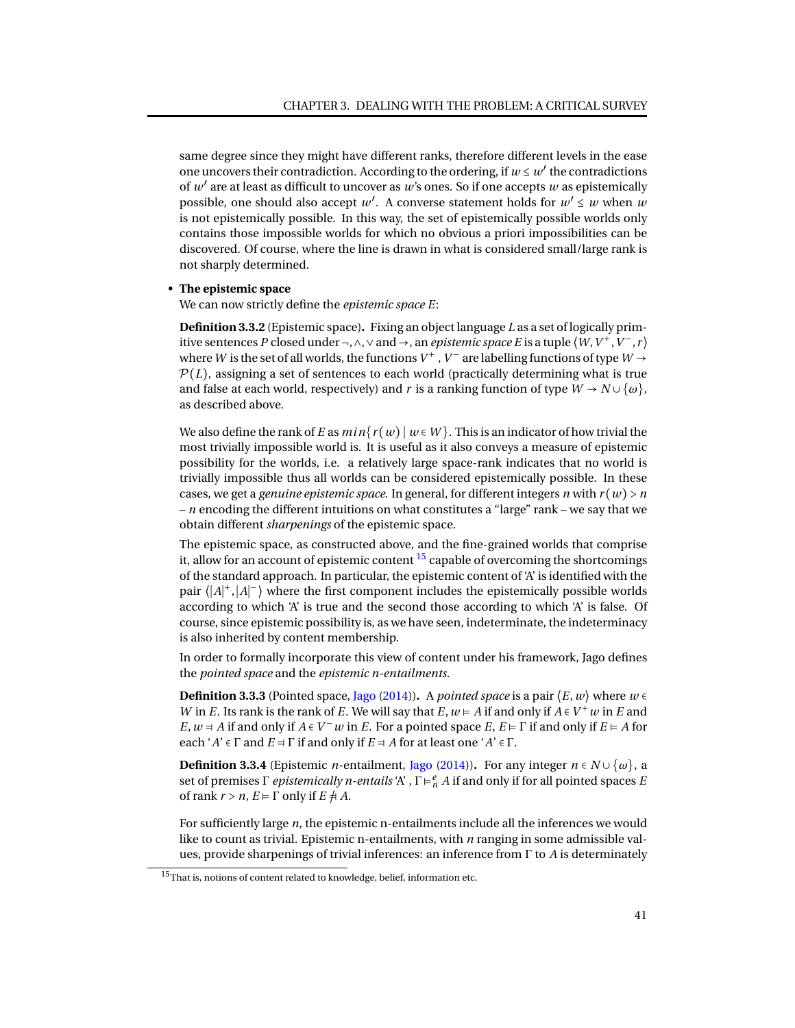same degree since they might have different ranks, therefore different levels in the ease one uncovers their contradiction. According to the ordering, if  $w \leq w'$  the contradictions of *w* ′ are at least as difficult to uncover as *w*'s ones. So if one accepts *w* as epistemically possible, one should also accept  $w'$ . A converse statement holds for  $w' \leq w$  when  $w$ is not epistemically possible. In this way, the set of epistemically possible worlds only contains those impossible worlds for which no obvious a priori impossibilities can be discovered. Of course, where the line is drawn in what is considered small/large rank is not sharply determined.

### • **The epistemic space**

We can now strictly define the *epistemic space E*:

<span id="page-44-0"></span>**Definition 3.3.2** (Epistemic space)**.** Fixing an object language *L* as a set of logically primitive sentences *P* closed under ¬,  $\wedge$ ,  $\vee$  and  $\rightarrow$ , an *epistemic space E* is a tuple  $\langle W, V^+, V^-, r \rangle$ where *W* is the set of all worlds, the functions  $V^+$  ,  $V^-$  are labelling functions of type  $W \rightarrow$  $P(L)$ , assigning a set of sentences to each world (practically determining what is true and false at each world, respectively) and *r* is a ranking function of type  $W \rightarrow N \cup \{\omega\}$ , as described above.

We also define the rank of *E* as  $min\{r(w) | w \in W\}$ . This is an indicator of how trivial the most trivially impossible world is. It is useful as it also conveys a measure of epistemic possibility for the worlds, i.e. a relatively large space-rank indicates that no world is trivially impossible thus all worlds can be considered epistemically possible. In these cases, we get a *genuine epistemic space*. In general, for different integers *n* with  $r(w) > n$ – *n* encoding the different intuitions on what constitutes a "large" rank – we say that we obtain different *sharpenings* of the epistemic space.

The epistemic space, as constructed above, and the fine-grained worlds that comprise it, allow for an account of epistemic content  $^{15}$  $^{15}$  $^{15}$  capable of overcoming the shortcomings of the standard approach. In particular, the epistemic content of 'A' is identified with the pair  $\langle |A|^{+}, |A|^{-} \rangle$  where the first component includes the epistemically possible worlds according to which 'A' is true and the second those according to which 'A' is false. Of course, since epistemic possibility is, as we have seen, indeterminate, the indeterminacy is also inherited by content membership.

In order to formally incorporate this view of content under his framework, Jago defines the *pointed space* and the *epistemic n-entailments.*

**Definition 3.3.3** (Pointed space, [Jago](#page-94-1) [\(2014\)](#page-94-1)). A *pointed space* is a pair  $\langle E, w \rangle$  where  $w \in \mathbb{R}$ *W* in *E*. Its rank is the rank of *E*. We will say that *E*,  $w \in A$  if and only if  $A \in V^+w$  in *E* and *E*,  $w = A$  if and only if  $A \in V^-$  *w* in *E*. For a pointed space *E*,  $E \models \Gamma$  if and only if  $E \models A$  for each ' $A' \in \Gamma$  and  $E \neq \Gamma$  if and only if  $E \neq A$  for at least one ' $A' \in \Gamma$ .

**Definition 3.3.4** (Epistemic *n*-entailment, [Jago](#page-94-1) [\(2014\)](#page-94-1)). For any integer  $n \in N \cup \{\omega\}$ , a set of premises Γ *epistemically n-entails* 'A' , Γ ⊧ *e <sup>n</sup> A* if and only if for all pointed spaces *E* of rank  $r > n$ ,  $E \models \Gamma$  only if  $E \not\equiv A$ .

For sufficiently large *n*, the epistemic n-entailments include all the inferences we would like to count as trivial. Epistemic n-entailments, with *n* ranging in some admissible values, provide sharpenings of trivial inferences: an inference from Γ to *A* is determinately

<sup>&</sup>lt;sup>15</sup>That is, notions of content related to knowledge, belief, information etc.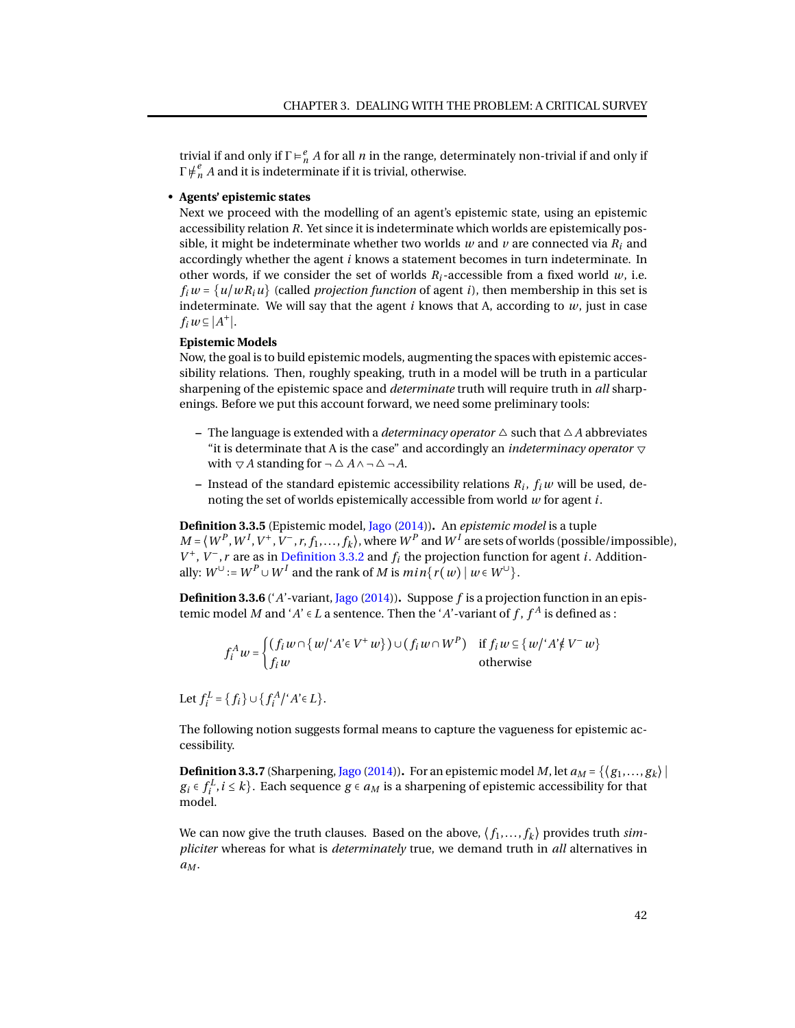trivial if and only if  $\Gamma \models_n^e A$  for all *n* in the range, determinately non-trivial if and only if  $\Gamma \not\models^e_n A$  and it is indeterminate if it is trivial, otherwise.

### • **Agents' epistemic states**

Next we proceed with the modelling of an agent's epistemic state, using an epistemic accessibility relation *R*. Yet since it is indeterminate which worlds are epistemically possible, it might be indeterminate whether two worlds  $w$  and  $v$  are connected via  $R_i$  and accordingly whether the agent *i* knows a statement becomes in turn indeterminate. In other words, if we consider the set of worlds  $R_i$ -accessible from a fixed world  $w$ , i.e.  $f_i w = \{u/wR_i u\}$  (called *projection function* of agent *i*), then membership in this set is indeterminate. We will say that the agent *i* knows that A, according to *w*, just in case  $f_i w \subseteq |A^+|$ .

## **Epistemic Models**

Now, the goal is to build epistemic models, augmenting the spaces with epistemic accessibility relations. Then, roughly speaking, truth in a model will be truth in a particular sharpening of the epistemic space and *determinate* truth will require truth in *all* sharpenings. Before we put this account forward, we need some preliminary tools:

- **–** The language is extended with a *determinacy operator*  $\triangle$  such that  $\triangle A$  abbreviates "it is determinate that A is the case" and accordingly an *indeterminacy operator*  $\triangledown$ with  $\nabla A$  standing for  $\neg \Delta A \wedge \neg \Delta \neg A$ .
- **–** Instead of the standard epistemic accessibility relations *R<sup>i</sup>* , *f<sup>i</sup> w* will be used, denoting the set of worlds epistemically accessible from world *w* for agent *i*.

**Definition 3.3.5** (Epistemic model, [Jago](#page-94-1) [\(2014\)](#page-94-1))**.** An *epistemic model* is a tuple  $M = \langle W^P, W^I, V^+, V^-, r, f_1, \ldots, f_k \rangle$ , where  $W^P$  and  $W^I$  are sets of worlds (possible/impossible),  $V^+$ ,  $V^-$ , *r* are as in [Definition 3.3.2](#page-44-0) and  $f_i$  the projection function for agent *i*. Additionally:  $W^{\cup}$  :=  $W^{P} \cup W^{I}$  and the rank of *M* is  $min\{r(w) | w \in W^{\cup}\}.$ 

**Definition 3.3.6** ('*A*'-variant, [Jago](#page-94-1) [\(2014\)](#page-94-1))**.** Suppose *f* is a projection function in an epistemic model *M* and '*A*'  $\in$  *L* a sentence. Then the '*A*'-variant of *f* ,  $f^A$  is defined as :

$$
f_i^A w = \begin{cases} (f_i w \cap \{w' \mid A' \in V^+ w\}) \cup (f_i w \cap W^P) & \text{if } f_i w \subseteq \{w' \mid A' \notin V^- w\} \\ f_i w & \text{otherwise} \end{cases}
$$

Let  $f_i^L = \{f_i\} \cup \{f_i^A \mid 'A \in L\}.$ 

The following notion suggests formal means to capture the vagueness for epistemic accessibility.

**Definition 3.3.7** (Sharpening, [Jago](#page-94-1) [\(2014\)](#page-94-1)). For an epistemic model *M*, let  $a_M = \{\langle g_1, \ldots, g_k \rangle \mid$  $g_i \in f_i^L$ ,  $i \leq k$ . Each sequence  $g \in a_M$  is a sharpening of epistemic accessibility for that model.

We can now give the truth clauses. Based on the above,  $\langle f_1, \ldots, f_k \rangle$  provides truth  $\sin$ *pliciter* whereas for what is *determinately* true, we demand truth in *all* alternatives in *a<sup>M</sup>* .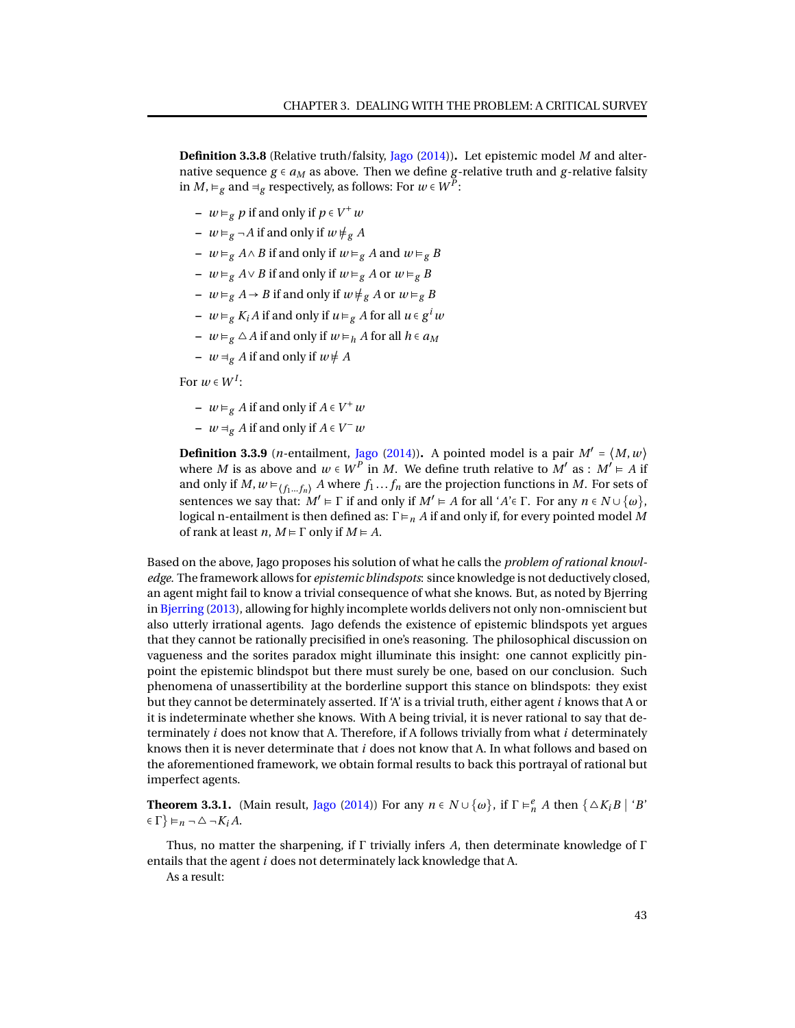**Definition 3.3.8** (Relative truth/falsity, [Jago](#page-94-1) [\(2014\)](#page-94-1))**.** Let epistemic model *M* and alternative sequence  $g \in a_M$  as above. Then we define g-relative truth and g-relative falsity in *M*, ⊨<sub>*g*</sub> and  $\exists$ <sub>*g*</sub> respectively, as follows: For *w* ∈ *W*<sup>*P*</sup>:

- **–** *w* ⊧*<sup>g</sup> p* if and only if *p* ∈ *V* +*w*
- **–**  $w \models g \neg A$  if and only if  $w \not\models g A$
- **–** *w* ⊧*<sup>g</sup> A* ∧*B* if and only if *w* ⊧*<sup>g</sup> A* and *w* ⊧*<sup>g</sup> B*
- **–** *w* ⊧*<sup>g</sup> A* ∨*B* if and only if *w* ⊧*<sup>g</sup> A* or *w* ⊧*<sup>g</sup> B*
- **–** *w* ⊨<sub>g</sub> *A* → *B* if and only if  $w \neq g$  *A* or  $w \models g$  *B*
- **–** *w* ⊧*<sup>g</sup> K<sup>i</sup> A* if and only if *u* ⊧*<sup>g</sup> A* for all *u* ∈ *g i w*
- **–** *w* ⊧*<sup>g</sup>* △*A* if and only if *w* ⊧*<sup>h</sup> A* for all *h* ∈ *a<sup>M</sup>*
- **−**  $w \neq g$  *A* if and only if  $w \neq A$

For  $w \in W^I$ :

- **–** *w* ⊧*<sup>g</sup> A* if and only if *A* ∈ *V* +*w*
- $-$  *w*  $\exists$ <sub>*g</sub> A* if and only if *A* ∈ *V*<sup>−</sup>*w*</sub>

**Definition 3.3.9** (*n*-entailment, [Jago](#page-94-1) [\(2014\)](#page-94-1)). A pointed model is a pair  $M' = \langle M, w \rangle$ where *M* is as above and  $w \in W^P$  in *M*. We define truth relative to  $M'$  as :  $M' \models A$  if and only if  $M$ ,  $w \models_{(f_1...f_n)} A$  where  $f_1...f_n$  are the projection functions in  $M$ . For sets of sentences we say that:  $M' \models \Gamma$  if and only if  $M' \models A$  for all ' $A' \in \Gamma$ . For any  $n \in N \cup \{\omega\}$ , logical n-entailment is then defined as:  $\Gamma \models_n A$  if and only if, for every pointed model M of rank at least *n*,  $M \models \Gamma$  only if  $M \models A$ .

Based on the above, Jago proposes his solution of what he calls the *problem of rational knowledge*. The framework allows for *epistemic blindspots*: since knowledge is not deductively closed, an agent might fail to know a trivial consequence of what she knows. But, as noted by Bjerring in [Bjerring](#page-93-2) [\(2013\)](#page-93-2), allowing for highly incomplete worlds delivers not only non-omniscient but also utterly irrational agents. Jago defends the existence of epistemic blindspots yet argues that they cannot be rationally precisified in one's reasoning. The philosophical discussion on vagueness and the sorites paradox might illuminate this insight: one cannot explicitly pinpoint the epistemic blindspot but there must surely be one, based on our conclusion. Such phenomena of unassertibility at the borderline support this stance on blindspots: they exist but they cannot be determinately asserted. If 'A' is a trivial truth, either agent *i* knows that A or it is indeterminate whether she knows. With A being trivial, it is never rational to say that determinately *i* does not know that A. Therefore, if A follows trivially from what *i* determinately knows then it is never determinate that *i* does not know that A. In what follows and based on the aforementioned framework, we obtain formal results to back this portrayal of rational but imperfect agents.

**Theorem 3.3.1.** (Main result, [Jago](#page-94-1) [\(2014\)](#page-94-1)) For any  $n \in N \cup \{\omega\}$ , if  $\Gamma \models_n^e A$  then  $\{\triangle K_i B \mid B\}$  $\in \Gamma$ }  $\vDash$ *n*  $\neg$   $\triangle$   $\neg$ *K<sub>i</sub>A*.

Thus, no matter the sharpening, if Γ trivially infers *A*, then determinate knowledge of Γ entails that the agent *i* does not determinately lack knowledge that A.

As a result: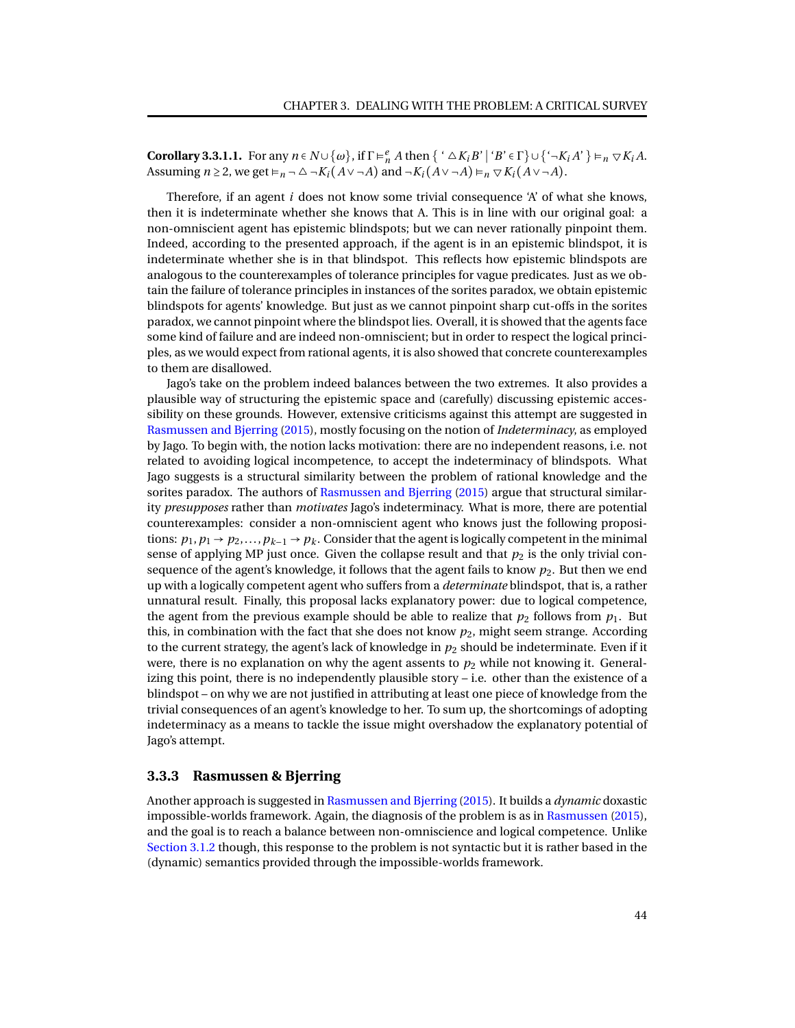**Corollary 3.3.1.1.** For any  $n \in N \cup \{\omega\}$ , if  $\Gamma \models^e_n A$  then  $\{\Lambda \subseteq K_i B' \mid B' \in \Gamma\} \cup \{\Lambda_i A' \} \models_n \nabla K_i A$ . Assuming  $n \geq 2$ , we get  $\models_n \neg \triangle \neg K_i(A \lor \neg A)$  and  $\neg K_i(A \lor \neg A) \models_n \nabla K_i(A \lor \neg A)$ .

Therefore, if an agent *i* does not know some trivial consequence 'A' of what she knows, then it is indeterminate whether she knows that A. This is in line with our original goal: a non-omniscient agent has epistemic blindspots; but we can never rationally pinpoint them. Indeed, according to the presented approach, if the agent is in an epistemic blindspot, it is indeterminate whether she is in that blindspot. This reflects how epistemic blindspots are analogous to the counterexamples of tolerance principles for vague predicates. Just as we obtain the failure of tolerance principles in instances of the sorites paradox, we obtain epistemic blindspots for agents' knowledge. But just as we cannot pinpoint sharp cut-offs in the sorites paradox, we cannot pinpoint where the blindspot lies. Overall, it is showed that the agents face some kind of failure and are indeed non-omniscient; but in order to respect the logical principles, as we would expect from rational agents, it is also showed that concrete counterexamples to them are disallowed.

Jago's take on the problem indeed balances between the two extremes. It also provides a plausible way of structuring the epistemic space and (carefully) discussing epistemic accessibility on these grounds. However, extensive criticisms against this attempt are suggested in [Rasmussen and Bjerring](#page-95-1) [\(2015\)](#page-95-1), mostly focusing on the notion of *Indeterminacy*, as employed by Jago. To begin with, the notion lacks motivation: there are no independent reasons, i.e. not related to avoiding logical incompetence, to accept the indeterminacy of blindspots. What Jago suggests is a structural similarity between the problem of rational knowledge and the sorites paradox. The authors of [Rasmussen and Bjerring](#page-95-1) [\(2015\)](#page-95-1) argue that structural similarity *presupposes* rather than *motivates* Jago's indeterminacy. What is more, there are potential counterexamples: consider a non-omniscient agent who knows just the following propositions:  $p_1, p_1 \rightarrow p_2, \ldots, p_{k-1} \rightarrow p_k$ . Consider that the agent is logically competent in the minimal sense of applying MP just once. Given the collapse result and that  $p_2$  is the only trivial consequence of the agent's knowledge, it follows that the agent fails to know  $p_2$ . But then we end up with a logically competent agent who suffers from a *determinate* blindspot, that is, a rather unnatural result. Finally, this proposal lacks explanatory power: due to logical competence, the agent from the previous example should be able to realize that  $p_2$  follows from  $p_1$ . But this, in combination with the fact that she does not know  $p_2$ , might seem strange. According to the current strategy, the agent's lack of knowledge in *p*<sup>2</sup> should be indeterminate. Even if it were, there is no explanation on why the agent assents to  $p_2$  while not knowing it. Generalizing this point, there is no independently plausible story  $-$  i.e. other than the existence of a blindspot – on why we are not justified in attributing at least one piece of knowledge from the trivial consequences of an agent's knowledge to her. To sum up, the shortcomings of adopting indeterminacy as a means to tackle the issue might overshadow the explanatory potential of Jago's attempt.

# <span id="page-47-0"></span>**3.3.3 Rasmussen & Bjerring**

Another approach is suggested in [Rasmussen and Bjerring](#page-95-1) [\(2015\)](#page-95-1). It builds a *dynamic* doxastic impossible-worlds framework. Again, the diagnosis of the problem is as in [Rasmussen](#page-95-0) [\(2015\)](#page-95-0), and the goal is to reach a balance between non-omniscience and logical competence. Unlike [Section 3.1.2](#page-22-0) though, this response to the problem is not syntactic but it is rather based in the (dynamic) semantics provided through the impossible-worlds framework.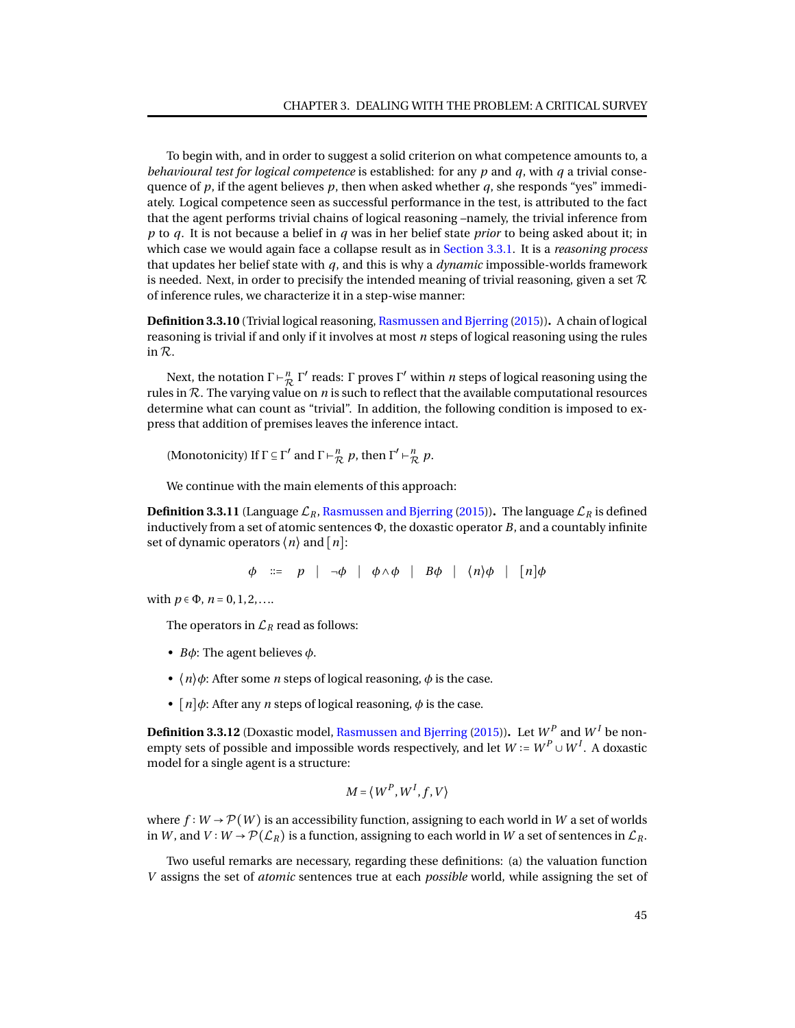To begin with, and in order to suggest a solid criterion on what competence amounts to, a *behavioural test for logical competence* is established: for any *p* and *q*, with *q* a trivial consequence of  $p$ , if the agent believes  $p$ , then when asked whether  $q$ , she responds "yes" immediately. Logical competence seen as successful performance in the test, is attributed to the fact that the agent performs trivial chains of logical reasoning –namely, the trivial inference from *p* to *q*. It is not because a belief in *q* was in her belief state *prior* to being asked about it; in which case we would again face a collapse result as in [Section 3.3.1.](#page-41-0) It is a *reasoning process* that updates her belief state with *q*, and this is why a *dynamic* impossible-worlds framework is needed. Next, in order to precisify the intended meaning of trivial reasoning, given a set  $\mathcal R$ of inference rules, we characterize it in a step-wise manner:

**Definition 3.3.10** (Trivial logical reasoning, [Rasmussen and Bjerring](#page-95-1) [\(2015\)](#page-95-1))**.** A chain of logical reasoning is trivial if and only if it involves at most *n* steps of logical reasoning using the rules in R.

Next, the notation  $\Gamma \vdash_{\mathcal{R}}^n \Gamma'$  reads:  $\Gamma$  proves  $\Gamma'$  within *n* steps of logical reasoning using the rules in  $R$ . The varying value on  $n$  is such to reflect that the available computational resources determine what can count as "trivial". In addition, the following condition is imposed to express that addition of premises leaves the inference intact.

(Monotonicity) If  $\Gamma \subseteq \Gamma'$  and  $\Gamma \vdash_{\mathcal{R}}^n p$ , then  $\Gamma' \vdash_{\mathcal{R}}^n p$ .

We continue with the main elements of this approach:

**Definition 3.3.11** (Language  $\mathcal{L}_R$ , [Rasmussen and Bjerring](#page-95-1) [\(2015\)](#page-95-1)). The language  $\mathcal{L}_R$  is defined inductively from a set of atomic sentences Φ, the doxastic operator *B*, and a countably infinite set of dynamic operators  $\langle n \rangle$  and  $\lceil n \rceil$ :

$$
\phi \quad ::= \quad p \quad | \quad \neg \phi \quad | \quad \phi \land \phi \quad | \quad B\phi \quad | \quad \langle n \rangle \phi \quad | \quad [n] \phi
$$

with  $p \in \Phi$ ,  $n = 0, 1, 2, \ldots$ 

The operators in  $\mathcal{L}_R$  read as follows:

- *Bφ*: The agent believes *φ*.
- $\langle n \rangle \phi$ : After some *n* steps of logical reasoning,  $\phi$  is the case.
- $[n]$  $\phi$ : After any *n* steps of logical reasoning,  $\phi$  is the case.

<span id="page-48-0"></span>**Definition 3.3.12** (Doxastic model, [Rasmussen and Bjerring](#page-95-1) [\(2015\)](#page-95-1)). Let  $W^P$  and  $W^I$  be nonempty sets of possible and impossible words respectively, and let  $W \coloneqq W^P \cup W^I.$  A doxastic model for a single agent is a structure:

$$
M = \langle W^P, W^I, f, V \rangle
$$

where  $f: W \to \mathcal{P}(W)$  is an accessibility function, assigning to each world in *W* a set of worlds in *W*, and *V* ∶ *W* →  $\mathcal{P}(\mathcal{L}_R)$  is a function, assigning to each world in *W* a set of sentences in  $\mathcal{L}_R$ .

Two useful remarks are necessary, regarding these definitions: (a) the valuation function *V* assigns the set of *atomic* sentences true at each *possible* world, while assigning the set of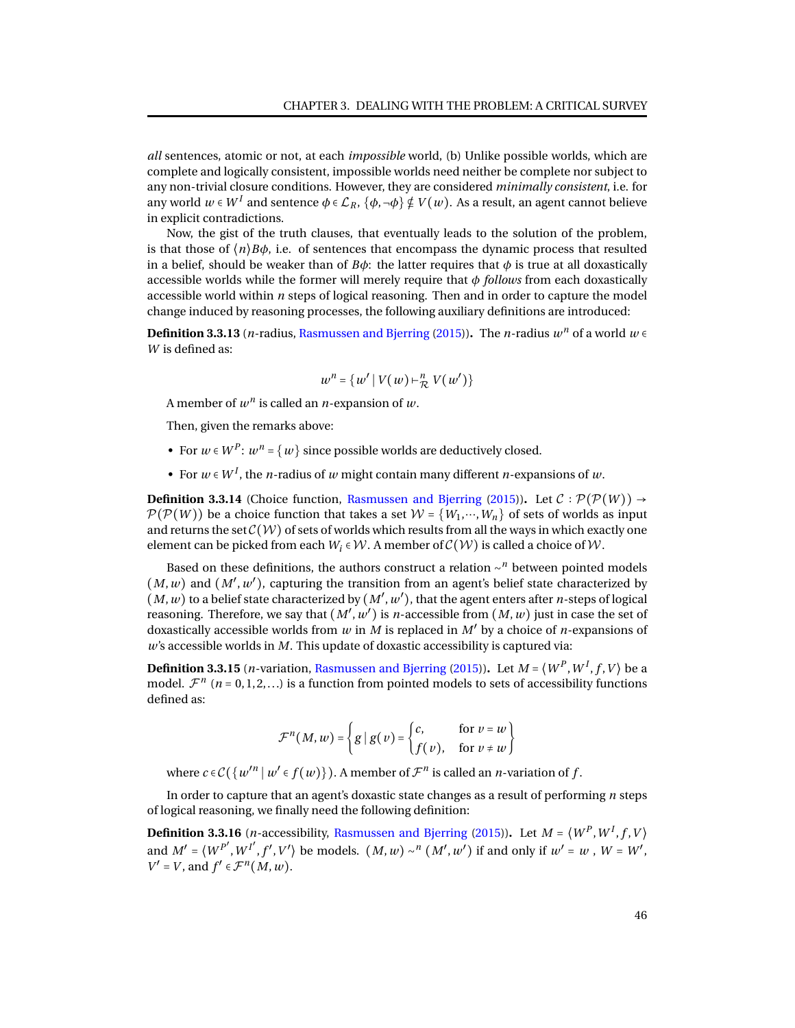*all* sentences, atomic or not, at each *impossible* world, (b) Unlike possible worlds, which are complete and logically consistent, impossible worlds need neither be complete nor subject to any non-trivial closure conditions. However, they are considered *minimally consistent*, i.e. for any world  $w\in W^I$  and sentence  $\phi\in\mathcal{L}_R,$   $\{\phi,\neg\phi\}\notin V(w).$  As a result, an agent cannot believe in explicit contradictions.

Now, the gist of the truth clauses, that eventually leads to the solution of the problem, is that those of  $\langle n \rangle B \phi$ , i.e. of sentences that encompass the dynamic process that resulted in a belief, should be weaker than of  $B\phi$ : the latter requires that  $\phi$  is true at all doxastically accessible worlds while the former will merely require that *φ follows* from each doxastically accessible world within *n* steps of logical reasoning. Then and in order to capture the model change induced by reasoning processes, the following auxiliary definitions are introduced:

**Definition 3.3.13** (*n*-radius, [Rasmussen and Bjerring](#page-95-1) [\(2015\)](#page-95-1)). The *n*-radius  $w^n$  of a world  $w \in$ *W* is defined as:

$$
w^n = \{w' \mid V(w) \vdash^n_{\mathcal{R}} V(w')\}
$$

A member of  $w^n$  is called an *n*-expansion of  $w$ .

Then, given the remarks above:

- For  $w \in W^P$ :  $w^n = \{w\}$  since possible worlds are deductively closed.
- For  $w \in W^I$ , the *n*-radius of  $w$  might contain many different *n*-expansions of  $w$ .

**Definition 3.3.14** (Choice function, [Rasmussen and Bjerring](#page-95-1) [\(2015\)](#page-95-1)). Let  $\mathcal{C} : \mathcal{P}(\mathcal{P}(W)) \rightarrow$  $\mathcal{P}(\mathcal{P}(W))$  be a choice function that takes a set  $\mathcal{W} = \{W_1, \dots, W_n\}$  of sets of worlds as input and returns the set  $\mathcal{C}(\mathcal{W})$  of sets of worlds which results from all the ways in which exactly one element can be picked from each  $W_i \in \mathcal{W}$ . A member of  $\mathcal{C}(\mathcal{W})$  is called a choice of  $\mathcal{W}$ .

Based on these definitions, the authors construct a relation ∼ *<sup>n</sup>* between pointed models  $(M, w)$  and  $(M', w')$ , capturing the transition from an agent's belief state characterized by  $(M, w)$  to a belief state characterized by  $(M', w')$ , that the agent enters after *n*-steps of logical reasoning. Therefore, we say that  $(M', w')$  is *n*-accessible from  $(M, w)$  just in case the set of doxastically accessible worlds from *<sup>w</sup>* in *<sup>M</sup>* is replaced in *<sup>M</sup>*′ by a choice of *<sup>n</sup>*-expansions of *w*'s accessible worlds in *M*. This update of doxastic accessibility is captured via:

**Definition 3.3.15** (*n*-variation, [Rasmussen and Bjerring](#page-95-1) [\(2015\)](#page-95-1)). Let  $M$  =  $\langle W^P, W^I, f, V \rangle$  be a model.  $\mathcal{F}^n$  ( $n = 0, 1, 2, \ldots$ ) is a function from pointed models to sets of accessibility functions defined as:

$$
\mathcal{F}^n(M, w) = \left\{ g \mid g(v) = \begin{cases} c, & \text{for } v = w \\ f(v), & \text{for } v \neq w \end{cases} \right\}
$$

where  $c \in C({w'}^n | w' \in f(w))$  ). A member of  $\mathcal{F}^n$  is called an *n*-variation of  $f$ .

In order to capture that an agent's doxastic state changes as a result of performing *n* steps of logical reasoning, we finally need the following definition:

**Definition 3.3.16** (*n*-accessibility, [Rasmussen and Bjerring](#page-95-1) [\(2015\)](#page-95-1)). Let  $M = \langle W^P, W^I, f, V \rangle$ and  $M' = \langle W^{P'}, W^{I'}, f', V' \rangle$  be models.  $(M, w) \sim^n (M', w')$  if and only if  $w' = w$ ,  $W = W'$ ,  $V' = V$ , and  $f' \in \mathcal{F}^n(M, w)$ .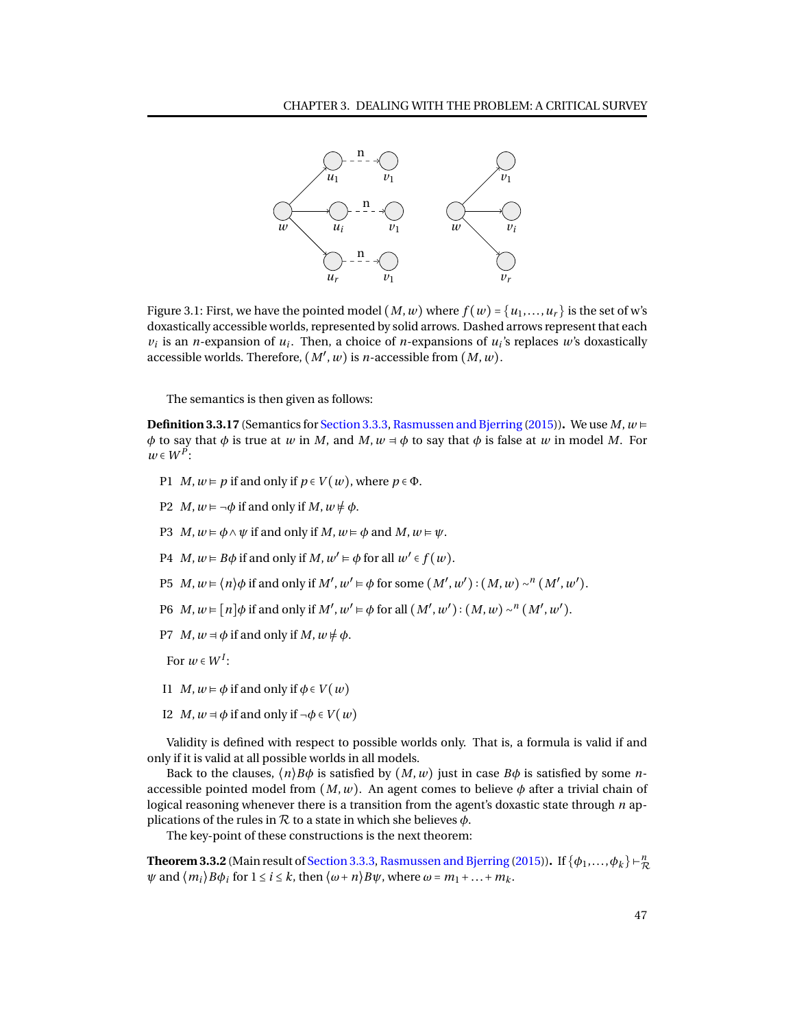

Figure 3.1: First, we have the pointed model  $(M, w)$  where  $f(w) = \{u_1, \ldots, u_r\}$  is the set of w's doxastically accessible worlds, represented by solid arrows. Dashed arrows represent that each  $v_i$  is an *n*-expansion of  $u_i$ . Then, a choice of *n*-expansions of  $u_i$ 's replaces  $w$ 's doxastically accessible worlds. Therefore,  $(M', w)$  is *n*-accessible from  $(M, w)$ .

The semantics is then given as follows:

**Definition 3.3.17** (Semantics for [Section 3.3.3,](#page-47-0) [Rasmussen and Bjerring](#page-95-1) [\(2015\)](#page-95-1)). We use  $M, w \models$ *φ* to say that *φ* is true at *w* in *M*, and *M*,  $w = φ$  to say that  $φ$  is false at *w* in model *M*. For  $w \in W^P$ :

- P1 *M*,  $w \models p$  if and only if  $p \in V(w)$ , where  $p \in \Phi$ .
- P2 *M*,  $w \models \neg \phi$  if and only if *M*,  $w \not\models \phi$ .
- P3 *M*,  $w \models \phi \land \psi$  if and only if *M*,  $w \models \phi$  and *M*,  $w \models \psi$ .
- P4  $M, w \models B\phi$  if and only if  $M, w' \models \phi$  for all  $w' \in f(w)$ .
- P5  $M, w \models \langle n \rangle \phi$  if and only if  $M', w' \models \phi$  for some  $(M', w') : (M, w) \sim^n (M', w')$ .
- P6  $M, w \in [n] \phi$  if and only if  $M', w' \in \phi$  for all  $(M', w') : (M, w) \sim^n (M', w')$ .
- P7 *M*,  $w = \phi$  if and only if *M*,  $w \neq \phi$ .
- For  $w \in W^I$ :
- I1 *M*,  $w \models \phi$  if and only if  $\phi \in V(w)$
- I2 *M*,  $w = \phi$  if and only if  $\neg \phi \in V(w)$

Validity is defined with respect to possible worlds only. That is, a formula is valid if and only if it is valid at all possible worlds in all models.

Back to the clauses,  $\langle n \rangle B\phi$  is satisfied by  $(M, w)$  just in case  $B\phi$  is satisfied by some *n*accessible pointed model from  $(M, w)$ . An agent comes to believe  $\phi$  after a trivial chain of logical reasoning whenever there is a transition from the agent's doxastic state through *n* applications of the rules in  $R$  to a state in which she believes  $\phi$ .

The key-point of these constructions is the next theorem:

<span id="page-50-0"></span>**Theorem 3.3.2** (Main result of [Section 3.3.3,](#page-47-0) [Rasmussen and Bjerring](#page-95-1) [\(2015\)](#page-95-1)). If  $\{\phi_1,...,\phi_k\} \vdash^n_{\mathcal{P}}$  $\tilde{\xi}$  $\psi$  and  $\langle m_i \rangle B\phi_i$  for  $1 \leq i \leq k$ , then  $\langle \omega + n \rangle B\psi$ , where  $\omega = m_1 + ... + m_k$ .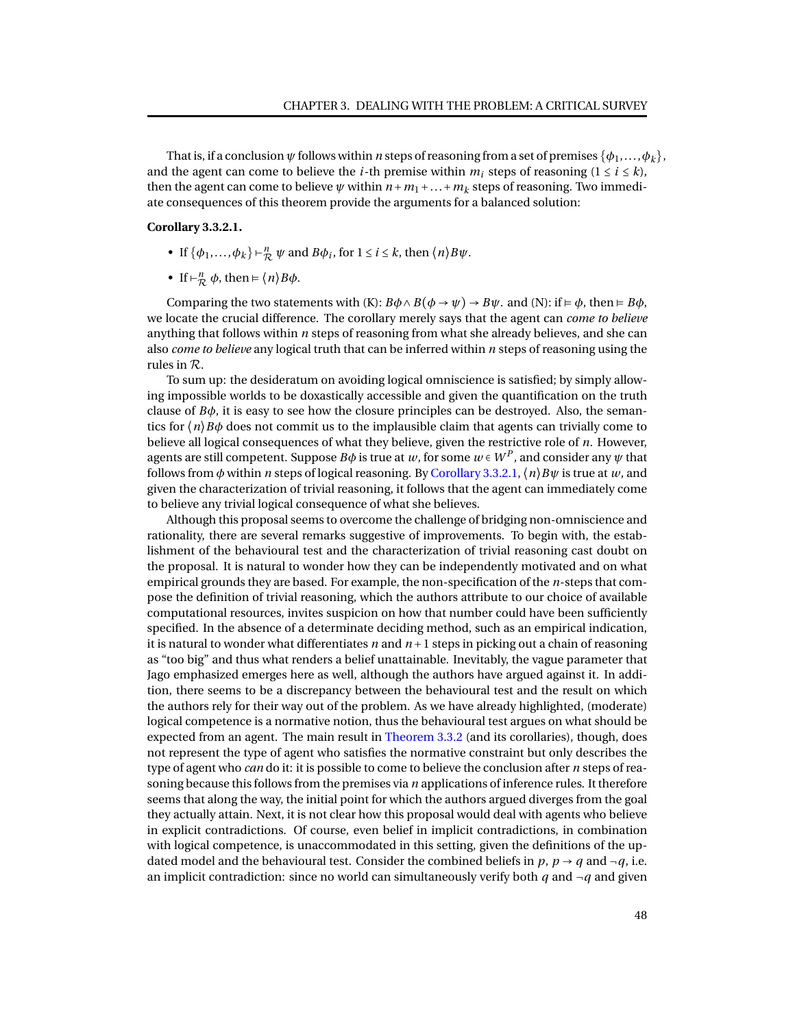That is, if a conclusion  $\psi$  follows within *n* steps of reasoning from a set of premises  $\{\phi_1, \ldots, \phi_k\}$ , and the agent can come to believe the *i*-th premise within  $m_i$  steps of reasoning  $(1 \le i \le k)$ , then the agent can come to believe  $\psi$  within  $n + m_1 + ... + m_k$  steps of reasoning. Two immediate consequences of this theorem provide the arguments for a balanced solution:

## <span id="page-51-0"></span>**Corollary 3.3.2.1.**

- If  $\{\phi_1, ..., \phi_k\} \vdash_{\mathcal{R}}^n \psi$  and  $B\phi_i$ , for  $1 \le i \le k$ , then  $\langle n \rangle B\psi$ .
- If  $\vdash_{\mathcal{R}}^n \phi$ , then  $\models \langle n \rangle B\phi$ .

Comparing the two statements with  $(K)$ :  $B\phi \land B(\phi \rightarrow \psi) \rightarrow B\psi$ . and  $(N)$ : if  $\vDash \phi$ , then  $\vDash B\phi$ , we locate the crucial difference. The corollary merely says that the agent can *come to believe* anything that follows within *n* steps of reasoning from what she already believes, and she can also *come to believe* any logical truth that can be inferred within *n* steps of reasoning using the rules in R.

To sum up: the desideratum on avoiding logical omniscience is satisfied; by simply allowing impossible worlds to be doxastically accessible and given the quantification on the truth clause of  $B\phi$ , it is easy to see how the closure principles can be destroyed. Also, the semantics for  $\langle n \rangle B\phi$  does not commit us to the implausible claim that agents can trivially come to believe all logical consequences of what they believe, given the restrictive role of *n*. However, agents are still competent. Suppose  $B\phi$  is true at  $w$ , for some  $w\in W^P$ , and consider any  $\psi$  that follows from *φ* within *n* steps of logical reasoning. By [Corollary 3.3.2.1,](#page-51-0)⟨*n*⟩*Bψ* is true at *w*, and given the characterization of trivial reasoning, it follows that the agent can immediately come to believe any trivial logical consequence of what she believes.

Although this proposal seems to overcome the challenge of bridging non-omniscience and rationality, there are several remarks suggestive of improvements. To begin with, the establishment of the behavioural test and the characterization of trivial reasoning cast doubt on the proposal. It is natural to wonder how they can be independently motivated and on what empirical grounds they are based. For example, the non-specification of the *n*-steps that compose the definition of trivial reasoning, which the authors attribute to our choice of available computational resources, invites suspicion on how that number could have been sufficiently specified. In the absence of a determinate deciding method, such as an empirical indication, it is natural to wonder what differentiates  $n$  and  $n+1$  steps in picking out a chain of reasoning as "too big" and thus what renders a belief unattainable. Inevitably, the vague parameter that Jago emphasized emerges here as well, although the authors have argued against it. In addition, there seems to be a discrepancy between the behavioural test and the result on which the authors rely for their way out of the problem. As we have already highlighted, (moderate) logical competence is a normative notion, thus the behavioural test argues on what should be expected from an agent. The main result in [Theorem 3.3.2](#page-50-0) (and its corollaries), though, does not represent the type of agent who satisfies the normative constraint but only describes the type of agent who *can* do it: it is possible to come to believe the conclusion after *n* steps of reasoning because this follows from the premises via *n* applications of inference rules. It therefore seems that along the way, the initial point for which the authors argued diverges from the goal they actually attain. Next, it is not clear how this proposal would deal with agents who believe in explicit contradictions. Of course, even belief in implicit contradictions, in combination with logical competence, is unaccommodated in this setting, given the definitions of the updated model and the behavioural test. Consider the combined beliefs in  $p$ ,  $p \rightarrow q$  and  $\neg q$ , i.e. an implicit contradiction: since no world can simultaneously verify both  $q$  and  $\neg q$  and given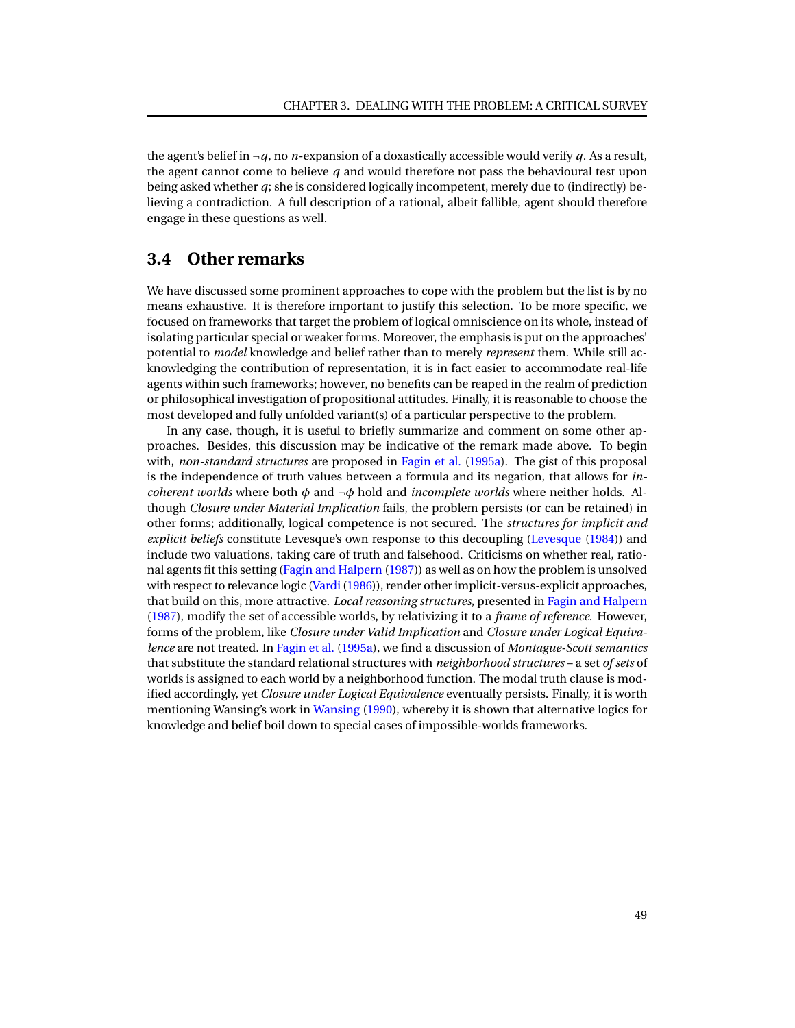the agent's belief in  $\neg q$ , no *n*-expansion of a doxastically accessible would verify *q*. As a result, the agent cannot come to believe *q* and would therefore not pass the behavioural test upon being asked whether *q*; she is considered logically incompetent, merely due to (indirectly) believing a contradiction. A full description of a rational, albeit fallible, agent should therefore engage in these questions as well.

# **3.4 Other remarks**

We have discussed some prominent approaches to cope with the problem but the list is by no means exhaustive. It is therefore important to justify this selection. To be more specific, we focused on frameworks that target the problem of logical omniscience on its whole, instead of isolating particular special or weaker forms. Moreover, the emphasis is put on the approaches' potential to *model* knowledge and belief rather than to merely *represent* them. While still acknowledging the contribution of representation, it is in fact easier to accommodate real-life agents within such frameworks; however, no benefits can be reaped in the realm of prediction or philosophical investigation of propositional attitudes. Finally, it is reasonable to choose the most developed and fully unfolded variant(s) of a particular perspective to the problem.

In any case, though, it is useful to briefly summarize and comment on some other approaches. Besides, this discussion may be indicative of the remark made above. To begin with, *non-standard structures* are proposed in [Fagin et al.](#page-93-4) [\(1995a\)](#page-93-4). The gist of this proposal is the independence of truth values between a formula and its negation, that allows for *incoherent worlds* where both *φ* and ¬*φ* hold and *incomplete worlds* where neither holds. Although *Closure under Material Implication* fails, the problem persists (or can be retained) in other forms; additionally, logical competence is not secured. The *structures for implicit and explicit beliefs* constitute Levesque's own response to this decoupling [\(Levesque](#page-94-2) [\(1984\)](#page-94-2)) and include two valuations, taking care of truth and falsehood. Criticisms on whether real, rational agents fit this setting [\(Fagin and Halpern](#page-93-5) [\(1987\)](#page-93-5)) as well as on how the problem is unsolved with respect to relevance logic (Vardi (1986)), render other implicit-versus-explicit approaches, that build on this, more attractive. *Local reasoning structures*, presented in [Fagin and Halpern](#page-93-5) [\(1987\)](#page-93-5), modify the set of accessible worlds, by relativizing it to a *frame of reference*. However, forms of the problem, like *Closure under Valid Implication* and *Closure under Logical Equivalence* are not treated. In [Fagin et al.](#page-93-4) [\(1995a\)](#page-93-4), we find a discussion of *Montague-Scott semantics* that substitute the standard relational structures with *neighborhood structures* – a set *of sets* of worlds is assigned to each world by a neighborhood function. The modal truth clause is modified accordingly, yet *Closure under Logical Equivalence* eventually persists. Finally, it is worth mentioning Wansing's work in [Wansing](#page-96-1) [\(1990\)](#page-96-1), whereby it is shown that alternative logics for knowledge and belief boil down to special cases of impossible-worlds frameworks.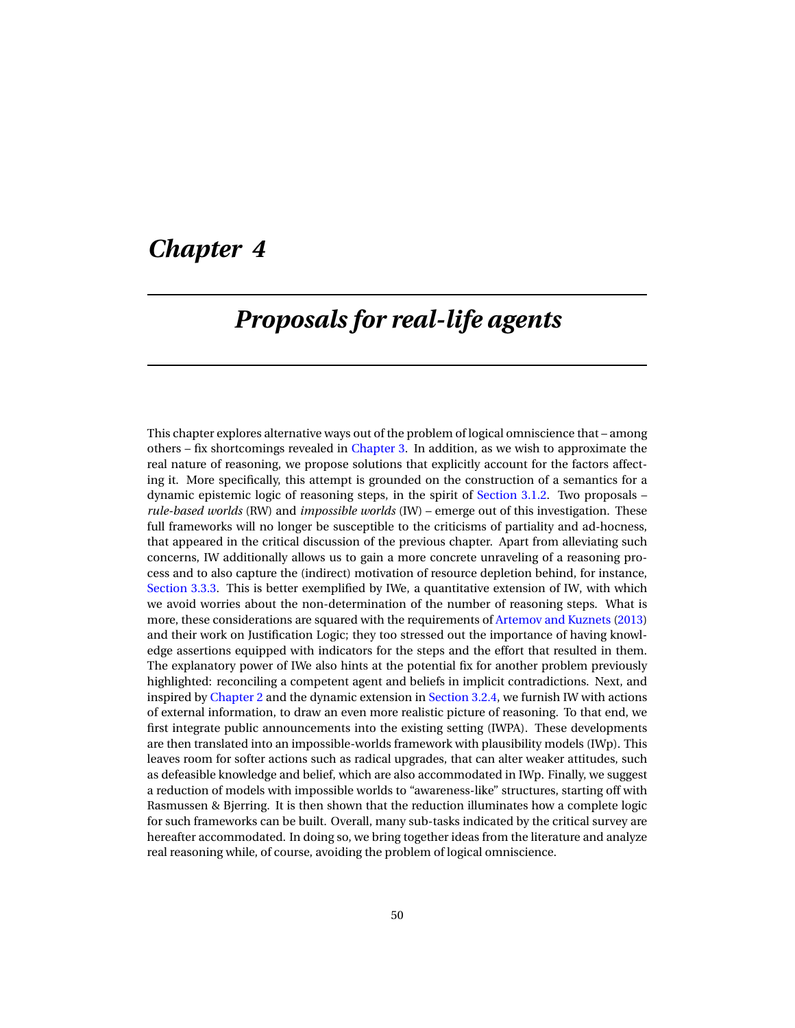# *Chapter 4*

# *Proposals for real-life agents*

This chapter explores alternative ways out of the problem of logical omniscience that – among others – fix shortcomings revealed in [Chapter 3.](#page-20-0) In addition, as we wish to approximate the real nature of reasoning, we propose solutions that explicitly account for the factors affecting it. More specifically, this attempt is grounded on the construction of a semantics for a dynamic epistemic logic of reasoning steps, in the spirit of [Section 3.1.2.](#page-22-0) Two proposals – *rule-based worlds* (RW) and *impossible worlds* (IW) – emerge out of this investigation. These full frameworks will no longer be susceptible to the criticisms of partiality and ad-hocness, that appeared in the critical discussion of the previous chapter. Apart from alleviating such concerns, IW additionally allows us to gain a more concrete unraveling of a reasoning process and to also capture the (indirect) motivation of resource depletion behind, for instance, [Section 3.3.3.](#page-47-0) This is better exemplified by IWe, a quantitative extension of IW, with which we avoid worries about the non-determination of the number of reasoning steps. What is more, these considerations are squared with the requirements of [Artemov and Kuznets](#page-92-1) [\(2013\)](#page-92-1) and their work on Justification Logic; they too stressed out the importance of having knowledge assertions equipped with indicators for the steps and the effort that resulted in them. The explanatory power of IWe also hints at the potential fix for another problem previously highlighted: reconciling a competent agent and beliefs in implicit contradictions. Next, and inspired by [Chapter 2](#page-14-0) and the dynamic extension in [Section 3.2.4,](#page-34-0) we furnish IW with actions of external information, to draw an even more realistic picture of reasoning. To that end, we first integrate public announcements into the existing setting (IWPA). These developments are then translated into an impossible-worlds framework with plausibility models (IWp). This leaves room for softer actions such as radical upgrades, that can alter weaker attitudes, such as defeasible knowledge and belief, which are also accommodated in IWp. Finally, we suggest a reduction of models with impossible worlds to "awareness-like" structures, starting off with Rasmussen & Bjerring. It is then shown that the reduction illuminates how a complete logic for such frameworks can be built. Overall, many sub-tasks indicated by the critical survey are hereafter accommodated. In doing so, we bring together ideas from the literature and analyze real reasoning while, of course, avoiding the problem of logical omniscience.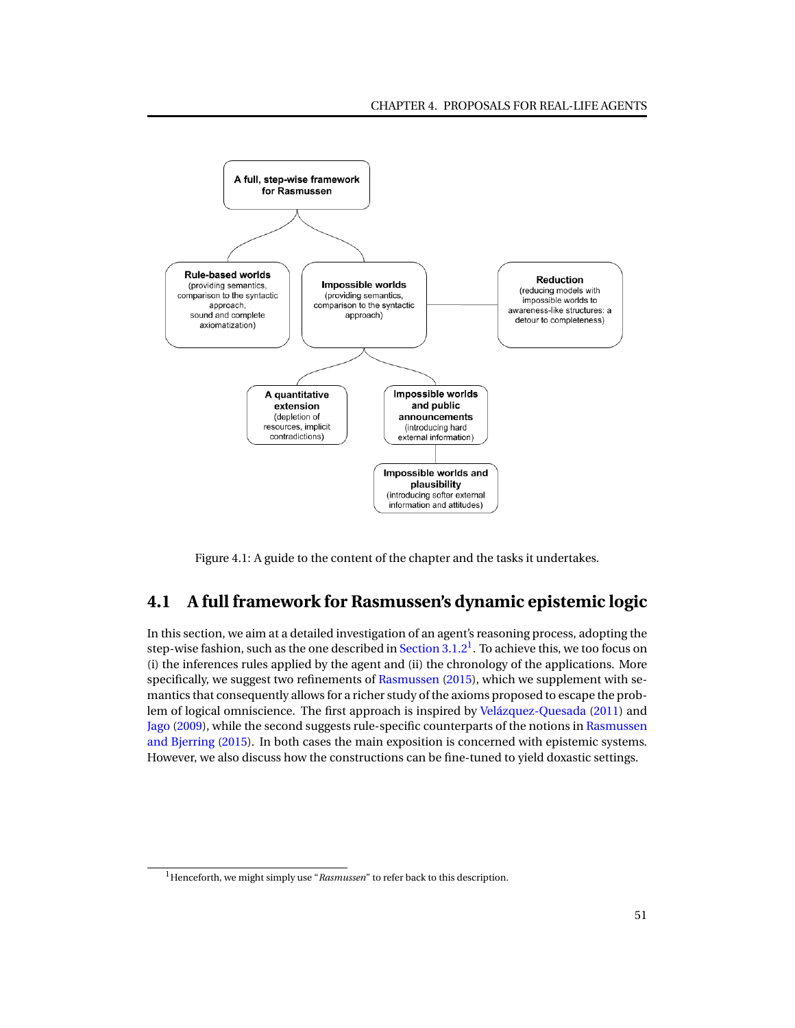

Figure 4.1: A guide to the content of the chapter and the tasks it undertakes.

# **4.1 A full framework for Rasmussen's dynamic epistemic logic**

In this section, we aim at a detailed investigation of an agent's reasoning process, adopting the step-wise fashion, such as the one described in [Section 3.1.2](#page-22-0) $^1$  $^1$  . To achieve this, we too focus on (i) the inferences rules applied by the agent and (ii) the chronology of the applications. More specifically, we suggest two refinements of [Rasmussen](#page-95-0) [\(2015\)](#page-95-0), which we supplement with semantics that consequently allows for a richer study of the axioms proposed to escape the problem of logical omniscience. The first approach is inspired by [Velázquez-Quesada](#page-96-2) [\(2011\)](#page-96-2) and [Jago](#page-94-3) [\(2009\)](#page-94-3), while the second suggests rule-specific counterparts of the notions in [Rasmussen](#page-95-1) [and Bjerring](#page-95-1) [\(2015\)](#page-95-1). In both cases the main exposition is concerned with epistemic systems. However, we also discuss how the constructions can be fine-tuned to yield doxastic settings.

<sup>&</sup>lt;sup>1</sup>Henceforth, we might simply use "*Rasmussen*" to refer back to this description.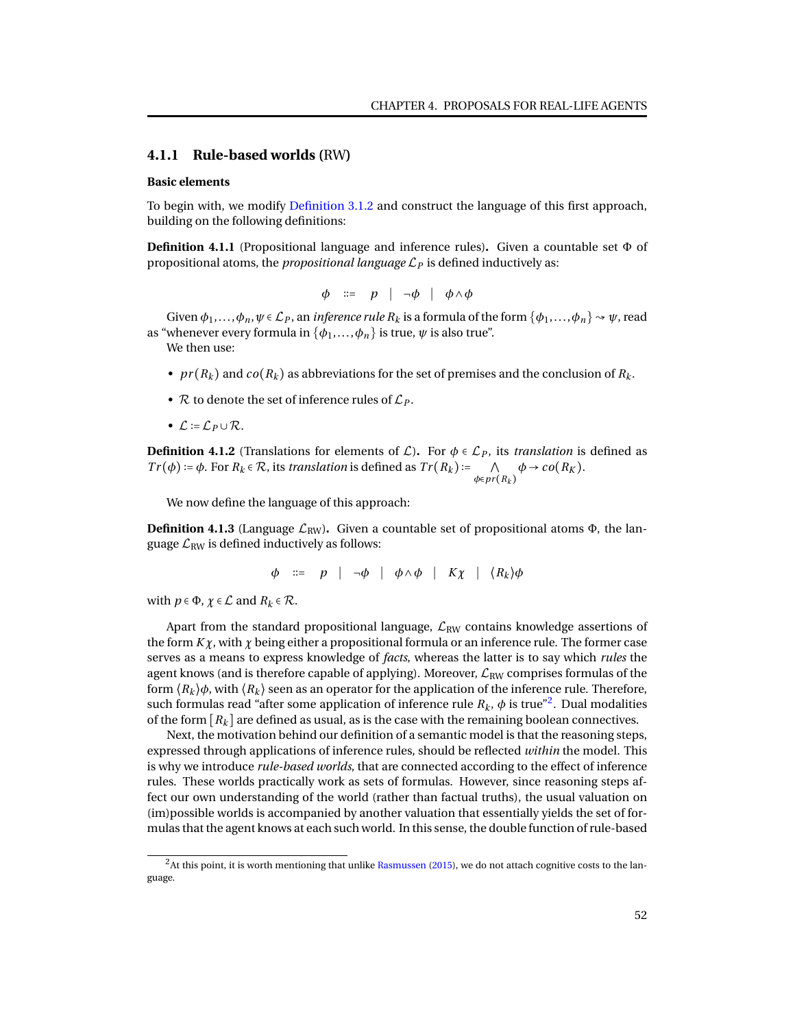# **4.1.1 Rule-based worlds (**RW**)**

### **Basic elements**

To begin with, we modify [Definition 3.1.2](#page-23-0) and construct the language of this first approach, building on the following definitions:

**Definition 4.1.1** (Propositional language and inference rules)**.** Given a countable set Φ of propositional atoms, the *propositional language*  $\mathcal{L}_P$  is defined inductively as:

$$
\phi \ ::= p \ | \ \neg \phi \ | \ \phi \land \phi
$$

Given  $\phi_1,\ldots,\phi_n,\psi \in \mathcal{L}_P$ , an *inference rule*  $R_k$  is a formula of the form  $\{\phi_1,\ldots,\phi_n\} \rightsquigarrow \psi$ , read as "whenever every formula in  $\{\phi_1, \ldots, \phi_n\}$  is true,  $\psi$  is also true".

We then use:

- $pr(R_k)$  and  $co(R_k)$  as abbreviations for the set of premises and the conclusion of  $R_k$ .
- $\mathcal R$  to denote the set of inference rules of  $\mathcal L_P$ .
- $\mathcal{L} := \mathcal{L}_P \cup \mathcal{R}$ .

**Definition 4.1.2** (Translations for elements of  $\mathcal{L}$ ). For  $\phi \in \mathcal{L}_P$ , its *translation* is defined as  $Tr(\phi) := \phi$ . For  $R_k \in \mathcal{R}$ , its *translation* is defined as  $Tr(R_k) := \bigcap_{k=1}^k R_k$ *<sup>φ</sup>*∈*pr* (*R<sup>k</sup>* )  $\phi \rightarrow co(R_K)$ .

We now define the language of this approach:

**Definition 4.1.3** (Language  $\mathcal{L}_{RW}$ ). Given a countable set of propositional atoms  $\Phi$ , the language  $\mathcal{L}_{RW}$  is defined inductively as follows:

$$
\phi \quad ::= \quad p \quad | \quad \neg \phi \quad | \quad \phi \land \phi \quad | \quad K\chi \quad | \quad \langle R_k \rangle \phi
$$

with  $p \in \Phi$ ,  $\chi \in \mathcal{L}$  and  $R_k \in \mathcal{R}$ .

Apart from the standard propositional language,  $\mathcal{L}_{RW}$  contains knowledge assertions of the form  $K\chi$ , with  $\chi$  being either a propositional formula or an inference rule. The former case serves as a means to express knowledge of *facts*, whereas the latter is to say which *rules* the agent knows (and is therefore capable of applying). Moreover,  $\mathcal{L}_{RW}$  comprises formulas of the form  $\langle R_k \rangle \phi$ , with  $\langle R_k \rangle$  seen as an operator for the application of the inference rule. Therefore, such formulas read "after some application of inference rule  $R_k$ ,  $\phi$  is true"<sup>[2](#page-0-0)</sup>. Dual modalities of the form  $[R_k]$  are defined as usual, as is the case with the remaining boolean connectives.

Next, the motivation behind our definition of a semantic model is that the reasoning steps, expressed through applications of inference rules, should be reflected *within* the model. This is why we introduce *rule-based worlds*, that are connected according to the effect of inference rules. These worlds practically work as sets of formulas. However, since reasoning steps affect our own understanding of the world (rather than factual truths), the usual valuation on (im)possible worlds is accompanied by another valuation that essentially yields the set of formulas that the agent knows at each such world. In this sense, the double function of rule-based

 $2$ At this point, it is worth mentioning that unlike [Rasmussen](#page-95-0) [\(2015\)](#page-95-0), we do not attach cognitive costs to the language.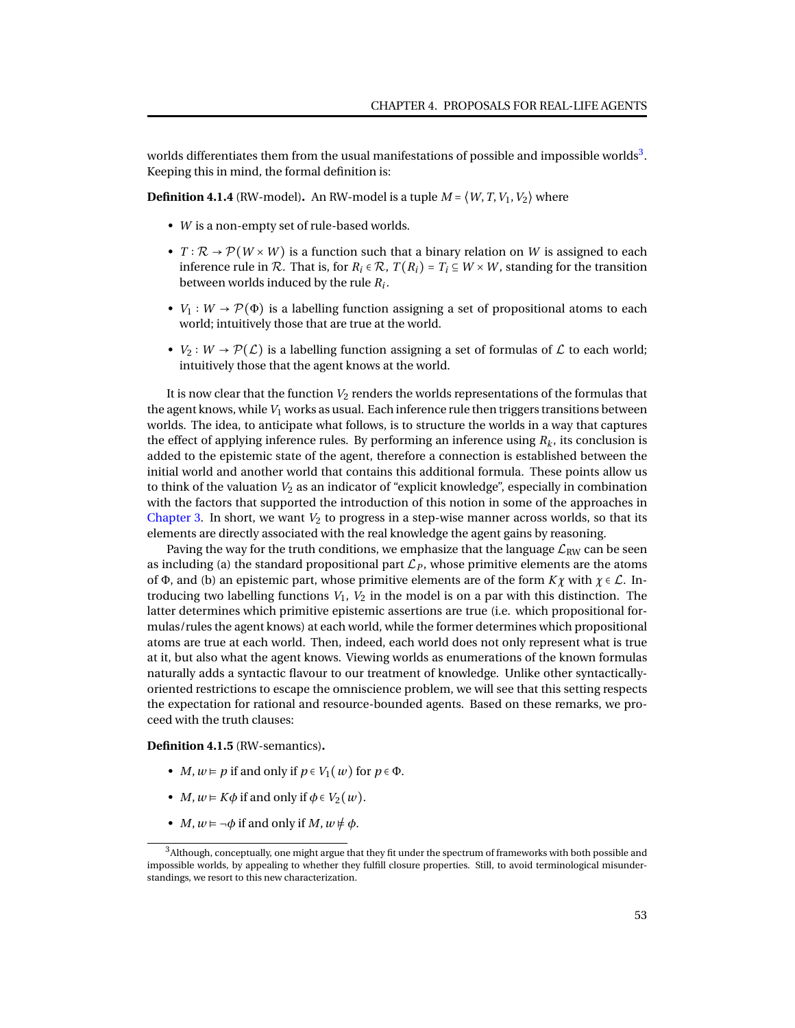worlds differentiates them from the usual manifestations of possible and impossible worlds $^3\!$  $^3\!$  $^3\!$ . Keeping this in mind, the formal definition is:

**Definition 4.1.4** (RW-model). An RW-model is a tuple  $M = \langle W, T, V_1, V_2 \rangle$  where

- *W* is a non-empty set of rule-based worlds.
- $T : \mathcal{R} \to \mathcal{P}(W \times W)$  is a function such that a binary relation on *W* is assigned to each inference rule in R. That is, for  $R_i \in \mathcal{R}$ ,  $T(R_i) = T_i \subseteq W \times W$ , standing for the transition between worlds induced by the rule *R<sup>i</sup>* .
- *V*<sub>1</sub> : *W*  $\rightarrow$  *P*( $\Phi$ ) is a labelling function assigning a set of propositional atoms to each world; intuitively those that are true at the world.
- *V*<sub>2</sub> : *W*  $\rightarrow$  *P*( $\mathcal{L}$ ) is a labelling function assigning a set of formulas of  $\mathcal{L}$  to each world; intuitively those that the agent knows at the world.

It is now clear that the function  $V_2$  renders the worlds representations of the formulas that the agent knows, while*V*<sup>1</sup> works as usual. Each inference rule then triggers transitions between worlds. The idea, to anticipate what follows, is to structure the worlds in a way that captures the effect of applying inference rules. By performing an inference using  $R_k$ , its conclusion is added to the epistemic state of the agent, therefore a connection is established between the initial world and another world that contains this additional formula. These points allow us to think of the valuation *V*<sup>2</sup> as an indicator of "explicit knowledge", especially in combination with the factors that supported the introduction of this notion in some of the approaches in [Chapter 3.](#page-20-0) In short, we want  $V_2$  to progress in a step-wise manner across worlds, so that its elements are directly associated with the real knowledge the agent gains by reasoning.

Paving the way for the truth conditions, we emphasize that the language  $\mathcal{L}_{RW}$  can be seen as including (a) the standard propositional part  $\mathcal{L}_P$ , whose primitive elements are the atoms of Φ, and (b) an epistemic part, whose primitive elements are of the form  $K\chi$  with  $\chi \in \mathcal{L}$ . Introducing two labelling functions  $V_1$ ,  $V_2$  in the model is on a par with this distinction. The latter determines which primitive epistemic assertions are true (i.e. which propositional formulas/rules the agent knows) at each world, while the former determines which propositional atoms are true at each world. Then, indeed, each world does not only represent what is true at it, but also what the agent knows. Viewing worlds as enumerations of the known formulas naturally adds a syntactic flavour to our treatment of knowledge. Unlike other syntacticallyoriented restrictions to escape the omniscience problem, we will see that this setting respects the expectation for rational and resource-bounded agents. Based on these remarks, we proceed with the truth clauses:

<span id="page-56-0"></span>**Definition 4.1.5** (RW-semantics)**.**

- *M*,  $w \models p$  if and only if  $p \in V_1(w)$  for  $p \in \Phi$ .
- *M*,  $w \in K\phi$  if and only if  $\phi \in V_2(w)$ .
- *M*,  $w \models \neg \phi$  if and only if *M*,  $w \not\models \phi$ .

<sup>3</sup>Although, conceptually, one might argue that they fit under the spectrum of frameworks with both possible and impossible worlds, by appealing to whether they fulfill closure properties. Still, to avoid terminological misunderstandings, we resort to this new characterization.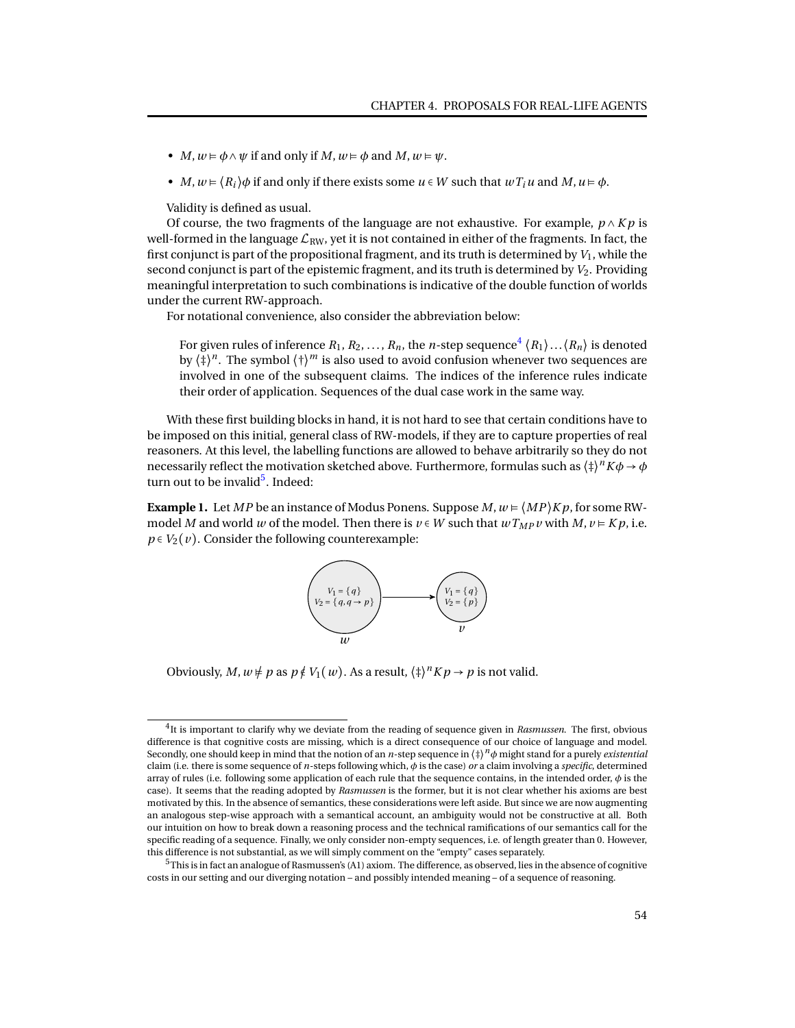- *M*,  $w \models \phi \land \psi$  if and only if *M*,  $w \models \phi$  and *M*,  $w \models \psi$ .
- *M*,  $w = \langle R_i \rangle \phi$  if and only if there exists some  $u \in W$  such that  $wT_iu$  and  $M, u \models \phi$ .

Validity is defined as usual.

Of course, the two fragments of the language are not exhaustive. For example,  $p \wedge Kp$  is well-formed in the language  $\mathcal{L}_{RW}$ , yet it is not contained in either of the fragments. In fact, the first conjunct is part of the propositional fragment, and its truth is determined by  $V_1$ , while the second conjunct is part of the epistemic fragment, and its truth is determined by  $V_2$ . Providing meaningful interpretation to such combinations is indicative of the double function of worlds under the current RW-approach.

For notational convenience, also consider the abbreviation below:

For given rules of inference  $R_1, R_2, \ldots, R_n$ , the  $n$ -step sequence $^4\left\langle R_1\right\rangle \ldots \left\langle R_n\right\rangle$  $^4\left\langle R_1\right\rangle \ldots \left\langle R_n\right\rangle$  $^4\left\langle R_1\right\rangle \ldots \left\langle R_n\right\rangle$  is denoted by  $\langle \ddagger \rangle^n$ . The symbol  $\langle \dagger \rangle^m$  is also used to avoid confusion whenever two sequences are involved in one of the subsequent claims. The indices of the inference rules indicate their order of application. Sequences of the dual case work in the same way.

With these first building blocks in hand, it is not hard to see that certain conditions have to be imposed on this initial, general class of RW-models, if they are to capture properties of real reasoners. At this level, the labelling functions are allowed to behave arbitrarily so they do not necessarily reflect the motivation sketched above. Furthermore, formulas such as  $\langle{\ddagger}\rangle^n K \phi \to \phi$ turn out to be invalid<sup>[5](#page-0-0)</sup>. Indeed:

**Example 1.** Let *MP* be an instance of Modus Ponens. Suppose *M*,  $w = \langle MP \rangle Kp$ , for some RWmodel *M* and world *w* of the model. Then there is  $v \in W$  such that  $wT_{MP}v$  with  $M, v \in Kp$ , i.e.  $p \in V_2(v)$ . Consider the following counterexample:



Obviously, *M*,  $w \neq p$  as  $p \notin V_1(w)$ . As a result,  $\langle \frac{1}{2} \rangle^n K p \to p$  is not valid.

<sup>4</sup> It is important to clarify why we deviate from the reading of sequence given in *Rasmussen*. The first, obvious difference is that cognitive costs are missing, which is a direct consequence of our choice of language and model. Secondly, one should keep in mind that the notion of an *n*-step sequence in ⟨‡⟩ *<sup>n</sup>φ* might stand for a purely *existential* claim (i.e. there is some sequence of *n*-steps following which, *φ* is the case) *or* a claim involving a *specific*, determined array of rules (i.e. following some application of each rule that the sequence contains, in the intended order, *φ* is the case). It seems that the reading adopted by *Rasmussen* is the former, but it is not clear whether his axioms are best motivated by this. In the absence of semantics, these considerations were left aside. But since we are now augmenting an analogous step-wise approach with a semantical account, an ambiguity would not be constructive at all. Both our intuition on how to break down a reasoning process and the technical ramifications of our semantics call for the specific reading of a sequence. Finally, we only consider non-empty sequences, i.e. of length greater than 0. However, this difference is not substantial, as we will simply comment on the "empty" cases separately.

<sup>5</sup>This is in fact an analogue of Rasmussen's (A1) axiom. The difference, as observed, lies in the absence of cognitive costs in our setting and our diverging notation – and possibly intended meaning – of a sequence of reasoning.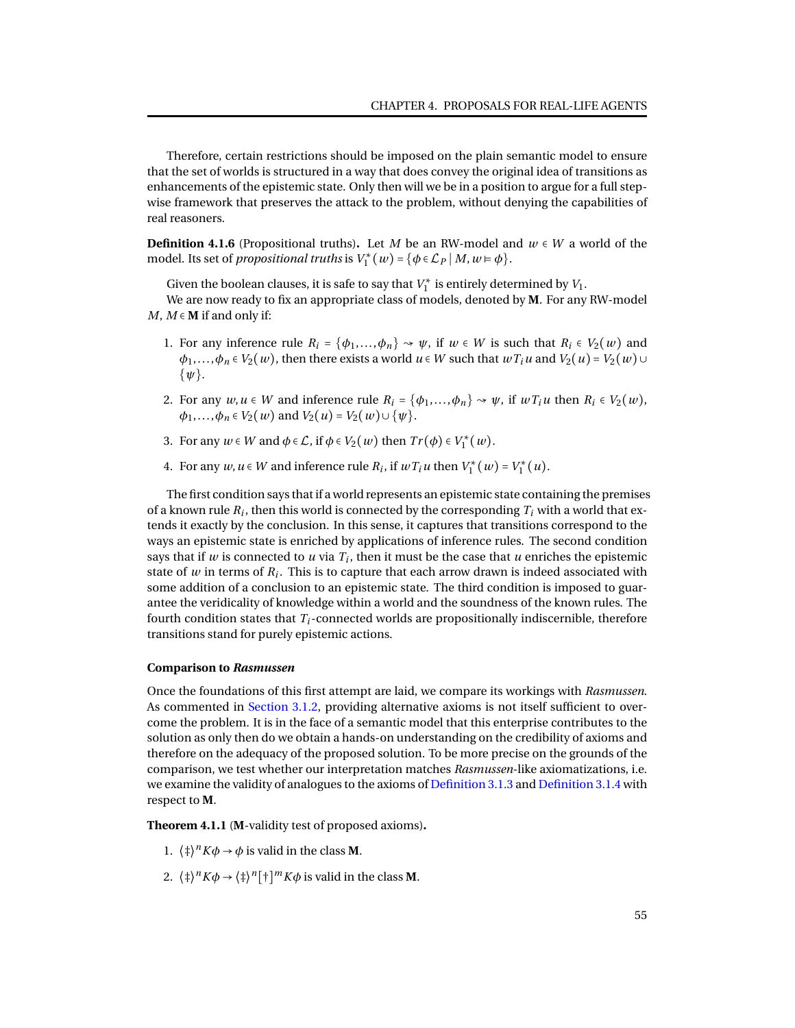Therefore, certain restrictions should be imposed on the plain semantic model to ensure that the set of worlds is structured in a way that does convey the original idea of transitions as enhancements of the epistemic state. Only then will we be in a position to argue for a full stepwise framework that preserves the attack to the problem, without denying the capabilities of real reasoners.

**Definition 4.1.6** (Propositional truths). Let *M* be an RW-model and  $w \in W$  a world of the model. Its set of *propositional truths* is  $V_1^*(w) = \{ \phi \in \mathcal{L}_P \mid M, w \models \phi \}.$ 

Given the boolean clauses, it is safe to say that  $V_1^*$  is entirely determined by  $V_1$ .

We are now ready to fix an appropriate class of models, denoted by **M**. For any RW-model *M*,  $M \in M$  if and only if:

- 1. For any inference rule  $R_i = {\phi_1, \ldots, \phi_n} \rightarrow \psi$ , if  $w \in W$  is such that  $R_i \in V_2(w)$  and  $\phi_1, \ldots, \phi_n \in V_2(w)$ , then there exists a world  $u \in W$  such that  $wT_iu$  and  $V_2(u) = V_2(w) \cup V_1(w)$ {*ψ*}.
- 2. For any  $w, u \in W$  and inference rule  $R_i = {\phi_1, \ldots, \phi_n} \rightarrow \psi$ , if  $wT_iu$  then  $R_i \in V_2(w)$ ,  $\phi_1, \ldots, \phi_n \in V_2(w)$  and  $V_2(u) = V_2(w) \cup \{w\}.$
- 3. For any  $w \in W$  and  $\phi \in \mathcal{L}$ , if  $\phi \in V_2(w)$  then  $Tr(\phi) \in V_1^*(w)$ .
- 4. For any  $w, u \in W$  and inference rule  $R_i$ , if  $wT_iu$  then  $V_1^*(w) = V_1^*(u)$ .

The first condition says that if a world represents an epistemic state containing the premises of a known rule  $R_i$ , then this world is connected by the corresponding  $T_i$  with a world that extends it exactly by the conclusion. In this sense, it captures that transitions correspond to the ways an epistemic state is enriched by applications of inference rules. The second condition says that if  $w$  is connected to  $u$  via  $T_i$ , then it must be the case that  $u$  enriches the epistemic state of  $w$  in terms of  $R_i$ . This is to capture that each arrow drawn is indeed associated with some addition of a conclusion to an epistemic state. The third condition is imposed to guarantee the veridicality of knowledge within a world and the soundness of the known rules. The fourth condition states that *Ti*-connected worlds are propositionally indiscernible, therefore transitions stand for purely epistemic actions.

### **Comparison to** *Rasmussen*

Once the foundations of this first attempt are laid, we compare its workings with *Rasmussen*. As commented in [Section 3.1.2,](#page-22-0) providing alternative axioms is not itself sufficient to overcome the problem. It is in the face of a semantic model that this enterprise contributes to the solution as only then do we obtain a hands-on understanding on the credibility of axioms and therefore on the adequacy of the proposed solution. To be more precise on the grounds of the comparison, we test whether our interpretation matches *Rasmussen*-like axiomatizations, i.e. we examine the validity of analogues to the axioms of [Definition 3.1.3](#page-23-1) and [Definition 3.1.4](#page-24-0) with respect to **M**.

<span id="page-58-0"></span>**Theorem 4.1.1** (**M**-validity test of proposed axioms)**.**

- 1.  $\langle \phi \rangle^n K \phi \to \phi$  is valid in the class **M**.
- 2.  $\langle \ddagger \rangle^n K \phi \rightarrow \langle \ddagger \rangle^n [\dagger]^m K \phi$  is valid in the class **M**.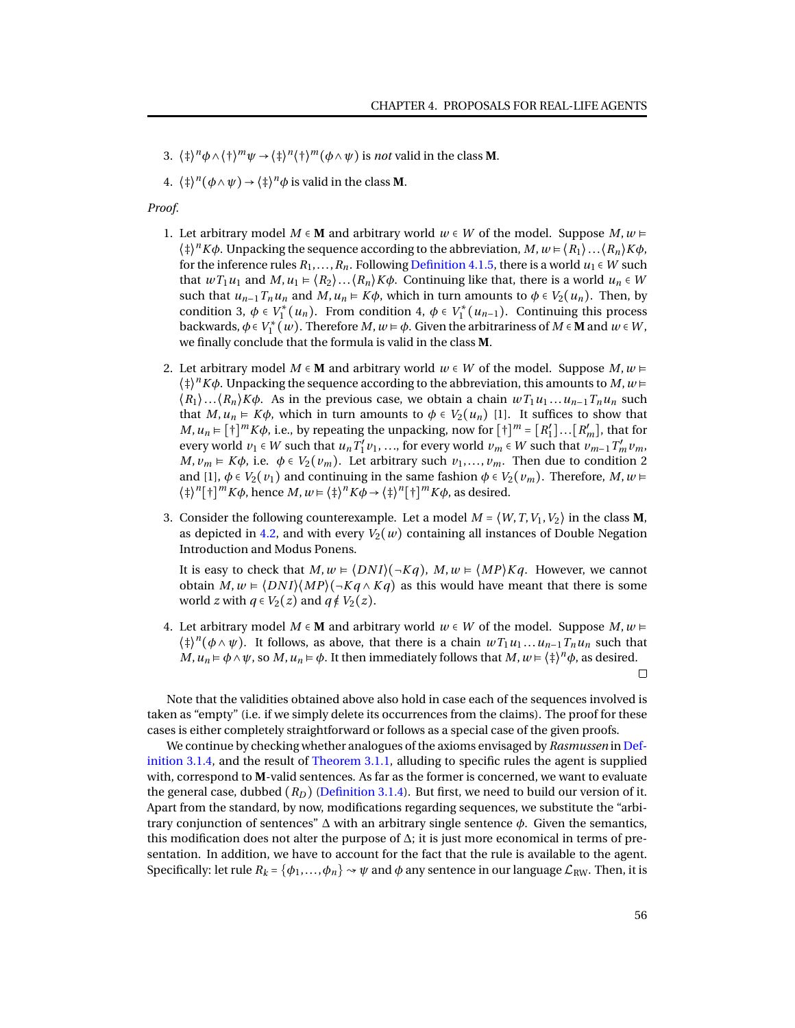- 3.  $\langle \frac{\dagger}{\dagger} \rangle^n \phi \wedge \langle \frac{\dagger}{\dagger} \rangle^m \psi \rightarrow \langle \frac{\dagger}{\dagger} \rangle^n \langle \frac{\dagger}{\dagger} \rangle^m (\phi \wedge \psi)$  is *not* valid in the class **M**.
- 4.  $\langle \phi \rangle^n (\phi \wedge \psi) \rightarrow \langle \phi \rangle^n \phi$  is valid in the class **M**.

### *Proof.*

- 1. Let arbitrary model *M* ∈ **M** and arbitrary world *w* ∈ *W* of the model. Suppose *M*, *w* ⊨  $\langle \ddagger \rangle^n K \phi$ . Unpacking the sequence according to the abbreviation,  $M, w \models \langle R_1 \rangle \dots \langle R_n \rangle K \phi$ , for the inference rules  $R_1, \ldots, R_n$ . Following [Definition 4.1.5,](#page-56-0) there is a world  $u_1 \in W$  such that  $wT_1u_1$  and  $M, u_1 \in \langle R_2 \rangle \dots \langle R_n \rangle K\phi$ . Continuing like that, there is a world  $u_n \in W$ such that  $u_{n-1}T_nu_n$  and  $M, u_n \in K\phi$ , which in turn amounts to  $\phi \in V_2(u_n)$ . Then, by condition 3,  $\phi \in V_1^*(u_n)$ . From condition 4,  $\phi \in V_1^*(u_{n-1})$ . Continuing this process backwards,  $\phi \in V_1^*(w)$ . Therefore *M*,  $w \models \phi$ . Given the arbitrariness of *M* ∈ **M** and  $w \in W$ , we finally conclude that the formula is valid in the class **M**.
- 2. Let arbitrary model  $M \in \mathbf{M}$  and arbitrary world  $w \in W$  of the model. Suppose  $M, w \models$  $\langle \dagger \rangle^n K \phi$ . Unpacking the sequence according to the abbreviation, this amounts to *M*,  $w \models$  $(R_1) \ldots (R_n) K \phi$ . As in the previous case, we obtain a chain  $w T_1 u_1 \ldots u_{n-1} T_n u_n$  such that  $M, u_n \models K\phi$ , which in turn amounts to  $\phi \in V_2(u_n)$  [1]. It suffices to show that *M*,  $u_n \in [\dagger]^m K\phi$ , i.e., by repeating the unpacking, now for  $[\dagger]^m = [R'_1] \dots [R'_m]$ , that for every world  $v_1 \in W$  such that  $u_n T_1' v_1, \ldots$ , for every world  $v_m \in W$  such that  $v_{m-1} T_m' v_m$ , *M*,  $v_m \in K\phi$ , i.e.  $\phi \in V_2(v_m)$ . Let arbitrary such  $v_1, \ldots, v_m$ . Then due to condition 2 and [1],  $\phi \in V_2(v_1)$  and continuing in the same fashion  $\phi \in V_2(v_m)$ . Therefore, *M*, *w*  $\models$  $\langle \dagger \rangle^{n} [\dagger]^{m} K \phi$ , hence  $M, w \models \langle \dagger \rangle^{n} K \phi \rightarrow \langle \dagger \rangle^{n} [\dagger]^{m} K \phi$ , as desired.
- 3. Consider the following counterexample. Let a model  $M = \langle W, T, V_1, V_2 \rangle$  in the class **M**, as depicted in [4.2,](#page-60-0) and with every  $V_2(w)$  containing all instances of Double Negation Introduction and Modus Ponens.

It is easy to check that  $M, w \in \langle DNI \rangle (\neg Kq), M, w \in \langle MP \rangle Kq$ . However, we cannot obtain  $M, w \in \langle DNI \rangle \langle MP \rangle \langle \neg Kq \wedge Kq \rangle$  as this would have meant that there is some world *z* with  $q \in V_2(z)$  and  $q \notin V_2(z)$ .

4. Let arbitrary model *M* ∈ **M** and arbitrary world  $w \in W$  of the model. Suppose *M*,  $w \in W$  $\langle \phi \rangle^n(\phi \land \psi)$ . It follows, as above, that there is a chain  $wT_1u_1 \ldots u_{n-1}T_nu_n$  such that *M*,  $u_n \models \phi \land \psi$ , so *M*,  $u_n \models \phi$ . It then immediately follows that *M*,  $w \models \langle \ddagger \rangle^n \phi$ , as desired.

Note that the validities obtained above also hold in case each of the sequences involved is taken as "empty" (i.e. if we simply delete its occurrences from the claims). The proof for these cases is either completely straightforward or follows as a special case of the given proofs.

We continue by checking whether analogues of the axioms envisaged by *Rasmussen* in [Def](#page-24-0)[inition 3.1.4,](#page-24-0) and the result of [Theorem 3.1.1,](#page-24-1) alluding to specific rules the agent is supplied with, correspond to **M**-valid sentences. As far as the former is concerned, we want to evaluate the general case, dubbed (*RD*) [\(Definition 3.1.4\)](#page-24-0). But first, we need to build our version of it. Apart from the standard, by now, modifications regarding sequences, we substitute the "arbitrary conjunction of sentences" ∆ with an arbitrary single sentence *φ*. Given the semantics, this modification does not alter the purpose of  $\Delta$ ; it is just more economical in terms of presentation. In addition, we have to account for the fact that the rule is available to the agent. Specifically: let rule  $R_k = \{\phi_1, \ldots, \phi_n\} \rightsquigarrow \psi$  and  $\phi$  any sentence in our language  $\mathcal{L}_{RW}$ . Then, it is

 $\Box$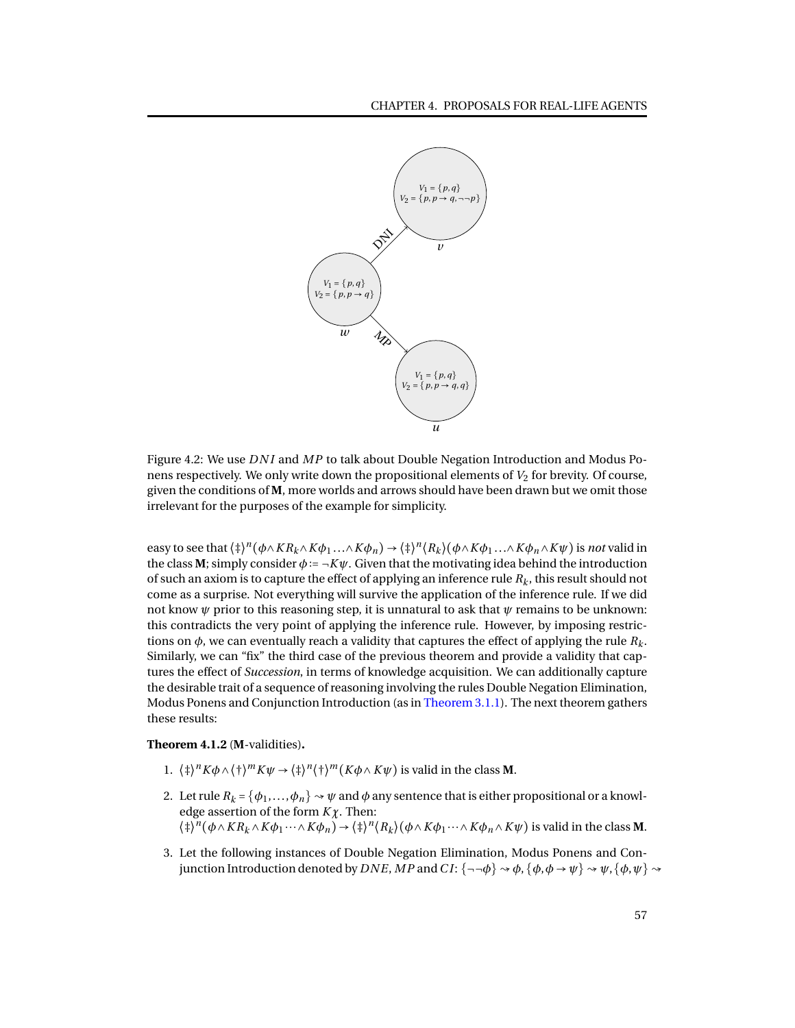

<span id="page-60-0"></span>Figure 4.2: We use *DN I* and *MP* to talk about Double Negation Introduction and Modus Ponens respectively. We only write down the propositional elements of  $V_2$  for brevity. Of course, given the conditions of **M**, more worlds and arrows should have been drawn but we omit those irrelevant for the purposes of the example for simplicity.

easy to see that  $\langle \dagger \rangle^n(\phi \wedge KR_k \wedge K\phi_1 ... \wedge K\phi_n) \to \langle \dagger \rangle^n \langle R_k \rangle (\phi \wedge K\phi_1 ... \wedge K\phi_n \wedge K\psi)$  is not valid in the class **M**; simply consider  $\phi := \neg K\psi$ . Given that the motivating idea behind the introduction of such an axiom is to capture the effect of applying an inference rule  $R_k$ , this result should not come as a surprise. Not everything will survive the application of the inference rule. If we did not know *ψ* prior to this reasoning step, it is unnatural to ask that *ψ* remains to be unknown: this contradicts the very point of applying the inference rule. However, by imposing restrictions on  $\phi$ , we can eventually reach a validity that captures the effect of applying the rule  $R_k$ . Similarly, we can "fix" the third case of the previous theorem and provide a validity that captures the effect of *Succession*, in terms of knowledge acquisition. We can additionally capture the desirable trait of a sequence of reasoning involving the rules Double Negation Elimination, Modus Ponens and Conjunction Introduction (as in [Theorem 3.1.1\)](#page-24-1). The next theorem gathers these results:

<span id="page-60-1"></span>**Theorem 4.1.2** (**M**-validities)**.**

- 1.  $\langle \frac{1}{2} \rangle^n K \phi \wedge \langle \frac{1}{2} \rangle^m K \psi \rightarrow \langle \frac{1}{2} \rangle^n \langle \frac{1}{2} \rangle^m (K \phi \wedge K \psi)$  is valid in the class **M**.
- 2. Let rule  $R_k = \{\phi_1, \ldots, \phi_n\} \rightsquigarrow \psi$  and  $\phi$  any sentence that is either propositional or a knowledge assertion of the form *Kχ*. Then:  $(\dagger)^n(\phi \wedge KR_k \wedge K\phi_1 \cdots \wedge K\phi_n) \rightarrow (\dagger)^n(R_k)(\phi \wedge K\phi_1 \cdots \wedge K\phi_n \wedge K\psi)$  is valid in the class **M**.
- 3. Let the following instances of Double Negation Elimination, Modus Ponens and Conjunction Introduction denoted by *DNE*, *MP* and *CI*: { $\neg\neg\phi$ }  $\rightsquigarrow \phi$ , { $\phi, \phi \rightarrow \psi$ }  $\rightsquigarrow \psi$ , { $\phi, \psi$ }  $\rightsquigarrow$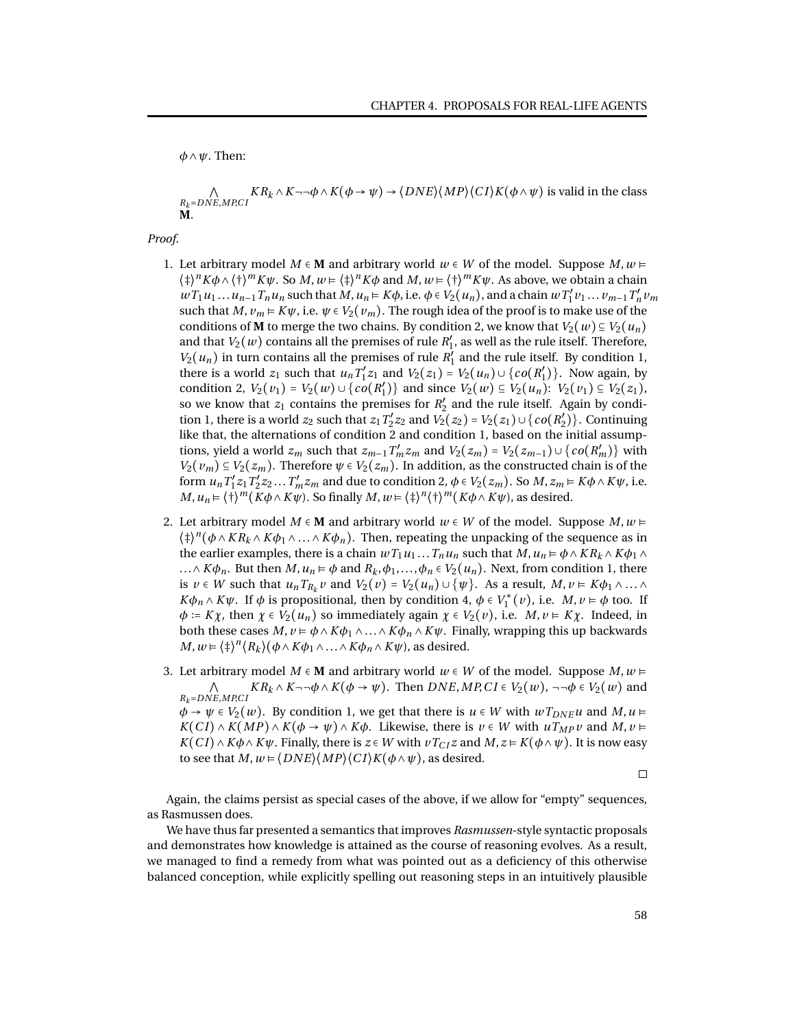*φ*∧*ψ*. Then:

 $\overline{\vee}$ *<sup>R</sup>k*=*DNE*,*MP*,*C I*  $KR_k \wedge K \neg \neg \phi \wedge K(\phi \rightarrow \psi) \rightarrow \langle DNE \rangle \langle MP \rangle \langle CI \rangle K(\phi \wedge \psi)$  is valid in the class **M**.

*Proof.*

- 1. Let arbitrary model *M* ∈ **M** and arbitrary world  $w \in W$  of the model. Suppose *M*,  $w \in W$  $\langle \dagger \rangle^n K \phi \wedge \langle \dagger \rangle^m K \psi$ . So *M*,  $w \in \langle \dagger \rangle^n K \phi$  and *M*,  $w \in \langle \dagger \rangle^m K \psi$ . As above, we obtain a chain  $wT_1u_1...u_{n-1}T_nu_n$  such that  $M, u_n \in K\phi$ , i.e.  $\phi \in V_2(u_n)$ , and a chain  $wT_1'v_1...v_{m-1}T_n'v_m$ such that *M*,  $v_m \models K\psi$ , i.e.  $\psi \in V_2(v_m)$ . The rough idea of the proof is to make use of the conditions of **M** to merge the two chains. By condition 2, we know that  $V_2(w) \subseteq V_2(u_n)$ and that  $V_2(w)$  contains all the premises of rule  $R'_1$ , as well as the rule itself. Therefore,  $V_2(u_n)$  in turn contains all the premises of rule  $R'_1$  and the rule itself. By condition 1, there is a world  $z_1$  such that  $u_n T_1' z_1$  and  $V_2(z_1) = V_2(u_n) \cup \{co(R'_1)\}\)$ . Now again, by condition 2,  $V_2(v_1) = V_2(w) \cup \{co(R'_1)\}$  and since  $V_2(w) \subseteq V_2(u_n)$ :  $V_2(v_1) \subseteq V_2(z_1)$ , so we know that  $z_1$  contains the premises for  $R'_2$  and the rule itself. Again by condition 1, there is a world *z*<sub>2</sub> such that *z*<sub>1</sub>  $T'_2$ *z*<sub>2</sub> and  $V'_2$ (*z*<sub>2</sub>) =  $V_2$ (*z*<sub>1</sub>) ∪ {*co*(*R*<sup> $\prime$ </sup><sub>2</sub>)}. Continuing like that, the alternations of condition 2 and condition 1, based on the initial assumptions, yield a world  $z_m$  such that  $z_{m-1}T_m'z_m$  and  $V_2(z_m) = V_2(z_{m-1}) \cup \{co(R'_m)\}\$  with  $V_2(v_m) \subseteq V_2(z_m)$ . Therefore  $\psi \in V_2(z_m)$ . In addition, as the constructed chain is of the form  $u_n T_1' z_1 T_2' z_2 ... T_m' z_m$  and due to condition 2,  $\phi \in V_2(z_m)$ . So  $M, z_m \in K \phi \wedge K \psi$ , i.e. *M*,  $u_n \models \langle \dagger \rangle^m (K \phi \land K \psi)$ . So finally *M*,  $w \models \langle \dagger \rangle^n \langle \dagger \rangle^m (K \phi \land K \psi)$ , as desired.
- 2. Let arbitrary model  $M \in \mathbf{M}$  and arbitrary world  $w \in W$  of the model. Suppose  $M, w \models$  $\langle \phi \rangle^n (\phi \wedge KR_k \wedge K\phi_1 \wedge ... \wedge K\phi_n)$ . Then, repeating the unpacking of the sequence as in the earlier examples, there is a chain  $wT_1u_1...T_nu_n$  such that  $M, u_n \models \phi \land KR_k \land K\phi_1 \land$ ...∧*Kφ*<sup>*n*</sup>. But then *M*, *u*<sup>*n*</sup> ⊨ *φ* and *R*<sub>*k*</sub>,*φ*<sub>1</sub>,...,*φ*<sub>*n*</sub> ∈ *V*<sub>2</sub>(*u*<sub>*n*</sub>). Next, from condition 1, there is  $v \in W$  such that  $u_n T_{R_k} v$  and  $V_2(v) = V_2(u_n) \cup \{\psi\}$ . As a result,  $M, v \in K\phi_1 \wedge ... \wedge$  $K\phi_n \wedge K\psi$ . If  $\phi$  is propositional, then by condition 4,  $\phi \in V_1^*(v)$ , i.e.  $M, v \models \phi$  too. If  $\phi$  := *Kχ*, then  $\chi \in V_2(u_n)$  so immediately again  $\chi \in V_2(v)$ , i.e. *M*,  $v \in K\chi$ . Indeed, in both these cases  $M, v \models \phi \land K\phi_1 \land ... \land K\phi_n \land K\psi$ . Finally, wrapping this up backwards  $M, w \models \langle \frac{1}{2} \rangle^n \langle R_k \rangle (\phi \wedge K \phi_1 \wedge ... \wedge K \phi_n \wedge K \psi)$ , as desired.
- 3. Let arbitrary model *M* ∈ **M** and arbitrary world *w* ∈ *W* of the model. Suppose *M*, *w* ⊨ ⋀ *<sup>R</sup>k*=*DNE*,*MP*,*C I*  $KR_k \wedge K \neg \neg \phi \wedge K(\phi \rightarrow \psi)$ . Then  $DNE, MP, CI \in V_2(w)$ ,  $\neg \neg \phi \in V_2(w)$  and  $\phi \rightarrow \psi \in V_2(w)$ . By condition 1, we get that there is  $u \in W$  with  $wT_{DNE}u$  and  $M, u \models$  $K(Cl) \wedge K(MP) \wedge K(\phi \rightarrow \psi) \wedge K\phi$ . Likewise, there is  $v \in W$  with  $uT_{MP}v$  and  $M, v \models$  $K(Cl) \wedge K\phi \wedge K\psi$ . Finally, there is  $z \in W$  with  $vT_{C}Z$  and  $M, z \models K(\phi \wedge \psi)$ . It is now easy to see that  $M, w \models \langle DNE \rangle \langle MP \rangle \langle C I \rangle K(\phi \land \psi)$ , as desired.

 $\Box$ 

Again, the claims persist as special cases of the above, if we allow for "empty" sequences, as Rasmussen does.

We have thus far presented a semantics that improves *Rasmussen*-style syntactic proposals and demonstrates how knowledge is attained as the course of reasoning evolves. As a result, we managed to find a remedy from what was pointed out as a deficiency of this otherwise balanced conception, while explicitly spelling out reasoning steps in an intuitively plausible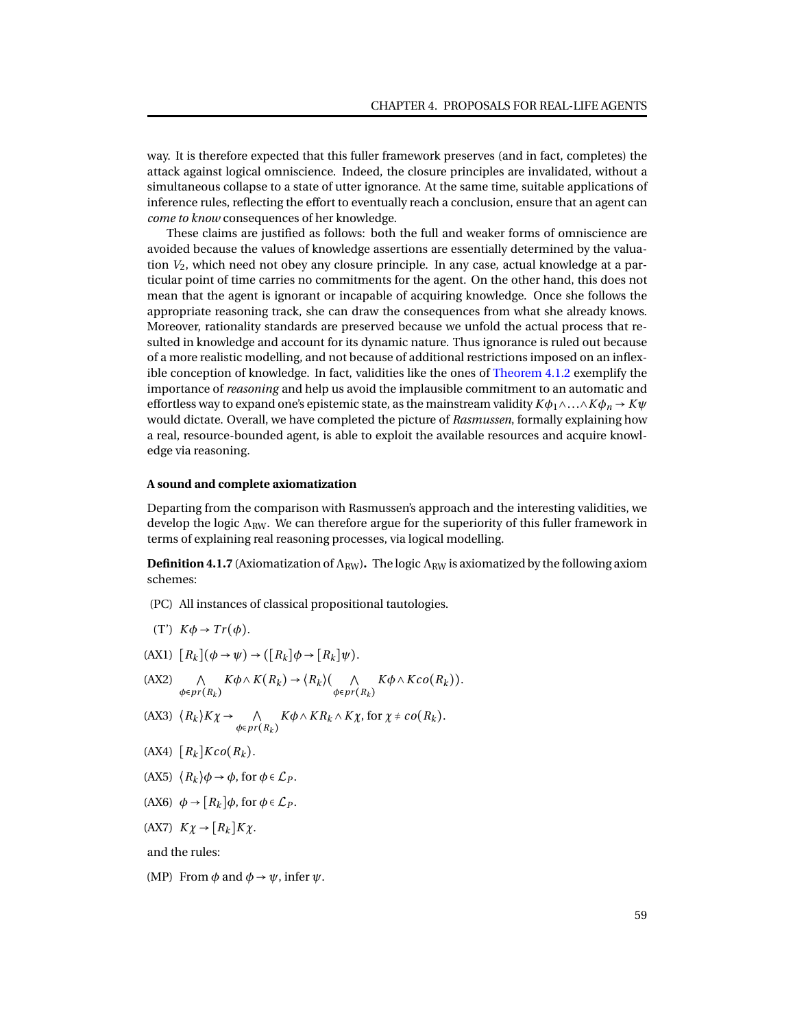way. It is therefore expected that this fuller framework preserves (and in fact, completes) the attack against logical omniscience. Indeed, the closure principles are invalidated, without a simultaneous collapse to a state of utter ignorance. At the same time, suitable applications of inference rules, reflecting the effort to eventually reach a conclusion, ensure that an agent can *come to know* consequences of her knowledge.

These claims are justified as follows: both the full and weaker forms of omniscience are avoided because the values of knowledge assertions are essentially determined by the valuation *V*2, which need not obey any closure principle. In any case, actual knowledge at a particular point of time carries no commitments for the agent. On the other hand, this does not mean that the agent is ignorant or incapable of acquiring knowledge. Once she follows the appropriate reasoning track, she can draw the consequences from what she already knows. Moreover, rationality standards are preserved because we unfold the actual process that resulted in knowledge and account for its dynamic nature. Thus ignorance is ruled out because of a more realistic modelling, and not because of additional restrictions imposed on an inflexible conception of knowledge. In fact, validities like the ones of [Theorem 4.1.2](#page-60-1) exemplify the importance of *reasoning* and help us avoid the implausible commitment to an automatic and effortless way to expand one's epistemic state, as the mainstream validity  $K\phi_1 \wedge \ldots \wedge K\phi_n \rightarrow K\psi$ would dictate. Overall, we have completed the picture of *Rasmussen*, formally explaining how a real, resource-bounded agent, is able to exploit the available resources and acquire knowledge via reasoning.

### **A sound and complete axiomatization**

Departing from the comparison with Rasmussen's approach and the interesting validities, we develop the logic  $\Lambda_{\text{RW}}$ . We can therefore argue for the superiority of this fuller framework in terms of explaining real reasoning processes, via logical modelling.

<span id="page-62-0"></span>**Definition 4.1.7** (Axiomatization of  $\Lambda_{\text{RW}}$ ). The logic  $\Lambda_{\text{RW}}$  is axiomatized by the following axiom schemes:

- (PC) All instances of classical propositional tautologies.
- (T') *Kφ* → *Tr* (*φ*).
- $(RX1)$   $[R_k](\phi \rightarrow \psi) \rightarrow ([R_k]\phi \rightarrow [R_k]\psi).$
- $(AX2)$   $\wedge$ *<sup>φ</sup>*∈*pr* (*R<sup>k</sup>* )  $K\phi \wedge K(R_k) \rightarrow \langle R_k \rangle$  (  $\wedge$ *<sup>φ</sup>*∈*pr* (*R<sup>k</sup>* )  $K\phi \wedge Kco(R_k)).$
- (AX3)  $\langle R_k \rangle K \chi \rightarrow \Lambda$ *<sup>φ</sup>*∈*pr* (*R<sup>k</sup>* )  $K\phi \wedge KR_k \wedge K\chi$ , for  $\chi \neq co(R_k)$ .
- $[AX4]$   $[R_k]$   $Kco(R_k)$ .
- (AX5)  $\langle R_k \rangle \phi \rightarrow \phi$ , for  $\phi \in \mathcal{L}_P$ .
- (AX6)  $\phi \rightarrow [R_k] \phi$ , for  $\phi \in \mathcal{L}_P$ .
- (AX7) *Kχ* → [*R<sup>k</sup>* ]*Kχ*.

and the rules:

(MP) From  $\phi$  and  $\phi \rightarrow \psi$ , infer  $\psi$ .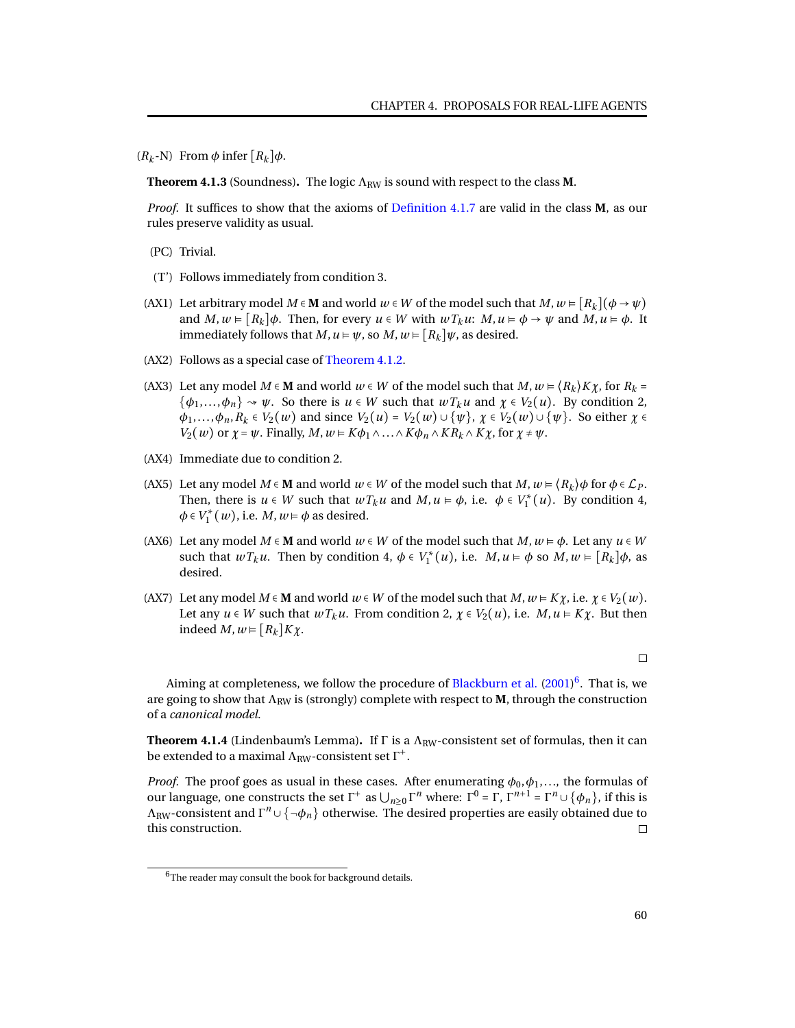$(R_k - N)$  From  $\phi$  infer  $[R_k] \phi$ .

**Theorem 4.1.3** (Soundness). The logic  $\Lambda_{RW}$  is sound with respect to the class **M**.

*Proof.* It suffices to show that the axioms of [Definition 4.1.7](#page-62-0) are valid in the class **M**, as our rules preserve validity as usual.

- (PC) Trivial.
- (T') Follows immediately from condition 3.
- (AX1) Let arbitrary model  $M \in \mathbf{M}$  and world  $w \in W$  of the model such that  $M, w \in [R_k](\phi \to \psi)$ and  $M, w \models [R_k] \phi$ . Then, for every  $u \in W$  with  $wT_ku: M, u \models \phi \rightarrow \psi$  and  $M, u \models \phi$ . It immediately follows that  $M, u \models \psi$ , so  $M, w \models [R_k] \psi$ , as desired.
- (AX2) Follows as a special case of [Theorem 4.1.2.](#page-60-1)
- (AX3) Let any model  $M \in \mathbf{M}$  and world  $w \in W$  of the model such that  $M, w \in \langle R_k \rangle K \chi$ , for  $R_k =$  $\{\phi_1,\ldots,\phi_n\} \rightsquigarrow \psi$ . So there is  $u \in W$  such that  $wT_ku$  and  $\chi \in V_2(u)$ . By condition 2,  $\varphi_1,\ldots,\varphi_n, R_k \in V_2(w)$  and since  $V_2(u) = V_2(w) \cup \{\psi\}, \chi \in V_2(w) \cup \{\psi\}.$  So either  $\chi \in V_2(w)$ *V*<sub>2</sub>(*w*) or *χ* = *ψ*. Finally, *M*, *w* ⊨ *Kφ*<sub>1</sub> ∧...∧*Kφ*<sub>*n*</sub> ∧ *KR*<sub>*k*</sub> ∧ *Kχ*, for *χ* ≠ *ψ*.
- (AX4) Immediate due to condition 2.
- (AX5) Let any model  $M \in \mathbf{M}$  and world  $w \in W$  of the model such that  $M, w \models \langle R_k \rangle \phi$  for  $\phi \in \mathcal{L}_P$ . Then, there is  $u \in W$  such that  $wT_ku$  and  $M, u \models \phi$ , i.e.  $\phi \in V_1^*(u)$ . By condition 4,  $\phi \in V_1^*(w)$ , i.e. *M*,  $w \models \phi$  as desired.
- (AX6) Let any model  $M \in \mathbf{M}$  and world  $w \in W$  of the model such that  $M, w \models \phi$ . Let any  $u \in W$ such that  $wT_ku$ . Then by condition 4,  $\phi \in V_1^*(u)$ , i.e.  $M, u \models \phi$  so  $M, w \models [R_k]\phi$ , as desired.
- (AX7) Let any model  $M \in \mathbf{M}$  and world  $w \in W$  of the model such that  $M, w \models Ky$ , i.e.  $\chi \in V_2(w)$ . Let any  $u \in W$  such that  $wT_ku$ . From condition 2,  $\chi \in V_2(u)$ , i.e.  $M, u \in K\chi$ . But then indeed  $M, w \in [R_k]K\chi$ .

 $\Box$ 

Aiming at completeness, we follow the procedure of [Blackburn et al.](#page-93-6) [\(2001\)](#page-93-6)<sup>[6](#page-0-0)</sup>. That is, we are going to show that  $\Lambda_{RW}$  is (strongly) complete with respect to **M**, through the construction of a *canonical model*.

**Theorem 4.1.4** (Lindenbaum's Lemma). If  $\Gamma$  is a  $\Lambda_{RW}$ -consistent set of formulas, then it can be extended to a maximal  $\Lambda_{\text{RW}}$ -consistent set  $\Gamma^+.$ 

*Proof.* The proof goes as usual in these cases. After enumerating  $\phi_0, \phi_1, \ldots$ , the formulas of our language, one constructs the set Γ<sup>+</sup> as  $\bigcup_{n\geq 0} \Gamma^n$  where: Γ<sup>0</sup> = Γ, Γ<sup>*n*+1</sup> = Γ<sup>n</sup> ∪ { $\phi_n$ }, if this is  $\Lambda_{\rm RW}$ -consistent and  $\Gamma^n\cup\{\neg\phi_n\}$  otherwise. The desired properties are easily obtained due to this construction.  $\Box$ 

<span id="page-63-0"></span><sup>&</sup>lt;sup>6</sup>The reader may consult the book for background details.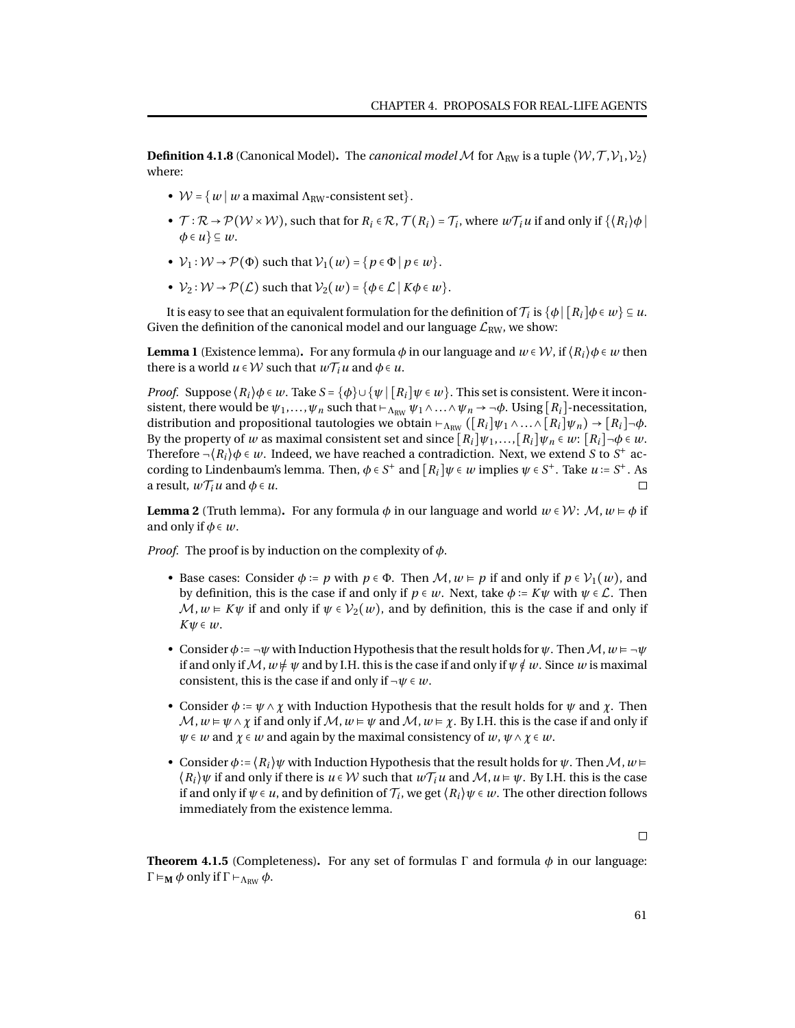**Definition 4.1.8** (Canonical Model). The *canonical model* M for  $\Lambda_{\text{RW}}$  is a tuple  $(\mathcal{W}, \mathcal{T}, \mathcal{V}_1, \mathcal{V}_2)$ where:

- $W = \{w \mid w \text{ a maximal } \Lambda_{RW}\text{-consistent set}\}.$
- $\mathcal{T}: \mathcal{R} \to \mathcal{P}(\mathcal{W} \times \mathcal{W})$ , such that for  $R_i \in \mathcal{R}$ ,  $\mathcal{T}(R_i) = \mathcal{T}_i$ , where  $w\mathcal{T}_i u$  if and only if  $\{R_i\}\phi$  $\phi \in u$   $\subseteq w$ .
- $V_1: W \rightarrow \mathcal{P}(\Phi)$  such that  $V_1(w) = \{p \in \Phi \mid p \in w\}.$
- $V_2: W \rightarrow \mathcal{P}(\mathcal{L})$  such that  $V_2(w) = \{\phi \in \mathcal{L} \mid K\phi \in w\}.$

It is easy to see that an equivalent formulation for the definition of  $\mathcal{T}_i$  is  $\{\phi\,|\,[R_i]\phi\in w\}\subseteq u.$ Given the definition of the canonical model and our language  $\mathcal{L}_{RW}$ , we show:

**Lemma 1** (Existence lemma). For any formula  $\phi$  in our language and  $w \in \mathcal{W}$ , if  $(R_i)\phi \in w$  then there is a world  $u \in W$  such that  $w \mathcal{T}_i u$  and  $\phi \in u$ .

*Proof.* Suppose  $\langle R_i \rangle \phi \in w$ . Take  $S = \{\phi\} \cup \{\psi \mid [R_i] \psi \in w\}$ . This set is consistent. Were it inconsistent, there would be  $\psi_1, \ldots, \psi_n$  such that  $\vdash_{\Lambda_{RW}} \psi_1 \wedge \ldots \wedge \psi_n \rightarrow \neg \phi$ . Using [ $R_i$ ]-necessitation, distribution and propositional tautologies we obtain  $\vdash_{\Lambda_{RW}} (\lbrack R_i \rbrack \psi_1 \land ... \land \lbrack R_i \rbrack \psi_n) \rightarrow \lbrack R_i \rbrack \neg \phi.$ By the property of *w* as maximal consistent set and since  $[R_i]\psi_1,\ldots,[R_i]\psi_n \in w$ :  $[R_i]\neg\phi \in w$ . Therefore  $\neg (R_i)\phi \in w$ . Indeed, we have reached a contradiction. Next, we extend *S* to *S*<sup>+</sup> according to Lindenbaum's lemma. Then,  $\phi \in S^+$  and  $[R_i]\psi \in \omega$  implies  $\psi \in S^+$ . Take  $u = S^+$ . As a result,  $w\mathcal{T}_i u$  and  $\phi \in u$ .

<span id="page-64-0"></span>**Lemma 2** (Truth lemma). For any formula  $\phi$  in our language and world  $w \in \mathcal{W}$ :  $\mathcal{M}, w \models \phi$  if and only if  $\phi \in w$ .

*Proof.* The proof is by induction on the complexity of *φ*.

- Base cases: Consider  $\phi := p$  with  $p \in \Phi$ . Then  $\mathcal{M}, w \models p$  if and only if  $p \in \mathcal{V}_1(w)$ , and by definition, this is the case if and only if  $p \in w$ . Next, take  $\phi := K\psi$  with  $\psi \in \mathcal{L}$ . Then  $M, w \in K \psi$  if and only if  $\psi \in V_2(w)$ , and by definition, this is the case if and only if *Kψ* ∈ *w*.
- Consider  $\phi := \neg \psi$  with Induction Hypothesis that the result holds for  $\psi$ . Then  $\mathcal{M}, w \models \neg \psi$ if and only if  $\mathcal{M}, w \neq w$  and by I.H. this is the case if and only if  $\psi \notin w$ . Since w is maximal consistent, this is the case if and only if ¬*ψ* ∈ *w*.
- Consider  $\phi := \psi \wedge \chi$  with Induction Hypothesis that the result holds for  $\psi$  and  $\chi$ . Then  $\mathcal{M}, w \models \psi \land \chi$  if and only if  $\mathcal{M}, w \models \psi$  and  $\mathcal{M}, w \models \chi$ . By I.H. this is the case if and only if *ψ* ∈ *w* and *χ* ∈ *w* and again by the maximal consistency of *w*, *ψ*∧*χ* ∈ *w*.
- Consider  $\phi$  :=  $\langle R_i \rangle \psi$  with Induction Hypothesis that the result holds for  $\psi$ . Then  $\mathcal{M}, w \models$  $\langle R_i \rangle \psi$  if and only if there is  $u \in \mathcal{W}$  such that  $w \mathcal{T}_i u$  and  $\mathcal{M}, u \models \psi$ . By I.H. this is the case if and only if  $\psi \in \mathcal{u}$ , and by definition of  $\mathcal{T}_i$ , we get  $\langle R_i \rangle \psi \in \mathcal{w}.$  The other direction follows immediately from the existence lemma.

 $\Box$ 

**Theorem 4.1.5** (Completeness). For any set of formulas  $\Gamma$  and formula  $\phi$  in our language:  $Γ \vDash_{\mathbf{M}} \phi$  only if  $Γ \vdash_{Λ_{RW}} \phi$ .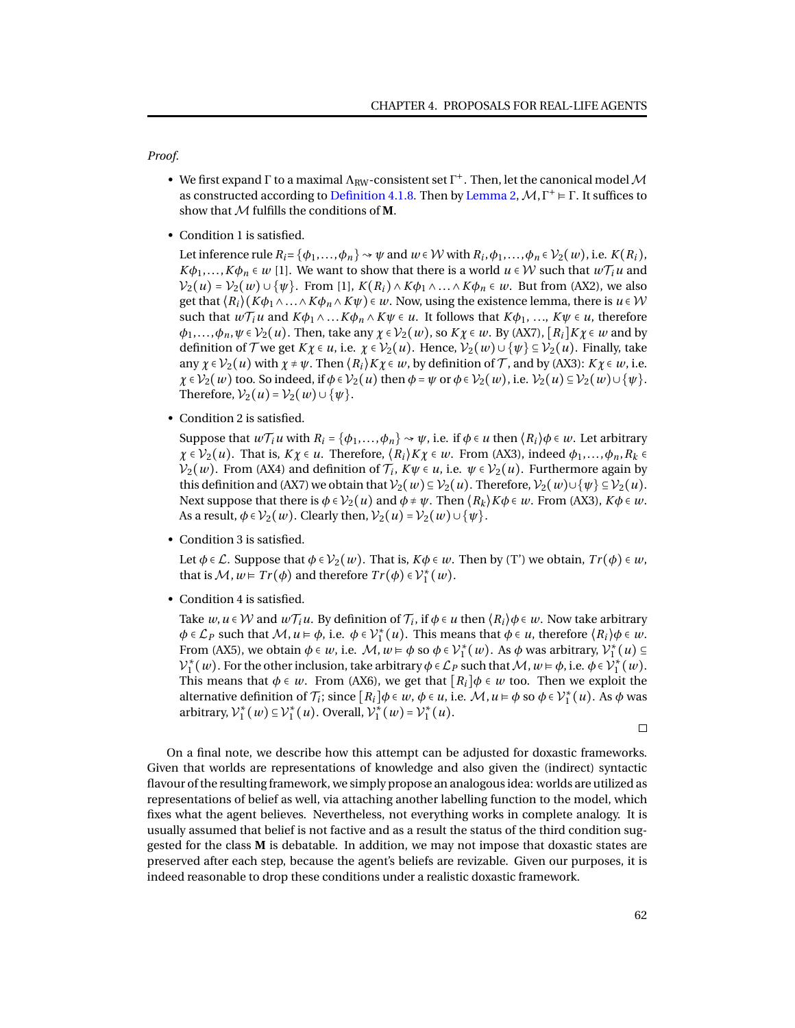*Proof.*

- We first expand  $\Gamma$  to a maximal  $\Lambda_{\rm RW}$ -consistent set  $\Gamma^+$ . Then, let the canonical model  ${\cal M}$ as constructed according to [Definition 4.1.8.](#page-63-0) Then by [Lemma 2,](#page-64-0)  $M, \Gamma^+ \models \Gamma$ . It suffices to show that M fulfills the conditions of **M**.
- Condition 1 is satisfied.

Let inference rule  $R_i = \{\phi_1, \ldots, \phi_n\} \rightsquigarrow \psi$  and  $w \in \mathcal{W}$  with  $R_i, \phi_1, \ldots, \phi_n \in \mathcal{V}_2(w)$ , i.e.  $K(R_i)$ , *K* $\phi_1$ ,...,*K* $\phi_n \in w$  [1]. We want to show that there is a world *u*  $\in \mathcal{W}$  such that  $w\mathcal{T}_i u$  and  $V_2(u) = V_2(w) \cup \{\psi\}$ . From [1],  $K(R_i) \wedge K\phi_1 \wedge \ldots \wedge K\phi_n \in w$ . But from (AX2), we also get that  $\langle R_i \rangle (K\phi_1 \wedge ... \wedge K\phi_n \wedge K\psi) \in w$ . Now, using the existence lemma, there is  $u \in \mathcal{W}$ such that  $w\mathcal{T}_i u$  and  $K\phi_1 \wedge \ldots K\phi_n \wedge K\psi \in u$ . It follows that  $K\phi_1, \ldots, K\psi \in u$ , therefore  $\phi_1, \ldots, \phi_n, \psi \in \mathcal{V}_2(u)$ . Then, take any  $\chi \in \mathcal{V}_2(w)$ , so  $K\chi \in w$ . By (AX7),  $[R_i]K\chi \in w$  and by definition of  $\mathcal{T}$  we get  $K\chi \in u$ , i.e.  $\chi \in V_2(u)$ . Hence,  $V_2(w) \cup \{\psi\} \subseteq V_2(u)$ . Finally, take any  $\chi \in \mathcal{V}_2(u)$  with  $\chi \neq \psi$ . Then  $\langle R_i \rangle K \chi \in w$ , by definition of  $\mathcal{T}$ , and by (AX3):  $K \chi \in w$ , i.e.  $\chi \in \mathcal{V}_2(w)$  too. So indeed, if  $\phi \in \mathcal{V}_2(u)$  then  $\phi = \psi$  or  $\phi \in \mathcal{V}_2(w)$ , i.e.  $\mathcal{V}_2(u) \subseteq \mathcal{V}_2(w) \cup \{\psi\}$ . Therefore,  $V_2(u) = V_2(w) \cup \{\psi\}.$ 

• Condition 2 is satisfied.

Suppose that  $w\mathcal{T}_i u$  with  $R_i = {\phi_1, \ldots, \phi_n} \rightarrow \psi$ , i.e. if  $\phi \in u$  then  $\langle R_i \rangle \phi \in w$ . Let arbitrary  $\chi \in \mathcal{V}_2(u)$ . That is,  $K\chi \in u$ . Therefore,  $\langle R_i \rangle K\chi \in w$ . From (AX3), indeed  $\phi_1, \ldots, \phi_n, R_k \in$  $\mathcal{V}_2(w)$ . From (AX4) and definition of  $\mathcal{T}_i$ ,  $K\psi \in \mathcal{U}$ , i.e.  $\psi \in \mathcal{V}_2(u)$ . Furthermore again by this definition and (AX7) we obtain that  $V_2(w) \subseteq V_2(u)$ . Therefore,  $V_2(w) \cup \{\psi\} \subseteq V_2(u)$ . Next suppose that there is  $\phi \in V_2(u)$  and  $\phi \neq \psi$ . Then  $\langle R_k \rangle K \phi \in w$ . From (AX3),  $K \phi \in w$ . As a result,  $\phi \in V_2(w)$ . Clearly then,  $V_2(u) = V_2(w) \cup \{\psi\}$ .

• Condition 3 is satisfied.

Let  $\phi \in \mathcal{L}$ . Suppose that  $\phi \in V_2(w)$ . That is,  $K\phi \in w$ . Then by (T') we obtain,  $Tr(\phi) \in w$ , that is  $M, w \models Tr(\phi)$  and therefore  $Tr(\phi) \in \mathcal{V}_1^*(w)$ .

• Condition 4 is satisfied.

Take  $w,u\in\mathcal{W}$  and  $w\mathcal{T}_iu.$  By definition of  $\mathcal{T}_i,$  if  $\phi\in u$  then  $\langle R_i\rangle\phi\in w.$  Now take arbitrary  $\phi \in \mathcal{L}_P$  such that  $\mathcal{M}, u \models \phi$ , i.e.  $\phi \in \mathcal{V}_1^*(u)$ . This means that  $\phi \in u$ , therefore  $\langle R_i \rangle \phi \in w$ . From (AX5), we obtain  $\phi \in w$ , i.e.  $\mathcal{M}, w \models \phi$  so  $\phi \in \mathcal{V}_1^*(w)$ . As  $\phi$  was arbitrary,  $\mathcal{V}_1^*(u) \subseteq$  $V_1^*(w)$ . For the other inclusion, take arbitrary  $\phi \in \mathcal{L}_P$  such that  $\mathcal{M}, w \models \phi$ , i.e.  $\phi \in V_1^*(w)$ . This means that  $\phi \in w$ . From (AX6), we get that  $[R_i] \phi \in w$  too. Then we exploit the alternative definition of  $\mathcal{T}_i$ ; since  $[R_i] \phi \in \mathcal{W}, \phi \in \mathcal{U}, i.e.$   $\mathcal{M}, u \models \phi$  so  $\phi \in \mathcal{V}_1^*(u)$ . As  $\phi$  was arbitrary,  $\mathcal{V}_1^*(w) \subseteq \mathcal{V}_1^*(u)$ . Overall,  $\mathcal{V}_1^*(w) = \mathcal{V}_1^*(u)$ .

 $\Box$ 

On a final note, we describe how this attempt can be adjusted for doxastic frameworks. Given that worlds are representations of knowledge and also given the (indirect) syntactic flavour of the resulting framework, we simply propose an analogous idea: worlds are utilized as representations of belief as well, via attaching another labelling function to the model, which fixes what the agent believes. Nevertheless, not everything works in complete analogy. It is usually assumed that belief is not factive and as a result the status of the third condition suggested for the class **M** is debatable. In addition, we may not impose that doxastic states are preserved after each step, because the agent's beliefs are revizable. Given our purposes, it is indeed reasonable to drop these conditions under a realistic doxastic framework.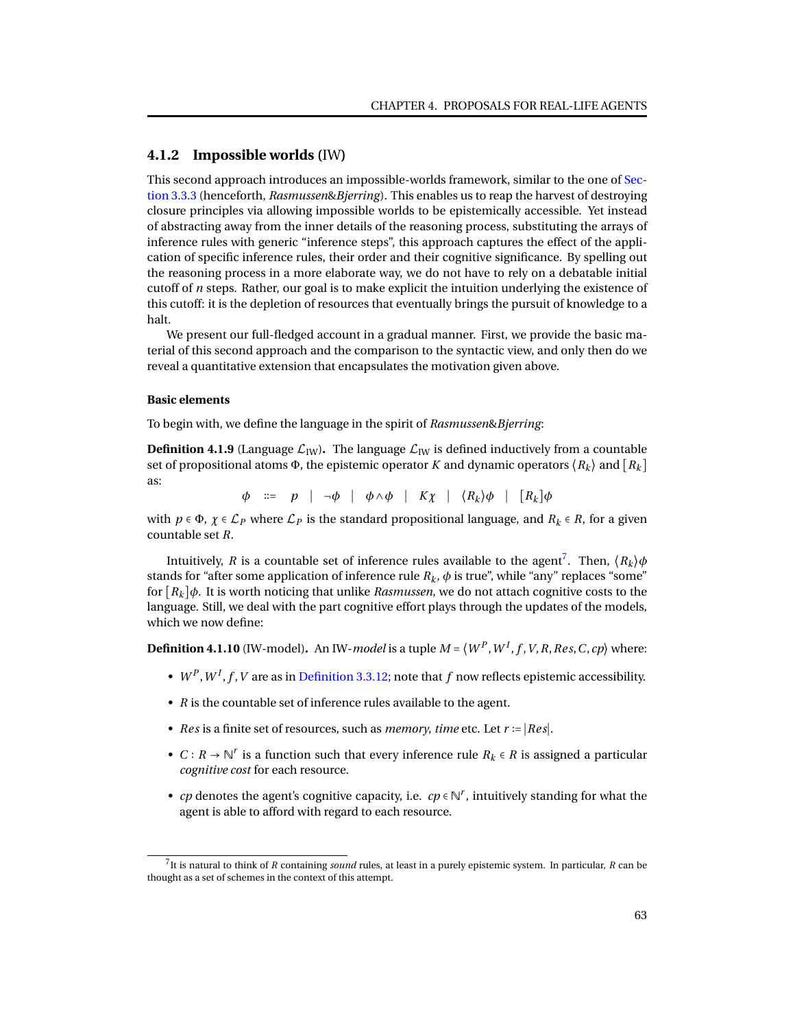# **4.1.2 Impossible worlds (**IW**)**

This second approach introduces an impossible-worlds framework, similar to the one of [Sec](#page-47-0)[tion 3.3.3](#page-47-0) (henceforth, *Rasmussen*&*Bjerring*). This enables us to reap the harvest of destroying closure principles via allowing impossible worlds to be epistemically accessible. Yet instead of abstracting away from the inner details of the reasoning process, substituting the arrays of inference rules with generic "inference steps", this approach captures the effect of the application of specific inference rules, their order and their cognitive significance. By spelling out the reasoning process in a more elaborate way, we do not have to rely on a debatable initial cutoff of *n* steps. Rather, our goal is to make explicit the intuition underlying the existence of this cutoff: it is the depletion of resources that eventually brings the pursuit of knowledge to a halt.

We present our full-fledged account in a gradual manner. First, we provide the basic material of this second approach and the comparison to the syntactic view, and only then do we reveal a quantitative extension that encapsulates the motivation given above.

### **Basic elements**

To begin with, we define the language in the spirit of *Rasmussen*&*Bjerring*:

**Definition 4.1.9** (Language  $\mathcal{L}_{IW}$ ). The language  $\mathcal{L}_{IW}$  is defined inductively from a countable set of propositional atoms  $\Phi$ , the epistemic operator *K* and dynamic operators  $\langle R_k \rangle$  and  $\langle R_k \rangle$ as:

*φ* ::= *p* | →*φ* | *φ* ∧*φ* | *Kχ* |  $(R_k)$ *φ* | [*R<sub><i>k*</sub></sub>]*φ* 

with  $p \in \Phi$ ,  $\chi \in \mathcal{L}_P$  where  $\mathcal{L}_P$  is the standard propositional language, and  $R_k \in \mathbb{R}$ , for a given countable set *R*.

Intuitively, *R* is a countable set of inference rules available to the agent<sup>[7](#page-0-0)</sup>. Then,  $\langle R_k \rangle \phi$ stands for "after some application of inference rule  $R_k$ ,  $\phi$  is true", while "any" replaces "some" for  $[R_k]$  $\phi$ . It is worth noticing that unlike *Rasmussen*, we do not attach cognitive costs to the language. Still, we deal with the part cognitive effort plays through the updates of the models, which we now define:

**Definition 4.1.10** (IW-model). An IW-*model* is a tuple  $M$  =  $\langle W^P, W^I, f, V, R, Res, C, cp \rangle$  where:

- $W^P$ ,  $W^I$ ,  $f$ ,  $V$  are as in [Definition 3.3.12;](#page-48-0) note that  $f$  now reflects epistemic accessibility.
- *R* is the countable set of inference rules available to the agent.
- *Res* is a finite set of resources, such as *memory*, *time* etc. Let *r* ∶= ∣*Res*∣.
- *C* ∶ *R* → N *r* is a function such that every inference rule *R<sup>k</sup>* ∈ *R* is assigned a particular *cognitive cost* for each resource.
- *cp* denotes the agent's cognitive capacity, i.e.  $cp \in \mathbb{N}^r$ , intuitively standing for what the agent is able to afford with regard to each resource.

<sup>7</sup> It is natural to think of *R* containing *sound* rules, at least in a purely epistemic system. In particular, *R* can be thought as a set of schemes in the context of this attempt.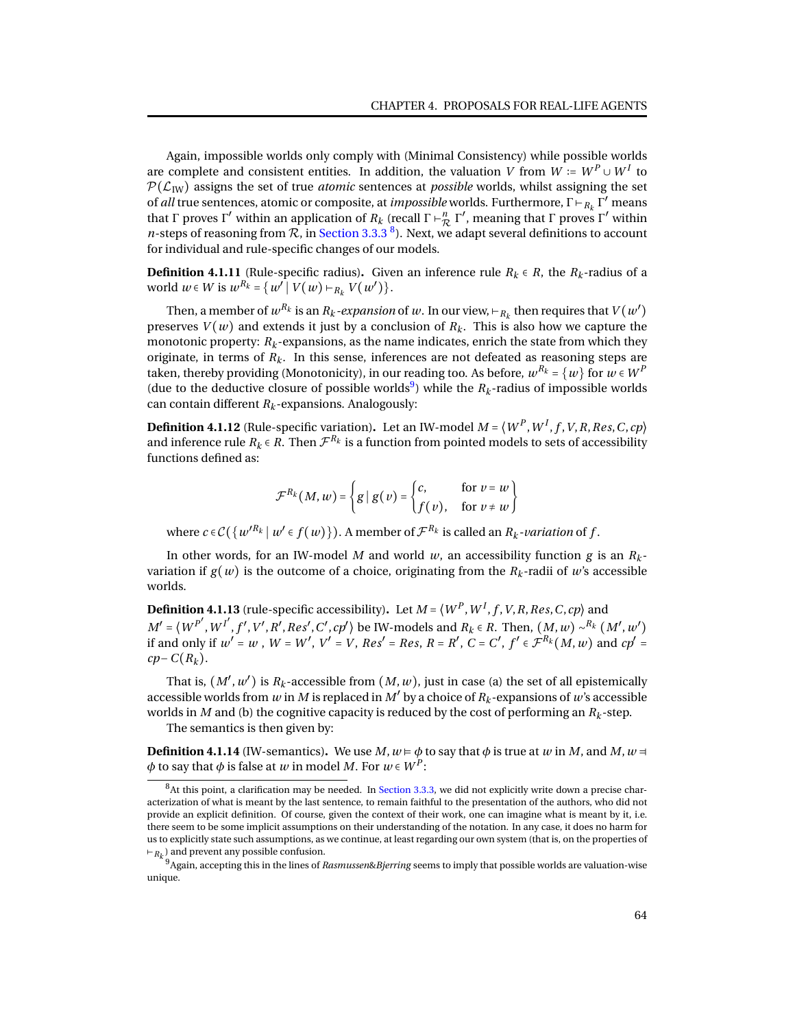Again, impossible worlds only comply with (Minimal Consistency) while possible worlds are complete and consistent entities. In addition, the valuation *V* from  $W \coloneqq W^P \cup W^I$  to  $P(\mathcal{L}_{IW})$  assigns the set of true *atomic* sentences at *possible* worlds, whilst assigning the set of *all* true sentences, atomic or composite, at *impossible* worlds. Furthermore, Γ ⊢*<sup>R</sup><sup>k</sup>* Γ ′ means that Γ proves Γ' within an application of  $R_k$  (recall Γ  $\vdash_R^n$  Γ', meaning that Γ proves Γ' within *n*-steps of reasoning from  $R$ , in [Section 3.3.3](#page-47-0)  $^{8}$  $^{8}$  $^{8}$ ). Next, we adapt several definitions to account for individual and rule-specific changes of our models.

**Definition 4.1.11** (Rule-specific radius). Given an inference rule  $R_k \in R$ , the  $R_k$ -radius of a *world w* ∈ *W* is  $w^{R_k} = \{w' \mid V(w) \vdash_{R_k} V(w')\}.$ 

Then, a member of  $w^{R_k}$  is an  $R_k$  *-expansion* of  $w$  . In our view, ⊢ $_{R_k}$  then requires that  $V(w')$ preserves  $V(w)$  and extends it just by a conclusion of  $R_k$ . This is also how we capture the monotonic property:  $R_k$ -expansions, as the name indicates, enrich the state from which they originate, in terms of  $R_k$ . In this sense, inferences are not defeated as reasoning steps are taken, thereby providing (Monotonicity), in our reading too. As before,  $w^{R_k}$  =  $\{w\}$  for  $w$   $\in$   $W^P$ (due to the deductive closure of possible worlds<sup>[9](#page-0-0)</sup>) while the  $R_k$ -radius of impossible worlds can contain different  $R_k$ -expansions. Analogously:

<span id="page-67-2"></span>**Definition 4.1.12** (Rule-specific variation). Let an IW-model  $M = \langle W^P, W^I, f, V, R, Res, C, cp \rangle$ and inference rule  $R_k \in R$ . Then  $\mathcal{F}^{R_k}$  is a function from pointed models to sets of accessibility functions defined as:

$$
\mathcal{F}^{R_k}(M, w) = \left\{ g \mid g(v) = \begin{cases} c, & \text{for } v = w \\ f(v), & \text{for } v \neq w \end{cases} \right\}
$$

where  $c \in C$   $\{w'^{R_k} | w' \in f(w)\}\)$ . A member of  $\mathcal{F}^{R_k}$  is called an  $R_k$ *-variation* of  $f$ .

In other words, for an IW-model *M* and world *w*, an accessibility function *g* is an *R<sup>k</sup>* variation if  $g(w)$  is the outcome of a choice, originating from the  $R_k$ -radii of w's accessible worlds.

<span id="page-67-1"></span>**Definition 4.1.13** (rule-specific accessibility). Let  $M$  =  $\langle W^P, W^I, f, V, R, Res, C, cp \rangle$  and  $M' = (W^{P'}, W^{I'}, f', V', R', Res', C', cp')$  be IW-models and  $R_k \in R$ . Then,  $(M, w) \sim^{R_k} (M', w')$ if and only if  $w'=w$  ,  $W=W'$ ,  $V'=V$ ,  $Res'=Res$ ,  $R=R'$ ,  $C=C'$ ,  $f'\in \mathcal{F}^{R_k}(M,w)$  and  $cp'=$  $cp$ −*C*( $R_k$ ).

That is,  $(M', w')$  is  $R_k$ -accessible from  $(M, w)$ , just in case (a) the set of all epistemically accessible worlds from *w* in *M* is replaced in *M'* by a choice of  $R_k$ -expansions of *w'*s accessible worlds in *M* and (b) the cognitive capacity is reduced by the cost of performing an *R<sup>k</sup>* -step.

The semantics is then given by:

<span id="page-67-0"></span>**Definition 4.1.14** (IW-semantics). We use *M*,  $w = \phi$  to say that  $\phi$  is true at *w* in *M*, and *M*,  $w =$  $\phi$  to say that  $\phi$  is false at  $w$  in model  $M.$  For  $w$   $\in$   $W^P$ :

 ${}^{8}$ At this point, a clarification may be needed. In [Section 3.3.3,](#page-47-0) we did not explicitly write down a precise characterization of what is meant by the last sentence, to remain faithful to the presentation of the authors, who did not provide an explicit definition. Of course, given the context of their work, one can imagine what is meant by it, i.e. there seem to be some implicit assumptions on their understanding of the notation. In any case, it does no harm for us to explicitly state such assumptions, as we continue, at least regarding our own system (that is, on the properties of ⊢*R<sup>k</sup>* ) and prevent any possible confusion.

<sup>9</sup>Again, accepting this in the lines of *Rasmussen*&*Bjerring* seems to imply that possible worlds are valuation-wise unique.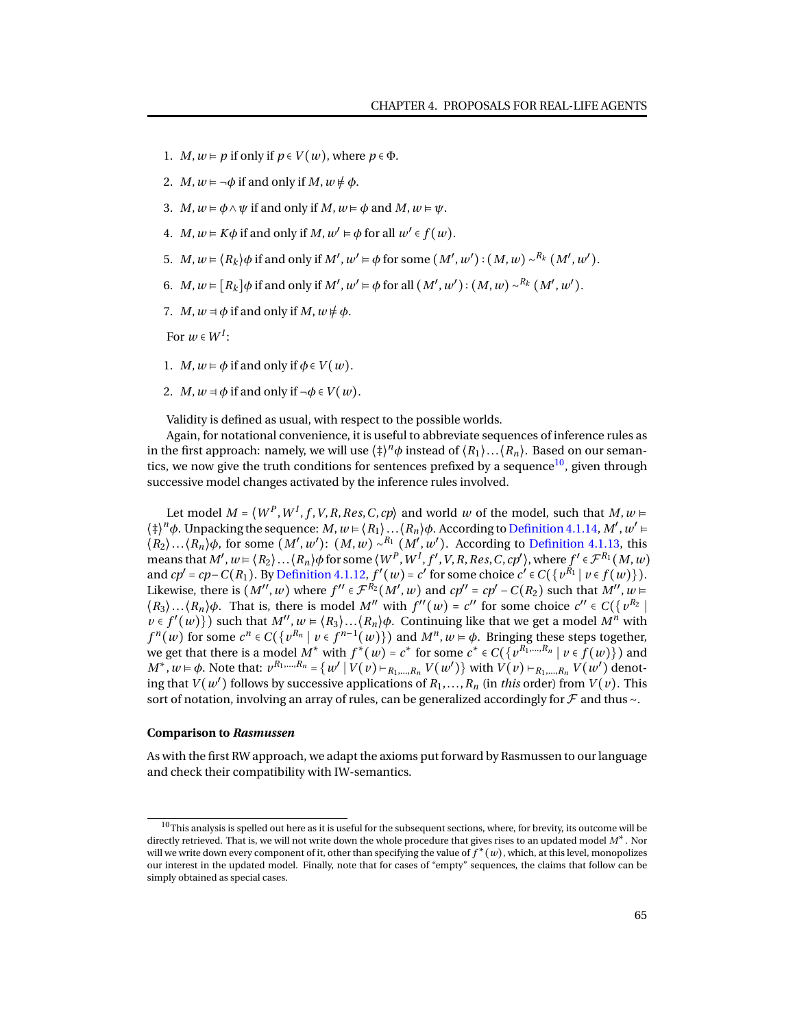- 1. *M*,  $w \models p$  if only if  $p \in V(w)$ , where  $p \in \Phi$ .
- 2. *M*,  $w \models \neg \phi$  if and only if *M*,  $w \not\models \phi$ .
- 3. *M*,  $w \models \phi \land \psi$  if and only if *M*,  $w \models \phi$  and *M*,  $w \models \psi$ .
- 4. *M*,  $w \models K\phi$  if and only if *M*,  $w' \models \phi$  for all  $w' \in f(w)$ .
- 5. *M*, *w* ⊨  $\langle R_k \rangle$ *φ* if and only if *M'*, *w'* ⊨ *φ* for some  $(M', w') : (M, w) \sim^{R_k} (M', w')$ .
- 6. *M*,  $w \in [R_k] \phi$  if and only if  $M'$ ,  $w' \models \phi$  for all  $(M', w') : (M, w) \sim^{R_k} (M', w')$ .
- 7. *M*,  $w = \phi$  if and only if *M*,  $w \neq \phi$ .

For  $w \in W^I$ :

- 1. *M*,  $w \models \phi$  if and only if  $\phi \in V(w)$ .
- 2. *M*,  $w = \phi$  if and only if  $\neg \phi \in V(w)$ .

Validity is defined as usual, with respect to the possible worlds.

Again, for notational convenience, it is useful to abbreviate sequences of inference rules as in the first approach: namely, we will use  $\langle \ddagger \rangle^n \phi$  instead of  $\langle R_1 \rangle ... \langle R_n \rangle$ . Based on our seman-tics, we now give the truth conditions for sentences prefixed by a sequence<sup>[10](#page-0-0)</sup>, given through successive model changes activated by the inference rules involved.

Let model  $M = \langle W^P, W^I, f, V, R, Res, C, cp \rangle$  and world  $w$  of the model, such that  $M, w \models$  $\langle \dagger \rangle^n \phi$ . Unpacking the sequence: *M*,  $w \in \langle R_1 \rangle \dots \langle R_n \rangle \phi$ . According to [Definition 4.1.14,](#page-67-0) *M'*,  $w' \in$  $\langle R_2 \rangle \dots \langle R_n \rangle \phi$ , for some  $(M', w')$ :  $(M, w) \sim R_1(M', w')$ . According to [Definition 4.1.13,](#page-67-1) this means that  $M', w \models \langle R_2 \rangle \dots \langle R_n \rangle \phi$  for some  $\langle W^P, W^I, f', V, R, Res, C, cp' \rangle$ , where  $f' \in \mathcal{F}^{R_1}(M, w)$ and  $cp' = cp - C(R_1)$ . By [Definition 4.1.12,](#page-67-2)  $f'(w) = c'$  for some choice  $c' \in C(\lbrace v^{R_1} | v \in f(w) \rbrace)$ . Likewise, there is  $(M'' , w)$  where  $f'' \in \mathcal{F}^{R_2}(M', w)$  and  $cp'' = cp' - C(R_2)$  such that  $M'' , w \in$  $\langle R_3 \rangle \dots \langle R_n \rangle \phi$ . That is, there is model M'' with  $f''(w) = c''$  for some choice  $c'' \in C(\sqrt{v'^2 + 1})$  $\nu \in f'(w)$ ) such that  $M''$ ,  $w = \langle R_3 \rangle \dots \langle R_n \rangle \phi$ . Continuing like that we get a model  $M^n$  with  $f^{n}(w)$  for some  $c^{n} \in C(\lbrace v^{R_{n}} | v \in f^{n-1}(w) \rbrace)$  and  $M^{n}, w \models \phi$ . Bringing these steps together, we get that there is a model  $M^*$  with  $f^*(w) = c^*$  for some  $c^* \in C(\lbrace v^{R_1,...,R_n} \mid v \in f(w) \rbrace)$  and  $M^*$ ,  $w \models \phi$ . Note that:  $v^{R_1,...,R_n} = \{w' \mid V(v) \models_{R_1,...,R_n} V(w')\}$  with  $V(v) \models_{R_1,...,R_n} V(w')$  denoting that  $V(w')$  follows by successive applications of  $R_1, \ldots, R_n$  (in *this* order) from  $V(v)$ . This sort of notation, involving an array of rules, can be generalized accordingly for F and thus ∼.

### **Comparison to** *Rasmussen*

As with the first RW approach, we adapt the axioms put forward by Rasmussen to our language and check their compatibility with IW-semantics.

 $^{10}\rm{This}$  analysis is spelled out here as it is useful for the subsequent sections, where, for brevity, its outcome will be directly retrieved. That is, we will not write down the whole procedure that gives rises to an updated model *M*∗. Nor will we write down every component of it, other than specifying the value of *f* \* (*w*), which, at this level, monopolizes our interest in the updated model. Finally, note that for cases of "empty" sequences, the claims that follow can be simply obtained as special cases.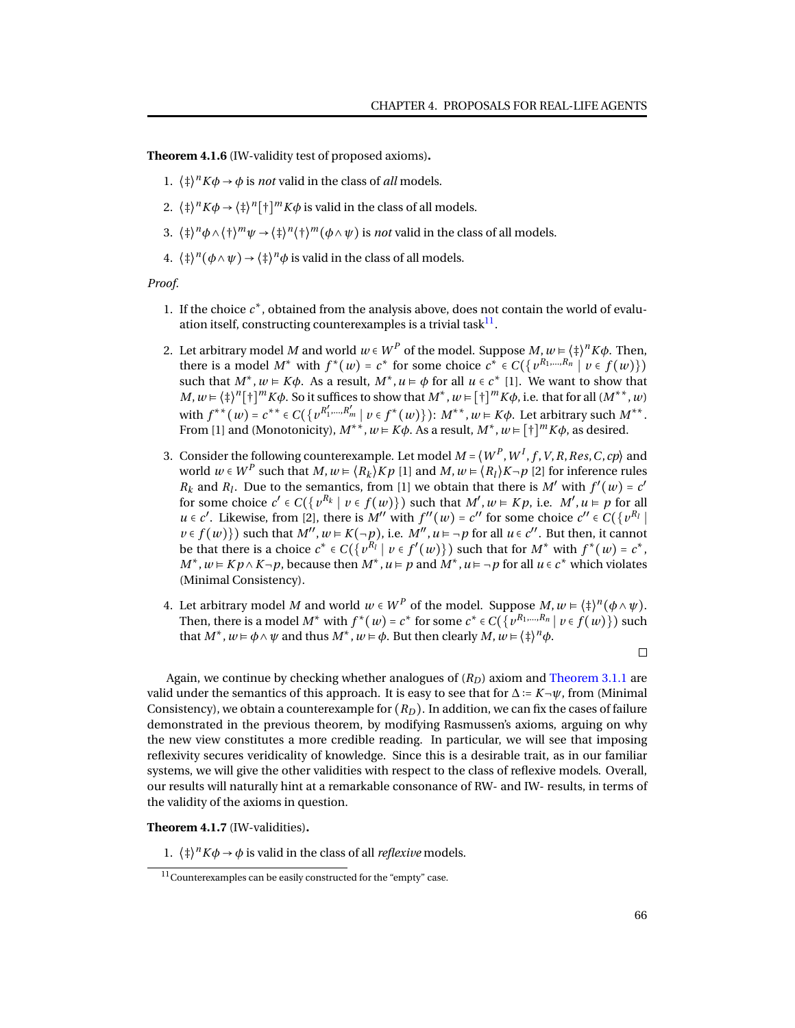<span id="page-69-0"></span>**Theorem 4.1.6** (IW-validity test of proposed axioms)**.**

- 1.  $\langle \phi \rangle^n K \phi \to \phi$  is *not* valid in the class of *all* models.
- 2.  $\langle \frac{1}{2} \rangle^n K \phi \rightarrow \langle \frac{1}{2} \rangle^n [\frac{1}{2} \rangle^m K \phi$  is valid in the class of all models.
- 3.  $\langle \frac{\dagger}{\dagger} \rangle^n \phi \wedge \langle \frac{\dagger}{\dagger} \rangle^m \psi \rightarrow \langle \frac{\dagger}{\dagger} \rangle^n \langle \frac{\dagger}{\dagger} \rangle^m (\phi \wedge \psi)$  is *not* valid in the class of all models.
- 4.  $\langle \ddagger \rangle^n (\phi \wedge \psi) \rightarrow \langle \ddagger \rangle^n \phi$  is valid in the class of all models.

*Proof.*

- 1. If the choice  $c^*$ , obtained from the analysis above, does not contain the world of evaluation itself, constructing counterexamples is a trivial task $^{11}$  $^{11}$  $^{11}$ .
- 2. Let arbitrary model  $M$  and world  $w \in W^P$  of the model. Suppose  $M, w \vDash \langle \ddagger \rangle^n K \phi$ . Then, there is a model  $M^*$  with  $f^*(w) = c^*$  for some choice  $c^* \in C(\lbrace v^{R_1,...,R_n} \mid v \in f(w) \rbrace)$ such that  $M^*$ ,  $w \models K\phi$ . As a result,  $M^*$ ,  $u \models \phi$  for all  $u \in c^*$  [1]. We want to show that *M*,  $w = \langle \frac{1}{2} \rangle^{n} [\frac{1}{2}]^{m} K \phi$ . So it suffices to show that  $M^{*}$ ,  $w = [\frac{1}{2}]^{m} K \phi$ , i.e. that for all  $(M^{**}, w)$ with  $f^{**}(w) = c^{**} ∈ C({v^{R'_1, ..., R'_m} | v ∈ f^*(w)}): M^{**}, w ∈ K\phi$ . Let arbitrary such  $M^{**}$ . From [1] and (Monotonicity),  $M^{**}$ ,  $w = K\phi$ . As a result,  $M^*$ ,  $w = [\dagger]^m K\phi$ , as desired.
- 3. Consider the following counterexample. Let model  $M$  =  $\left\langle W^{P}, W^{I}, f, V, R, Res, C, cp\right\rangle$  and world  $w \in W^P$  such that  $M, w \in \langle R_k \rangle Kp$  [1] and  $M, w \in \langle R_l \rangle K \neg p$  [2] for inference rules  $R_k$  and  $R_l$ . Due to the semantics, from [1] we obtain that there is *M'* with  $f'(w) = c'$ for some choice  $c' \in C(\lbrace v^{R_k} \mid v \in f(w) \rbrace)$  such that  $M', w \models Kp$ , i.e.  $M', u \models p$  for all  $u \in c'$ . Likewise, from [2], there is  $M''$  with  $f''(w) = c''$  for some choice  $c'' \in C(\lbrace v^{R_l} \rbrace)$ *v* ∈ *f*(*w*)}) such that  $M''$ ,  $w$  ⊨  $K(\neg p)$ , i.e.  $M''$ ,  $u = \neg p$  for all  $u \in c''$ . But then, it cannot be that there is a choice  $c^* \in C(\lbrace v^{R_l} | v \in f'(w) \rbrace)$  such that for  $M^*$  with  $f^*(w) = c^*$ , *M*<sup>∗</sup>, *w* ⊨ *Kp* ∧ *K* ¬*p*, because then *M*<sup>∗</sup>, *u* ⊨ *p* and *M*<sup>∗</sup>, *u* ⊨ ¬*p* for all *u* ∈ *c*<sup>∗</sup> which violates (Minimal Consistency).
- 4. Let arbitrary model *M* and world  $w \in W^P$  of the model. Suppose  $M, w \models \langle \ddagger \rangle^n (\phi \land \psi)$ . Then, there is a model  $M^*$  with  $f^*(w) = c^*$  for some  $c^* \in C(\lbrace v^{R_1,\dots,R_n} \mid v \in f(w) \rbrace)$  such that  $M^*$ ,  $w \models \phi \land \psi$  and thus  $M^*$ ,  $w \models \phi$ . But then clearly  $M$ ,  $w \models \langle \dagger \rangle^n \phi$ .

 $\Box$ 

Again, we continue by checking whether analogues of  $(R<sub>D</sub>)$  axiom and [Theorem 3.1.1](#page-24-1) are valid under the semantics of this approach. It is easy to see that for  $\Delta := K \neg \psi$ , from (Minimal Consistency), we obtain a counterexample for  $(R_D)$ . In addition, we can fix the cases of failure demonstrated in the previous theorem, by modifying Rasmussen's axioms, arguing on why the new view constitutes a more credible reading. In particular, we will see that imposing reflexivity secures veridicality of knowledge. Since this is a desirable trait, as in our familiar systems, we will give the other validities with respect to the class of reflexive models. Overall, our results will naturally hint at a remarkable consonance of RW- and IW- results, in terms of the validity of the axioms in question.

<span id="page-69-1"></span>**Theorem 4.1.7** (IW-validities)**.**

1.  $\langle \phi |^n K \phi \rightarrow \phi$  is valid in the class of all *reflexive* models.

<sup>11</sup>Counterexamples can be easily constructed for the "empty" case.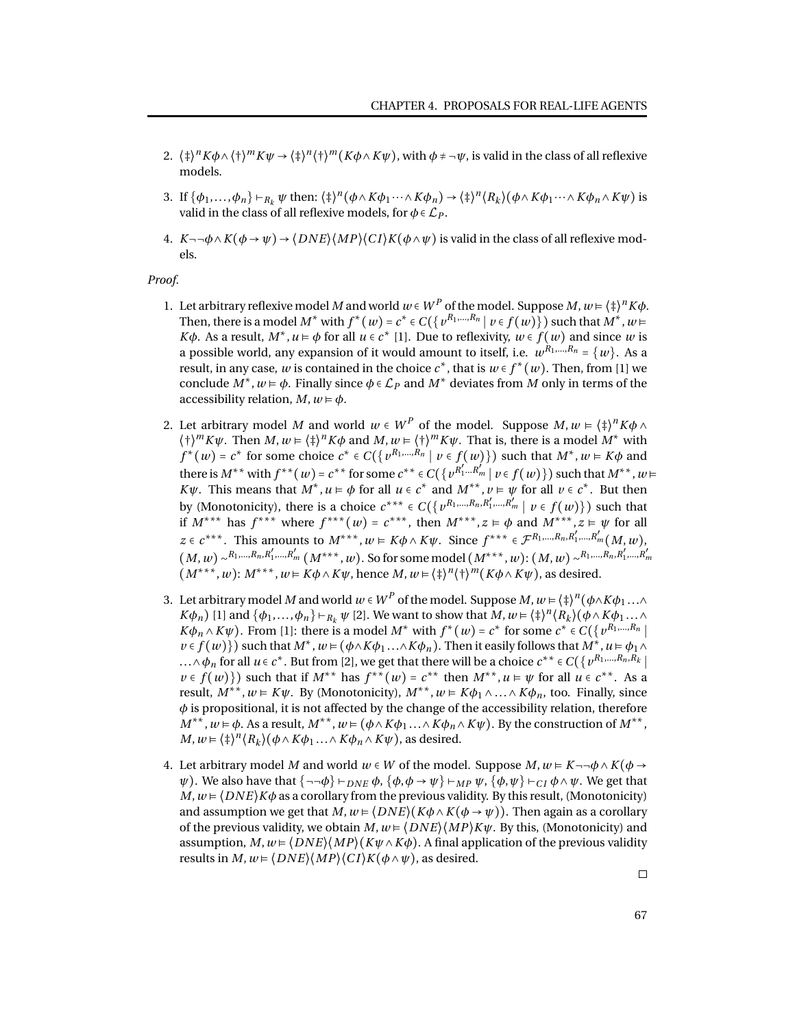- 2.  $\langle \phi^2 \rangle^n K \phi \wedge \langle \phi^2 \rangle^m K \psi \rightarrow \langle \phi^2 \rangle^n (k \phi \wedge K \psi)$ , with  $\phi \neq -\psi$ , is valid in the class of all reflexive models.
- 3. If  $\{\phi_1,\ldots,\phi_n\} \vdash_{R_k} \psi$  then:  $\langle \ddagger \rangle^n (\phi \wedge K\phi_1 \cdots \wedge K\phi_n) \rightarrow \langle \ddagger \rangle^n \langle R_k \rangle (\phi \wedge K\phi_1 \cdots \wedge K\phi_n \wedge K\psi)$  is valid in the class of all reflexive models, for  $\phi \in \mathcal{L}_P$ .
- 4.  $K \neg \neg \phi \land K(\phi \rightarrow \psi) \rightarrow \langle DNE \rangle \langle MP \rangle \langle C I \rangle K(\phi \land \psi)$  is valid in the class of all reflexive models.

*Proof.*

- 1. Let arbitrary reflexive model *M* and world  $w \in W^P$  of the model. Suppose *M*,  $w \models \langle \frac{1}{2} \rangle^n K \phi$ . Then, there is a model  $M^*$  with  $f^*(w) = c^* \in C(\{v^{R_1,...,R_n} | v \in f(w)\})$  such that  $M^*, w \models$ *K* $\phi$ . As a result, *M*<sup>\*</sup>, *u*  $\models \phi$  for all  $u \in c^*$  [1]. Due to reflexivity,  $w \in f(w)$  and since *w* is a possible world, any expansion of it would amount to itself, i.e.  $w^{R_1,...,R_n} = \{w\}$ . As a result, in any case, *w* is contained in the choice  $c^*$ , that is  $w \in f^*(w)$ . Then, from [1] we conclude  $M^*$ ,  $w \models \phi$ . Finally since  $\phi \in \mathcal{L}_P$  and  $M^*$  deviates from  $M$  only in terms of the accessibility relation,  $M, w \models \phi$ .
- 2. Let arbitrary model *M* and world  $w \in W^P$  of the model. Suppose  $M, w \in \langle \frac{\dagger}{4} \rangle^n K \phi \wedge w$  $\langle \dagger \rangle^m K \psi$ . Then  $M, w \models \langle \dagger \rangle^n K \phi$  and  $M, w \models \langle \dagger \rangle^m K \psi$ . That is, there is a model  $M^*$  with  $f^*(w) = c^*$  for some choice  $c^* \in C(\lbrace v^{R_1,\dots,R_n} \mid v \in f(w) \rbrace)$  such that  $M^*, w \in K\phi$  and there is  $M^{**}$  with  $f^{**}(w) = c^{**}$  for some  $c^{**} \in C(\{v^{R'_1...R'_m} | v \in f(w)\})$  such that  $M^{**}, w \models$ *K* $\psi$ . This means that  $M^*$ ,  $u \models \phi$  for all  $u \in c^*$  and  $M^{**}$ ,  $v \models \psi$  for all  $v \in c^*$ . But then by (Monotonicity), there is a choice  $c^{***}\in C(\{v^{R_1,...,R_n,R'_1,...,R'_m}\mid v\in f(w)\})$  such that if  $M^{***}$  has  $f^{***}$  where  $f^{***}(w) = c^{***}$ , then  $M^{***}$ ,  $z \models \phi$  and  $M^{***}$ ,  $z \models \psi$  for all *z* ∈ *c*<sup>\*\*\*</sup>. This amounts to *M*<sup>\*\*\*</sup>, *w* ⊨ *Kφ* ∧ *Kψ*. Since  $f^{***}$  ∈  $\mathcal{F}^{R_1,...,R_n,R'_1,...,R'_m}$  (*M*, *w*),  $(M, w) \sim^{R_1, ..., R_n, R'_1, ..., R'_m} (M^{***}, w)$ . So for some model  $(M^{***}, w)$ :  $(M, w) \sim^{R_1, ..., R_n, R'_1, ..., R'_m}$  $(M^{***}, w): M^{***}, w \models K\phi \land K\psi$ , hence  $M, w \models \langle \dagger \rangle^{n} (\dagger \rangle^{m} (K\phi \land K\psi)$ , as desired.
- 3. Let arbitrary model  $M$  and world  $w\in W^P$  of the model. Suppose  $M,w$   $\models$   $\langle \ddagger \rangle^n(\phi \wedge K\phi_1\ldots \wedge$ *Kφ*<sub>*n*</sub>) [1] and  $\{\phi_1, \ldots, \phi_n\} \vdash_{R_k} \psi$  [2]. We want to show that *M*,  $w = \langle \frac{1}{2} \rangle^n \langle R_k \rangle (\phi \wedge K\phi_1 \ldots \wedge K\phi_n)$  $K\phi_n \wedge K\psi$ ). From [1]: there is a model *M*<sup>∗</sup> with  $f^*(w) = c^*$  for some  $c^* \in C({v^{R_1,...,R_n}})$  $v \in f(w)$ }) such that  $M^*$ ,  $w \models (\phi \land K\phi_1 \dots \land K\phi_n)$ . Then it easily follows that  $M^*$ ,  $u \models \phi_1 \land$ ...∧ $\phi_n$  for all  $u \in c^*$ . But from [2], we get that there will be a choice  $c^{**} \in C(\lbrace v^{R_1,...,R_n,R_k} \rbrace)$  $\nu \in f(w)$ }) such that if  $M^{**}$  has  $f^{**}(w) = c^{**}$  then  $M^{**}, u \models \psi$  for all  $u \in c^{**}$ . As a result,  $M^{**}$ ,  $w \in K\psi$ . By (Monotonicity),  $M^{**}$ ,  $w \in K\phi_1 \wedge \ldots \wedge K\phi_n$ , too. Finally, since  $\phi$  is propositional, it is not affected by the change of the accessibility relation, therefore  $M^{**}, w \models \phi$ . As a result,  $M^{**}, w \models (\phi \land K\phi_1 \dots \land K\phi_n \land K\psi)$ . By the construction of  $M^{**},$  $M, w \models \langle \frac{1}{4} \rangle^{n} \langle R_{k} \rangle (\phi \wedge K \phi_{1} \dots \wedge K \phi_{n} \wedge K \psi)$ , as desired.
- 4. Let arbitrary model *M* and world  $w \in W$  of the model. Suppose  $M, w \in K \neg \neg \phi \land K(\phi \rightarrow$ *ψ*). We also have that  $\{\neg\neg\phi\} \vdash_{DNE} \phi$ ,  $\{\phi, \phi \rightarrow \psi\} \vdash_{MP} \psi$ ,  $\{\phi, \psi\} \vdash_{CP} \phi \land \psi$ . We get that  $M, w \in \langle DNE \rangle K\phi$  as a corollary from the previous validity. By this result, (Monotonicity) and assumption we get that  $M, w \in \{DNE\}$  ( $K\phi \wedge K(\phi \rightarrow \psi)$ ). Then again as a corollary of the previous validity, we obtain  $M, w \in \langle DNE \rangle \langle MP \rangle K \psi$ . By this, (Monotonicity) and assumption,  $M, w \in \langle DNE \rangle \langle MP \rangle \langle K\psi \wedge K\phi \rangle$ . A final application of the previous validity results in  $M, w \in \langle DNE \rangle \langle MP \rangle \langle C I \rangle K(\phi \wedge \psi)$ , as desired.

 $\Box$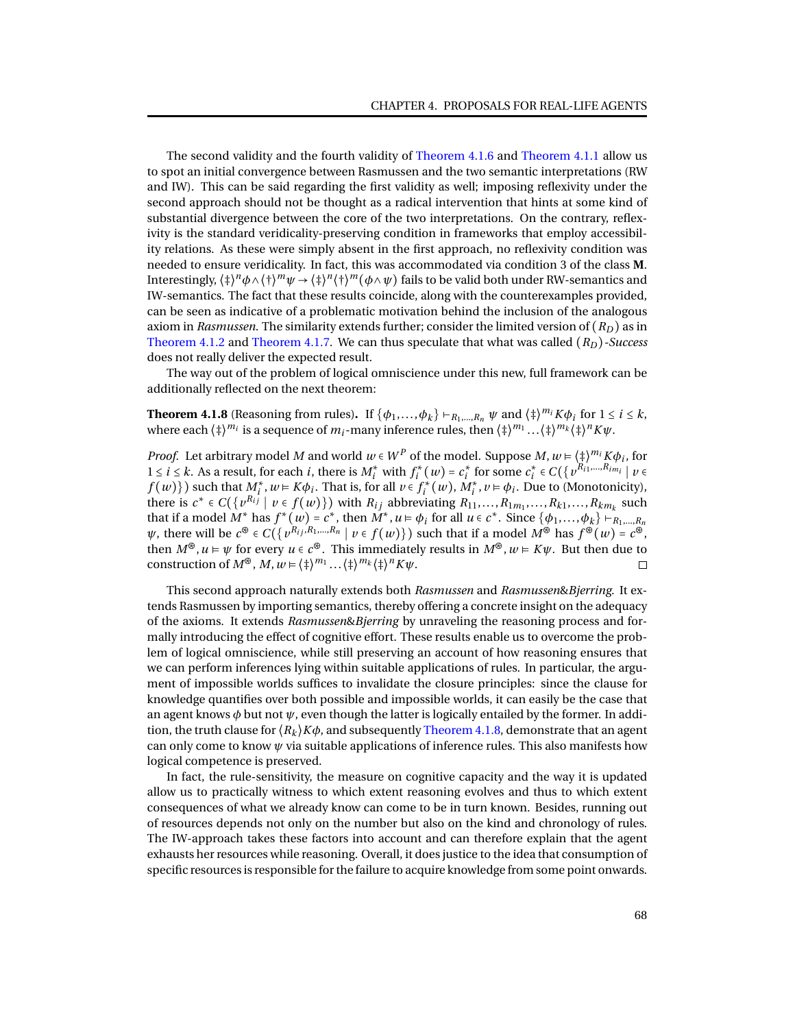The second validity and the fourth validity of [Theorem 4.1.6](#page-69-0) and [Theorem 4.1.1](#page-58-0) allow us to spot an initial convergence between Rasmussen and the two semantic interpretations (RW and IW). This can be said regarding the first validity as well; imposing reflexivity under the second approach should not be thought as a radical intervention that hints at some kind of substantial divergence between the core of the two interpretations. On the contrary, reflexivity is the standard veridicality-preserving condition in frameworks that employ accessibility relations. As these were simply absent in the first approach, no reflexivity condition was needed to ensure veridicality. In fact, this was accommodated via condition 3 of the class **M**. Interestingly,  $\langle \ddagger \rangle^n \phi \wedge \langle \dagger \rangle^m \psi \to \langle \ddagger \rangle^n \langle \dagger \rangle^m (\phi \wedge \psi)$  fails to be valid both under RW-semantics and IW-semantics. The fact that these results coincide, along with the counterexamples provided, can be seen as indicative of a problematic motivation behind the inclusion of the analogous axiom in *Rasmussen*. The similarity extends further; consider the limited version of (*RD*) as in [Theorem 4.1.2](#page-60-1) and [Theorem 4.1.7.](#page-69-1) We can thus speculate that what was called (*RD*)*-Success* does not really deliver the expected result.

The way out of the problem of logical omniscience under this new, full framework can be additionally reflected on the next theorem:

<span id="page-71-0"></span>**Theorem 4.1.8** (Reasoning from rules). If  $\{\phi_1, \ldots, \phi_k\} \vdash_{R_1, \ldots, R_n} \psi$  and  $\{\dagger\}^{m_i} K \phi_i$  for  $1 \le i \le k$ , where each  $\langle \ddagger \rangle^{m_i}$  is a sequence of  $m_i$ -many inference rules, then  $\langle \ddagger \rangle^{m_1}...\langle \ddagger \rangle^{m_k}\langle \ddagger \rangle^{n}K\psi.$ 

*Proof.* Let arbitrary model *M* and world  $w \in W^P$  of the model. Suppose *M*,  $w \in (\frac{1}{2})^{m_i} K \phi_i$ , for 1 ≤ *i* ≤ *k*. As a result, for each *i*, there is  $M_i^*$  with  $f_i^*$  $c_i^*(w) = c_i^*$  $\sum_{i}^{*}$  for some  $c_i^*$ *i* ∈ *C*({*v <sup>R</sup>i*1,...,*Rimi* ∣ *v* ∈  $f(w)$ }) such that  $M_i^*$ ,  $w = K\phi_i$ . That is, for all  $v \in f_i^*$  $\hat{N}_i^*(w)$ ,  $\hat{M}_i^*, v \models \phi_i$ . Due to (Monotonicity), there is  $c^* \in C(\lbrace v^{R_i j} \mid v \in f(w) \rbrace)$  with  $R_{ij}$  abbreviating  $R_{11}, \ldots, R_{1m_1}, \ldots, R_{k1}, \ldots, R_{km_k}$  such that if a model  $M^*$  has  $f^*(w) = c^*$ , then  $M^*$ ,  $u \in \phi_i$  for all  $u \in c^*$ . Since  $\{\phi_1, \ldots, \phi_k\} \vdash_{R_1, \ldots, R_n}$  $\psi$ , there will be  $c^{\circledast} \in C(\lbrace v^{R_{ij},R_1,\dots,R_n} \mid v \in f(w) \rbrace)$  such that if a model  $M^{\circledast}$  has  $f^{\circledast}(w) = c^{\circledast}$ , then  $M^{\circledast}$ ,  $u \models \psi$  for every  $u \in c^{\circledast}$ . This immediately results in  $M^{\circledast}$ ,  $w \models K\psi$ . But then due to construction of  $M^{\circledast}$ ,  $M, w \models \langle \ddagger \rangle^{m_1} \dots \langle \ddagger \rangle^{m_k} \langle \ddagger \rangle^n K \psi$ .  $\Box$ 

This second approach naturally extends both *Rasmussen* and *Rasmussen*&*Bjerring*. It extends Rasmussen by importing semantics, thereby offering a concrete insight on the adequacy of the axioms. It extends *Rasmussen*&*Bjerring* by unraveling the reasoning process and formally introducing the effect of cognitive effort. These results enable us to overcome the problem of logical omniscience, while still preserving an account of how reasoning ensures that we can perform inferences lying within suitable applications of rules. In particular, the argument of impossible worlds suffices to invalidate the closure principles: since the clause for knowledge quantifies over both possible and impossible worlds, it can easily be the case that an agent knows  $\phi$  but not  $\psi$ , even though the latter is logically entailed by the former. In addition, the truth clause for  $\langle R_k \rangle K\phi$ , and subsequently [Theorem 4.1.8,](#page-71-0) demonstrate that an agent can only come to know *ψ* via suitable applications of inference rules. This also manifests how logical competence is preserved.

In fact, the rule-sensitivity, the measure on cognitive capacity and the way it is updated allow us to practically witness to which extent reasoning evolves and thus to which extent consequences of what we already know can come to be in turn known. Besides, running out of resources depends not only on the number but also on the kind and chronology of rules. The IW-approach takes these factors into account and can therefore explain that the agent exhausts her resources while reasoning. Overall, it does justice to the idea that consumption of specific resources is responsible for the failure to acquire knowledge from some point onwards.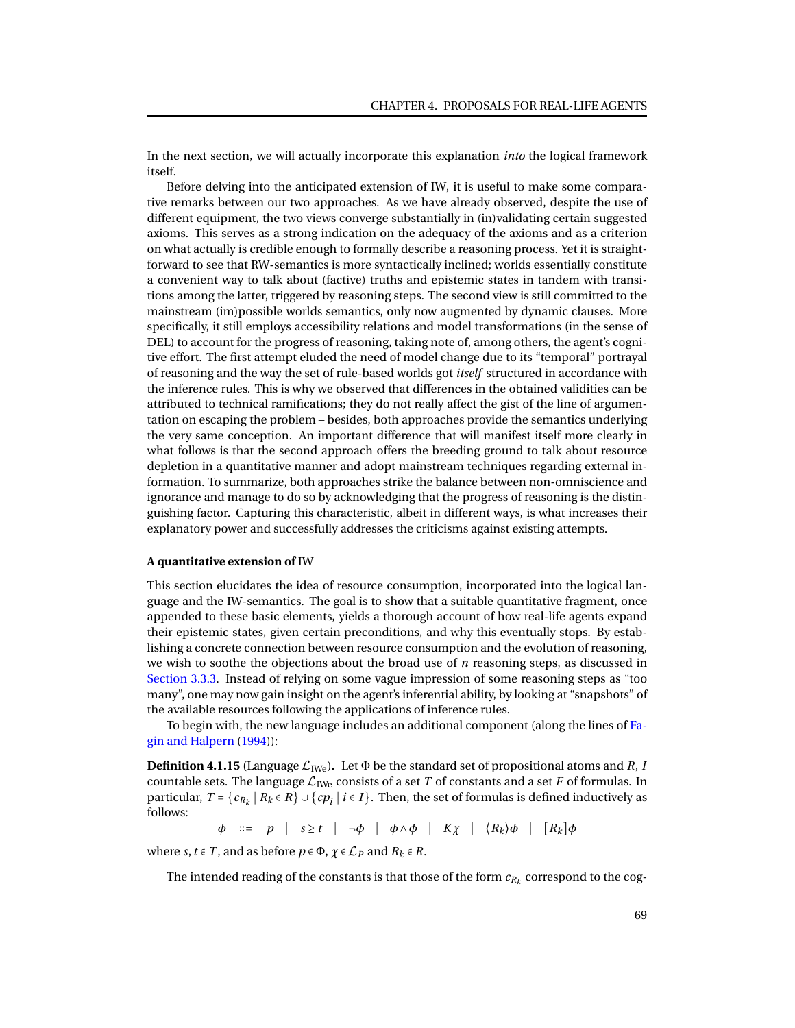In the next section, we will actually incorporate this explanation *into* the logical framework itself.

Before delving into the anticipated extension of IW, it is useful to make some comparative remarks between our two approaches. As we have already observed, despite the use of different equipment, the two views converge substantially in (in)validating certain suggested axioms. This serves as a strong indication on the adequacy of the axioms and as a criterion on what actually is credible enough to formally describe a reasoning process. Yet it is straightforward to see that RW-semantics is more syntactically inclined; worlds essentially constitute a convenient way to talk about (factive) truths and epistemic states in tandem with transitions among the latter, triggered by reasoning steps. The second view is still committed to the mainstream (im)possible worlds semantics, only now augmented by dynamic clauses. More specifically, it still employs accessibility relations and model transformations (in the sense of DEL) to account for the progress of reasoning, taking note of, among others, the agent's cognitive effort. The first attempt eluded the need of model change due to its "temporal" portrayal of reasoning and the way the set of rule-based worlds got *itself* structured in accordance with the inference rules. This is why we observed that differences in the obtained validities can be attributed to technical ramifications; they do not really affect the gist of the line of argumentation on escaping the problem – besides, both approaches provide the semantics underlying the very same conception. An important difference that will manifest itself more clearly in what follows is that the second approach offers the breeding ground to talk about resource depletion in a quantitative manner and adopt mainstream techniques regarding external information. To summarize, both approaches strike the balance between non-omniscience and ignorance and manage to do so by acknowledging that the progress of reasoning is the distinguishing factor. Capturing this characteristic, albeit in different ways, is what increases their explanatory power and successfully addresses the criticisms against existing attempts.

#### **A quantitative extension of** IW

This section elucidates the idea of resource consumption, incorporated into the logical language and the IW-semantics. The goal is to show that a suitable quantitative fragment, once appended to these basic elements, yields a thorough account of how real-life agents expand their epistemic states, given certain preconditions, and why this eventually stops. By establishing a concrete connection between resource consumption and the evolution of reasoning, we wish to soothe the objections about the broad use of *n* reasoning steps, as discussed in [Section 3.3.3.](#page-47-0) Instead of relying on some vague impression of some reasoning steps as "too many", one may now gain insight on the agent's inferential ability, by looking at "snapshots" of the available resources following the applications of inference rules.

To begin with, the new language includes an additional component (along the lines of [Fa](#page-93-0)[gin and Halpern](#page-93-0) [\(1994\)](#page-93-0)):

<span id="page-72-0"></span>**Definition 4.1.15** (Language  $\mathcal{L}_{\text{IWe}}$ ). Let  $\Phi$  be the standard set of propositional atoms and *R*, *I* countable sets. The language  $\mathcal{L}_{\text{IWe}}$  consists of a set *T* of constants and a set *F* of formulas. In particular,  $T = \{c_{R_k} | R_k \in R\} \cup \{cp_i | i \in I\}$ . Then, the set of formulas is defined inductively as follows:

*φ* ::= *p* | *s* ≥ *t* | →*φ* | *φ* ∧*φ* | *Kχ* |  $(R_k)$ *φ* | [*R<sub><i>k*</sub>]*φ* 

where *s*, *t*  $\in$  *T*, and as before *p*  $\in$   $\Phi$ ,  $\chi$   $\in$   $\mathcal{L}_P$  and  $R_k$   $\in$  *R*.

The intended reading of the constants is that those of the form  $c_{R_k}$  correspond to the cog-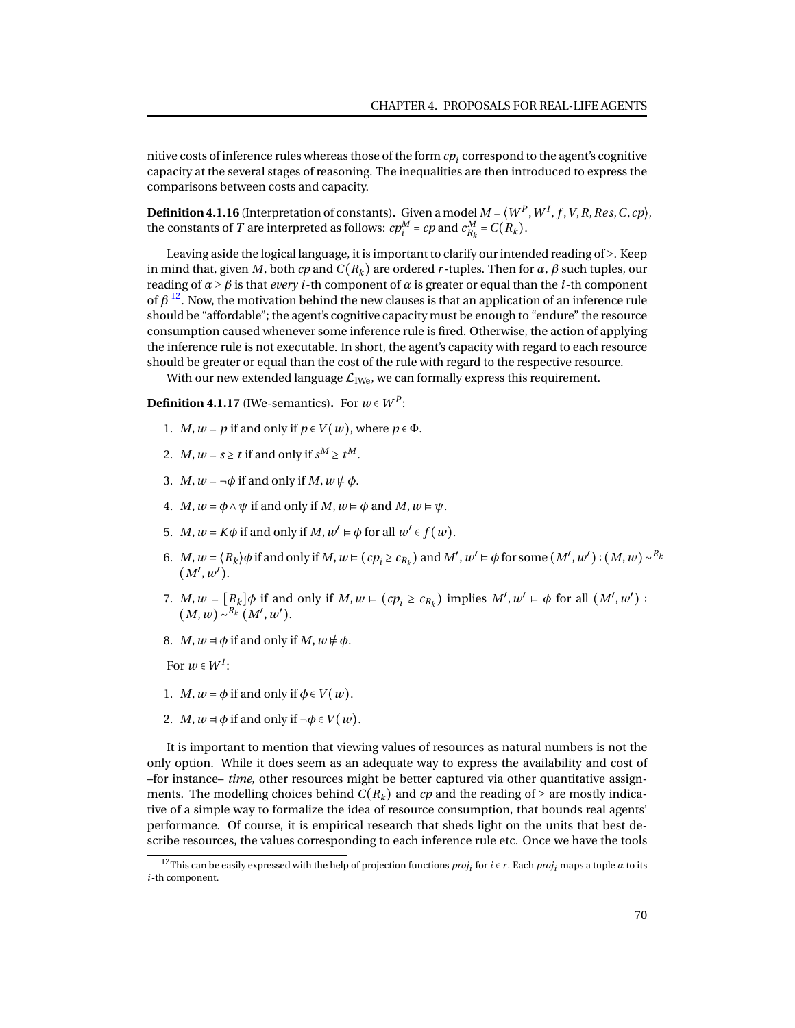nitive costs of inference rules whereas those of the form  $cp_i$  correspond to the agent's cognitive capacity at the several stages of reasoning. The inequalities are then introduced to express the comparisons between costs and capacity.

<span id="page-73-0"></span>**Definition 4.1.16** (Interpretation of constants). Given a model  $M = \langle W^P, W^I, f, V, R, Res, C, cp \rangle$ , the constants of *T* are interpreted as follows:  $cp_i^M = cp$  and  $c_{R_k}^M = C(R_k)$ .

Leaving aside the logical language, it is important to clarify our intended reading of ≥. Keep in mind that, given *M*, both *cp* and  $C(R_k)$  are ordered *r*-tuples. Then for  $\alpha$ ,  $\beta$  such tuples, our reading of  $\alpha \geq \beta$  is that *every i*-th component of  $\alpha$  is greater or equal than the *i*-th component of  $\beta$  <sup>[12](#page-0-0)</sup>. Now, the motivation behind the new clauses is that an application of an inference rule should be "affordable"; the agent's cognitive capacity must be enough to "endure" the resource consumption caused whenever some inference rule is fired. Otherwise, the action of applying the inference rule is not executable. In short, the agent's capacity with regard to each resource should be greater or equal than the cost of the rule with regard to the respective resource.

With our new extended language  $\mathcal{L}_{\text{IWe}}$ , we can formally express this requirement.

<span id="page-73-1"></span>**Definition 4.1.17** (IWe-semantics). For  $w \in W^P$ :

- 1. *M*,  $w \models p$  if and only if  $p \in V(w)$ , where  $p \in \Phi$ .
- 2. *M*,  $w \models s \ge t$  if and only if  $s^M \ge t^M$ .
- 3. *M*,  $w \models \neg \phi$  if and only if *M*,  $w \not\models \phi$ .
- 4. *M*,  $w \models \phi \land \psi$  if and only if *M*,  $w \models \phi$  and *M*,  $w \models \psi$ .
- 5. *M*,  $w \in K\phi$  if and only if *M*,  $w' \in \phi$  for all  $w' \in f(w)$ .
- 6.  $M, w \models \langle R_k \rangle \phi$  if and only if  $M, w \models (cp_i \geq c_{R_k})$  and  $M', w' \models \phi$  for some  $(M', w') : (M, w) \sim^{R_k}$  $(M', w')$ .
- 7. *M*,  $w \in [R_k] \phi$  if and only if  $M, w \in (cp_i \geq c_{R_k})$  implies  $M', w' \in \phi$  for all  $(M', w')$ :  $(M, w) \sim^{R_k} (M', w')$ .
- 8. *M*,  $w = \phi$  if and only if *M*,  $w \neq \phi$ .

For  $w \in W^I$ :

- 1. *M*,  $w \models \phi$  if and only if  $\phi \in V(w)$ .
- 2. *M*,  $w = \phi$  if and only if  $\neg \phi \in V(w)$ .

It is important to mention that viewing values of resources as natural numbers is not the only option. While it does seem as an adequate way to express the availability and cost of –for instance– *time*, other resources might be better captured via other quantitative assignments. The modelling choices behind  $C(R_k)$  and *cp* and the reading of  $\geq$  are mostly indicative of a simple way to formalize the idea of resource consumption, that bounds real agents' performance. Of course, it is empirical research that sheds light on the units that best describe resources, the values corresponding to each inference rule etc. Once we have the tools

<sup>&</sup>lt;sup>12</sup>This can be easily expressed with the help of projection functions  $proj_i$  for  $i \in r$ . Each  $proj_i$  maps a tuple  $\alpha$  to its *i*-th component.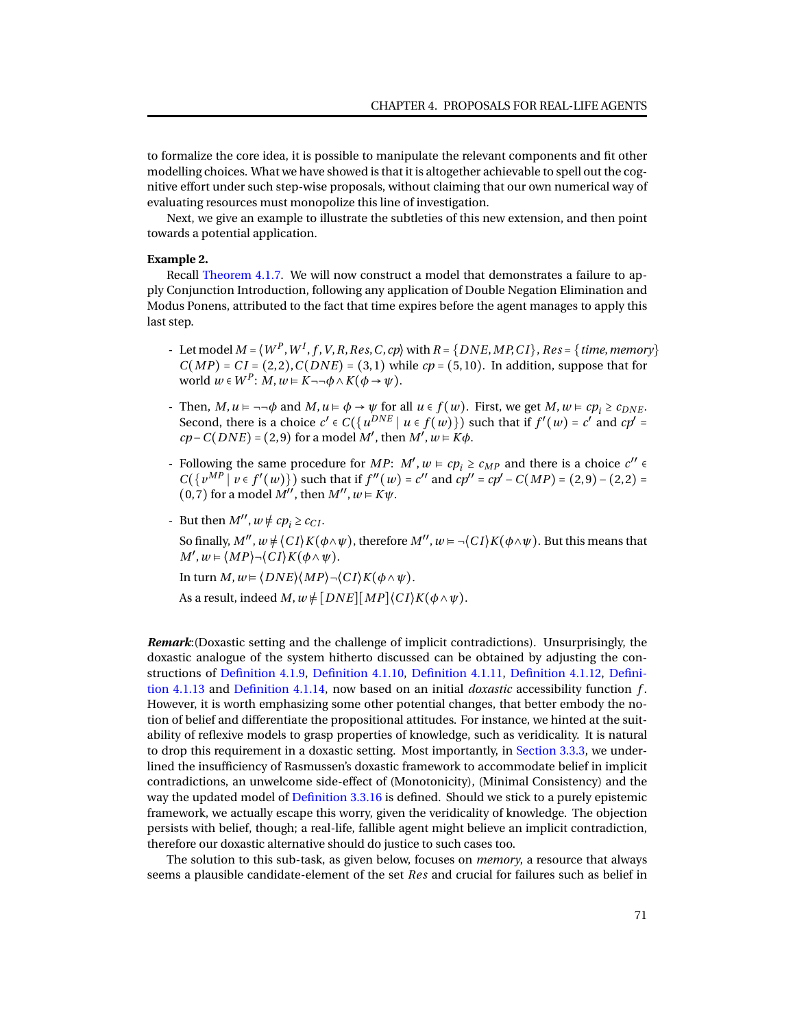to formalize the core idea, it is possible to manipulate the relevant components and fit other modelling choices. What we have showed is that it is altogether achievable to spell out the cognitive effort under such step-wise proposals, without claiming that our own numerical way of evaluating resources must monopolize this line of investigation.

Next, we give an example to illustrate the subtleties of this new extension, and then point towards a potential application.

#### **Example 2.**

Recall [Theorem 4.1.7.](#page-69-0) We will now construct a model that demonstrates a failure to apply Conjunction Introduction, following any application of Double Negation Elimination and Modus Ponens, attributed to the fact that time expires before the agent manages to apply this last step.

- Let model  $M = \langle W^P, W^I, f, V, R, Res, C, cp \rangle$  with  $R = \{DNE, MP, CI\}$ ,  $Res = \{time, memory\}$  $C(MP) = CI = (2, 2), C(DNE) = (3, 1)$  while  $cp = (5, 10)$ . In addition, suppose that for  $\text{world } w \in W^P$ :  $M, w \in K \neg \neg \phi \land K(\phi \rightarrow \psi)$ .
- Then, *M*,*u* ⊧ ¬¬*φ* and *M*,*u* ⊧ *φ* → *ψ* for all *u* ∈ *f* (*w*). First, we get *M*,*w* ⊧ *cp<sup>i</sup>* ≥ *cDNE* . Second, there is a choice  $c' \in C(\lbrace u^{DNE} \mid u \in f(w) \rbrace)$  such that if  $f'(w) = c'$  and  $cp' =$  $cp - C(DNE) = (2, 9)$  for a model *M'*, then  $M'$ ,  $w \in K\phi$ .
- Following the same procedure for *MP*:  $M'$ ,  $w \models cp_i \ge c_{MP}$  and there is a choice  $c'' \in$ *C*({*v*<sup>*MP*</sup>  $\vert v \in f'(w)$ }) such that if *f*<sup>''</sup>(*w*) = *c*<sup>''</sup> and *cp*<sup>''</sup> = *cp*<sup>'</sup> − *C*(*MP*) = (2,9) − (2,2) =  $(0, 7)$  for a model  $M''$ , then  $M''$ ,  $w \in K\psi$ .
- But then  $M''$ ,  $w \neq cp_i \geq c_{CI}$ . So finally,  $M''$ ,  $w \neq \langle CI \rangle K(\phi \land \psi)$ , therefore  $M''$ ,  $w \models \neg \langle CI \rangle K(\phi \land \psi)$ . But this means that  $M'$ ,  $w = \langle MP \rangle \neg \langle CI \rangle K(\phi \wedge \psi).$

In turn *M*,*w* ⊧ ⟨*DNE*⟩⟨*MP*⟩¬⟨*C I*⟩*K*(*φ*∧*ψ*).

As a result, indeed  $M$ ,  $w \neq [DNE][MP]\langle CI\rangle K(\phi \wedge \psi)$ .

*Remark*:(Doxastic setting and the challenge of implicit contradictions). Unsurprisingly, the doxastic analogue of the system hitherto discussed can be obtained by adjusting the constructions of [Definition 4.1.9,](#page-66-0) [Definition 4.1.10,](#page-66-1) [Definition 4.1.11,](#page-67-0) [Definition 4.1.12,](#page-67-1) [Defini](#page-67-2)[tion 4.1.13](#page-67-2) and [Definition 4.1.14,](#page-67-3) now based on an initial *doxastic* accessibility function *f* . However, it is worth emphasizing some other potential changes, that better embody the notion of belief and differentiate the propositional attitudes. For instance, we hinted at the suitability of reflexive models to grasp properties of knowledge, such as veridicality. It is natural to drop this requirement in a doxastic setting. Most importantly, in [Section 3.3.3,](#page-47-0) we underlined the insufficiency of Rasmussen's doxastic framework to accommodate belief in implicit contradictions, an unwelcome side-effect of (Monotonicity), (Minimal Consistency) and the way the updated model of [Definition 3.3.16](#page-49-0) is defined. Should we stick to a purely epistemic framework, we actually escape this worry, given the veridicality of knowledge. The objection persists with belief, though; a real-life, fallible agent might believe an implicit contradiction, therefore our doxastic alternative should do justice to such cases too.

The solution to this sub-task, as given below, focuses on *memory*, a resource that always seems a plausible candidate-element of the set *Res* and crucial for failures such as belief in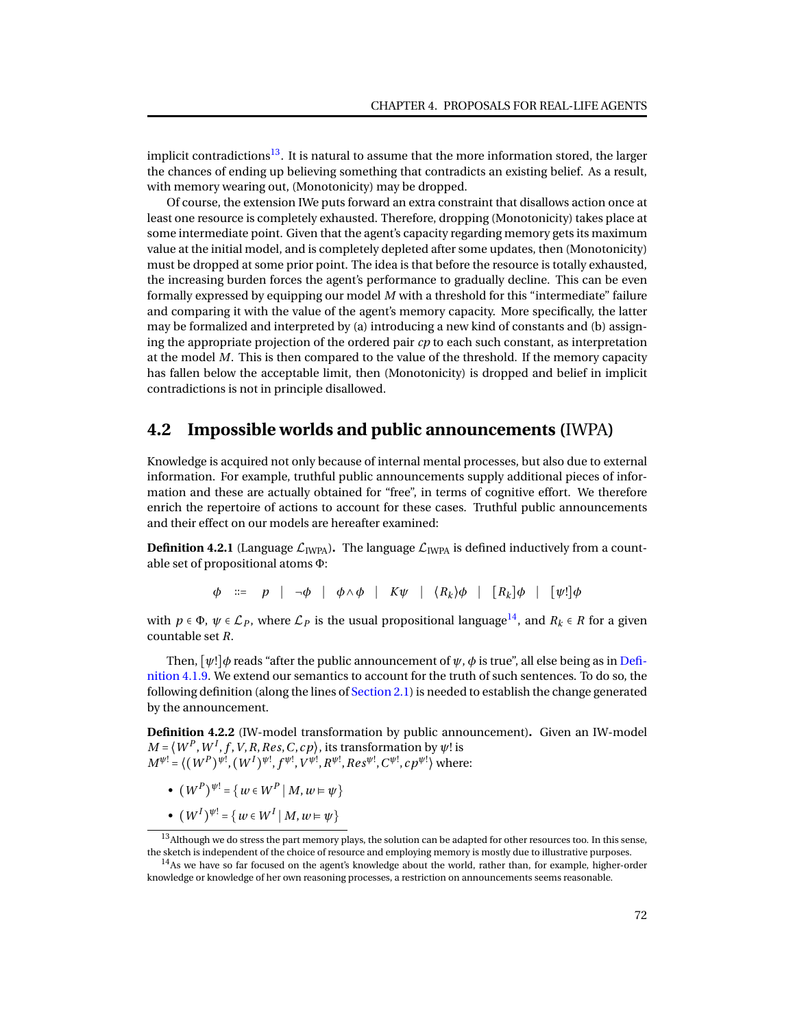implicit contradictions<sup>[13](#page-0-0)</sup>. It is natural to assume that the more information stored, the larger the chances of ending up believing something that contradicts an existing belief. As a result, with memory wearing out, (Monotonicity) may be dropped.

Of course, the extension IWe puts forward an extra constraint that disallows action once at least one resource is completely exhausted. Therefore, dropping (Monotonicity) takes place at some intermediate point. Given that the agent's capacity regarding memory gets its maximum value at the initial model, and is completely depleted after some updates, then (Monotonicity) must be dropped at some prior point. The idea is that before the resource is totally exhausted, the increasing burden forces the agent's performance to gradually decline. This can be even formally expressed by equipping our model *M* with a threshold for this "intermediate" failure and comparing it with the value of the agent's memory capacity. More specifically, the latter may be formalized and interpreted by (a) introducing a new kind of constants and (b) assigning the appropriate projection of the ordered pair *cp* to each such constant, as interpretation at the model *M*. This is then compared to the value of the threshold. If the memory capacity has fallen below the acceptable limit, then (Monotonicity) is dropped and belief in implicit contradictions is not in principle disallowed.

### **4.2 Impossible worlds and public announcements (**IWPA**)**

Knowledge is acquired not only because of internal mental processes, but also due to external information. For example, truthful public announcements supply additional pieces of information and these are actually obtained for "free", in terms of cognitive effort. We therefore enrich the repertoire of actions to account for these cases. Truthful public announcements and their effect on our models are hereafter examined:

**Definition 4.2.1** (Language  $\mathcal{L}_{IWPA}$ ). The language  $\mathcal{L}_{IWPA}$  is defined inductively from a countable set of propositional atoms Φ:

*φ* ∶∶= *p* ∣ ¬*φ* ∣ *φ*∧*φ* ∣ *Kψ* ∣ ⟨*R<sup>k</sup>* ⟩*φ* ∣ [*R<sup>k</sup>* ]*φ* ∣ [*ψ*!]*φ*

with  $p \in \Phi$ ,  $\psi \in \mathcal{L}_P$ , where  $\mathcal{L}_P$  is the usual propositional language<sup>[14](#page-0-0)</sup>, and  $R_k \in R$  for a given countable set *R*.

Then,  $[\psi!] \phi$  reads "after the public announcement of  $\psi$ ,  $\phi$  is true", all else being as in [Defi](#page-66-0)[nition 4.1.9.](#page-66-0) We extend our semantics to account for the truth of such sentences. To do so, the following definition (along the lines of [Section 2.1\)](#page-14-0) is needed to establish the change generated by the announcement.

**Definition 4.2.2** (IW-model transformation by public announcement)**.** Given an IW-model  $M = \langle W^P, W^I, f, V, R, Res, C, cp \rangle$ , its transformation by  $\psi!$  is  $M^{\psi!} = \langle (W^P)^{\psi!}, (W^I)^{\psi!}, f^{\psi!}, V^{\psi!}, R^{\psi!}, Res^{\psi!}, C^{\psi!}, cp^{\psi!} \rangle$  where:

- $(W^P)^{\psi} = \{ w \in W^P \mid M, w \models \psi \}$
- $\bullet$   $(W^{I})^{\psi!} = \{ w \in W^{I} \mid M, w \models \psi \}$

<sup>&</sup>lt;sup>13</sup>Although we do stress the part memory plays, the solution can be adapted for other resources too. In this sense, the sketch is independent of the choice of resource and employing memory is mostly due to illustrative purposes.

<sup>&</sup>lt;sup>14</sup>As we have so far focused on the agent's knowledge about the world, rather than, for example, higher-order knowledge or knowledge of her own reasoning processes, a restriction on announcements seems reasonable.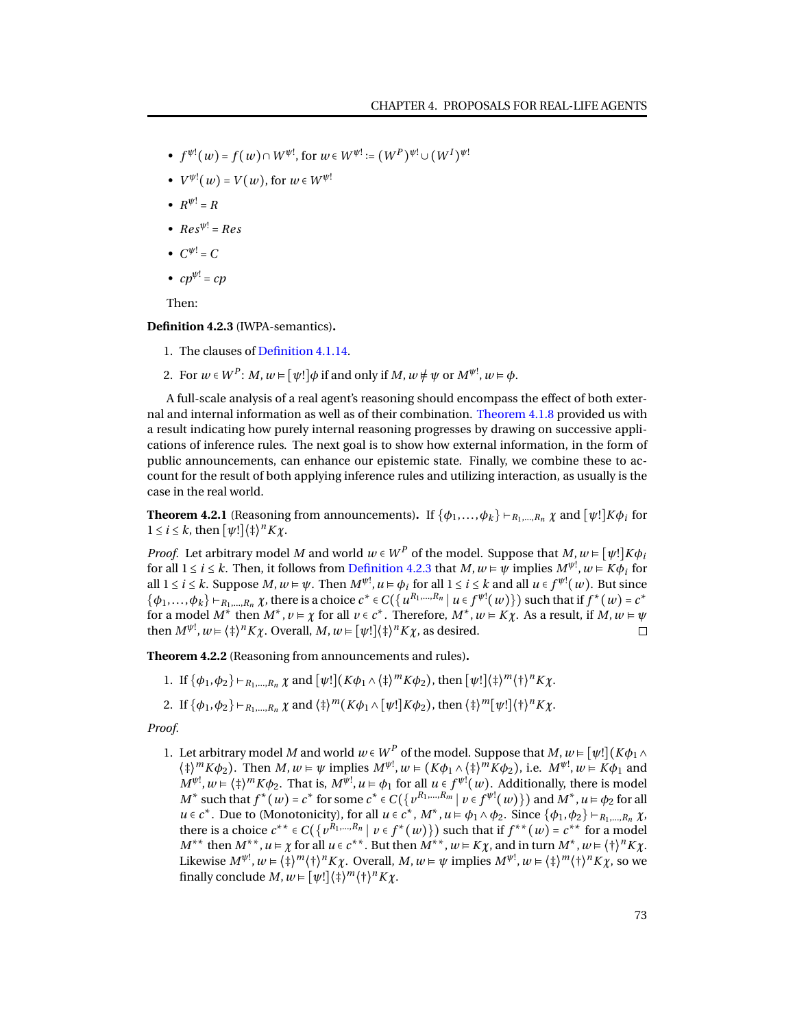- $f^{\psi!}(w) = f(w) \cap W^{\psi!}$ , for  $w \in W^{\psi!} := (W^P)^{\psi!} \cup (W^I)^{\psi!}$
- $V^{\psi}$ <sup>[</sup> $(w)$  =  $V(w)$ , for  $w \in W^{\psi}$ <sup>[ $\psi$ ]</sup>
- $R^{\psi} = R$
- $Res^{\psi} = Res$
- $C^{\psi}$  = C
- $cp^{\psi}$  =  $cp$

Then:

<span id="page-76-0"></span>**Definition 4.2.3** (IWPA-semantics)**.**

- 1. The clauses of [Definition 4.1.14.](#page-67-3)
- 2. For  $w \in W^P$ :  $M, w \models [\psi!] \phi$  if and only if  $M, w \neq \psi$  or  $M^{\psi!}, w \models \phi$ .

A full-scale analysis of a real agent's reasoning should encompass the effect of both external and internal information as well as of their combination. [Theorem 4.1.8](#page-71-0) provided us with a result indicating how purely internal reasoning progresses by drawing on successive applications of inference rules. The next goal is to show how external information, in the form of public announcements, can enhance our epistemic state. Finally, we combine these to account for the result of both applying inference rules and utilizing interaction, as usually is the case in the real world.

<span id="page-76-2"></span>**Theorem 4.2.1** (Reasoning from announcements). If  $\{\phi_1, \ldots, \phi_k\} \vdash_{R_1, \ldots, R_n} \chi$  and  $[\psi!] K \phi_i$  for  $1 \le i \le k$ , then  $[\psi!] \langle \ddagger \rangle^n K \chi$ .

*Proof.* Let arbitrary model *M* and world  $w \in W^P$  of the model. Suppose that  $M, w \in [\psi!] K \phi_i$ for all  $1 \le i \le k$ . Then, it follows from [Definition 4.2.3](#page-76-0) that  $M, w \vDash \psi$  implies  $M^{\psi!}, w \vDash K\phi_i$  for all  $1 \le i \le k$ . Suppose  $M, w \models \psi$ . Then  $M^{\psi!}, u \models \phi_i$  for all  $1 \le i \le k$  and all  $u \in f^{\psi!}(w)$ . But since  $\{\phi_1,\ldots,\phi_k\}$   $\vdash_{R_1,\ldots,R_n} \chi$ , there is a choice  $c^* \in C(\{u^{R_1,\ldots,R_n} | u \in f^{\psi!}(w)\})$  such that if  $f^*(w) = c^*$ for a model  $M^*$  then  $M^*$ ,  $v \models \chi$  for all  $v \in c^*$ . Therefore,  $M^*$ ,  $w \models K\chi$ . As a result, if  $M$ ,  $w \models \psi$ then  $M^{\psi!}$ ,  $w = \langle \frac{1}{4} \rangle^n K \chi$ . Overall,  $M, w \in [\psi!] \langle \frac{1}{4} \rangle^n K \chi$ , as desired.  $\Box$ 

<span id="page-76-1"></span>**Theorem 4.2.2** (Reasoning from announcements and rules)**.**

- 1. If  $\{\phi_1, \phi_2\} \vdash_{R_1,\dots,R_n} \chi$  and  $[\psi!] (K\phi_1 \wedge \{\dagger\}^m K\phi_2)$ , then  $[\psi!] (\dagger)^m \langle \dagger \rangle^n K\chi$ .
- 2. If  $\{\phi_1, \phi_2\} \vdash_{R_1,\dots,R_n} \chi$  and  $\{\dagger\}^m (K\phi_1 \wedge [\psi!] K\phi_2)$ , then  $\{\dagger\}^m [\psi!] \{\dagger\}^n K\chi$ .

*Proof.*

1. Let arbitrary model *M* and world  $w \in W^P$  of the model. Suppose that  $M, w \in [\psi!] (K \phi_1 \wedge$  $\langle \dagger \rangle^m K \phi_2$ ). Then  $M, w \models \psi$  implies  $M^{\psi!}, w \models (K \phi_1 \land \dagger \dagger)^m K \phi_2$ ), i.e.  $M^{\psi!}, w \models K \phi_1$  and  $M^{\psi!}$ ,  $w \in \langle \frac{1}{4} \rangle^m K \phi_2$ . That is,  $M^{\psi!}$ ,  $u \in \phi_1$  for all  $u \in f^{\psi!}(w)$ . Additionally, there is model  $M^*$  such that  $f^*(w) = c^*$  for some  $c^* \in C(\{v^{R_1,\dots,R_m} | v \in f^{\psi!}(w)\})$  and  $M^*, u \in \phi_2$  for all  $u \in c^*$ . Due to (Monotonicity), for all  $u \in c^*$ ,  $M^*$ ,  $u \models \phi_1 \land \phi_2$ . Since  $\{\phi_1, \phi_2\} \vdash_{R_1, \dots, R_n} \chi$ , there is a choice  $c^{**} \in C(\{v^{R_1,\dots,R_n} \mid v \in f^*(w)\})$  such that if  $f^{**}(w) = c^{**}$  for a model  $M^{**}$  then  $M^{**}$ ,  $u \models \chi$  for all  $u \in c^{**}$ . But then  $M^{**}$ ,  $w \models K\chi$ , and in turn  $M^*$ ,  $w \models {\dagger}^n K\chi$ . Likewise  $M^{\psi!}, w \models \langle \dagger \rangle^m \langle \dagger \rangle^n K \chi$ . Overall,  $M, w \models \psi$  implies  $M^{\psi!}, w \models \langle \dagger \rangle^m \langle \dagger \rangle^n K \chi$ , so we finally conclude  $M, w \models [\psi!] \langle \ddagger \rangle^m \langle \dagger \rangle^n K \chi.$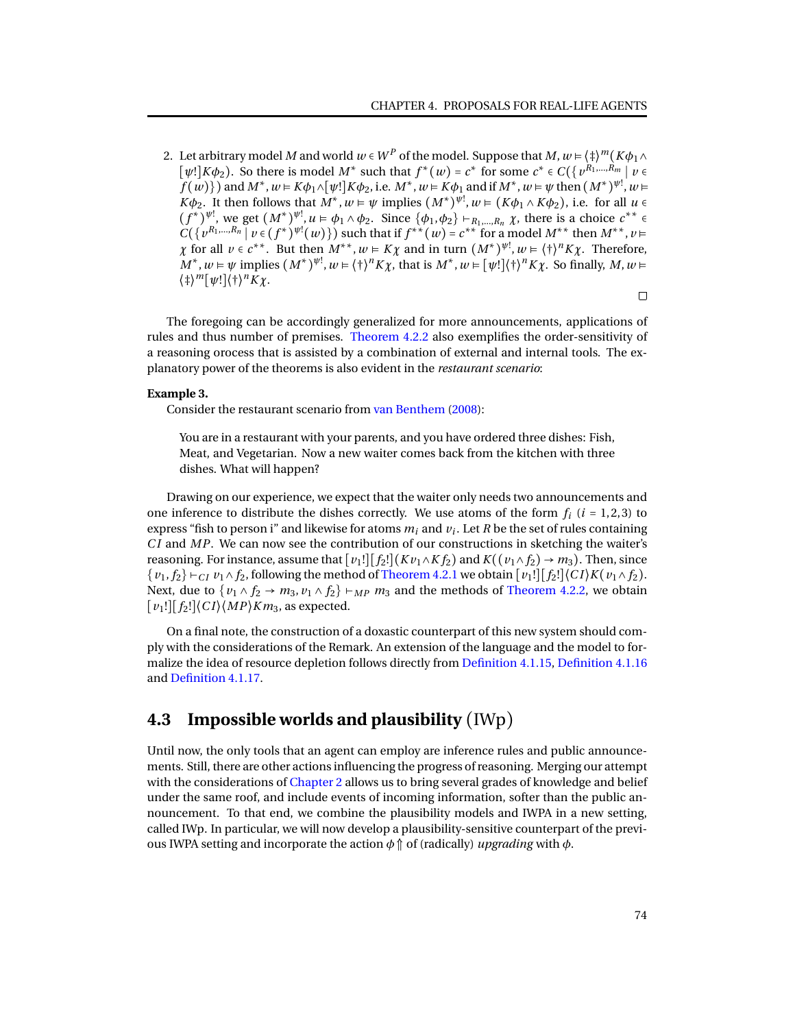2. Let arbitrary model  $M$  and world  $w\in W^P$  of the model. Suppose that  $M,w$   $\models$   $\langle \ddagger \rangle^m (K\phi_1\wedge$  $[\psi!] K \phi_2$ ). So there is model *M*<sup>\*</sup> such that  $f^*(w) = c^*$  for some  $c^* \in C(\lbrace v^{R_1,...,R_m} \mid v \in C \rbrace)$  $f(w)$ }) and  $M^*$ ,  $w \in K\phi_1 \wedge [\psi!] K\phi_2$ , i.e.  $M^*$ ,  $w \in K\phi_1$  and if  $M^*$ ,  $w \in \psi$  then  $(M^*)^{\psi!}$ ,  $w \in K\phi_1$  $K\phi_2$ . It then follows that  $M^*$ ,  $w \models \psi$  implies  $(M^*)^{\psi_1}$ ,  $w \models (K\phi_1 \land K\phi_2)$ , i.e. for all  $u \in$  $(f^*)^{\psi!}$ , we get  $(M^*)^{\psi!}$ ,  $u \in \phi_1 \wedge \phi_2$ . Since  $\{\phi_1, \phi_2\} \vdash_{R_1, ..., R_n} \chi$ , there is a choice  $c^{**} \in$  $C({v^{R_1,...,R_n} \mid v \in (f^*)^{\psi!}(w)}$  such that if  $f^{**}(w) = c^{**}$  for a model  $M^{**}$  then  $M^{**}, v =$ *χ* for all  $v \in c^{**}$ . But then  $M^{**}$ ,  $w \in K\chi$  and in turn  $(M^*)^{\psi!}$ ,  $w \in \langle + \rangle^n K\chi$ . Therefore,  $M^*$ ,  $w \models \psi$  implies  $(M^*)^{\psi!}$ ,  $w \models {\dagger}^n K \chi$ , that is  $M^*$ ,  $w \models [\psi!]({\dagger})^n K \chi$ . So finally,  $M, w \models$ ⟨‡⟩ *<sup>m</sup>*[*ψ*!]⟨†⟩ *<sup>n</sup>Kχ*.

The foregoing can be accordingly generalized for more announcements, applications of rules and thus number of premises. [Theorem 4.2.2](#page-76-1) also exemplifies the order-sensitivity of a reasoning orocess that is assisted by a combination of external and internal tools. The explanatory power of the theorems is also evident in the *restaurant scenario*:

### **Example 3.**

Consider the restaurant scenario from [van Benthem](#page-95-0) [\(2008\)](#page-95-0):

You are in a restaurant with your parents, and you have ordered three dishes: Fish, Meat, and Vegetarian. Now a new waiter comes back from the kitchen with three dishes. What will happen?

Drawing on our experience, we expect that the waiter only needs two announcements and one inference to distribute the dishes correctly. We use atoms of the form  $f_i$  ( $i = 1, 2, 3$ ) to express "fish to person i" and likewise for atoms *m<sup>i</sup>* and *v<sup>i</sup>* . Let *R* be the set of rules containing *C I* and *MP*. We can now see the contribution of our constructions in sketching the waiter's reasoning. For instance, assume that  $\lceil v_1! \rceil \lceil f_2! \rceil (K v_1 \wedge K f_2)$  and  $K((v_1 \wedge f_2) \rightarrow m_3)$ . Then, since {*v*1, *f*2} ⊢*C I v*1∧ *f*2, following the method of [Theorem 4.2.1](#page-76-2) we obtain [*v*1!][*f*2!]⟨*C I*⟩*K*(*v*1∧ *f*2). Next, due to  $\{v_1 \wedge f_2 \rightarrow m_3, v_1 \wedge f_2\} \vdash_{MP} m_3$  and the methods of [Theorem 4.2.2,](#page-76-1) we obtain  $[v_1!] [f_2!] \langle CI \rangle \langle MP \rangle K m_3$ , as expected.

On a final note, the construction of a doxastic counterpart of this new system should comply with the considerations of the Remark. An extension of the language and the model to formalize the idea of resource depletion follows directly from [Definition 4.1.15,](#page-72-0) [Definition 4.1.16](#page-73-0) and [Definition 4.1.17.](#page-73-1)

## **4.3 Impossible worlds and plausibility** (IWp)

Until now, the only tools that an agent can employ are inference rules and public announcements. Still, there are other actions influencing the progress of reasoning. Merging our attempt with the considerations of [Chapter 2](#page-14-1) allows us to bring several grades of knowledge and belief under the same roof, and include events of incoming information, softer than the public announcement. To that end, we combine the plausibility models and IWPA in a new setting, called IWp. In particular, we will now develop a plausibility-sensitive counterpart of the previous IWPA setting and incorporate the action  $\phi \uparrow \phi$  of (radically) *upgrading* with  $\phi$ .

 $\Box$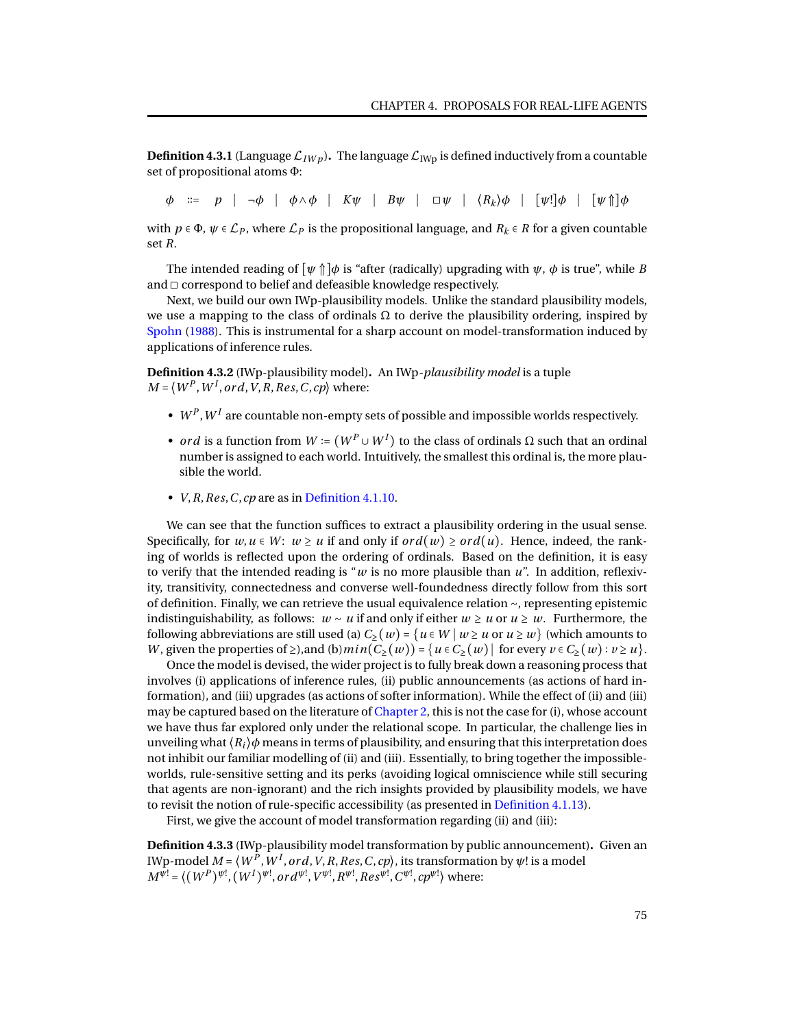**Definition 4.3.1** (Language  $\mathcal{L}_{IW}$ ). The language  $\mathcal{L}_{IW}$  is defined inductively from a countable set of propositional atoms Φ:

*φ* ∶∶= *p* ∣ ¬*φ* ∣ *φ*∧*φ* ∣ *Kψ* ∣ *Bψ* ∣ ◻*ψ* ∣ ⟨*R<sup>k</sup>* ⟩*φ* ∣ [*ψ*!]*φ* ∣ [*ψ* ⇑]*φ*

with  $p \in \Phi$ ,  $\psi \in \mathcal{L}_P$ , where  $\mathcal{L}_P$  is the propositional language, and  $R_k \in R$  for a given countable set *R*.

The intended reading of  $[\psi \uparrow] \phi$  is "after (radically) upgrading with  $\psi$ ,  $\phi$  is true", while *B* and  $\Box$  correspond to belief and defeasible knowledge respectively.

Next, we build our own IWp-plausibility models. Unlike the standard plausibility models, we use a mapping to the class of ordinals  $\Omega$  to derive the plausibility ordering, inspired by [Spohn](#page-95-1) [\(1988\)](#page-95-1). This is instrumental for a sharp account on model-transformation induced by applications of inference rules.

**Definition 4.3.2** (IWp-plausibility model)**.** An IWp*-plausibility model* is a tuple  $M = \langle W^P, W^I, ord, V, R, Res, C, cp \rangle$  where:

- $\bullet\;$   $W^P, W^I$  are countable non-empty sets of possible and impossible worlds respectively.
- *ord* is a function from  $W \coloneqq (W^P \cup W^I)$  to the class of ordinals  $\Omega$  such that an ordinal number is assigned to each world. Intuitively, the smallest this ordinal is, the more plausible the world.
- *V*,*R*,*Res*,*C*,*cp* are as in [Definition 4.1.10.](#page-66-1)

We can see that the function suffices to extract a plausibility ordering in the usual sense. Specifically, for  $w, u \in W$ :  $w \ge u$  if and only if  $ord(w) \ge ord(u)$ . Hence, indeed, the ranking of worlds is reflected upon the ordering of ordinals. Based on the definition, it is easy to verify that the intended reading is " $w$  is no more plausible than  $u$ ". In addition, reflexivity, transitivity, connectedness and converse well-foundedness directly follow from this sort of definition. Finally, we can retrieve the usual equivalence relation ∼, representing epistemic indistinguishability, as follows: *w* ∼ *u* if and only if either *w* ≥ *u* or *u* ≥ *w*. Furthermore, the following abbreviations are still used (a)  $C_2(w) = \{u \in W \mid w \geq u \text{ or } u \geq w\}$  (which amounts to *W*, given the properties of  $\geq$ ), and (b)  $min(C_{\geq}(w)) = \{u \in C_{\geq}(w) \mid \text{ for every } v \in C_{\geq}(w) : v \geq u\}.$ 

Once the model is devised, the wider project is to fully break down a reasoning process that involves (i) applications of inference rules, (ii) public announcements (as actions of hard information), and (iii) upgrades (as actions of softer information). While the effect of (ii) and (iii) may be captured based on the literature of [Chapter 2,](#page-14-1) this is not the case for (i), whose account we have thus far explored only under the relational scope. In particular, the challenge lies in unveiling what  $\langle R_i \rangle \phi$  means in terms of plausibility, and ensuring that this interpretation does not inhibit our familiar modelling of (ii) and (iii). Essentially, to bring together the impossibleworlds, rule-sensitive setting and its perks (avoiding logical omniscience while still securing that agents are non-ignorant) and the rich insights provided by plausibility models, we have to revisit the notion of rule-specific accessibility (as presented in [Definition 4.1.13\)](#page-67-2).

First, we give the account of model transformation regarding (ii) and (iii):

**Definition 4.3.3** (IWp-plausibility model transformation by public announcement)**.** Given an IWp-model  $M$  =  $\langle W^P,W^I,ord,V,R,Res,C,cp\rangle,$  its transformation by  $\psi!$  is a model  $M^{\psi !} = \langle (W^P)^{\psi !}, (W^I)^{\psi !}, ord^{\psi !}, V^{\psi !}, R^{\psi !}, Res^{\psi !}, C^{\psi !}, cp^{\psi !} \rangle$  where: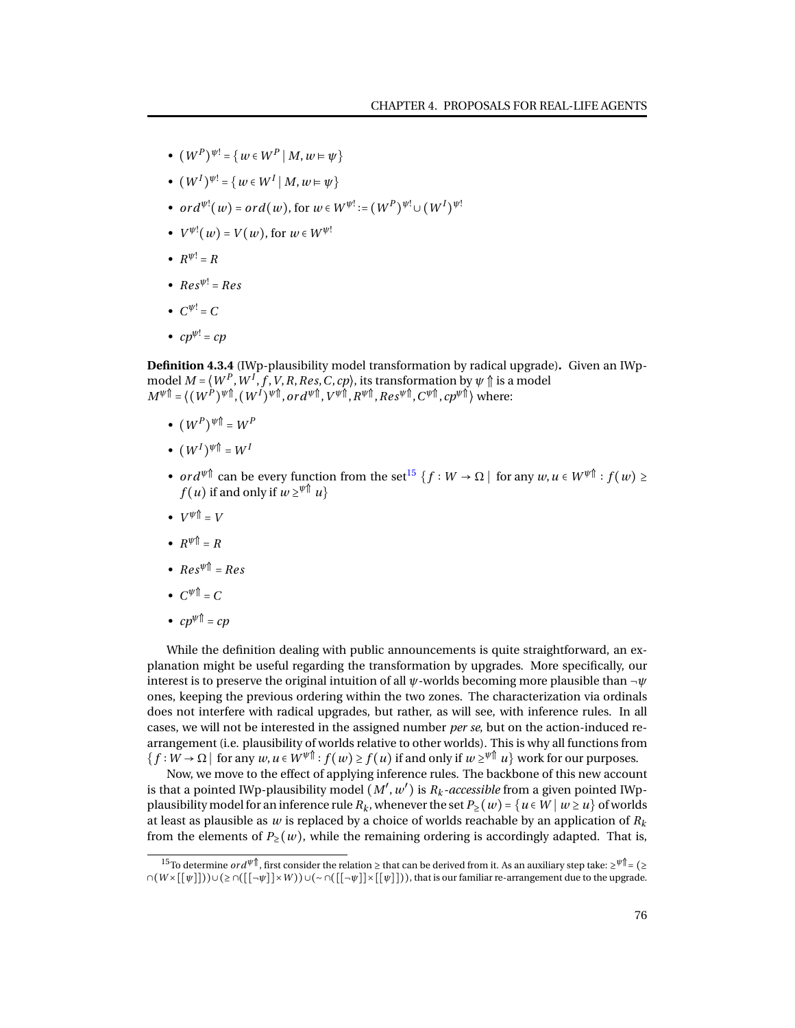- $(W^P)^{\psi} = \{ w \in W^P \mid M, w \models \psi \}$
- $\bullet$   $(W^{I})^{\psi!} = \{ w \in W^{I} \mid M, w \models \psi \}$
- $ord^{\psi!}(w) = ord(w)$ , for  $w \in W^{\psi!} := (W^P)^{\psi!} \cup (W^I)^{\psi!}$
- $V^{\psi}$ <sup>[</sup> $(w)$  =  $V(w)$ , for  $w \in W^{\psi}$ <sup>[ $\psi$ ]</sup>
- $R^{\psi} = R$
- $Res^{\psi} = Res$
- $C^{\psi}$  = C
- $cp^{\psi}$  =  $cp$

**Definition 4.3.4** (IWp-plausibility model transformation by radical upgrade)**.** Given an IWpmodel  $M = \langle W^P, W^I, f, V, R, Res, C, cp \rangle,$  its transformation by  $\psi \Uparrow$  is a model  $M^{\psi \, \Uparrow} = \langle ( \, W^{P} \, )^{\psi \, \Uparrow} , ( \, W^{I} \, )^{\psi \, \Uparrow} , or \, d^{\psi \, \Uparrow} , \, V^{\psi \, \Uparrow} , R^{\psi \, \Uparrow} , Res^{\psi \, \Uparrow} , C^{\psi \, \Uparrow} , \, c p^{\psi \, \Uparrow} \rangle \text{ where: }$ 

- $\bullet$   $(W^P)^{\psi}$   $\mathbb{I} = W^P$
- $\bullet$   $(W^I)^{\psi}$   $\mathbb{I} = W^I$
- $ord^{\psi\uparrow}$  can be every function from the set<sup>[15](#page-0-0)</sup>  $\{f:W\to\Omega\mid \text{ for any }w,u\in W^{\psi\uparrow}: f(w)\geq 0\}$  $f(u)$  if and only if  $w \geq^{\psi \uparrow} u$
- $V^{\psi}$   $\uparrow$  = *V*
- $R^{\psi}$   $\uparrow$  =  $R$
- $Res^{\psi \dagger} = Res$
- $C^{\psi}$   $\uparrow$  =  $C$
- $cp^{\psi}$ <sup> $\uparrow$ </sup> =  $cp$

While the definition dealing with public announcements is quite straightforward, an explanation might be useful regarding the transformation by upgrades. More specifically, our interest is to preserve the original intuition of all *ψ*-worlds becoming more plausible than ¬*ψ* ones, keeping the previous ordering within the two zones. The characterization via ordinals does not interfere with radical upgrades, but rather, as will see, with inference rules. In all cases, we will not be interested in the assigned number *per se*, but on the action-induced rearrangement (i.e. plausibility of worlds relative to other worlds). This is why all functions from  ${f: W \to \Omega \mid \text{for any } w, u \in W^{\psi^{\text{th}}}: f(w) \ge f(u) \text{ if and only if } w \ge \psi^{\text{th}} u}$  work for our purposes.

Now, we move to the effect of applying inference rules. The backbone of this new account is that a pointed IWp-plausibility model  $(M',w')$  is  $R_k$ -accessible from a given pointed IWpplausibility model for an inference rule  $R_k$ , whenever the set  $P_2(w) = \{u \in W \mid w \geq u\}$  of worlds at least as plausible as *w* is replaced by a choice of worlds reachable by an application of *R<sup>k</sup>* from the elements of  $P_>(w)$ , while the remaining ordering is accordingly adapted. That is,

<sup>15</sup>To determine *or dψ*⇑ , first consider the relation ≥ that can be derived from it. As an auxiliary step take: ≥ *<sup>ψ</sup>*⇑= (≥ ∩(*W* ×[[*ψ*]]))∪(≥ ∩([[¬*ψ*]]×*W* ))∪(∼ ∩([[¬*ψ*]]×[[*ψ*]])), that is our familiar re-arrangement due to the upgrade.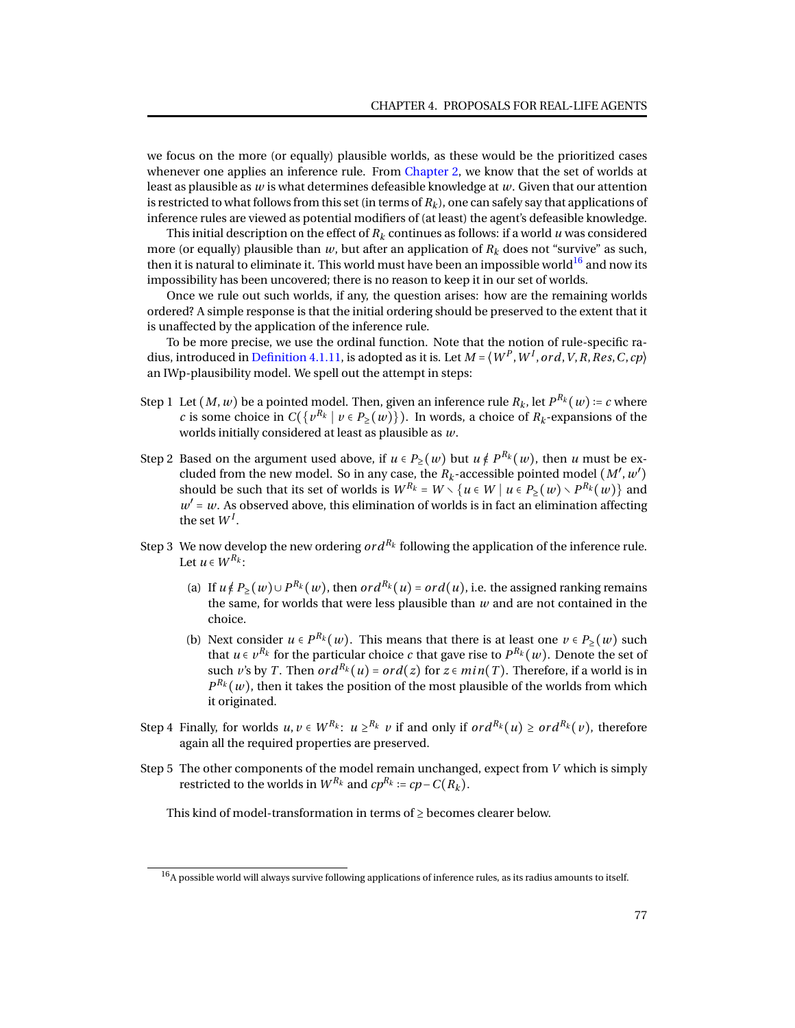we focus on the more (or equally) plausible worlds, as these would be the prioritized cases whenever one applies an inference rule. From [Chapter 2,](#page-14-1) we know that the set of worlds at least as plausible as *w* is what determines defeasible knowledge at *w*. Given that our attention is restricted to what follows from this set (in terms of  $R_k$ ), one can safely say that applications of inference rules are viewed as potential modifiers of (at least) the agent's defeasible knowledge.

This initial description on the effect of  $R_k$  continues as follows: if a world *u* was considered more (or equally) plausible than  $w$ , but after an application of  $R_k$  does not "survive" as such, then it is natural to eliminate it. This world must have been an impossible world<sup>[16](#page-0-0)</sup> and now its impossibility has been uncovered; there is no reason to keep it in our set of worlds.

Once we rule out such worlds, if any, the question arises: how are the remaining worlds ordered? A simple response is that the initial ordering should be preserved to the extent that it is unaffected by the application of the inference rule.

To be more precise, we use the ordinal function. Note that the notion of rule-specific ra-dius, introduced in [Definition 4.1.11,](#page-67-0) is adopted as it is. Let  $M$  =  $\langle W^P,W^I,ord,V,R,Res,C,cp \rangle$ an IWp-plausibility model. We spell out the attempt in steps:

- Step 1 Let  $(M, w)$  be a pointed model. Then, given an inference rule  $R_k$ , let  $P^{R_k}(w) \coloneqq c$  where *c* is some choice in  $C({v^{R_k} | v \in P_\geq(w)})$ . In words, a choice of  $R_k$ -expansions of the worlds initially considered at least as plausible as *w*.
- Step 2 Based on the argument used above, if  $u \in P_>(w)$  but  $u \notin P^{R_k}(w)$ , then *u* must be excluded from the new model. So in any case, the  $R_k$ -accessible pointed model  $(M', w')$ should be such that its set of worlds is  $W^{R_k} = W \setminus \{u \in W \mid u \in P_{\ge}(w) \setminus P^{R_k}(w)\}$  and  $w' = w$ . As observed above, this elimination of worlds is in fact an elimination affecting the set  $W^I$ .
- Step 3 We now develop the new ordering  $ord^{R_k}$  following the application of the inference rule. Let  $u \in W^{R_k}$ :
	- (a) If  $u \notin P_>(w) \cup P^{R_k}(w)$ , then  $ord^{R_k}(u) = ord(u)$ , i.e. the assigned ranking remains the same, for worlds that were less plausible than *w* and are not contained in the choice.
	- (b) Next consider  $u \in P^{R_k}(w)$ . This means that there is at least one  $v \in P_{\geq}(w)$  such that  $u \in v^{R_k}$  for the particular choice  $c$  that gave rise to  $P^{R_k}(w).$  Denote the set of such *v*'s by *T*. Then  $ord^{R_k}(u) = ord(z)$  for  $z \in min(T)$ . Therefore, if a world is in  $P^{R_k}(w)$ , then it takes the position of the most plausible of the worlds from which it originated.
- Step 4 Finally, for worlds  $u, v \in W^{R_k}$ :  $u \geq^{R_k} v$  if and only if  $ord^{R_k}(u) \geq ord^{R_k}(v)$ , therefore again all the required properties are preserved.
- Step 5 The other components of the model remain unchanged, expect from *V* which is simply restricted to the worlds in  $W^{R_k}$  and  $cp^{R_k}$  :=  $cp - C(R_k)$ .

This kind of model-transformation in terms of  $\geq$  becomes clearer below.

 $16$ A possible world will always survive following applications of inference rules, as its radius amounts to itself.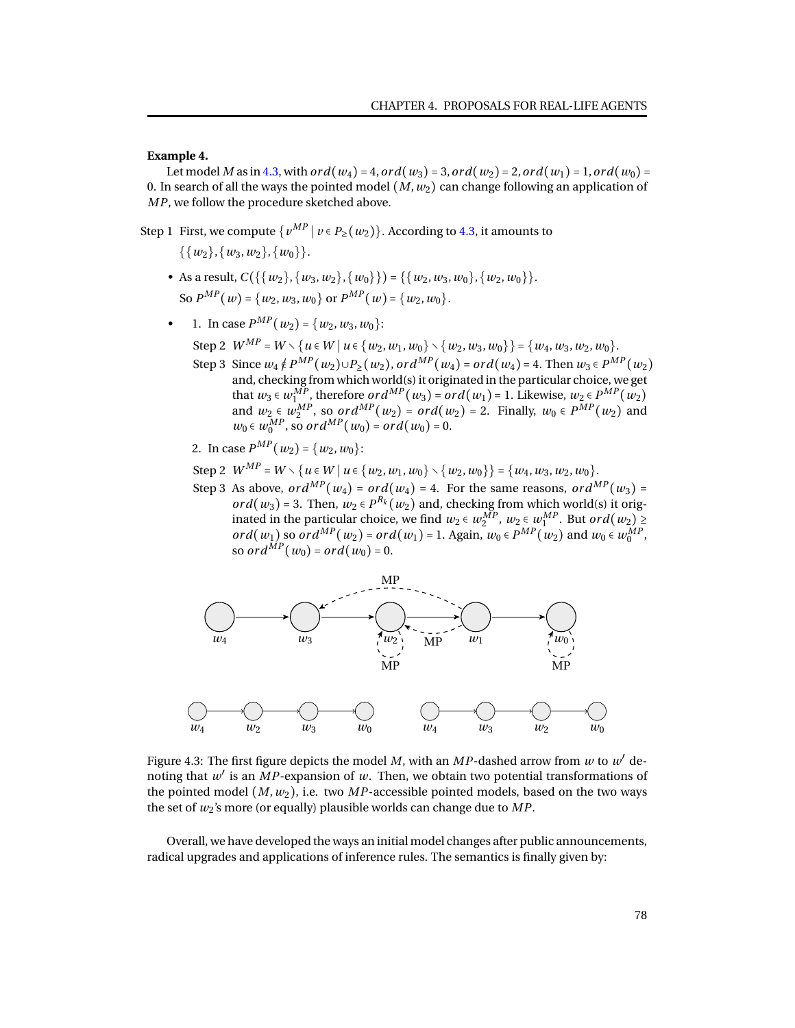**Example 4.**

Let model *M* as in [4.3,](#page-81-0) with *ord*( $w_4$ ) = 4, *ord*( $w_3$ ) = 3, *ord*( $w_2$ ) = 2, *ord*( $w_1$ ) = 1, *ord*( $w_0$ ) = 0. In search of all the ways the pointed model  $(M, w_2)$  can change following an application of *MP*, we follow the procedure sketched above.

Step 1 First, we compute  $\{v^{MP} | v \in P_2(w_2)\}$ . According to [4.3,](#page-81-0) it amounts to  $\{\{w_2\}, \{w_3, w_2\}, \{w_0\}\}.$ 

- As a result,  $C({\{w_2\}, \{w_3, w_2\}, \{w_0\}\}) = {\{w_2, w_3, w_0\}, \{w_2, w_0\}\}.$ So  $P^{MP}(w) = \{w_2, w_3, w_0\}$  or  $P^{MP}(w) = \{w_2, w_0\}.$
- 1. In case  $P^{MP}(w_2) = \{w_2, w_3, w_0\}$ :

Step 2  $W^{MP} = W \setminus \{u \in W \mid u \in \{w_2, w_1, w_0\} \setminus \{w_2, w_3, w_0\}\} = \{w_4, w_3, w_2, w_0\}.$ 

Step 3 Since  $w_4 \notin P^{MP}(w_2) \cup P_2(w_2)$ ,  $ord^{MP}(w_4) = ord(w_4) = 4$ . Then  $w_3 \in P^{MP}(w_2)$ and, checking from which world(s) it originated in the particular choice, we get that *w*<sub>3</sub> ∈ *w*<sup>*MP*</sup>, therefore *or d*<sup>*MP*</sup>(*w*<sub>3</sub>) = *or d*(*w*<sub>1</sub>) = 1. Likewise, *w*<sub>2</sub> ∈ *P*<sup>*MP*</sup>(*w*<sub>2</sub>) and  $w_2 \in w_2^{MP}$ , so *ord*<sup>MP</sup>(*w*<sub>2</sub>) = *ord*(*w*<sub>2</sub>) = 2. Finally,  $w_0 \in P^{MP}(w_2)$  and  $w_0 \in w_0^{MP}$ , so *ord*<sup>MP</sup>(*w*<sub>0</sub>) = *ord*(*w*<sub>0</sub>) = 0.

<span id="page-81-0"></span>2. In case 
$$
P^{MP}(w_2) = \{w_2, w_0\}
$$
:

 $Step 2$  *W*<sup>*MP*</sup> = *W* \{ $u \in W | u \in \{w_2, w_1, w_0\} \setminus \{w_2, w_0\} = \{w_4, w_3, w_2, w_0\}.$ 

Step 3 As above,  $ord^{MP}(w_4) = ord(w_4) = 4$ . For the same reasons,  $ord^{MP}(w_3) =$ *or d*( $w_3$ ) = 3. Then,  $w_2 \in P^{R_k}(w_2)$  and, checking from which world(s) it originated in the particular choice, we find  $w_2 \in w_2^{MP}$ ,  $w_2 \in w_1^{MP}$ . But  $ord(w_2) \ge$ *ord*( $w_1$ ) so *ord*<sup> $MP$ </sup>( $w_2$ ) = *ord*( $w_1$ ) = 1. Again,  $w_0 \in P^{MP}$ ( $w_2$ ) and  $w_0 \in w_0^{MP}$ , so *ord*<sup> $MP$ </sup>(*w*<sub>0</sub>) = *ord*(*w*<sub>0</sub>) = 0.



Figure 4.3: The first figure depicts the model  $M$ , with an  $MP$ -dashed arrow from  $w$  to  $w'$  denoting that  $w'$  is an  $\overline{MP}$ -expansion of  $w$ . Then, we obtain two potential transformations of the pointed model  $(M, w_2)$ , i.e. two *MP*-accessible pointed models, based on the two ways the set of *w*2's more (or equally) plausible worlds can change due to *MP*.

Overall, we have developed the ways an initial model changes after public announcements, radical upgrades and applications of inference rules. The semantics is finally given by: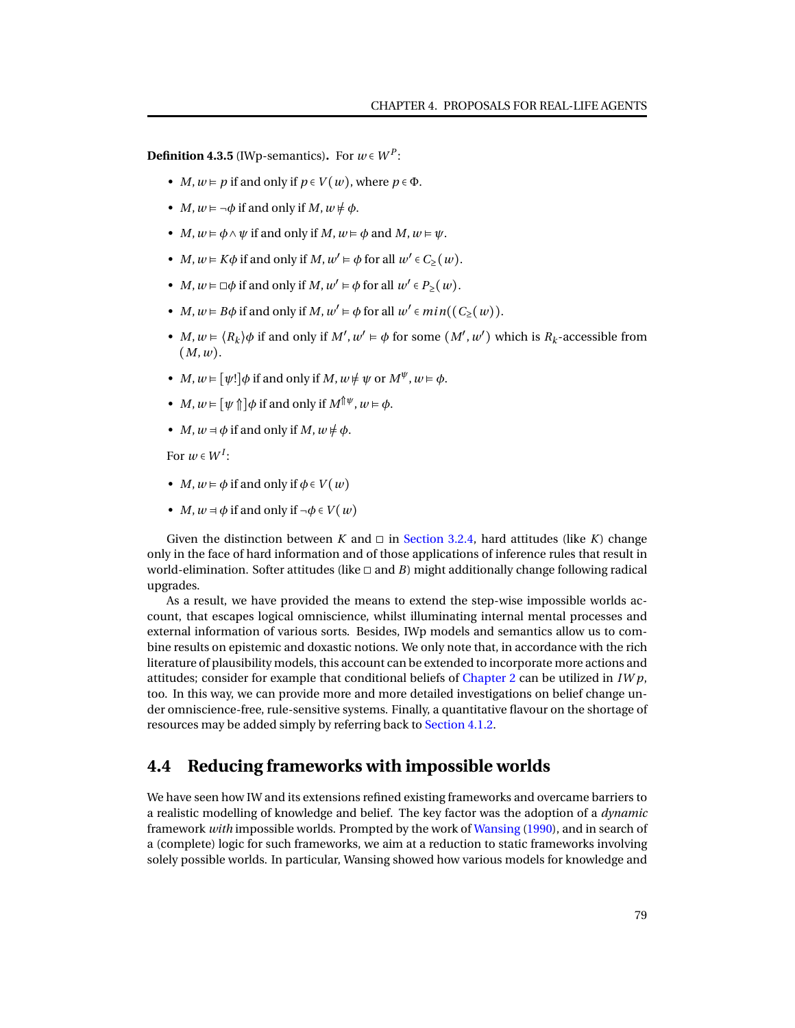**Definition 4.3.5** (IWp-semantics). For  $w \in W^P$ :

- *M*,  $w \models p$  if and only if  $p \in V(w)$ , where  $p \in \Phi$ .
- *M*,  $w \models \neg \phi$  if and only if *M*,  $w \not\models \phi$ .
- *M*,  $w \models \phi \land \psi$  if and only if *M*,  $w \models \phi$  and *M*,  $w \models \psi$ .
- *M*,  $w \models K\phi$  if and only if *M*,  $w' \models \phi$  for all  $w' \in C_{\geq}(w)$ .
- *M*,  $w \models \Box \phi$  if and only if *M*,  $w' \models \phi$  for all  $w' \in P_{\geq}(w)$ .
- *M*,  $w \models B\phi$  if and only if *M*,  $w' \models \phi$  for all  $w' \in min((C_{\ge}(w)).$
- *M*,  $w \in \langle R_k \rangle \phi$  if and only if  $M'$ ,  $w' \in \phi$  for some  $(M', w')$  which is  $R_k$ -accessible from (*M*,*w*).
- *M*,  $w \in [\psi!] \phi$  if and only if *M*,  $w \neq \psi$  or  $M^{\psi}$ ,  $w \in \phi$ .
- *M*,  $w \in [\psi \uparrow] \phi$  if and only if  $M^{\uparrow \psi}$ ,  $w \in \phi$ .
- *M*,  $w = \phi$  if and only if *M*,  $w \neq \phi$ .

For  $w \in W^I$ :

- *M*,  $w \models \phi$  if and only if  $\phi \in V(w)$
- *M*,  $w = \phi$  if and only if  $\neg \phi \in V(w)$

Given the distinction between *K* and  $\Box$  in [Section 3.2.4,](#page-34-0) hard attitudes (like *K*) change only in the face of hard information and of those applications of inference rules that result in world-elimination. Softer attitudes (like  $\Box$  and *B*) might additionally change following radical upgrades.

As a result, we have provided the means to extend the step-wise impossible worlds account, that escapes logical omniscience, whilst illuminating internal mental processes and external information of various sorts. Besides, IWp models and semantics allow us to combine results on epistemic and doxastic notions. We only note that, in accordance with the rich literature of plausibility models, this account can be extended to incorporate more actions and attitudes; consider for example that conditional beliefs of [Chapter 2](#page-14-1) can be utilized in *IW p*, too. In this way, we can provide more and more detailed investigations on belief change under omniscience-free, rule-sensitive systems. Finally, a quantitative flavour on the shortage of resources may be added simply by referring back to [Section 4.1.2.](#page-71-0)

## **4.4 Reducing frameworks with impossible worlds**

We have seen how IW and its extensions refined existing frameworks and overcame barriers to a realistic modelling of knowledge and belief. The key factor was the adoption of a *dynamic* framework *with* impossible worlds. Prompted by the work of [Wansing](#page-96-0) [\(1990\)](#page-96-0), and in search of a (complete) logic for such frameworks, we aim at a reduction to static frameworks involving solely possible worlds. In particular, Wansing showed how various models for knowledge and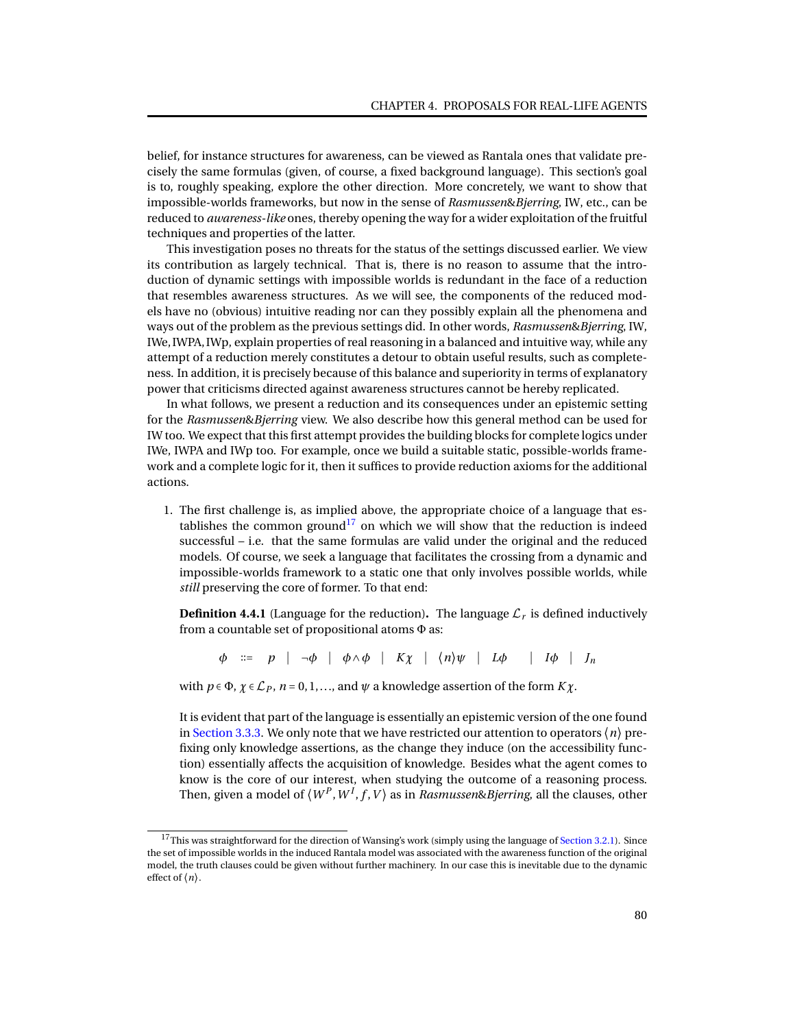belief, for instance structures for awareness, can be viewed as Rantala ones that validate precisely the same formulas (given, of course, a fixed background language). This section's goal is to, roughly speaking, explore the other direction. More concretely, we want to show that impossible-worlds frameworks, but now in the sense of *Rasmussen*&*Bjerring*, IW, etc., can be reduced to *awareness-like* ones, thereby opening the way for a wider exploitation of the fruitful techniques and properties of the latter.

This investigation poses no threats for the status of the settings discussed earlier. We view its contribution as largely technical. That is, there is no reason to assume that the introduction of dynamic settings with impossible worlds is redundant in the face of a reduction that resembles awareness structures. As we will see, the components of the reduced models have no (obvious) intuitive reading nor can they possibly explain all the phenomena and ways out of the problem as the previous settings did. In other words, *Rasmussen*&*Bjerring*, IW, IWe, IWPA, IWp, explain properties of real reasoning in a balanced and intuitive way, while any attempt of a reduction merely constitutes a detour to obtain useful results, such as completeness. In addition, it is precisely because of this balance and superiority in terms of explanatory power that criticisms directed against awareness structures cannot be hereby replicated.

In what follows, we present a reduction and its consequences under an epistemic setting for the *Rasmussen*&*Bjerring* view. We also describe how this general method can be used for IW too. We expect that this first attempt provides the building blocks for complete logics under IWe, IWPA and IWp too. For example, once we build a suitable static, possible-worlds framework and a complete logic for it, then it suffices to provide reduction axioms for the additional actions.

1. The first challenge is, as implied above, the appropriate choice of a language that es-tablishes the common ground<sup>[17](#page-0-0)</sup> on which we will show that the reduction is indeed successful – i.e. that the same formulas are valid under the original and the reduced models. Of course, we seek a language that facilitates the crossing from a dynamic and impossible-worlds framework to a static one that only involves possible worlds, while *still* preserving the core of former. To that end:

**Definition 4.4.1** (Language for the reduction). The language  $\mathcal{L}_r$  is defined inductively from a countable set of propositional atoms Φ as:

*φ* ∶∶= *p* ∣ ¬*φ* ∣ *φ*∧*φ* ∣ *Kχ* ∣ ⟨*n*⟩*ψ* ∣ *Lφ* ∣ *Iφ* ∣ *J<sup>n</sup>*

with  $p \in \Phi$ ,  $\chi \in \mathcal{L}_P$ ,  $n = 0, 1, \ldots$ , and  $\psi$  a knowledge assertion of the form  $K\chi$ .

It is evident that part of the language is essentially an epistemic version of the one found in [Section 3.3.3.](#page-47-0) We only note that we have restricted our attention to operators  $\langle n \rangle$  prefixing only knowledge assertions, as the change they induce (on the accessibility function) essentially affects the acquisition of knowledge. Besides what the agent comes to know is the core of our interest, when studying the outcome of a reasoning process. Then, given a model of  $\langle W^P,W^I,f,V\rangle$  as in  $Rasmussen \& Bjerring,$  all the clauses, other

<sup>&</sup>lt;sup>17</sup>This was straightforward for the direction of Wansing's work (simply using the language of [Section 3.2.1\)](#page-26-0). Since the set of impossible worlds in the induced Rantala model was associated with the awareness function of the original model, the truth clauses could be given without further machinery. In our case this is inevitable due to the dynamic effect of ⟨*n*⟩.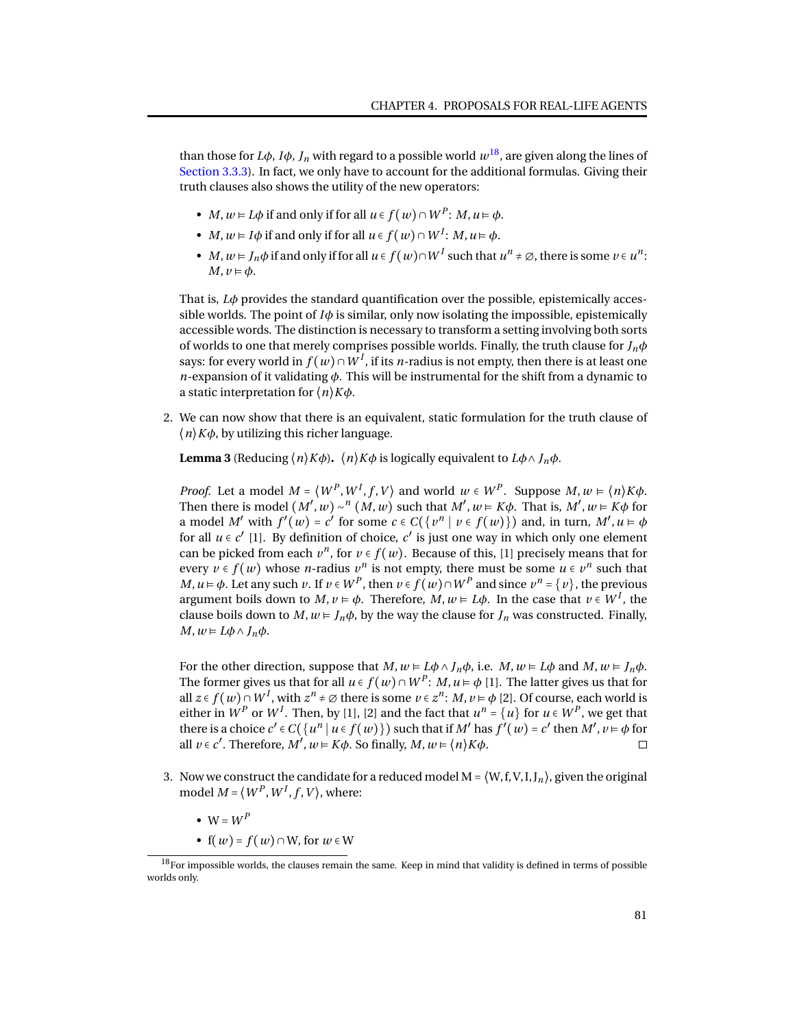than those for *L* $\phi$ *, I* $\phi$ *, J<sub>n</sub>* with regard to a possible world  $w^{18}$  $w^{18}$  $w^{18}$ , are given along the lines of [Section 3.3.3\)](#page-47-0). In fact, we only have to account for the additional formulas. Giving their truth clauses also shows the utility of the new operators:

- *M*,  $w \models L\phi$  if and only if for all  $u \in f(w) \cap W^P$ : *M*,  $u \models \phi$ .
- *M*,  $w \models I\phi$  if and only if for all  $u \in f(w) \cap W^I$ : *M*,  $u \models \phi$ .
- *M*,  $w \models J_n \phi$  if and only if for all  $u \in f(w) \cap W^I$  such that  $u^n \neq \emptyset$ , there is some  $v \in u^n$ :  $M, v \models \phi.$

That is, *Lφ* provides the standard quantification over the possible, epistemically accessible worlds. The point of  $I\phi$  is similar, only now isolating the impossible, epistemically accessible words. The distinction is necessary to transform a setting involving both sorts of worlds to one that merely comprises possible worlds. Finally, the truth clause for *Jnφ* says: for every world in  $f(w) \cap W^I$ , if its *n*-radius is not empty, then there is at least one *n*-expansion of it validating *φ*. This will be instrumental for the shift from a dynamic to a static interpretation for ⟨*n*⟩*Kφ*.

<span id="page-84-0"></span>2. We can now show that there is an equivalent, static formulation for the truth clause of  $\langle n \rangle K\phi$ , by utilizing this richer language.

**Lemma 3** (Reducing  $\langle n \rangle K\phi$ ).  $\langle n \rangle K\phi$  is logically equivalent to  $L\phi \wedge J_n\phi$ .

*Proof.* Let a model  $M = \langle W^P, W^I, f, V \rangle$  and world  $w \in W^P$ . Suppose  $M, w \in \langle n \rangle K \phi$ . Then there is model  $(M', w) \sim^n (M, w)$  such that  $M', w \models K\phi$ . That is,  $M', w \models K\phi$  for a model *M'* with  $f'(w) = c'$  for some  $c \in C({v^n | v \in f(w)})$  and, in turn,  $M', u \models \phi$ for all  $u \in c'$  [1]. By definition of choice,  $c'$  is just one way in which only one element can be picked from each  $v^n$ , for  $v \in f(w)$ . Because of this, [1] precisely means that for every  $v \in f(w)$  whose *n*-radius  $v^n$  is not empty, there must be some  $u \in v^n$  such that *M*, *u* ⊨ *φ*. Let any such *v*. If *v* ∈ *W*<sup>*P*</sup>, then *v* ∈ *f* (*w*)∩*W*<sup>*P*</sup> and since *v*<sup>*n*</sup> = {*v*}, the previous argument boils down to  $M, v \models \phi$ . Therefore,  $M, w \models L\phi$ . In the case that  $v \in W^I$ , the clause boils down to  $M$ ,  $w \in J_n \phi$ , by the way the clause for  $J_n$  was constructed. Finally, *M*,  $w$  ⊨  $L$  $φ$   $∧$   $J_n$  $φ$ .

For the other direction, suppose that  $M, w \models L\phi \land J_n\phi$ , i.e.  $M, w \models L\phi$  and  $M, w \models J_n\phi$ . The former gives us that for all  $u \in f(w) \cap W^P \colon M, u \vDash \phi$  [1]. The latter gives us that for all *z* ∈ *f*(*w*)∩*W*<sup>*I*</sup>, with  $z^n$  ≠ ∅ there is some *v* ∈  $z^n$ : *M*, *v* ⊨  $\phi$  [2]. Of course, each world is either in  $W^P$  or  $W^I$ . Then, by [1], [2] and the fact that  $u^n = \{u\}$  for  $u \in W^P$ , we get that there is a choice  $c' \in C({u^n | u \in f(w)})$  such that if *M'* has  $f'(w) = c'$  then *M'*,  $v \models \phi$  for all  $v \in c'$ . Therefore,  $M', w \models K\phi$ . So finally,  $M, w \models \langle n \rangle K\phi$ .  $\Box$ 

- 3. Now we construct the candidate for a reduced model  $M = \langle W, f, V, I, J_n \rangle$ , given the original model  $M = \langle W^P, W^I, f, V \rangle$ , where:
	- $W = W^P$
	- $f(w) = f(w) \cap W$ , for  $w \in W$

 $18$ For impossible worlds, the clauses remain the same. Keep in mind that validity is defined in terms of possible worlds only.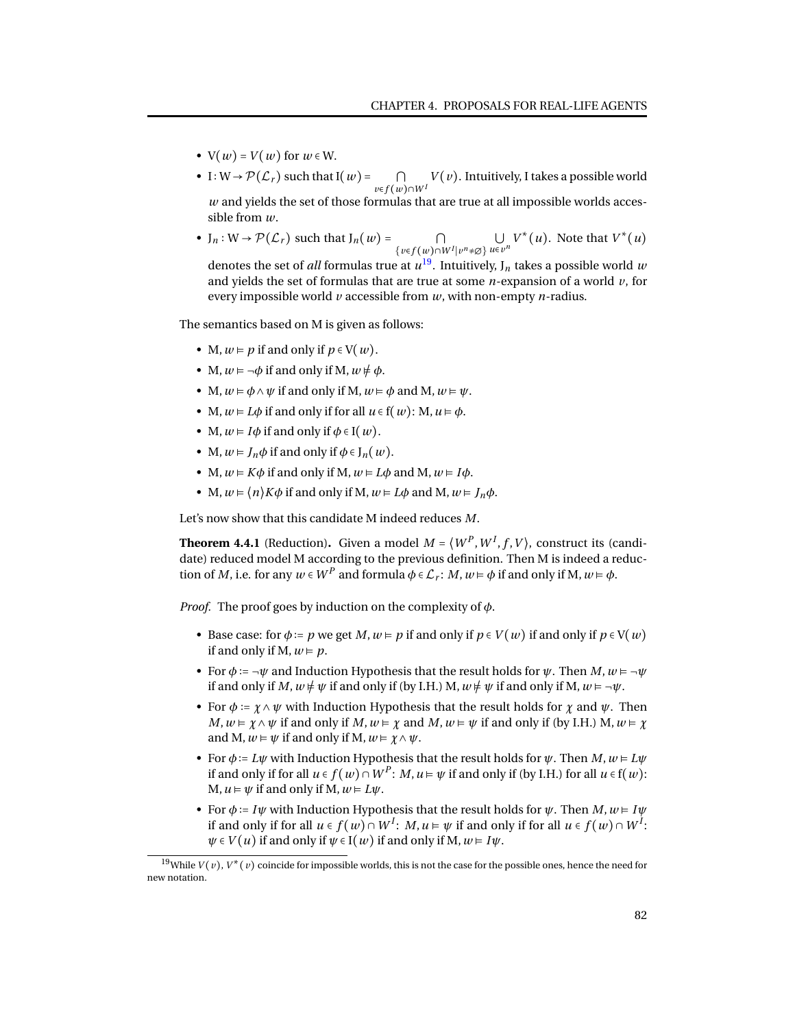- $V(w) = V(w)$  for  $w \in W$ .
- I:  $W \rightarrow \mathcal{P}(\mathcal{L}_r)$  such that I $(w)$  =  $\cap$ *<sup>v</sup>*∈*<sup>f</sup>* (*w*)∩*<sup>W</sup> <sup>I</sup>*  $V(v)$ . Intuitively, I takes a possible world *w* and yields the set of those formulas that are true at all impossible worlds accessible from *w*.
- $J_n: W \to \mathcal{P}(\mathcal{L}_r)$  such that  $J_n(w) =$ { $v \in f(w) ∩ W^I | v^n \neq \emptyset$ }  $u \in v$  $\bigcup_{u \in v^n} V^*(u)$ . Note that  $V^*(u)$

denotes the set of  $all$  formulas true at  $u^{19}$  $u^{19}$  $u^{19}$ . Intuitively, J<sub>n</sub> takes a possible world  $w$ and yields the set of formulas that are true at some *n*-expansion of a world *v*, for every impossible world *v* accessible from *w*, with non-empty *n*-radius.

The semantics based on M is given as follows:

- M,  $w \models p$  if and only if  $p \in V(w)$ .
- M,  $w \models \neg \phi$  if and only if M,  $w \not\models \phi$ .
- M,  $w \models \phi \land \psi$  if and only if M,  $w \models \phi$  and M,  $w \models \psi$ .
- M,  $w \in L\phi$  if and only if for all  $u \in f(w)$ : M,  $u \in \phi$ .
- M,  $w \in I\phi$  if and only if  $\phi \in I(w)$ .
- M,  $w \in I_n \phi$  if and only if  $\phi \in I_n(w)$ .
- M,  $w \in K\phi$  if and only if M,  $w \in L\phi$  and M,  $w \in I\phi$ .
- M,  $w \in \langle n \rangle K\phi$  if and only if M,  $w \in L\phi$  and M,  $w \in J_n\phi$ .

Let's now show that this candidate M indeed reduces *M*.

**Theorem 4.4.1** (Reduction). Given a model  $M = \langle W^P, W^I, f, V \rangle$ , construct its (candidate) reduced model M according to the previous definition. Then M is indeed a reduction of *M*, i.e. for any  $w \in W^P$  and formula  $\phi \in \mathcal{L}_r$ : *M*,  $w \models \phi$  if and only if M,  $w \models \phi$ .

*Proof.* The proof goes by induction on the complexity of *φ*.

- Base case: for  $\phi := p$  we get *M*,  $w \models p$  if and only if  $p \in V(w)$  if and only if  $p \in V(w)$ if and only if M,  $w \models p$ .
- For  $\phi := \neg \psi$  and Induction Hypothesis that the result holds for  $\psi$ . Then  $M, w \models \neg \psi$ if and only if *M*,  $w \neq \psi$  if and only if (by I.H.) M,  $w \neq \psi$  if and only if M,  $w \models \neg \psi$ .
- For  $\phi := \chi \wedge \psi$  with Induction Hypothesis that the result holds for  $\chi$  and  $\psi$ . Then *M*,  $w \models \chi \land \psi$  if and only if *M*,  $w \models \chi$  and *M*,  $w \models \psi$  if and only if (by I.H.) M,  $w \models \chi$ and M,  $w \models \psi$  if and only if M,  $w \models \chi \land \psi$ .
- For  $\phi$  :=  $L\psi$  with Induction Hypothesis that the result holds for  $\psi$ . Then  $M, w \models L\psi$ if and only if for all  $u \in f(w) \cap W^P \colon M, u \vDash \psi$  if and only if (by I.H.) for all  $u \in f(w)$ :  $M, u \models \psi$  if and only if  $M, w \models L\psi$ .
- For  $\phi$  := *I* $\psi$  with Induction Hypothesis that the result holds for  $\psi$ . Then *M*,  $w \in I\psi$ if and only if for all  $u \in f(w) \cap W^I \colon M, u \vDash \psi$  if and only if for all  $u \in f(w) \cap W^I \colon$  $\psi \in V(u)$  if and only if  $\psi \in I(w)$  if and only if M,  $w \in I\psi$ .

<sup>&</sup>lt;sup>19</sup>While  $V(v)$ ,  $V^*(v)$  coincide for impossible worlds, this is not the case for the possible ones, hence the need for new notation.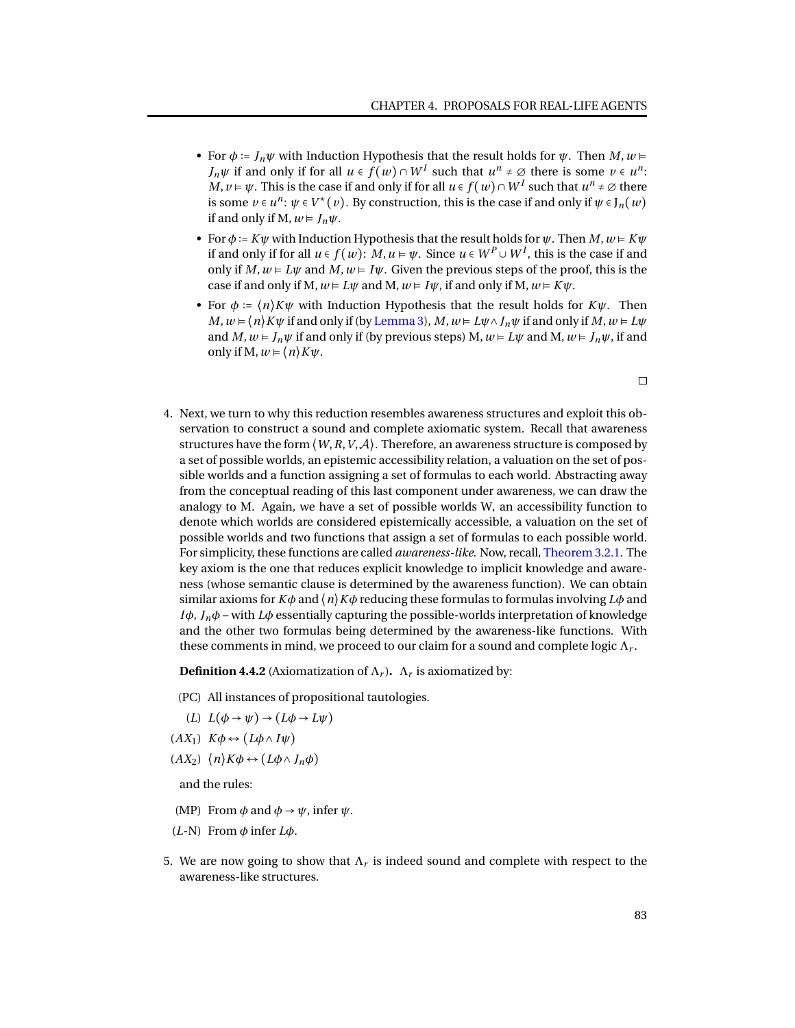- For  $\phi := J_n \psi$  with Induction Hypothesis that the result holds for  $\psi$ . Then  $M, w \models$ *J*<sup>*n*</sup> *W* if and only if for all  $u \in f(w) \cap W^I$  such that  $u^n \neq \emptyset$  there is some  $v \in u^n$ : *M, v* ⊨  $ψ$ . This is the case if and only if for all *u* ∈ *f* (*w*) ∩ *W <sup><i>I*</sup> such that *u*<sup>*n*</sup> ≠ ∅ there is some  $v \in u^n$ :  $\psi \in V^*(v)$ . By construction, this is the case if and only if  $\psi \in J_n(w)$ if and only if M,  $w \in J_n \psi$ .
- For  $\phi$  :=  $K\psi$  with Induction Hypothesis that the result holds for  $\psi$ . Then  $M, w \models K\psi$ if and only if for all  $u \in f(w)$ :  $M, u \vDash \psi$ . Since  $u \in W^P \cup W^I$ , this is the case if and only if  $M, w \models L\psi$  and  $M, w \models I\psi$ . Given the previous steps of the proof, this is the case if and only if M,  $w \in L\psi$  and M,  $w \in I\psi$ , if and only if M,  $w \in K\psi$ .
- For  $\phi = \langle n \rangle K \psi$  with Induction Hypothesis that the result holds for  $K \psi$ . Then *M*,  $w \in \langle n \rangle K \psi$  if and only if (by [Lemma 3\)](#page-84-0), *M*,  $w \in L \psi \land J_n \psi$  if and only if *M*,  $w \in L \psi$ and *M*,  $w \in J_n \psi$  if and only if (by previous steps) M,  $w \in L \psi$  and M,  $w \in J_n \psi$ , if and only if M,  $w = \langle n \rangle K \psi$ .
- 4. Next, we turn to why this reduction resembles awareness structures and exploit this observation to construct a sound and complete axiomatic system. Recall that awareness structures have the form  $\langle W, R, V, A \rangle$ . Therefore, an awareness structure is composed by a set of possible worlds, an epistemic accessibility relation, a valuation on the set of possible worlds and a function assigning a set of formulas to each world. Abstracting away from the conceptual reading of this last component under awareness, we can draw the analogy to M. Again, we have a set of possible worlds W, an accessibility function to denote which worlds are considered epistemically accessible, a valuation on the set of possible worlds and two functions that assign a set of formulas to each possible world. For simplicity, these functions are called *awareness-like*. Now, recall, [Theorem 3.2.1.](#page-27-0) The key axiom is the one that reduces explicit knowledge to implicit knowledge and awareness (whose semantic clause is determined by the awareness function). We can obtain similar axioms for  $K\phi$  and  $\langle n \rangle K\phi$  reducing these formulas to formulas involving  $L\phi$  and *Iφ*,  $J_n$ *φ* – with *Lφ* essentially capturing the possible-worlds interpretation of knowledge and the other two formulas being determined by the awareness-like functions. With these comments in mind, we proceed to our claim for a sound and complete logic  $\Lambda_r.$

<span id="page-86-0"></span>**Definition 4.4.2** (Axiomatization of  $\Lambda_r$ ).  $\Lambda_r$  is axiomatized by:

- (PC) All instances of propositional tautologies.
- $(L) L(\phi \rightarrow \psi) \rightarrow (L\phi \rightarrow L\psi)$
- $(K_1)$   $K\phi \leftrightarrow (L\phi \land I\psi)$
- $(AX_2)$   $\langle n \rangle K \phi \leftrightarrow (L\phi \wedge J_n\phi)$

and the rules:

- (MP) From  $\phi$  and  $\phi \rightarrow \psi$ , infer  $\psi$ .
- (*L*-N) From *φ* infer *Lφ*.
- 5. We are now going to show that  $\Lambda_r$  is indeed sound and complete with respect to the awareness-like structures.

 $\Box$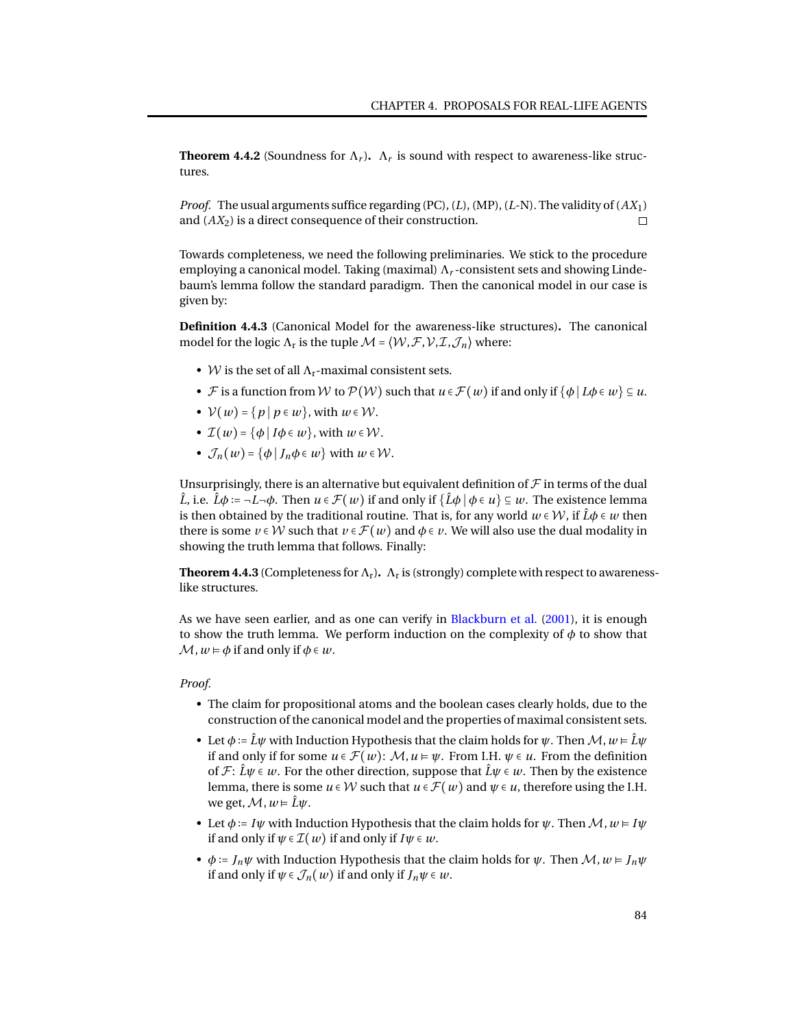**Theorem 4.4.2** (Soundness for  $\Lambda_r$ ).  $\Lambda_r$  is sound with respect to awareness-like structures.

*Proof.* The usual arguments suffice regarding (PC), (*L*), (MP), (*L*-N). The validity of (*AX*1) and (*AX*2) is a direct consequence of their construction.  $\Box$ 

Towards completeness, we need the following preliminaries. We stick to the procedure employing a canonical model. Taking (maximal) Λ*<sup>r</sup>* -consistent sets and showing Lindebaum's lemma follow the standard paradigm. Then the canonical model in our case is given by:

**Definition 4.4.3** (Canonical Model for the awareness-like structures)**.** The canonical model for the logic  $\Lambda_{\rm r}$  is the tuple  $\mathcal{M} = \langle \mathcal{W}, \mathcal{F}, \mathcal{V}, \mathcal{I}, \mathcal{J}_n \rangle$  where:

- W is the set of all  $\Lambda_r$ -maximal consistent sets.
- *F* is a function from *W* to  $P(W)$  such that  $u \in \mathcal{F}(w)$  if and only if  $\{\phi \mid L\phi \in w\} \subseteq u$ .
- $V(w) = \{p \mid p \in w\}$ , with  $w \in W$ .
- $\mathcal{I}(w) = \{\phi \mid I\phi \in w\}$ , with  $w \in \mathcal{W}$ .
- $\mathcal{J}_n(w) = {\phi | J_n \phi \in w}$  with  $w \in \mathcal{W}$ .

Unsurprisingly, there is an alternative but equivalent definition of  ${\mathcal F}$  in terms of the dual  $\hat{L}$ , i.e.  $\hat{L}\phi := \neg L\neg \phi$ . Then  $u \in \mathcal{F}(w)$  if and only if  $\{\hat{L}\phi \mid \phi \in u\} \subseteq w$ . The existence lemma is then obtained by the traditional routine. That is, for any world  $w \in W$ , if  $\hat{L}\phi \in w$  then there is some  $v \in W$  such that  $v \in \mathcal{F}(w)$  and  $\phi \in v$ . We will also use the dual modality in showing the truth lemma that follows. Finally:

**Theorem 4.4.3** (Completeness for  $\Lambda_r$ ).  $\Lambda_r$  is (strongly) complete with respect to awarenesslike structures.

As we have seen earlier, and as one can verify in [Blackburn et al.](#page-93-1) [\(2001\)](#page-93-1), it is enough to show the truth lemma. We perform induction on the complexity of  $\phi$  to show that  $\mathcal{M}, w \models \phi$  if and only if  $\phi \in w$ .

#### *Proof.*

- The claim for propositional atoms and the boolean cases clearly holds, due to the construction of the canonical model and the properties of maximal consistent sets.
- Let  $\phi := \hat{L}\psi$  with Induction Hypothesis that the claim holds for  $\psi$ . Then  $\mathcal{M}, w \models \hat{L}\psi$ if and only if for some  $u \in \mathcal{F}(w)$ :  $\mathcal{M}, u \models \psi$ . From I.H.  $\psi \in u$ . From the definition of  $\mathcal{F}: \hat{L}\psi \in \mathcal{W}$ . For the other direction, suppose that  $\hat{L}\psi \in \mathcal{W}$ . Then by the existence lemma, there is some  $u \in W$  such that  $u \in \mathcal{F}(w)$  and  $\psi \in u$ , therefore using the I.H. we get,  $M$ ,  $w \models \hat{L}\psi$ .
- Let  $\phi$  := *I* $\psi$  with Induction Hypothesis that the claim holds for  $\psi$ . Then  $\mathcal{M}, w \models I\psi$ if and only if  $\psi \in \mathcal{I}(w)$  if and only if  $I\psi \in w$ .
- $\phi := J_n \psi$  with Induction Hypothesis that the claim holds for  $\psi$ . Then  $\mathcal{M}, w \models J_n \psi$ if and only if  $\psi \in \mathcal{J}_n(w)$  if and only if  $J_n\psi \in w$ .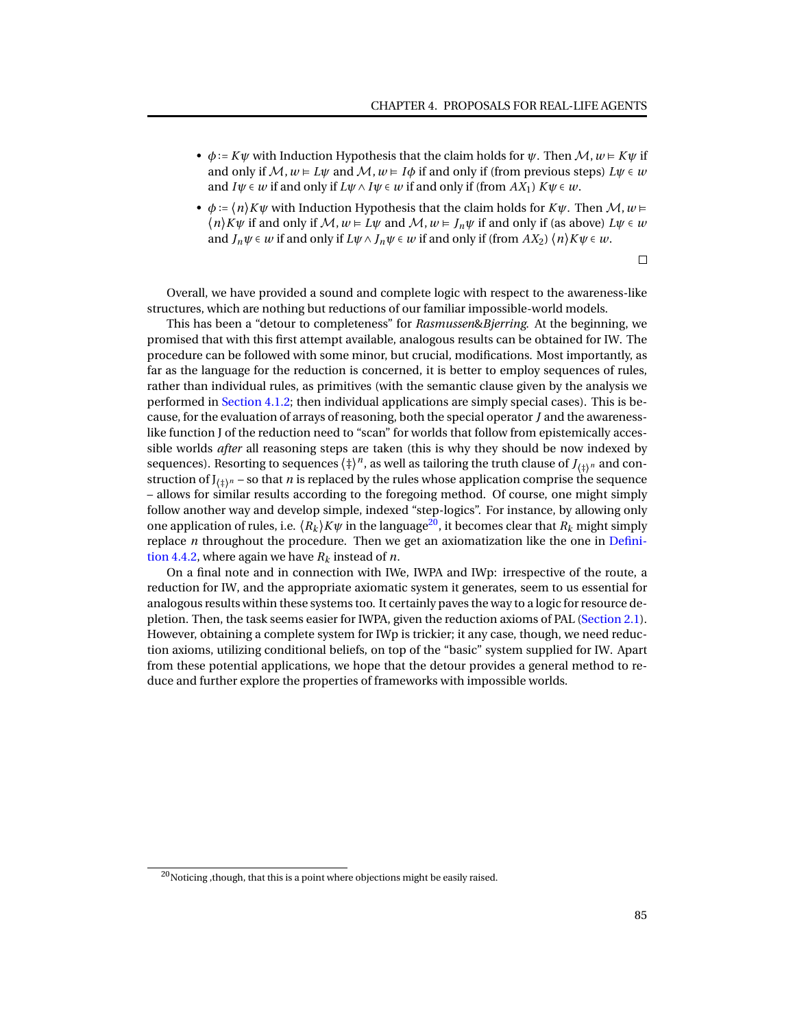- $\phi$  := *K* $\psi$  with Induction Hypothesis that the claim holds for  $\psi$ . Then  $\mathcal{M}, w \models K \psi$  if and only if  $\mathcal{M}, w \models L\psi$  and  $\mathcal{M}, w \models I\phi$  if and only if (from previous steps)  $L\psi \in \psi$ and  $I\psi \in w$  if and only if  $L\psi \wedge I\psi \in w$  if and only if (from  $AX_1$ )  $K\psi \in w$ .
- $\phi := \langle n \rangle K \psi$  with Induction Hypothesis that the claim holds for  $K \psi$ . Then  $\mathcal{M}, w \models$  $\langle n \rangle K \psi$  if and only if  $\mathcal{M}, w \models L \psi$  and  $\mathcal{M}, w \models J_n \psi$  if and only if (as above)  $L \psi \in W$ and  $J_n\psi \in w$  if and only if  $L\psi \wedge J_n\psi \in w$  if and only if (from  $AX_2$ )  $\langle n \rangle K\psi \in w$ .

 $\Box$ 

Overall, we have provided a sound and complete logic with respect to the awareness-like structures, which are nothing but reductions of our familiar impossible-world models.

This has been a "detour to completeness" for *Rasmussen*&*Bjerring*. At the beginning, we promised that with this first attempt available, analogous results can be obtained for IW. The procedure can be followed with some minor, but crucial, modifications. Most importantly, as far as the language for the reduction is concerned, it is better to employ sequences of rules, rather than individual rules, as primitives (with the semantic clause given by the analysis we performed in [Section 4.1.2;](#page-65-0) then individual applications are simply special cases). This is because, for the evaluation of arrays of reasoning, both the special operator *J* and the awarenesslike function J of the reduction need to "scan" for worlds that follow from epistemically accessible worlds *after* all reasoning steps are taken (this is why they should be now indexed by sequences). Resorting to sequences  $\langle \dagger \rangle^n$ , as well as tailoring the truth clause of *J*<sub> $\langle \dagger \rangle^n$ </sub> and construction of  $J_{(1)^n}$  – so that *n* is replaced by the rules whose application comprise the sequence – allows for similar results according to the foregoing method. Of course, one might simply follow another way and develop simple, indexed "step-logics". For instance, by allowing only one application of rules, i.e.  $\langle R_k \rangle K \psi$  in the language<sup>[20](#page-0-0)</sup>, it becomes clear that  $R_k$  might simply replace *n* throughout the procedure. Then we get an axiomatization like the one in [Defini](#page-86-0)[tion 4.4.2,](#page-86-0) where again we have  $R_k$  instead of  $n$ .

On a final note and in connection with IWe, IWPA and IWp: irrespective of the route, a reduction for IW, and the appropriate axiomatic system it generates, seem to us essential for analogous results within these systems too. It certainly paves the way to a logic for resource depletion. Then, the task seems easier for IWPA, given the reduction axioms of PAL [\(Section 2.1\)](#page-14-0). However, obtaining a complete system for IWp is trickier; it any case, though, we need reduction axioms, utilizing conditional beliefs, on top of the "basic" system supplied for IW. Apart from these potential applications, we hope that the detour provides a general method to reduce and further explore the properties of frameworks with impossible worlds.

 $^{20}$ Noticing, though, that this is a point where objections might be easily raised.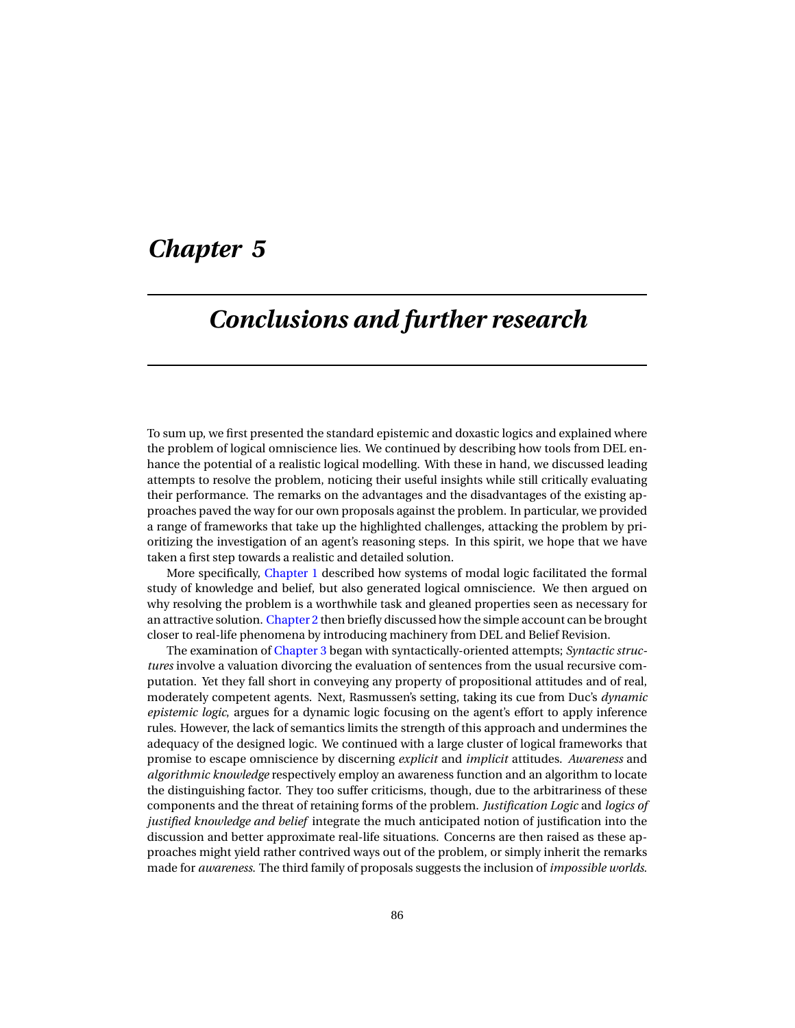## *Chapter 5*

## *Conclusions and further research*

To sum up, we first presented the standard epistemic and doxastic logics and explained where the problem of logical omniscience lies. We continued by describing how tools from DEL enhance the potential of a realistic logical modelling. With these in hand, we discussed leading attempts to resolve the problem, noticing their useful insights while still critically evaluating their performance. The remarks on the advantages and the disadvantages of the existing approaches paved the way for our own proposals against the problem. In particular, we provided a range of frameworks that take up the highlighted challenges, attacking the problem by prioritizing the investigation of an agent's reasoning steps. In this spirit, we hope that we have taken a first step towards a realistic and detailed solution.

More specifically, [Chapter 1](#page-5-0) described how systems of modal logic facilitated the formal study of knowledge and belief, but also generated logical omniscience. We then argued on why resolving the problem is a worthwhile task and gleaned properties seen as necessary for an attractive solution. [Chapter 2](#page-14-1) then briefly discussed how the simple account can be brought closer to real-life phenomena by introducing machinery from DEL and Belief Revision.

The examination of [Chapter 3](#page-20-0) began with syntactically-oriented attempts; *Syntactic structures* involve a valuation divorcing the evaluation of sentences from the usual recursive computation. Yet they fall short in conveying any property of propositional attitudes and of real, moderately competent agents. Next, Rasmussen's setting, taking its cue from Duc's *dynamic epistemic logic*, argues for a dynamic logic focusing on the agent's effort to apply inference rules. However, the lack of semantics limits the strength of this approach and undermines the adequacy of the designed logic. We continued with a large cluster of logical frameworks that promise to escape omniscience by discerning *explicit* and *implicit* attitudes. *Awareness* and *algorithmic knowledge* respectively employ an awareness function and an algorithm to locate the distinguishing factor. They too suffer criticisms, though, due to the arbitrariness of these components and the threat of retaining forms of the problem. *Justification Logic* and *logics of justified knowledge and belief* integrate the much anticipated notion of justification into the discussion and better approximate real-life situations. Concerns are then raised as these approaches might yield rather contrived ways out of the problem, or simply inherit the remarks made for *awareness*. The third family of proposals suggests the inclusion of *impossible worlds*.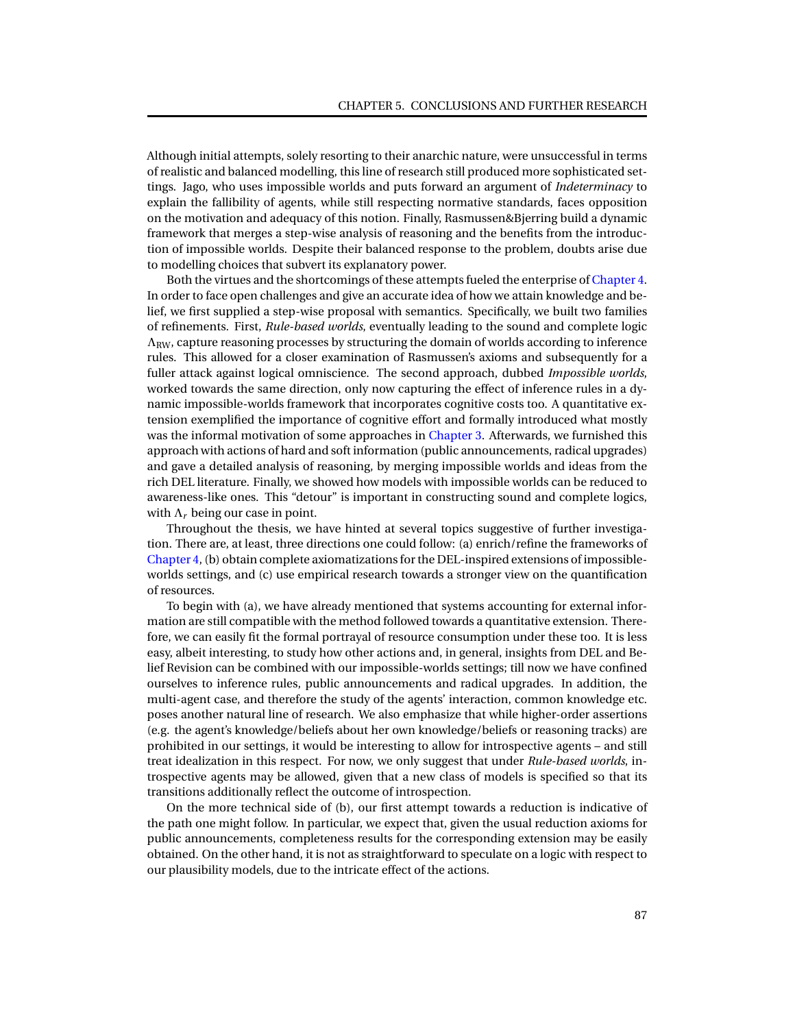Although initial attempts, solely resorting to their anarchic nature, were unsuccessful in terms of realistic and balanced modelling, this line of research still produced more sophisticated settings. Jago, who uses impossible worlds and puts forward an argument of *Indeterminacy* to explain the fallibility of agents, while still respecting normative standards, faces opposition on the motivation and adequacy of this notion. Finally, Rasmussen&Bjerring build a dynamic framework that merges a step-wise analysis of reasoning and the benefits from the introduction of impossible worlds. Despite their balanced response to the problem, doubts arise due to modelling choices that subvert its explanatory power.

Both the virtues and the shortcomings of these attempts fueled the enterprise of [Chapter 4.](#page-53-0) In order to face open challenges and give an accurate idea of how we attain knowledge and belief, we first supplied a step-wise proposal with semantics. Specifically, we built two families of refinements. First, *Rule-based worlds*, eventually leading to the sound and complete logic  $\Lambda_{\text{RW}}$ , capture reasoning processes by structuring the domain of worlds according to inference rules. This allowed for a closer examination of Rasmussen's axioms and subsequently for a fuller attack against logical omniscience. The second approach, dubbed *Impossible worlds*, worked towards the same direction, only now capturing the effect of inference rules in a dynamic impossible-worlds framework that incorporates cognitive costs too. A quantitative extension exemplified the importance of cognitive effort and formally introduced what mostly was the informal motivation of some approaches in [Chapter 3.](#page-20-0) Afterwards, we furnished this approach with actions of hard and soft information (public announcements, radical upgrades) and gave a detailed analysis of reasoning, by merging impossible worlds and ideas from the rich DEL literature. Finally, we showed how models with impossible worlds can be reduced to awareness-like ones. This "detour" is important in constructing sound and complete logics, with  $\Lambda_r$  being our case in point.

Throughout the thesis, we have hinted at several topics suggestive of further investigation. There are, at least, three directions one could follow: (a) enrich/refine the frameworks of [Chapter 4,](#page-53-0) (b) obtain complete axiomatizations for the DEL-inspired extensions of impossibleworlds settings, and (c) use empirical research towards a stronger view on the quantification of resources.

To begin with (a), we have already mentioned that systems accounting for external information are still compatible with the method followed towards a quantitative extension. Therefore, we can easily fit the formal portrayal of resource consumption under these too. It is less easy, albeit interesting, to study how other actions and, in general, insights from DEL and Belief Revision can be combined with our impossible-worlds settings; till now we have confined ourselves to inference rules, public announcements and radical upgrades. In addition, the multi-agent case, and therefore the study of the agents' interaction, common knowledge etc. poses another natural line of research. We also emphasize that while higher-order assertions (e.g. the agent's knowledge/beliefs about her own knowledge/beliefs or reasoning tracks) are prohibited in our settings, it would be interesting to allow for introspective agents – and still treat idealization in this respect. For now, we only suggest that under *Rule-based worlds*, introspective agents may be allowed, given that a new class of models is specified so that its transitions additionally reflect the outcome of introspection.

On the more technical side of (b), our first attempt towards a reduction is indicative of the path one might follow. In particular, we expect that, given the usual reduction axioms for public announcements, completeness results for the corresponding extension may be easily obtained. On the other hand, it is not as straightforward to speculate on a logic with respect to our plausibility models, due to the intricate effect of the actions.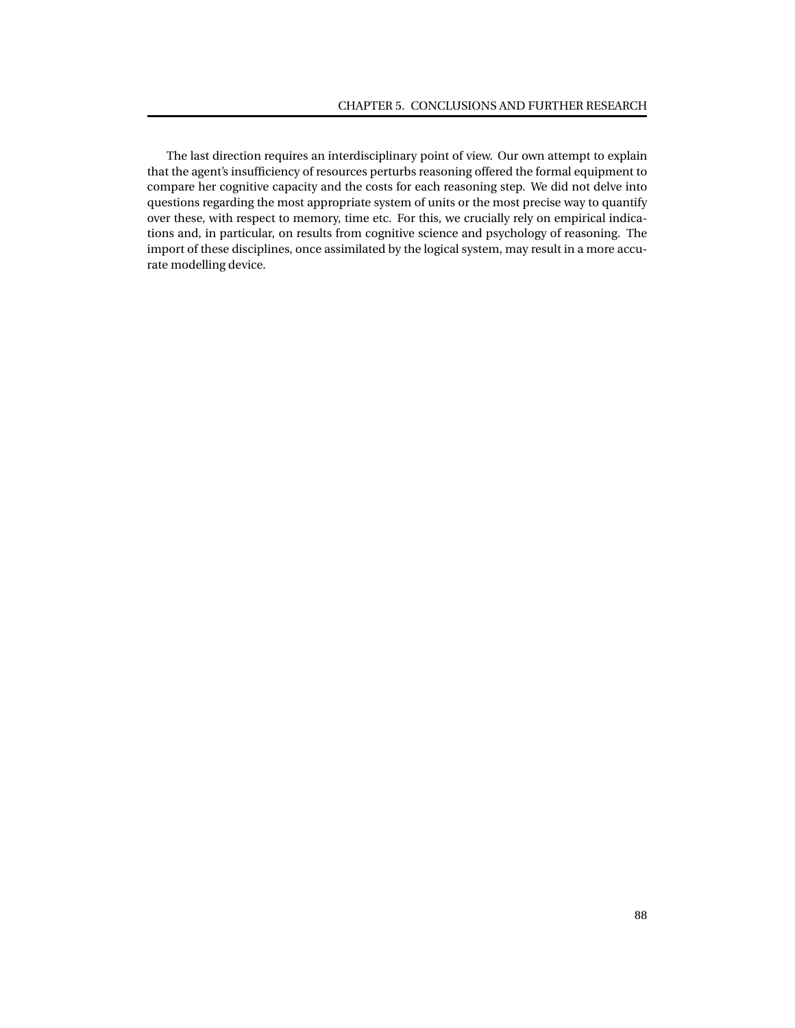The last direction requires an interdisciplinary point of view. Our own attempt to explain that the agent's insufficiency of resources perturbs reasoning offered the formal equipment to compare her cognitive capacity and the costs for each reasoning step. We did not delve into questions regarding the most appropriate system of units or the most precise way to quantify over these, with respect to memory, time etc. For this, we crucially rely on empirical indications and, in particular, on results from cognitive science and psychology of reasoning. The import of these disciplines, once assimilated by the logical system, may result in a more accurate modelling device.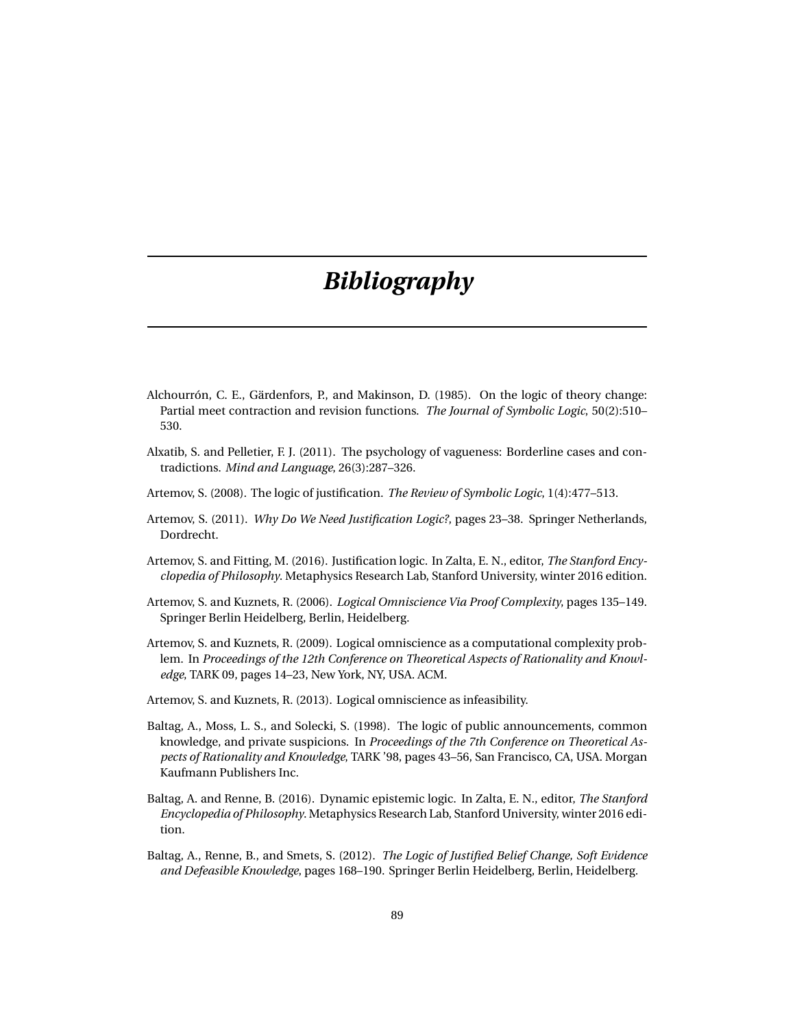# *Bibliography*

- Alchourrón, C. E., Gärdenfors, P., and Makinson, D. (1985). On the logic of theory change: Partial meet contraction and revision functions. *The Journal of Symbolic Logic*, 50(2):510– 530.
- Alxatib, S. and Pelletier, F. J. (2011). The psychology of vagueness: Borderline cases and contradictions. *Mind and Language*, 26(3):287–326.
- Artemov, S. (2008). The logic of justification. *The Review of Symbolic Logic*, 1(4):477–513.
- Artemov, S. (2011). *Why Do We Need Justification Logic?*, pages 23–38. Springer Netherlands, Dordrecht.
- Artemov, S. and Fitting, M. (2016). Justification logic. In Zalta, E. N., editor, *The Stanford Encyclopedia of Philosophy*. Metaphysics Research Lab, Stanford University, winter 2016 edition.
- Artemov, S. and Kuznets, R. (2006). *Logical Omniscience Via Proof Complexity*, pages 135–149. Springer Berlin Heidelberg, Berlin, Heidelberg.
- Artemov, S. and Kuznets, R. (2009). Logical omniscience as a computational complexity problem. In *Proceedings of the 12th Conference on Theoretical Aspects of Rationality and Knowledge*, TARK 09, pages 14–23, New York, NY, USA. ACM.
- Artemov, S. and Kuznets, R. (2013). Logical omniscience as infeasibility.
- Baltag, A., Moss, L. S., and Solecki, S. (1998). The logic of public announcements, common knowledge, and private suspicions. In *Proceedings of the 7th Conference on Theoretical Aspects of Rationality and Knowledge*, TARK '98, pages 43–56, San Francisco, CA, USA. Morgan Kaufmann Publishers Inc.
- Baltag, A. and Renne, B. (2016). Dynamic epistemic logic. In Zalta, E. N., editor, *The Stanford Encyclopedia of Philosophy*. Metaphysics Research Lab, Stanford University, winter 2016 edition.
- Baltag, A., Renne, B., and Smets, S. (2012). *The Logic of Justified Belief Change, Soft Evidence and Defeasible Knowledge*, pages 168–190. Springer Berlin Heidelberg, Berlin, Heidelberg.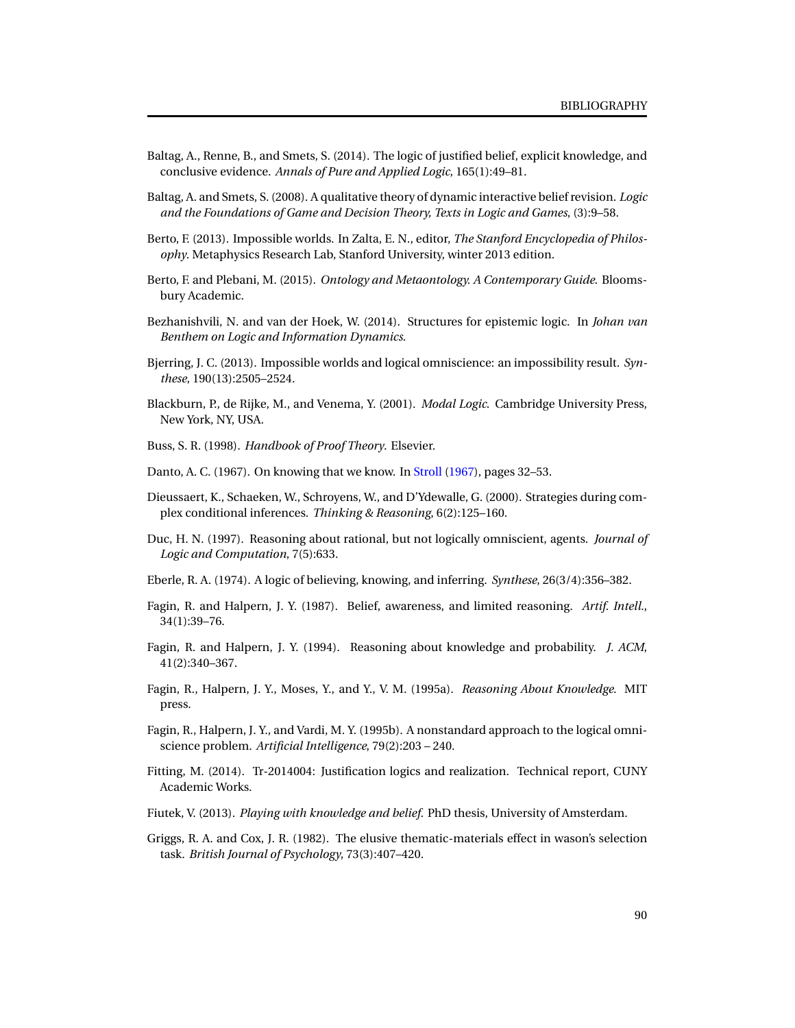- Baltag, A., Renne, B., and Smets, S. (2014). The logic of justified belief, explicit knowledge, and conclusive evidence. *Annals of Pure and Applied Logic*, 165(1):49–81.
- Baltag, A. and Smets, S. (2008). A qualitative theory of dynamic interactive belief revision. *Logic and the Foundations of Game and Decision Theory, Texts in Logic and Games*, (3):9–58.
- Berto, F. (2013). Impossible worlds. In Zalta, E. N., editor, *The Stanford Encyclopedia of Philosophy*. Metaphysics Research Lab, Stanford University, winter 2013 edition.
- Berto, F. and Plebani, M. (2015). *Ontology and Metaontology. A Contemporary Guide*. Bloomsbury Academic.
- Bezhanishvili, N. and van der Hoek, W. (2014). Structures for epistemic logic. In *Johan van Benthem on Logic and Information Dynamics*.
- Bjerring, J. C. (2013). Impossible worlds and logical omniscience: an impossibility result. *Synthese*, 190(13):2505–2524.
- <span id="page-93-1"></span>Blackburn, P., de Rijke, M., and Venema, Y. (2001). *Modal Logic*. Cambridge University Press, New York, NY, USA.
- Buss, S. R. (1998). *Handbook of Proof Theory*. Elsevier.
- Danto, A. C. (1967). On knowing that we know. In [Stroll](#page-95-2) [\(1967\)](#page-95-2), pages 32–53.
- Dieussaert, K., Schaeken, W., Schroyens, W., and D'Ydewalle, G. (2000). Strategies during complex conditional inferences. *Thinking & Reasoning*, 6(2):125–160.
- Duc, H. N. (1997). Reasoning about rational, but not logically omniscient, agents. *Journal of Logic and Computation*, 7(5):633.
- Eberle, R. A. (1974). A logic of believing, knowing, and inferring. *Synthese*, 26(3/4):356–382.
- Fagin, R. and Halpern, J. Y. (1987). Belief, awareness, and limited reasoning. *Artif. Intell.*, 34(1):39–76.
- <span id="page-93-0"></span>Fagin, R. and Halpern, J. Y. (1994). Reasoning about knowledge and probability. *J. ACM*, 41(2):340–367.
- Fagin, R., Halpern, J. Y., Moses, Y., and Y., V. M. (1995a). *Reasoning About Knowledge*. MIT press.
- Fagin, R., Halpern, J. Y., and Vardi, M. Y. (1995b). A nonstandard approach to the logical omniscience problem. *Artificial Intelligence*, 79(2):203 – 240.
- Fitting, M. (2014). Tr-2014004: Justification logics and realization. Technical report, CUNY Academic Works.
- Fiutek, V. (2013). *Playing with knowledge and belief*. PhD thesis, University of Amsterdam.
- Griggs, R. A. and Cox, J. R. (1982). The elusive thematic-materials effect in wason's selection task. *British Journal of Psychology*, 73(3):407–420.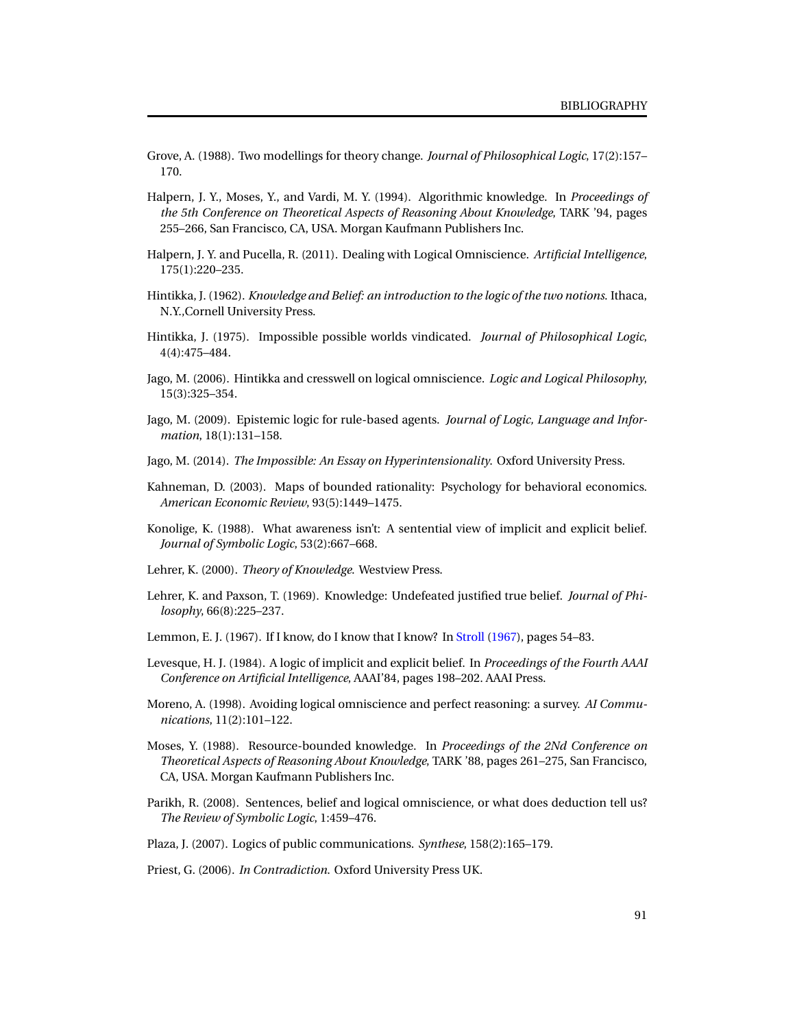- Grove, A. (1988). Two modellings for theory change. *Journal of Philosophical Logic*, 17(2):157– 170.
- Halpern, J. Y., Moses, Y., and Vardi, M. Y. (1994). Algorithmic knowledge. In *Proceedings of the 5th Conference on Theoretical Aspects of Reasoning About Knowledge*, TARK '94, pages 255–266, San Francisco, CA, USA. Morgan Kaufmann Publishers Inc.
- Halpern, J. Y. and Pucella, R. (2011). Dealing with Logical Omniscience. *Artificial Intelligence*, 175(1):220–235.
- Hintikka, J. (1962). *Knowledge and Belief: an introduction to the logic of the two notions*. Ithaca, N.Y.,Cornell University Press.
- Hintikka, J. (1975). Impossible possible worlds vindicated. *Journal of Philosophical Logic*, 4(4):475–484.
- Jago, M. (2006). Hintikka and cresswell on logical omniscience. *Logic and Logical Philosophy*, 15(3):325–354.
- Jago, M. (2009). Epistemic logic for rule-based agents. *Journal of Logic, Language and Information*, 18(1):131–158.
- Jago, M. (2014). *The Impossible: An Essay on Hyperintensionality*. Oxford University Press.
- Kahneman, D. (2003). Maps of bounded rationality: Psychology for behavioral economics. *American Economic Review*, 93(5):1449–1475.
- Konolige, K. (1988). What awareness isn't: A sentential view of implicit and explicit belief. *Journal of Symbolic Logic*, 53(2):667–668.
- Lehrer, K. (2000). *Theory of Knowledge*. Westview Press.
- Lehrer, K. and Paxson, T. (1969). Knowledge: Undefeated justified true belief. *Journal of Philosophy*, 66(8):225–237.
- Lemmon, E. J. (1967). If I know, do I know that I know? In [Stroll](#page-95-2) [\(1967\)](#page-95-2), pages 54–83.
- Levesque, H. J. (1984). A logic of implicit and explicit belief. In *Proceedings of the Fourth AAAI Conference on Artificial Intelligence*, AAAI'84, pages 198–202. AAAI Press.
- Moreno, A. (1998). Avoiding logical omniscience and perfect reasoning: a survey. *AI Communications*, 11(2):101–122.
- Moses, Y. (1988). Resource-bounded knowledge. In *Proceedings of the 2Nd Conference on Theoretical Aspects of Reasoning About Knowledge*, TARK '88, pages 261–275, San Francisco, CA, USA. Morgan Kaufmann Publishers Inc.
- Parikh, R. (2008). Sentences, belief and logical omniscience, or what does deduction tell us? *The Review of Symbolic Logic*, 1:459–476.
- Plaza, J. (2007). Logics of public communications. *Synthese*, 158(2):165–179.
- Priest, G. (2006). *In Contradiction*. Oxford University Press UK.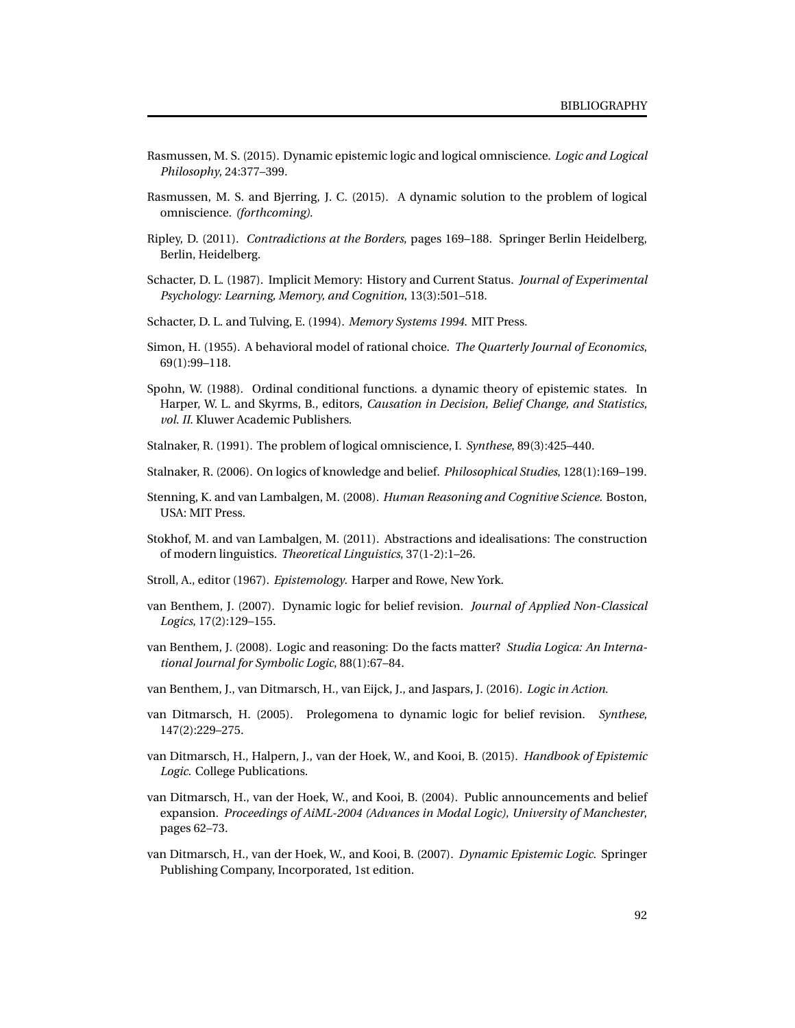- Rasmussen, M. S. (2015). Dynamic epistemic logic and logical omniscience. *Logic and Logical Philosophy*, 24:377–399.
- Rasmussen, M. S. and Bjerring, J. C. (2015). A dynamic solution to the problem of logical omniscience. *(forthcoming)*.
- Ripley, D. (2011). *Contradictions at the Borders*, pages 169–188. Springer Berlin Heidelberg, Berlin, Heidelberg.
- Schacter, D. L. (1987). Implicit Memory: History and Current Status. *Journal of Experimental Psychology: Learning, Memory, and Cognition*, 13(3):501–518.
- Schacter, D. L. and Tulving, E. (1994). *Memory Systems 1994*. MIT Press.
- Simon, H. (1955). A behavioral model of rational choice. *The Quarterly Journal of Economics*, 69(1):99–118.
- <span id="page-95-1"></span>Spohn, W. (1988). Ordinal conditional functions. a dynamic theory of epistemic states. In Harper, W. L. and Skyrms, B., editors, *Causation in Decision, Belief Change, and Statistics, vol. II*. Kluwer Academic Publishers.
- Stalnaker, R. (1991). The problem of logical omniscience, I. *Synthese*, 89(3):425–440.
- Stalnaker, R. (2006). On logics of knowledge and belief. *Philosophical Studies*, 128(1):169–199.
- Stenning, K. and van Lambalgen, M. (2008). *Human Reasoning and Cognitive Science*. Boston, USA: MIT Press.
- Stokhof, M. and van Lambalgen, M. (2011). Abstractions and idealisations: The construction of modern linguistics. *Theoretical Linguistics*, 37(1-2):1–26.
- <span id="page-95-2"></span>Stroll, A., editor (1967). *Epistemology*. Harper and Rowe, New York.
- van Benthem, J. (2007). Dynamic logic for belief revision. *Journal of Applied Non-Classical Logics*, 17(2):129–155.
- <span id="page-95-0"></span>van Benthem, J. (2008). Logic and reasoning: Do the facts matter? *Studia Logica: An International Journal for Symbolic Logic*, 88(1):67–84.
- van Benthem, J., van Ditmarsch, H., van Eijck, J., and Jaspars, J. (2016). *Logic in Action*.
- van Ditmarsch, H. (2005). Prolegomena to dynamic logic for belief revision. *Synthese*, 147(2):229–275.
- van Ditmarsch, H., Halpern, J., van der Hoek, W., and Kooi, B. (2015). *Handbook of Epistemic Logic*. College Publications.
- van Ditmarsch, H., van der Hoek, W., and Kooi, B. (2004). Public announcements and belief expansion. *Proceedings of AiML-2004 (Advances in Modal Logic), University of Manchester*, pages 62–73.
- van Ditmarsch, H., van der Hoek, W., and Kooi, B. (2007). *Dynamic Epistemic Logic*. Springer Publishing Company, Incorporated, 1st edition.